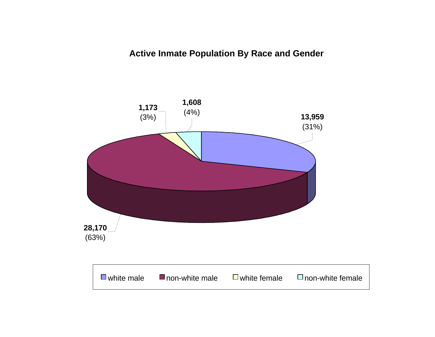## **Active Inmate Population By Race and Gender**

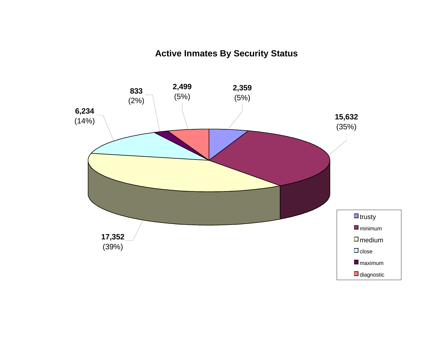# **Active Inmates By Security Status**

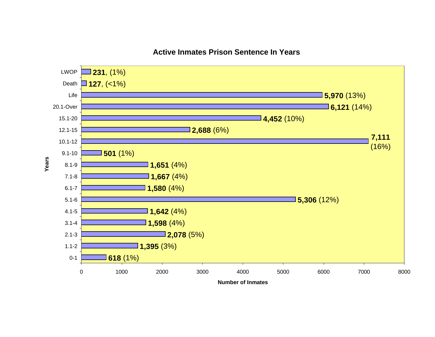

## **Active Inmates Prison Sentence In Years**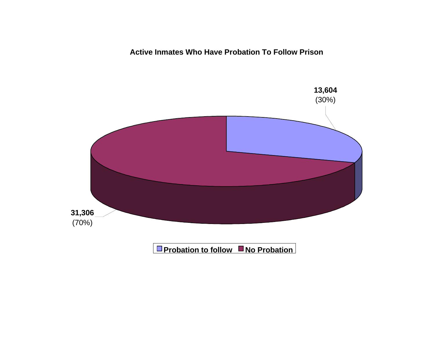**Active Inmates Who Have Probation To Follow Prison**

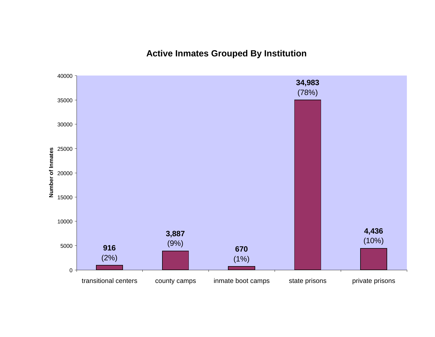**Active Inmates Grouped By Institution**

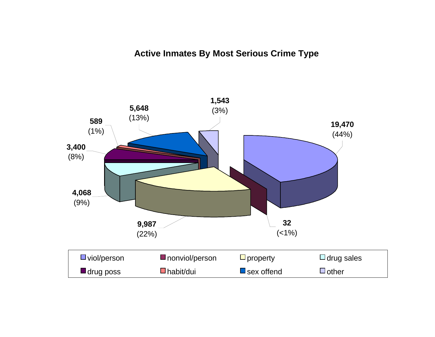## **Active Inmates By Most Serious Crime Type**

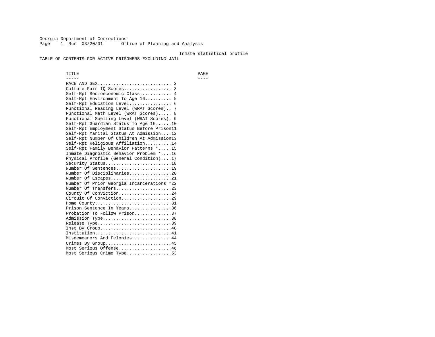Georgia Department of Corrections Page 1 Run 03/20/01 Office of Planning and Analysis

#### Inmate statistical profile

TABLE OF CONTENTS FOR ACTIVE PRISONERS EXCLUDING JAIL

 TITLE PAGE ----- ---- RACE AND SEX............................ 2 Culture Fair IQ Scores.................. 3 Self-Rpt Socioeconomic Class............ 4 Self-Rpt Environment To Age 16.......... 5 Self-Rpt Education Level................ 6 Functional Reading Level (WRAT Scores).. 7 Functional Math Level (WRAT Scores)..... 8 Functional Spelling Level (WRAT Scores). 9 Self-Rpt Guardian Status To Age 16......10 Self-Rpt Employment Status Before Prison11 Self-Rpt Marital Status At Admission....12 Self-Rpt Number Of Children At Admission13 Self-Rpt Religious Affiliation..........14 Self-Rpt Family Behavior Patterns \*.....15 Inmate Diagnostic Behavior Problem \*....16 Physical Profile (General Condition)....17 Security Status...........................18 Number Of Sentences.....................19 Number Of Disciplinaries................20 Number Of Escapes........................21 Number Of Prior Georgia Incarcerations \*22 Number Of Transfers.....................23 County Of Conviction....................24 Circuit Of Conviction...................29 Home County................................31 Prison Sentence In Years................36 Probation To Follow Prison..............37Admission Type.............................38 Release Type...............................39 Inst By Group..............................40 Institution................................41 Misdemeanors And Felonies...............44 Crimes By Group.........................45 Most Serious Offense....................46 Most Serious Crime Type.................53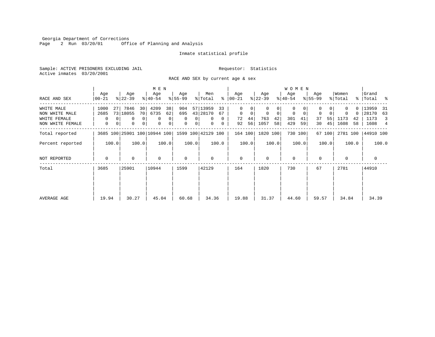Georgia Department of Corrections Page 2 Run 03/20/01 Office of Planning and Analysis

#### Inmate statistical profile

Sample: ACTIVE PRISONERS EXCLUDING JAIL **Requestor:** Statistics Active inmates 03/20/2001

RACE AND SEX by current age & sex

|                                                                  |                        |                                       | M E N                                                                                         |                          |                                            |                                                        |                   |                               |                               | <b>WOMEN</b>            |                            |                           |                                       |                         |                         |                      |                          |                             |                                |                     |
|------------------------------------------------------------------|------------------------|---------------------------------------|-----------------------------------------------------------------------------------------------|--------------------------|--------------------------------------------|--------------------------------------------------------|-------------------|-------------------------------|-------------------------------|-------------------------|----------------------------|---------------------------|---------------------------------------|-------------------------|-------------------------|----------------------|--------------------------|-----------------------------|--------------------------------|---------------------|
| RACE AND SEX                                                     | Age<br>$00 - 21$       | Age<br>$ 22-39 $                      | Age<br>$ 40-54 $                                                                              |                          | Age<br>$8 55-99$                           | % Total                                                | Men               |                               | Age<br>$8   00 - 21$          |                         | Age<br>$ 22-39 $           |                           | Age<br>$ 40-54 $                      |                         | Age<br>$8155 - 99$      |                      | Women<br>% Total         |                             | Grand<br>%   Total %           |                     |
| WHITE MALE<br>NON WHITE MALE<br>WHITE FEMALE<br>NON WHITE FEMALE | 1000<br>2685<br>0<br>0 | 7846<br>27<br>73 18055<br>0<br>0<br>0 | 4209<br>30<br>70 <sub>1</sub><br>6735<br>0 <sup>1</sup><br>$\mathbf 0$<br>0 <sup>1</sup><br>0 | 38<br>62<br>0<br>$\circ$ | 904<br>695<br>$\mathbf{0}$<br>$\mathbf{0}$ | 57 13959<br>43 28170<br>$\mathbf{0}$<br>0 <sup>1</sup> | 0<br>$\mathbf{0}$ | 33<br>67<br>$\mathbf{0}$<br>0 | 0<br>$\mathbf{0}$<br>72<br>92 | $\mathbf 0$<br>44<br>56 | $\mathbf 0$<br>763<br>1057 | 0<br>$\Omega$<br>42<br>58 | $\Omega$<br>$\mathbf 0$<br>301<br>429 | $\mathbf 0$<br>41<br>59 | $\mathbf 0$<br>37<br>30 | $\Omega$<br>55<br>45 | $\Omega$<br>1173<br>1608 | ი -<br>$\Omega$<br>42<br>58 | 13959<br>28170<br>1173<br>1608 | -31<br>63<br>3<br>4 |
| Total reported                                                   |                        | 3685 100 25901 100 10944 100          |                                                                                               |                          | 1599 100 42129 100                         |                                                        |                   |                               | 164 100                       |                         | 1820 100                   |                           |                                       | 730 100                 |                         | 67 100               | 2781 100                 |                             | 44910 100                      |                     |
| Percent reported                                                 | 100.0                  | 100.0                                 |                                                                                               | 100.0                    | 100.0                                      |                                                        | 100.0             |                               |                               | 100.0                   |                            | 100.0                     |                                       | 100.0                   |                         | 100.0                |                          | 100.0                       |                                | 100.0               |
| NOT REPORTED                                                     | $\Omega$               | $\Omega$                              | $\mathbf 0$                                                                                   |                          | $\mathbf 0$                                |                                                        | $\Omega$          |                               | $\mathbf{0}$                  |                         | $\Omega$                   |                           | $\Omega$                              |                         | $\Omega$                |                      | $\Omega$                 |                             | 0                              |                     |
| Total                                                            | 3685                   | 25901                                 | 10944                                                                                         |                          | 1599                                       | 42129                                                  |                   |                               | 164                           |                         | 1820                       |                           | 730                                   |                         | 67                      |                      | 2781                     |                             | 44910                          |                     |
| AVERAGE AGE                                                      | 19.94                  | 30.27                                 | 45.04                                                                                         |                          | 60.68                                      |                                                        | 34.36             |                               | 19.88                         |                         | 31.37                      |                           | 44.60                                 |                         | 59.57                   |                      | 34.84                    |                             | 34.39                          |                     |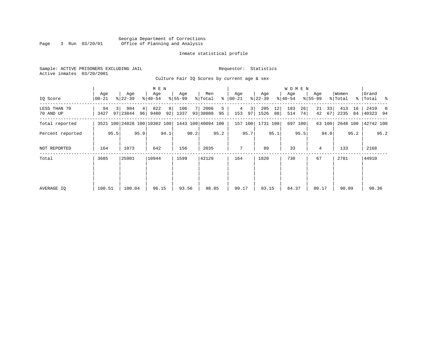#### Georgia Department of Corrections Page 3 Run 03/20/01 Office of Planning and Analysis

### Inmate statistical profile

|  | Sample: ACTIVE PRISONERS EXCLUDING JAIL |  |                                             |  |  | Requestor: Statistics |  |  |
|--|-----------------------------------------|--|---------------------------------------------|--|--|-----------------------|--|--|
|  | Active inmates 03/20/2001               |  |                                             |  |  |                       |  |  |
|  |                                         |  | Culture Fair IO Scores by current age & sex |  |  |                       |  |  |

| IQ Score                  | Age<br>  00-21 |      | Age<br>$ 22 - 39 $                              |         | M E N<br>Age<br>$8140 - 54$ |         | Age<br>$8155 - 99$ |      | Men<br>% Total   | ွေ      | Age<br>$ 00 - 21 $ |         | Age<br>$ 22 - 39 $ |          | <b>WOMEN</b><br>Aqe<br>$ 40-54 $ |          | Age<br>$8155 - 99$ |          | Women<br>% Total |          | Grand<br>%   Total % |      |
|---------------------------|----------------|------|-------------------------------------------------|---------|-----------------------------|---------|--------------------|------|------------------|---------|--------------------|---------|--------------------|----------|----------------------------------|----------|--------------------|----------|------------------|----------|----------------------|------|
| LESS THAN 70<br>70 AND UP | 94<br>3427     | 3 I  | 984<br>97 23844                                 | 4<br>96 | 822<br>9480                 | 8<br>92 | 106<br>1337        |      | 2006<br>93 38088 | 5<br>95 | 4<br>153           | 3<br>97 | 205<br>1526        | 12<br>88 | 183<br>514                       | 26<br>74 | 21<br>42           | 33<br>67 | 413<br>2235      | 16<br>84 | 2419<br>40323 94     | -6   |
| Total reported            |                |      | 3521 100 24828 100 10302 100 1443 100 40094 100 |         |                             |         |                    |      |                  |         |                    | 157 100 | 1731 100           |          |                                  | 697 100  |                    | 63 100   |                  |          | 2648 100 42742 100   |      |
| Percent reported          |                | 95.5 |                                                 | 95.9    |                             | 94.1    |                    | 90.2 |                  | 95.2    |                    | 95.7    |                    | 95.1     |                                  | 95.5     |                    | 94.0     |                  | 95.2     |                      | 95.2 |
| NOT REPORTED              | 164            |      | 1073                                            |         | 642                         |         | 156                |      | 2035             |         | 7                  |         | 89                 |          | 33                               |          | 4                  |          | 133              |          | 2168                 |      |
| Total                     | 3685           |      | 25901                                           |         | 10944                       |         | 1599               |      | 42129            |         | 164                |         | 1820               |          | 730                              |          | 67                 |          | 2781             |          | 44910                |      |
| AVERAGE IQ                | 100.51         |      | 100.04                                          |         | 96.15                       |         | 93.56              |      | 98.85            |         | 99.17              |         | 93.15              |          | 84.37                            |          | 80.17              |          | 90.89            |          | 98.36                |      |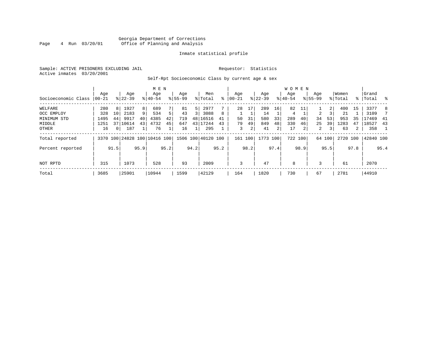#### Georgia Department of Corrections<br>4 Run 03/20/01 Office of Planning and Analysis Page 4 Run 03/20/01 Office of Planning and Analysis

#### Inmate statistical profile

Sample: ACTIVE PRISONERS EXCLUDING JAIL **Requestor:** Statistics Active inmates 03/20/2001

#### Self-Rpt Socioeconomic Class by current age & sex

|                     |       |                |                              |                | M E N     |      |             |      |                    |      |             |      |           |                | <b>WOMEN</b> |         |                |                |         |                |           |      |
|---------------------|-------|----------------|------------------------------|----------------|-----------|------|-------------|------|--------------------|------|-------------|------|-----------|----------------|--------------|---------|----------------|----------------|---------|----------------|-----------|------|
|                     | Age   |                | Age                          |                | Age       |      | Age         |      | Men                |      | Age         |      | Age       |                | Age          |         | Age            |                | Women   |                | Grand     |      |
| Socioeconomic Class | 00-21 |                | $8 22-39$                    |                | $8 40-54$ |      | $8155 - 99$ |      | % Total            | ి    | $ 00 - 21 $ |      | $ 22-39 $ |                | $ 40-54 $    |         | $8155 - 99$    |                | % Total |                | %   Total |      |
| WELFARE             | 280   | 8              | 1927                         | 8 <sup>1</sup> | 689       |      | 81          | 5    | 2977               |      | 28          | 17   | 289       | 16             | 82           |         |                | $\overline{2}$ | 400     | 15             | 3377      | 8    |
| OCC EMPLOY          | 328   | 10             | 2183                         | 9              | 534       |      | 43          | 3 I  | 3088               | 8    |             |      | 14        |                | 4            |         | $\mathbf{2}$   |                | 21      |                | 3109      |      |
| MINIMUM STD         | 1495  | 44             | 9917                         | 40             | 4385      | 42   | 719         |      | 48 16516           | 41   | 50          | 31   | 580       | 33             | 289          | 40      | 34             | 53             | 953     | 35             | 17469     | 41   |
| MIDDLE              | 1251  |                | 37 10614                     | 43             | 4732      | 45   | 647         |      | 43 17244           | 43   | 79          | 49   | 849       | 48             | 330          | 46      | 25             | 39             | 1283    | 47             | 18527     | 43   |
| OTHER               | 16    | 0 <sup>1</sup> | 187                          |                | 76        |      | 16          |      | 295                |      | 3           | 2    | 41        | $\overline{2}$ |              | 2       | $\overline{2}$ | 3              | 63      | $\overline{a}$ | 358       |      |
| Total reported      |       |                | 3370 100 24828 100 10416 100 |                |           |      |             |      | 1506 100 40120 100 |      | 161         | 100  | 1773 100  |                |              | 722 100 |                | 64 100         | 2720    | 100            | 42840 100 |      |
| Percent reported    |       | 91.5           |                              | 95.9           |           | 95.2 |             | 94.2 |                    | 95.2 |             | 98.2 |           | 97.4           |              | 98.9    |                | 95.5           |         | 97.8           |           | 95.4 |
|                     |       |                |                              |                |           |      |             |      |                    |      |             |      |           |                |              |         |                |                |         |                |           |      |
| NOT RPTD            | 315   |                | 1073                         |                | 528       |      | 93          |      | 2009               |      | ζ           |      | 47        |                | 8            |         |                |                | 61      |                | 2070      |      |
| Total               | 3685  |                | 25901                        |                | 10944     |      | 1599        |      | 42129              |      | 164         |      | 1820      |                | 730          |         | 67             |                | 2781    |                | 44910     |      |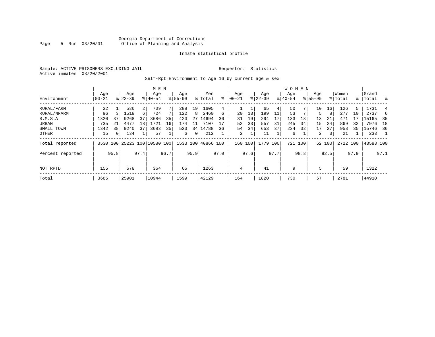#### Georgia Department of Corrections Page 5 Run 03/20/01 Office of Planning and Analysis

#### Inmate statistical profile

Sample: ACTIVE PRISONERS EXCLUDING JAIL **Requestor:** Statistics Active inmates 03/20/2001

Self-Rpt Environment To Age 16 by current age & sex

|                  |                   |      |                    |      | M E N                        |      |                    |      |                    |      |                 |      |                  |      | <b>WOMEN</b>     |      |                    |        |                  |      |                 |      |
|------------------|-------------------|------|--------------------|------|------------------------------|------|--------------------|------|--------------------|------|-----------------|------|------------------|------|------------------|------|--------------------|--------|------------------|------|-----------------|------|
| Environment      | Age<br>$ 00 - 21$ |      | Age<br>$8122 - 39$ |      | Age<br>$8140 - 54$           |      | Age<br>$8155 - 99$ |      | Men<br>% Total     | ៖    | Age<br>$ 00-21$ |      | Age<br>$ 22-39 $ |      | Aqe<br>$8 40-54$ |      | Age<br>$8155 - 99$ |        | Women<br>% Total | ႜၟ   | Grand<br> Total | ွေ   |
| RURAL/FARM       | 22                |      | 586                | 2    | 709                          |      | 288                | 19   | 1605               | 4    |                 |      | 65               | 4    | 50               |      | 10                 | 16     | 126              | 5    | 1731            |      |
| RURAL/NFARM      | 96                |      | 1518               | 6    | 724                          |      | 122                | 8    | 2460               | 6    | 20              | 13   | 199              | 11   | 53               |      |                    | 8      | 277              | 10   | 2737            | 6    |
| S.M.S.A          | 1320              | 37   | 9268               | 37   | 3686                         | 35   | 420                | 27   | 14694              | 36   | 31              | 19   | 294              | 17   | 133              | 18   | 13                 | 21     | 471              |      | 15165           | - 35 |
| URBAN            | 735               | 21   | 4477               | 18   | 1721                         | 16   | 174                | 11   | 7107               | 17   | 52              | 33   | 557              | 31   | 245              | 34   | 15                 | 24     | 869              | 32   | 7976            | 18   |
| SMALL TOWN       | 1342              | 38   | 9240               | 37   | 3683                         | 35   | 523                |      | 34 14788           | 36   | 54              | 34   | 653              | 37   | 234              | 32   | 17                 | 27     | 958              | 35   | 15746           | 36   |
| OTHER            | 15                | 0    | 134                |      | 57                           |      | 6                  | 0    | 212                |      | 2               |      | 11               |      | 6                |      | 2                  | 3      | 21               |      | 233             |      |
| Total reported   |                   |      |                    |      | 3530 100 25223 100 10580 100 |      |                    |      | 1533 100 40866 100 |      | 160 100         |      | 1779 100         |      | 721 100          |      |                    | 62 100 | 2722 100         |      | 43588 100       |      |
| Percent reported |                   | 95.8 |                    | 97.4 |                              | 96.7 |                    | 95.9 |                    | 97.0 |                 | 97.6 |                  | 97.7 |                  | 98.8 |                    | 92.5   |                  | 97.9 |                 | 97.1 |
| NOT RPTD         | 155               |      | 678                |      | 364                          |      | 66                 |      | 1263               |      | 4               |      | 41               |      | 9                |      | 5                  |        | 59               |      | 1322            |      |
| Total            | 3685              |      | 25901              |      | 10944                        |      | 1599               |      | 42129              |      | 164             |      | 1820             |      | 730              |      | 67                 |        | 2781             |      | 44910           |      |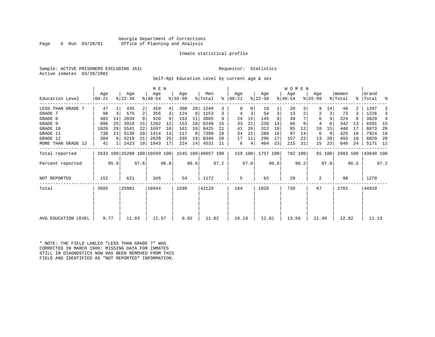#### Georgia Department of Corrections Page 6 Run 03/20/01 Office of Planning and Analysis

#### Inmate statistical profile

Sample: ACTIVE PRISONERS EXCLUDING JAIL **Requestor:** Statistics Active inmates 03/20/2001

Self-Rpt Education Level by current age & sex

|                     |                |      |                              |                 | M E N              |      |                  |      |                    |      |                      |      |                  |      | W O M E N        |         |                  |        |                  |      |                    |      |
|---------------------|----------------|------|------------------------------|-----------------|--------------------|------|------------------|------|--------------------|------|----------------------|------|------------------|------|------------------|---------|------------------|--------|------------------|------|--------------------|------|
| Education Level     | Age<br>  00-21 |      | Age<br>$ 22-39 $             |                 | Age<br>$8140 - 54$ |      | Age<br>$8 55-99$ |      | Men<br>% Total     |      | Age<br>$8   00 - 21$ |      | Age<br>$ 22-39 $ |      | Age<br>$ 40-54 $ |         | Age<br>$8 55-99$ |        | Women<br>% Total |      | Grand<br>%   Total | ್ಠಿ  |
| LESS THAN GRADE 7   | 47             |      | 435                          | $\overline{2}$  | 459                | 4    | 308              | 20   | 1249               | 3    |                      | 0    | 19               |      | 20               |         | 9                | 14     | 48               |      | 1297               |      |
| GRADE 7             | 98             | 3    | 575                          | 2               | 356                | 3    | 124              | 8    | 1153               | 3    |                      | 3    | 54               | 3    | 13               |         | 2                | 3      | 73               |      | 1226               | 3    |
| GRADE 8             | 483            | 14   | 2039                         |                 | 920                |      | 163              | 11   | 3605               | 9    | 24                   | 15   | 145              |      | 49               |         | 6                | 9      | 224              |      | 3829               | 9    |
| GRADE 9             | 896            | 25   | 3918                         | 15              | 1282               | 12   | 153              | 10   | 6249               | 15   | 33                   | 21   | 239              | 14   | 66               | 9       | 4                |        | 342              | 13   | 6591               | - 15 |
| GRADE 10            | 1026           | 29   | 5541                         | 22              | 1697               | 16   | 161              | 10   | 8425               | 21   | 41                   | 26   | 312              | 18   | 85               | 12      | 10               | 15     | 448              | 17   | 8873               | 20   |
| GRADE 11            | 738            | 21   | 5130                         | 20 <sup>1</sup> | 1414               | 13   | 117              | 8    | 7399               | 18   | 34                   | 21   | 288              | 16   | 97               | 14      | 6                | 9      | 425              | 16   | 7824               | 18   |
| GRADE 12            | 204            | 6    | 5219                         | 21              | 2628               | 25   | 295              | 19   | 8346               | 20   | 17                   | 11   | 296              | 17   | 157              | 22      | 13               | 20     | 483              | 18   | 8829               | 20   |
| MORE THAN GRADE 12  | 41             |      | 2423                         | 10              | 1843               | 17   | 224              | 14   | 4531               | 11   | 6                    | 4    | 404              | 23   | 215              | 31      | 15               | 23     | 640              | 24   | 5171 12            |      |
| Total reported      |                |      | 3533 100 25280 100 10599 100 |                 |                    |      |                  |      | 1545 100 40957 100 |      | 159 100              |      | 1757 100         |      |                  | 702 100 |                  | 65 100 | 2683 100         |      | 43640 100          |      |
| Percent reported    |                | 95.9 |                              | 97.6            |                    | 96.8 |                  | 96.6 |                    | 97.2 |                      | 97.0 |                  | 96.5 |                  | 96.2    |                  | 97.0   |                  | 96.5 |                    | 97.2 |
| NOT REPORTED        | 152            |      | 621                          |                 | 345                |      | 54               |      | 1172               |      | 5                    |      | 63               |      | 28               |         | 2                |        | 98               |      | 1270               |      |
| Total               | 3685           |      | 25901                        |                 | 10944              |      | 1599             |      | 42129              |      | 164                  |      | 1820             |      | 730              |         | 67               |        | 2781             |      | 44910              |      |
|                     |                |      |                              |                 |                    |      |                  |      |                    |      |                      |      |                  |      |                  |         |                  |        |                  |      |                    |      |
| AVG EDUCATION LEVEL | 9.77           |      | 11.03                        |                 | 11.57              |      | 9.92             |      | 11.02              |      | 10.19                |      | 12.81            |      | 13.56            |         | 11.49            |        | 12.82            |      | 11.13              |      |

\* NOTE: THE FIELD LABLED "LESS THAN GRADE 7" WAS CORRECTED IN MARCH 1989: MISSING DATA FOR INMATES STILL IN DIAGNOSTICS NOW HAS BEEN REMOVED FROM THIS FIELD AND IDENTIFIED AS "NOT REPORTED" INFORMATION.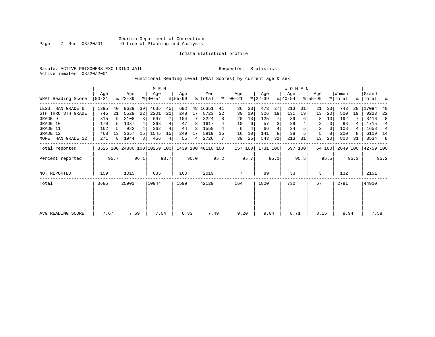Sample: ACTIVE PRISONERS EXCLUDING JAIL **Requestor:** Statistics Active inmates 03/20/2001

Functional Reading Level (WRAT Scores) by current age & sex

|                     | Age              |      | M E N<br>Age |      | Age                          |      | Men       |      | Age                |      | Age       |      | W O M E N<br>Age |      | Age       |         | Women          |        | Grand    |      |           |      |
|---------------------|------------------|------|--------------|------|------------------------------|------|-----------|------|--------------------|------|-----------|------|------------------|------|-----------|---------|----------------|--------|----------|------|-----------|------|
| WRAT Reading Score  | Age<br>$ 00-21 $ |      | $ 22-39 $    |      | $ 40-54 $                    |      | $8 55-99$ |      | % Total            | ႜ    | $ 00-21 $ |      | $ 22-39 $        |      | $8 40-54$ |         | $8155 - 99$    |        | % Total  | ႜႂ   | Total     | ႜ    |
| LESS THAN GRADE 6   | 1395             | 40   | 9629         | 39   | 4635                         | 45   | 692       |      | 48 16351           | 41   | 36        | 23   | 473              | 27   | 213       | 31      | 21             | 33     | 743      | 28   | 17094     | 40   |
| 6TH THRU 8TH GRADE  | 745              | 21   | 5529         | 22   | 2201                         | 21   | 248       | 17   | 8723               | 22   | 30        | 19   | 326              | 19   | 131       | 19      | 13             | 20     | 500      | 19   | 9223      | 22   |
| GRADE 9             | 315              | 9    | 2108         | 8    | 697                          |      | 104       |      | 3224               | 8    | 20        | 13   | 125              |      | 39        |         | 8              | 13     | 192      |      | 3416      | 8    |
| GRADE 10            | 170              |      | 1037         |      | 363                          |      | 47        | 3    | 1617               |      | 10        | 6    | 57               | 3    | 29        |         | 2              | 3      | 98       |      | 1715      | 4    |
| GRADE 11            | 162              |      | 982          |      | 362                          |      | 44        | 3    | 1550               |      | 6         |      | 66               |      | 34        |         | $\overline{2}$ | 3      | 108      |      | 1658      | 4    |
| GRADE 12            | 468              | 13   | 3657         | 15   | 1545                         | 15   | 249       | 17   | 5919               | 15   | 16        | 10   | 141              |      | 38        |         | 5              | 8      | 200      | 8    | 6119      | 14   |
| MORE THAN GRADE 12  | 271              | 8    | 1944         | 8    | 456                          | 4    | 55        | 4    | 2726               |      | 39        | 25   | 543              | 31   | 213       | 31      | 13             | 20     | 808      | 31   | 3534      | -8   |
| Total reported      |                  |      |              |      | 3526 100 24886 100 10259 100 |      |           |      | 1439 100 40110 100 |      | 157 100   |      | 1731 100         |      |           | 697 100 |                | 64 100 | 2649 100 |      | 42759 100 |      |
| Percent reported    |                  | 95.7 |              | 96.1 |                              | 93.7 |           | 90.0 |                    | 95.2 |           | 95.7 |                  | 95.1 |           | 95.5    |                | 95.5   |          | 95.3 |           | 95.2 |
| <b>NOT REPORTED</b> | 159              |      | 1015         |      | 685                          |      | 160       |      | 2019               |      | 7         |      | 89               |      | 33        |         | 3              |        | 132      |      | 2151      |      |
| Total               | 3685             |      | 25901        |      | 10944                        |      | 1599      |      | 42129              |      | 164       |      | 1820             |      | 730       |         | 67             |        | 2781     |      | 44910     |      |
|                     |                  |      |              |      |                              |      |           |      |                    |      |           |      |                  |      |           |         |                |        |          |      |           |      |
|                     |                  |      |              |      |                              |      |           |      |                    |      |           |      |                  |      |           |         |                |        |          |      |           |      |
| AVG READING SCORE   | 7.67             |      | 7.69         |      | 7.04                         |      | 6.83      |      | 7.49               |      | 9.20      |      | 9.04             |      | 8.71      |         | 8.15           |        | 8.94     |      | 7.58      |      |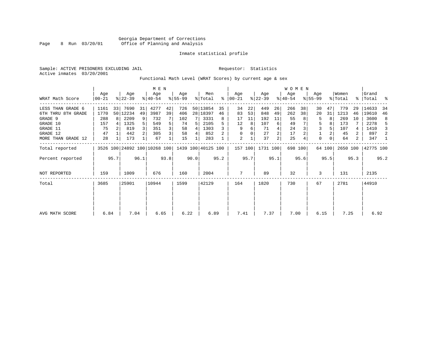Sample: ACTIVE PRISONERS EXCLUDING JAIL **Requestor:** Statistics Active inmates 03/20/2001

Functional Math Level (WRAT Scores) by current age & sex

|                    |                  |      |                  |      |                              |      |                 |      |                    |      |                  |      |                  |      | WOMEN            |         |                  |        |                  |      |                    |      |
|--------------------|------------------|------|------------------|------|------------------------------|------|-----------------|------|--------------------|------|------------------|------|------------------|------|------------------|---------|------------------|--------|------------------|------|--------------------|------|
| WRAT Math Score    | Age<br>$00 - 21$ |      | Age<br>$ 22-39 $ |      | Age<br>$8140 - 54$           |      | Age<br>$ 55-99$ |      | Men<br>% Total     | ႜ    | Age<br>$ 00-21 $ |      | Age<br>$ 22-39 $ |      | Age<br>$ 40-54 $ |         | Age<br>$8 55-99$ |        | Women<br>% Total |      | Grand<br>%   Total | ್ಠಿ  |
| LESS THAN GRADE 6  | 1161             | 33   | 7690             | 31   | 4277                         | 42   | 726             |      | 50 13854           | 35   | 34               | 22   | 449              | 26   | 266              | 38      | 30               | 47     | 779              | 29   | 14633              | -34  |
| 6TH THRU 8TH GRADE | 1770             |      | 50   12234       | 49   | 3987                         | 39   | 406             |      | 28   18397         | 46   | 83               | 53   | 848              | 49   | 262              | 38      | 20               | 31     | 1213             | 46   | 19610              | 46   |
| GRADE 9            | 288              | 8    | 2209             | 9    | 732                          |      | 102             |      | 3331               | 8    | 17               | 11   | 192              | 11   | 55               |         | 5                |        | 269              | 10   | 3600               | 8    |
| GRADE 10           | 157              |      | 1325             | 5    | 549                          | 5    | 74              |      | 2105               |      | 12               | 8    | 107              | 6    | 49               |         | 5                |        | 173              |      | 2278               | 5    |
| GRADE 11           | 75               |      | 819              |      | 351                          | 3    | 58              | 4    | 1303               |      | 9                | 6    | 71               |      | 24               |         | 3                |        | 107              |      | 1410               |      |
| GRADE 12           | 47               |      | 442              |      | 305                          | 3    | 58              | 4    | 852                |      |                  |      | 27               | 2    | 17               |         |                  |        | 45               | 2    | 897                | 2    |
| MORE THAN GRADE 12 | 28               |      | 173              |      | 67                           |      | 15              |      | 283                |      | 2                |      | 37               | 2    | 25               |         | $\Omega$         |        | 64               | 2    | 347                | -1   |
| Total reported     |                  |      |                  |      | 3526 100 24892 100 10268 100 |      |                 |      | 1439 100 40125 100 |      | 157 100          |      | 1731 100         |      |                  | 698 100 |                  | 64 100 | 2650 100         |      | 42775 100          |      |
| Percent reported   |                  | 95.7 |                  | 96.1 |                              | 93.8 |                 | 90.0 |                    | 95.2 |                  | 95.7 |                  | 95.1 |                  | 95.6    |                  | 95.5   |                  | 95.3 |                    | 95.2 |
| NOT REPORTED       | 159              |      | 1009             |      | 676                          |      | 160             |      | 2004               |      | 7                |      | 89               |      | 32               |         | 3                |        | 131              |      | 2135               |      |
| Total              | 3685             |      | 25901            |      | 10944                        |      | 1599            |      | 42129              |      | 164              |      | 1820             |      | 730              |         | 67               |        | 2781             |      | 44910              |      |
|                    |                  |      |                  |      |                              |      |                 |      |                    |      |                  |      |                  |      |                  |         |                  |        |                  |      |                    |      |
| AVG MATH SCORE     | 6.84             |      | 7.04             |      | 6.65                         |      | 6.22            |      | 6.89               |      | 7.41             |      | 7.37             |      | 7.00             |         | 6.15             |        | 7.25             |      | 6.92               |      |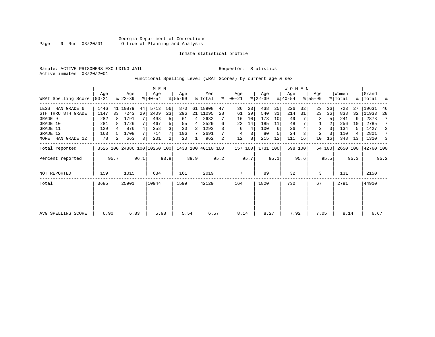Sample: ACTIVE PRISONERS EXCLUDING JAIL **Requestor:** Statistics Active inmates 03/20/2001

Functional Spelling Level (WRAT Scores) by current age & sex

|                     |                 |                |                  |      | M E N                                           |      |                 |      |                |      |                  |      |                  |      | <b>WOMEN</b>     |         |                    |        |                  |      |                    |      |
|---------------------|-----------------|----------------|------------------|------|-------------------------------------------------|------|-----------------|------|----------------|------|------------------|------|------------------|------|------------------|---------|--------------------|--------|------------------|------|--------------------|------|
| WRAT Spelling Score | Aqe<br>$ 00-21$ |                | Age<br>$ 22-39 $ |      | Age<br>$8 40-54$                                |      | Aqe<br>$ 55-99$ |      | Men<br>% Total | ႜ    | Age<br>$00 - 21$ |      | Age<br>$ 22-39 $ |      | Age<br>$ 40-54 $ |         | Age<br>$8155 - 99$ |        | Women<br>% Total |      | Grand<br>%   Total | ್ಠಿ  |
| LESS THAN GRADE 6   | 1446            |                | 41 10879         | 44   | 5713                                            | 56   | 870             |      | 61 18908       | 47   | 36               | 23   | 438              | 25   | 226              | 32      | 23                 | 36     | 723              | 27   | 19631              | 46   |
| 6TH THRU 8TH GRADE  | 1147            | 33             | 7243             | 29   | 2409                                            | 23   | 296             |      | 21 11095       | 28   | 61               | 39   | 540              | 31   | 214              | 31      | 23                 | 36     | 838              | 32   | 11933              | 28   |
| GRADE 9             | 282             | R I            | 1791             |      | 498                                             | 5    | 61              | 4    | 2632           |      | 16               | 10   | 173              | 10   | 49               |         | 3                  |        | 241              |      | 2873               |      |
| GRADE 10            | 281             |                | 1726             |      | 467                                             |      | 55              | 4    | 2529           | 6    | 22               | 14   | 185              | 11   | 48               |         |                    |        | 256              | 10   | 2785               |      |
| GRADE 11            | 129             |                | 876              |      | 258                                             |      | 30              |      | 1293           |      | 6                | 4    | 100              | 6    | 26               |         | $\overline{2}$     |        | 134              | 5    | 1427               | 3    |
| GRADE 12            | 163             |                | 1708             |      | 714                                             |      | 106             |      | 2691           |      | 4                | 3    | 80               |      | 24               |         | 2                  |        | 110              |      | 2801               | 7    |
| MORE THAN GRADE 12  | 78              | 2 <sub>1</sub> | 663              |      | 201                                             | 2    | 20              |      | 962            | 2    | 12               | 8    | 215              | 12   | 111              | 16      | 10                 | 16     | 348              | 13   | 1310               | 3    |
| Total reported      |                 |                |                  |      | 3526 100 24886 100 10260 100 1438 100 40110 100 |      |                 |      |                |      | 157 100          |      | 1731 100         |      |                  | 698 100 |                    | 64 100 | 2650 100         |      | 42760 100          |      |
| Percent reported    |                 | 95.7           |                  | 96.1 |                                                 | 93.8 |                 | 89.9 |                | 95.2 |                  | 95.7 |                  | 95.1 |                  | 95.6    |                    | 95.5   |                  | 95.3 |                    | 95.2 |
| <b>NOT REPORTED</b> | 159             |                | 1015             |      | 684                                             |      | 161             |      | 2019           |      | 7                |      | 89               |      | 32               |         | 3                  |        | 131              |      | 2150               |      |
| Total               | 3685            |                | 25901            |      | 10944                                           |      | 1599            |      | 42129          |      | 164              |      | 1820             |      | 730              |         | 67                 |        | 2781             |      | 44910              |      |
|                     |                 |                |                  |      |                                                 |      |                 |      |                |      |                  |      |                  |      |                  |         |                    |        |                  |      |                    |      |
| AVG SPELLING SCORE  | 6.90            |                | 6.83             |      | 5.98                                            |      | 5.54            |      | 6.57           |      | 8.14             |      | 8.27             |      | 7.92             |         | 7.05               |        | 8.14             |      | 6.67               |      |
|                     |                 |                |                  |      |                                                 |      |                 |      |                |      |                  |      |                  |      |                  |         |                    |        |                  |      |                    |      |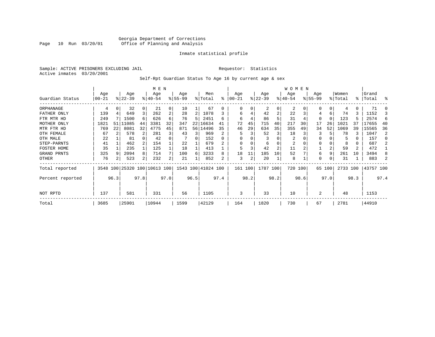#### Georgia Department of Corrections Page 10 Run 03/20/01 Office of Planning and Analysis

#### Inmate statistical profile

Sample: ACTIVE PRISONERS EXCLUDING JAIL **Requestor:** Statistics Active inmates 03/20/2001

#### Self-Rpt Guardian Status To Age 16 by current age & sex

|                  |          | M E N |                              |                |           |                |           |      |           |           |            |      |           |                | W O M E N      |      |          |          |          |      |           |      |
|------------------|----------|-------|------------------------------|----------------|-----------|----------------|-----------|------|-----------|-----------|------------|------|-----------|----------------|----------------|------|----------|----------|----------|------|-----------|------|
|                  | Age      |       | Age                          |                | Age       |                | Age       |      | Men       |           | Age        |      | Age       |                | Age            |      | Age      |          | Women    |      | Grand     |      |
| Guardian Status  | $ 00-21$ |       | $ 22-39 $                    |                | $8 40-54$ |                | $8 55-99$ |      | % Total   | $\approx$ | $ 00 - 21$ |      | $ 22-39 $ |                | $ 40-54$       |      | $ 55-99$ |          | % Total  |      | %   Total | ႜ    |
| ORPHANAGE        | 4        |       | 32                           | $\Omega$       | 21        | 0              | 10        |      | 67        | 0         |            |      | 2         | 0              | 2              |      |          | U        | 4        | 0    | 71        |      |
| FATHER ONLY      | 139      |       | 649                          | 3              | 262       | $\overline{a}$ | 28        | 2    | 1078      |           | 6          |      | 42        | $\overline{a}$ | 22             |      | 4        | 6        | 74       | 3    | 1152      | 3    |
| FTR MTR HD       | 249      |       | 1500                         | 6              | 626       | 6              | 76        | 5    | 2451      | 6         | 6          |      | 86        | 5              | 31             |      | 0        | $\Omega$ | 123      |      | 2574      | -6   |
| MOTHER ONLY      | 1821     | 51    | 11085                        | 44             | 3381      | 32             | 347       | 22   | 16634     | 41        | 72         | 45   | 715       | 40             | 217            | 30   | 17       | 26       | 1021     | 37   | 17655     | 40   |
| MTR FTR HD       | 769      | 22    | 8081                         | 32             | 4775      | 45             | 871       | 56 l | 14496     | 35        | 46         | 29   | 634       | 35             | 355            | 49   | 34       | 52       | 1069     | 39   | 15565     | 36   |
| OTH FEMALE       | 67       |       | 578                          |                | 281       | 3              | 43        | 3    | 969       | 2         |            |      | 52        | 3              | 18             |      |          |          | 78       |      | 1047      | 2    |
| OTH MALE         | 22       |       | 81                           |                | 42        |                |           | 0    | 152       | $\Omega$  |            |      |           |                | $\overline{2}$ |      |          |          | 5        |      | 157       | ∩    |
| STEP-PARNTS      | 41       |       | 462                          |                | 154       |                | 22        |      | 679       |           |            |      | 6         | 0              | 2              |      | 0        |          | 8        |      | 687       |      |
| FOSTER HOME      | 35       |       | 235                          |                | 125       |                | 18        |      | 413       |           |            |      | 42        | $\overline{a}$ | 11             |      |          |          | 59       | 2    | 472       |      |
| GRAND PRNTS      | 325      |       | 2094                         | 8              | 714       |                | 100       | 6    | 3233      | 8         | 18         | 11   | 185       | 10             | 52             |      | 6        | 9        | 261      | 10   | 3494      |      |
| OTHER            | 76       |       | 523                          | $\overline{2}$ | 232       | 2              | 21        |      | 852       | 2         | 3          | 2    | 20        |                | 8              |      | 0        |          | 31       |      | 883       |      |
| Total reported   |          |       | 3548 100 25320 100 10613 100 |                |           |                | 1543 100  |      | 41024 100 |           | 161 100    |      | 1787 100  |                | 720            | 100  | 65       | 100      | 2733 100 |      | 43757 100 |      |
| Percent reported |          | 96.3  |                              | 97.8           |           | 97.0           |           | 96.5 |           | 97.4      |            | 98.2 |           | 98.2           |                | 98.6 |          | 97.0     |          | 98.3 |           | 97.4 |
| NOT RPTD         | 137      |       | 581                          |                | 331       |                | 56        |      | 1105      |           | 3          |      | 33        |                | 10             |      | 2        |          | 48       |      | 1153      |      |
| Total            | 3685     |       | 25901                        |                | 10944     |                | 1599      |      | 42129     |           | 164        |      | 1820      |                | 730            |      | 67       |          | 2781     |      | 44910     |      |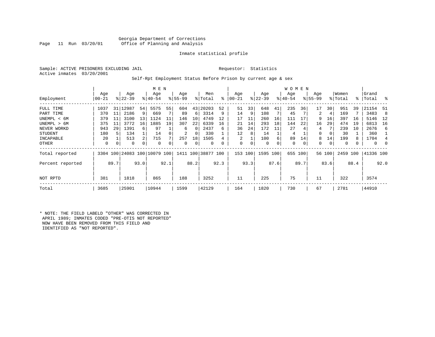#### Georgia Department of Corrections Office of Planning and Analysis

#### Inmate statistical profile

Sample: ACTIVE PRISONERS EXCLUDING JAIL **Requestor:** Statistics Active inmates 03/20/2001

#### Self-Rpt Employment Status Before Prison by current age & sex

|                  |                  |      |                  |                 | M E N                        |      |                  |             |                |      |                  |      |                  |      | <b>WOMEN</b>     |      |                  |        |                  |      |                    |          |
|------------------|------------------|------|------------------|-----------------|------------------------------|------|------------------|-------------|----------------|------|------------------|------|------------------|------|------------------|------|------------------|--------|------------------|------|--------------------|----------|
| Employment       | Age<br>$00 - 21$ |      | Age<br>$ 22-39 $ |                 | Age<br>$8 40-54$             |      | Age<br>$ 55-99 $ |             | Men<br>% Total | ႜ    | Age<br>$00 - 21$ |      | Age<br>$ 22-39 $ |      | Age<br>$ 40-54 $ |      | Age<br>$ 55-99 $ |        | Women<br>% Total |      | Grand<br>%   Total | း        |
| FULL TIME        | 1037             | 31   | 12987            | 54              | 5575                         | 55   | 604              | 43          | 20203          | 52   | 51               | 33   | 648              | 41   | 235              | 36   | 17               | 30     | 951              | 39   | 21154              | -51      |
| PART TIME        | 370              | 11   | 2186             | 9               | 669                          |      | 89               | 6           | 3314           | 9    | 14               | 9    | 108              |      | 45               |      | 2                | 4      | 169              |      | 3483               | 8        |
| UNEMPL < 6M      | 379              | 11   | 3100             | 13              | 1124                         | 11   | 146              | 10          | 4749           | 12   | 17               | 11   | 260              | 16   | 111              | 17   | 9                | 16     | 397              | 16   | 5146               | 12       |
| UNEMPL > 6M      | 375              | 11   | 3772             | 16 <sup>1</sup> | 1885                         | 19   | 307              | 22          | 6339           | 16   | 21               | 14   | 293              | 18   | 144              | 22   | 16               | 29     | 474              | 19   | 6813               | 16       |
| NEVER WORKD      | 943              | 29   | 1391             | 6               | 97                           |      | 6                | $\Omega$    | 2437           | 6    | 36               | 24   | 172              |      | 27               | 4    | 4                |        | 239              | 10   | 2676               | 6        |
| <b>STUDENT</b>   | 180              | 5    | 134              |                 | 14                           |      | 2                | 0           | 330            |      | 12               | 8    | 14               |      | 4                |      | 0                | 0      | 30               |      | 360                |          |
| INCAPABLE        | 20               |      | 513              | 2               | 715                          |      | 257              | 18          | 1505           |      | 2                |      | 100              | 6    | 89               | 14   | 8                | 14     | 199              |      | 1704               |          |
| OTHER            | 0                | 0    | 0                | 0               | 0                            |      | 0                | $\mathbf 0$ | 0              | 0    | 0                |      | 0                |      | 0                | 0    | 0                | 0      | 0                |      | $\mathbf{0}$       | $\Omega$ |
| Total reported   |                  |      |                  |                 | 3304 100 24083 100 10079 100 |      | 1411 100         |             | 38877 100      |      | 153              | 100  | 1595             | 100  | 655 100          |      |                  | 56 100 | 2459 100         |      | 41336 100          |          |
| Percent reported |                  | 89.7 |                  | 93.0            |                              | 92.1 |                  | 88.2        |                | 92.3 |                  | 93.3 |                  | 87.6 |                  | 89.7 |                  | 83.6   |                  | 88.4 |                    | 92.0     |
| NOT RPTD         | 381              |      | 1818             |                 | 865                          |      | 188              |             | 3252           |      | 11               |      | 225              |      | 75               |      | 11               |        | 322              |      | 3574               |          |
| Total            | 3685             |      | 25901            |                 | 10944                        |      | 1599             |             | 42129          |      | 164              |      | 1820             |      | 730              |      | 67               |        | 2781             |      | 44910              |          |

\* NOTE: THE FIELD LABELD "OTHER" WAS CORRECTED IN APRIL 1989; INMATES CODED "PRE-OTIS NOT REPORTED" NOW HAVE BEEN REMOVED FROM THIS FIELD AND IDENTIFIED AS "NOT REPORTED".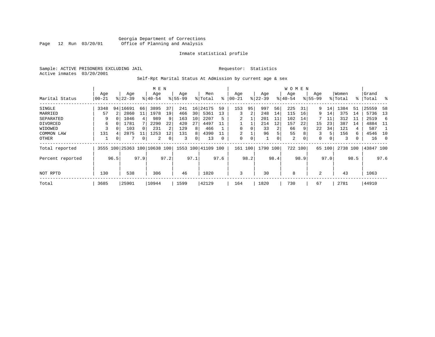Sample: ACTIVE PRISONERS EXCLUDING JAIL **Requestor:** Statistics Active inmates 03/20/2001

#### Self-Rpt Marital Status At Admission by current age & sex

|                  |           |          |                              |                | M E N     |      |          |      |                    |      |          |      |           |      | <b>WOMEN</b> |      |             |      |          |      |           |      |
|------------------|-----------|----------|------------------------------|----------------|-----------|------|----------|------|--------------------|------|----------|------|-----------|------|--------------|------|-------------|------|----------|------|-----------|------|
|                  | Age       |          | Age                          |                | Age       |      | Age      |      | Men                |      | Age      |      | Age       |      | Age          |      | Age         |      | Women    |      | Grand     |      |
| Marital Status   | $00 - 21$ |          | $ 22-39 $                    |                | $8 40-54$ |      | $ 55-99$ |      | % Total            | ⊱    | $ 00-21$ |      | $ 22-39 $ |      | $ 40-54 $    |      | $8155 - 99$ |      | % Total  |      | %   Total |      |
| SINGLE           | 3348      |          | 94   16691                   | 66             | 3895      | 37   | 241      | 16   | 24175              | 59   | 153      | 95   | 997       | 56   | 225          | 31   | 9           | 14   | 1384     | 51   | 25559     | 58   |
| MARRIED          | 57        | 2        | 2860                         | 11             | 1978      | 19   | 466      | 30   | 5361               | 13   | 3        | 2    | 248       | 14   | 115          | 16   | 9           | 14   | 375      | 14   | 5736      | 13   |
| SEPARATED        | 9         | $\Omega$ | 1046                         | $\overline{4}$ | 989       | 9    | 163      | 10   | 2207               | 5    |          |      | 201       | 11   | 102          | 14   |             | 11   | 312      | -11  | 2519      | -6   |
| DIVORCED         | 6         |          | 1781                         |                | 2290      | 22   | 420      | 27   | 4497               | 11   |          |      | 214       | 12   | 157          | 22   | 15          | 23   | 387      | 14   | 4884      | - 11 |
| WIDOWED          |           |          | 103                          | 0              | 231       | 2    | 129      | 8    | 466                |      |          | 0    | 33        |      | 66           | 9    | 22          | 34   | 121      |      | 587       |      |
| COMMON LAW       | 131       |          | 2875                         | 11             | 1253      | 12   | 131      | 8    | 4390               | 11   | 2        |      | 96        | 5    | 55           | 8    | 3           |      | 156      | 6    | 4546      | 10   |
| OTHER            |           | 0        |                              | 0              | 2         |      | 3        | 0    | 13                 | 0    | 0        | 0    |           | 0    | 2            | 0    | 0           | 0    | 3        |      | 16        | - 0  |
| Total reported   |           |          | 3555 100 25363 100 10638 100 |                |           |      |          |      | 1553 100 41109 100 |      | 161      | 100  | 1790 100  |      | 722 100      |      | 65          | 100  | 2738 100 |      | 43847 100 |      |
| Percent reported |           | 96.5     |                              | 97.9           |           | 97.2 |          | 97.1 |                    | 97.6 |          | 98.2 |           | 98.4 |              | 98.9 |             | 97.0 |          | 98.5 |           | 97.6 |
|                  |           |          |                              |                |           |      |          |      |                    |      |          |      |           |      |              |      |             |      |          |      |           |      |
| NOT RPTD         | 130       |          | 538                          |                | 306       |      | 46       |      | 1020               |      | 3        |      | 30        |      | 8            |      | 2           |      | 43       |      | 1063      |      |
| Total            | 3685      |          | 25901                        |                | 10944     |      | 1599     |      | 42129              |      | 164      |      | 1820      |      | 730          |      | 67          |      | 2781     |      | 44910     |      |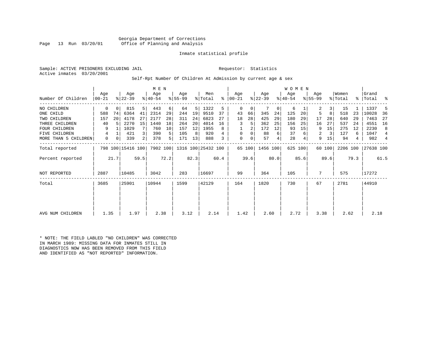Georgia Department of Corrections Office of Planning and Analysis

#### Inmate statistical profile

Sample: ACTIVE PRISONERS EXCLUDING JAIL **Requestor:** Statistics Active inmates 03/20/2001

#### Self-Rpt Number Of Children At Admission by current age & sex

|                      |            |                       |                   |      | M E N     |      |           |       |                    |      |               |        |           |          | <b>WOMEN</b> |         |             |        |          |       |           |                |
|----------------------|------------|-----------------------|-------------------|------|-----------|------|-----------|-------|--------------------|------|---------------|--------|-----------|----------|--------------|---------|-------------|--------|----------|-------|-----------|----------------|
|                      | Age        |                       | Age               |      | Age       |      | Age       |       | Men                |      | Aqe           |        | Age       |          | Age          |         | Age         |        | Women    |       | Grand     |                |
| Number Of Children   | $ 00 - 21$ |                       | $ 22-39 $         |      | $ 40-54 $ |      | $8 55-99$ |       | % Total            |      | $8   00 - 21$ |        | $ 22-39 $ |          | $ 40-54 $    |         | $8155 - 99$ |        | % Total  |       | %   Total | ႜ              |
| NO CHILDREN          | 0          | $\Omega$              | 815               | 5    | 443       | 6    | 64        | 5     | 1322               | 5    | 0             | 0      |           | $\Omega$ | 6            |         | 2           | 3      | 15       |       | 1337      | 5              |
| ONE CHILD            | 588        | 74                    | 6364              | 41   | 2314      | 29   | 244       | 19    | 9510               | 37   | 43            | 66     | 345       | 24       | 125          | 20      | 5           | 8      | 518      | 23    | 10028     | 36             |
| TWO CHILDREN         | 157        | 20                    | 4178              | 27   | 2177      | 28   | 311       | 24    | 6823               | 27   | 18            | 28     | 425       | 29       | 180          | 29      | 17          | 28     | 640      | 29    | 7463      | 27             |
| THREE CHILDREN       | 40         |                       | 2270              | 15   | 1440      | 18   | 264       | 20    | 4014               | 16   | 3             | 5      | 362       | 25       | 156          | 25      | 16          | 27     | 537      | 24    | 4551      | 16             |
| <b>FOUR CHILDREN</b> | 9          |                       | 1029              |      | 760       | 10   | 157       | 12    | 1955               | 8    |               |        | 172       | 12       | 93           | 15      | 9           | 15     | 275      | 12    | 2230      | 8              |
| FIVE CHILDREN        | 4          |                       | 421               | 3    | 390       | 5    | 105       | 8     | 920                |      | $\mathbf 0$   | 0      | 88        | 6        | 37           |         | 2           | 3      | 127      | 6     | 1047      | $\overline{4}$ |
| MORE THAN 5 CHILDREN | 0          | 0                     | 339               | 2    | 378       | 5    | 171       | 13    | 888                |      | $\mathbf 0$   | 0      | 57        | 4        | 28           |         | 9           | 15     | 94       | 4     | 982       | $\overline{4}$ |
| Total reported       |            |                       | 798 100 15416 100 |      | 7902 100  |      |           |       | 1316 100 25432 100 |      |               | 65 100 | 1456 100  |          |              | 625 100 |             | 60 100 | 2206 100 |       | 27638 100 |                |
| Percent reported     |            |                       |                   |      |           | 72.2 |           | 82.3  |                    | 60.4 |               | 39.6   |           | 80.0     |              | 85.6    |             | 89.6   |          | 79.3  |           | 61.5           |
| <b>NOT REPORTED</b>  | 2887       | 21.7<br>59.5<br>10485 |                   | 3042 |           | 283  |           | 16697 |                    | 99   |               | 364    |           | 105      |              | 7       |             | 575    |          | 17272 |           |                |
| Total                | 3685       |                       | 25901             |      | 10944     |      | 1599      |       | 42129              |      | 164           |        | 1820      |          | 730          |         | 67          |        | 2781     |       | 44910     |                |
|                      |            |                       |                   |      |           |      |           |       |                    |      |               |        |           |          |              |         |             |        |          |       |           |                |
|                      |            |                       |                   |      |           |      |           |       |                    |      |               |        |           |          |              |         |             |        |          |       |           |                |
| AVG NUM CHILDREN     | 1.35       |                       | 1.97              |      | 2.38      |      | 3.12      |       | 2.14               |      | 1.42          |        | 2.60      |          | 2.72         |         | 3.38        |        | 2.62     |       | 2.18      |                |

\* NOTE: THE FIELD LABLED "NO CHILDREN" WAS CORRECTED IN MARCH 1989: MISSING DATA FOR INMATES STILL IN DIAGNOSTICS NOW HAS BEEN REMOVED FROM THIS FIELD AND IDENTIFIED AS "NOT REPORTED" INFORMATION.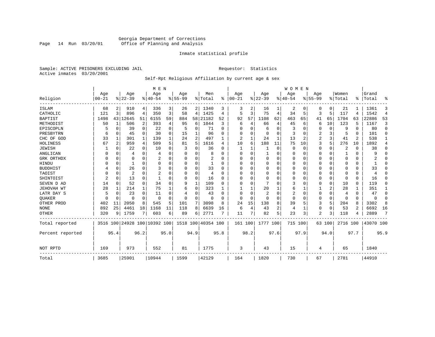#### Georgia Department of Corrections<br>Page 14 Run 03/20/01 Office of Planning and Analysis Page 14 Run 03/20/01 Office of Planning and Analysis

#### Inmate statistical profile

Sample: ACTIVE PRISONERS EXCLUDING JAIL **Requestor:** Statistics Active inmates 03/20/2001

### Self-Rpt Religious Affiliation by current age & sex

| Women<br>Men<br>Age<br>Age<br>Age<br>Age<br>Age<br>Age<br>Aqe<br>Age<br>Religion<br>$ 22-39 $<br>$ 00-21$<br>$ 22-39$<br>$8 55-99$<br>% Total<br>$00 - 21$<br>$ 40-54$<br>$8 55-99$<br>% Total<br>$\approx$<br>$ 40-54$<br>፠<br>ISLAM<br>68<br>910<br>336<br>3<br>2   1340<br>2<br>16<br>2<br>21<br>2<br>4<br>26<br>3<br>0<br>0<br>3<br>0<br>3<br>896<br>75<br>5<br>3<br>5<br>CATHOLIC<br>121<br>4<br>350<br>3<br>58<br>1425<br>5<br>3<br>4<br>34<br>117<br>4<br>4<br>4<br>1108<br><b>BAPTIST</b><br>1498<br>43<br>12645<br>51<br>6155<br>59<br>884<br>58<br>21182<br>52<br>92<br>57<br>62<br>463<br>65<br>65<br>1704<br>41<br>63<br>506<br>2<br>1044<br>123<br>1<br>393<br>95<br>6<br>3<br>66<br>10<br>5<br>METHODIST<br>50<br>4<br>4<br>45<br>6<br>6<br>4<br>6<br>EPISCOPLN<br>0<br>39<br>$\mathbf 0$<br>22<br>0<br>0<br>71<br>$\Omega$<br>6<br>0<br>0<br>0<br>9<br>$\Omega$<br>U<br>O<br>3<br>0<br>5<br>$\Omega$<br>2<br>3<br>PRESBYTRN<br>0<br>45<br>30<br>$\Omega$<br>15<br>96<br>U<br>0<br>0<br>3<br>0<br>5<br>U<br>0<br>$\Omega$<br>6<br>2<br>2<br>3<br>24<br>13<br>CHC OF GOD<br>301<br>139<br>24<br>497<br>2<br>2<br>41<br>2<br>33<br>1<br>1<br>1<br>5<br>188<br>3<br>5<br>$\overline{c}$<br>959<br>509<br>81<br>1616<br>10<br>75<br>276<br>HOLINESS<br>67<br>4<br>5<br>6<br>11<br>10<br>10<br>4<br><b>JEWISH</b><br>$\Omega$<br>22<br>$\Omega$<br>10<br>$\Omega$<br>36<br>$\Omega$<br>0<br>2<br>U<br>0<br>$\Omega$<br>0<br>$\Omega$<br>O<br>ANGLICAN<br>0<br>$\Omega$<br>$\Omega$<br>0<br>$\Omega$<br>$\Omega$<br>0<br>8<br>U<br>0<br>$\Omega$<br>4<br>4<br>0<br>GRK ORTHDX<br>$\Omega$<br>$\Omega$<br>2<br>U<br>U<br>$\Omega$<br>0<br>0<br>$\Omega$<br>$\Omega$<br>0<br>O<br>0<br>U<br>$\Omega$<br>0<br>$\Omega$<br>n<br>HINDU<br>$\Omega$<br>$\Omega$<br>0<br>$\Omega$<br>$\Omega$<br>$\Omega$<br>0<br>U<br>U<br>$\Omega$<br>0<br>$\Omega$<br>O<br>1<br><sup>0</sup><br>O<br>26<br>3<br>33<br><b>BUDDHIST</b><br>0<br>$\Omega$<br>$\Omega$<br>$\Omega$<br>O<br>$\Omega$<br>$\Omega$<br>$\Omega$<br>0<br>U<br>$\Omega$<br>Ω<br>$\Omega$<br>$\overline{2}$<br>TAOIST<br>$\Omega$<br>2<br>$\Omega$<br>$\Omega$<br>$\Omega$<br>$\Omega$<br>$\Omega$<br>n<br>U<br>O<br>0<br>0<br>$\Omega$<br>$\Omega$<br>4<br>$\Omega$<br>$\overline{2}$<br>$\mathbf 0$<br>SHINTOIST<br>$\Omega$<br>13<br>$\Omega$<br>0<br>16<br>$\Omega$<br>$\Omega$<br>O<br>$\Omega$<br>O<br>U<br>0<br>$\Omega$<br>$\Omega$<br>O<br>52<br>$\Omega$<br>$\mathbf 1$<br>109<br>$\mathbf 0$<br>SEVEN D AD<br>34<br>$\Omega$<br>O<br>$\Omega$<br>14<br>$\Omega$<br>9<br>U<br>3<br>0<br>10<br>$\Omega$<br>U<br>28<br>1<br>75<br>323<br>20<br>2<br>28<br>JEHOVAH WT<br>214<br>0<br>1<br>6<br>6<br>LATR DAY S<br>23<br>2<br>2<br>$\Omega$<br>0<br>$\Omega$<br>$\Omega$<br>11<br>0<br>43<br>0<br>0<br>0<br>n<br>O<br>4<br>$\Omega$<br><b>OUAKER</b><br>0<br>0<br>$\Omega$<br>0<br>$\mathbf 0$<br>0<br>$\Omega$<br>$\Omega$<br>O<br>0<br>O<br>0<br>$\Omega$<br>0<br>0<br>$\Omega$<br>0<br>$\Omega$<br>5<br>OTHER PROD<br>8<br>7<br>3098<br>24<br>15<br>8<br>39<br>5<br>3<br>402<br>11<br>2050<br>545<br>5<br>101<br>8<br>138<br>204<br>8<br>892<br>25<br>2<br><b>NONE</b><br>4461<br>18<br>1168<br>118<br>8<br>6639<br>43<br>53<br>2<br>11<br>4<br>1<br>0<br>$\mathbf 0$<br>16<br>6<br>4<br>2771<br>82<br>5<br>23<br><b>OTHER</b><br>320<br>1759<br>7<br>603<br>11<br>3<br>2<br>3<br>118<br>9<br>6<br>89<br>6<br>3516 100 24928 100 10392 100<br>1518<br>100 40354 100<br>1777 100<br>715 100<br>2716 100<br>Total reported<br>161 100<br>63 100<br>95.4<br>96.2<br>95.0<br>94.9<br>95.8<br>98.2<br>97.6<br>97.9<br>94.0<br>97.7<br>Percent reported |                        |  |  |  | <b>WOMEN</b> |  |  |  |  | M E N |  |  |  |
|---------------------------------------------------------------------------------------------------------------------------------------------------------------------------------------------------------------------------------------------------------------------------------------------------------------------------------------------------------------------------------------------------------------------------------------------------------------------------------------------------------------------------------------------------------------------------------------------------------------------------------------------------------------------------------------------------------------------------------------------------------------------------------------------------------------------------------------------------------------------------------------------------------------------------------------------------------------------------------------------------------------------------------------------------------------------------------------------------------------------------------------------------------------------------------------------------------------------------------------------------------------------------------------------------------------------------------------------------------------------------------------------------------------------------------------------------------------------------------------------------------------------------------------------------------------------------------------------------------------------------------------------------------------------------------------------------------------------------------------------------------------------------------------------------------------------------------------------------------------------------------------------------------------------------------------------------------------------------------------------------------------------------------------------------------------------------------------------------------------------------------------------------------------------------------------------------------------------------------------------------------------------------------------------------------------------------------------------------------------------------------------------------------------------------------------------------------------------------------------------------------------------------------------------------------------------------------------------------------------------------------------------------------------------------------------------------------------------------------------------------------------------------------------------------------------------------------------------------------------------------------------------------------------------------------------------------------------------------------------------------------------------------------------------------------------------------------------------------------------------------------------------------------------------------------------------------------------------------------------------------------------------------------------------------------------------------------------------------------------------------------------------------------------------------------------------------------------------------------------------------------------------------------------------------------------------------------------------------------------------|------------------------|--|--|--|--------------|--|--|--|--|-------|--|--|--|
|                                                                                                                                                                                                                                                                                                                                                                                                                                                                                                                                                                                                                                                                                                                                                                                                                                                                                                                                                                                                                                                                                                                                                                                                                                                                                                                                                                                                                                                                                                                                                                                                                                                                                                                                                                                                                                                                                                                                                                                                                                                                                                                                                                                                                                                                                                                                                                                                                                                                                                                                                                                                                                                                                                                                                                                                                                                                                                                                                                                                                                                                                                                                                                                                                                                                                                                                                                                                                                                                                                                                                                                                                     | Grand                  |  |  |  |              |  |  |  |  |       |  |  |  |
|                                                                                                                                                                                                                                                                                                                                                                                                                                                                                                                                                                                                                                                                                                                                                                                                                                                                                                                                                                                                                                                                                                                                                                                                                                                                                                                                                                                                                                                                                                                                                                                                                                                                                                                                                                                                                                                                                                                                                                                                                                                                                                                                                                                                                                                                                                                                                                                                                                                                                                                                                                                                                                                                                                                                                                                                                                                                                                                                                                                                                                                                                                                                                                                                                                                                                                                                                                                                                                                                                                                                                                                                                     | Total<br>ዱ             |  |  |  |              |  |  |  |  |       |  |  |  |
|                                                                                                                                                                                                                                                                                                                                                                                                                                                                                                                                                                                                                                                                                                                                                                                                                                                                                                                                                                                                                                                                                                                                                                                                                                                                                                                                                                                                                                                                                                                                                                                                                                                                                                                                                                                                                                                                                                                                                                                                                                                                                                                                                                                                                                                                                                                                                                                                                                                                                                                                                                                                                                                                                                                                                                                                                                                                                                                                                                                                                                                                                                                                                                                                                                                                                                                                                                                                                                                                                                                                                                                                                     | 1361<br>3              |  |  |  |              |  |  |  |  |       |  |  |  |
|                                                                                                                                                                                                                                                                                                                                                                                                                                                                                                                                                                                                                                                                                                                                                                                                                                                                                                                                                                                                                                                                                                                                                                                                                                                                                                                                                                                                                                                                                                                                                                                                                                                                                                                                                                                                                                                                                                                                                                                                                                                                                                                                                                                                                                                                                                                                                                                                                                                                                                                                                                                                                                                                                                                                                                                                                                                                                                                                                                                                                                                                                                                                                                                                                                                                                                                                                                                                                                                                                                                                                                                                                     | 1542<br>$\overline{4}$ |  |  |  |              |  |  |  |  |       |  |  |  |
|                                                                                                                                                                                                                                                                                                                                                                                                                                                                                                                                                                                                                                                                                                                                                                                                                                                                                                                                                                                                                                                                                                                                                                                                                                                                                                                                                                                                                                                                                                                                                                                                                                                                                                                                                                                                                                                                                                                                                                                                                                                                                                                                                                                                                                                                                                                                                                                                                                                                                                                                                                                                                                                                                                                                                                                                                                                                                                                                                                                                                                                                                                                                                                                                                                                                                                                                                                                                                                                                                                                                                                                                                     | 53<br>22886            |  |  |  |              |  |  |  |  |       |  |  |  |
|                                                                                                                                                                                                                                                                                                                                                                                                                                                                                                                                                                                                                                                                                                                                                                                                                                                                                                                                                                                                                                                                                                                                                                                                                                                                                                                                                                                                                                                                                                                                                                                                                                                                                                                                                                                                                                                                                                                                                                                                                                                                                                                                                                                                                                                                                                                                                                                                                                                                                                                                                                                                                                                                                                                                                                                                                                                                                                                                                                                                                                                                                                                                                                                                                                                                                                                                                                                                                                                                                                                                                                                                                     | 3<br>1167              |  |  |  |              |  |  |  |  |       |  |  |  |
|                                                                                                                                                                                                                                                                                                                                                                                                                                                                                                                                                                                                                                                                                                                                                                                                                                                                                                                                                                                                                                                                                                                                                                                                                                                                                                                                                                                                                                                                                                                                                                                                                                                                                                                                                                                                                                                                                                                                                                                                                                                                                                                                                                                                                                                                                                                                                                                                                                                                                                                                                                                                                                                                                                                                                                                                                                                                                                                                                                                                                                                                                                                                                                                                                                                                                                                                                                                                                                                                                                                                                                                                                     | $\mathbf 0$<br>80      |  |  |  |              |  |  |  |  |       |  |  |  |
|                                                                                                                                                                                                                                                                                                                                                                                                                                                                                                                                                                                                                                                                                                                                                                                                                                                                                                                                                                                                                                                                                                                                                                                                                                                                                                                                                                                                                                                                                                                                                                                                                                                                                                                                                                                                                                                                                                                                                                                                                                                                                                                                                                                                                                                                                                                                                                                                                                                                                                                                                                                                                                                                                                                                                                                                                                                                                                                                                                                                                                                                                                                                                                                                                                                                                                                                                                                                                                                                                                                                                                                                                     | 101<br>$\Omega$        |  |  |  |              |  |  |  |  |       |  |  |  |
|                                                                                                                                                                                                                                                                                                                                                                                                                                                                                                                                                                                                                                                                                                                                                                                                                                                                                                                                                                                                                                                                                                                                                                                                                                                                                                                                                                                                                                                                                                                                                                                                                                                                                                                                                                                                                                                                                                                                                                                                                                                                                                                                                                                                                                                                                                                                                                                                                                                                                                                                                                                                                                                                                                                                                                                                                                                                                                                                                                                                                                                                                                                                                                                                                                                                                                                                                                                                                                                                                                                                                                                                                     | 538<br>1               |  |  |  |              |  |  |  |  |       |  |  |  |
|                                                                                                                                                                                                                                                                                                                                                                                                                                                                                                                                                                                                                                                                                                                                                                                                                                                                                                                                                                                                                                                                                                                                                                                                                                                                                                                                                                                                                                                                                                                                                                                                                                                                                                                                                                                                                                                                                                                                                                                                                                                                                                                                                                                                                                                                                                                                                                                                                                                                                                                                                                                                                                                                                                                                                                                                                                                                                                                                                                                                                                                                                                                                                                                                                                                                                                                                                                                                                                                                                                                                                                                                                     | 1892<br>4              |  |  |  |              |  |  |  |  |       |  |  |  |
|                                                                                                                                                                                                                                                                                                                                                                                                                                                                                                                                                                                                                                                                                                                                                                                                                                                                                                                                                                                                                                                                                                                                                                                                                                                                                                                                                                                                                                                                                                                                                                                                                                                                                                                                                                                                                                                                                                                                                                                                                                                                                                                                                                                                                                                                                                                                                                                                                                                                                                                                                                                                                                                                                                                                                                                                                                                                                                                                                                                                                                                                                                                                                                                                                                                                                                                                                                                                                                                                                                                                                                                                                     | 38<br>$\Omega$         |  |  |  |              |  |  |  |  |       |  |  |  |
|                                                                                                                                                                                                                                                                                                                                                                                                                                                                                                                                                                                                                                                                                                                                                                                                                                                                                                                                                                                                                                                                                                                                                                                                                                                                                                                                                                                                                                                                                                                                                                                                                                                                                                                                                                                                                                                                                                                                                                                                                                                                                                                                                                                                                                                                                                                                                                                                                                                                                                                                                                                                                                                                                                                                                                                                                                                                                                                                                                                                                                                                                                                                                                                                                                                                                                                                                                                                                                                                                                                                                                                                                     | 9<br>$\Omega$          |  |  |  |              |  |  |  |  |       |  |  |  |
|                                                                                                                                                                                                                                                                                                                                                                                                                                                                                                                                                                                                                                                                                                                                                                                                                                                                                                                                                                                                                                                                                                                                                                                                                                                                                                                                                                                                                                                                                                                                                                                                                                                                                                                                                                                                                                                                                                                                                                                                                                                                                                                                                                                                                                                                                                                                                                                                                                                                                                                                                                                                                                                                                                                                                                                                                                                                                                                                                                                                                                                                                                                                                                                                                                                                                                                                                                                                                                                                                                                                                                                                                     | $\Omega$               |  |  |  |              |  |  |  |  |       |  |  |  |
|                                                                                                                                                                                                                                                                                                                                                                                                                                                                                                                                                                                                                                                                                                                                                                                                                                                                                                                                                                                                                                                                                                                                                                                                                                                                                                                                                                                                                                                                                                                                                                                                                                                                                                                                                                                                                                                                                                                                                                                                                                                                                                                                                                                                                                                                                                                                                                                                                                                                                                                                                                                                                                                                                                                                                                                                                                                                                                                                                                                                                                                                                                                                                                                                                                                                                                                                                                                                                                                                                                                                                                                                                     | $\Omega$<br>ำ          |  |  |  |              |  |  |  |  |       |  |  |  |
|                                                                                                                                                                                                                                                                                                                                                                                                                                                                                                                                                                                                                                                                                                                                                                                                                                                                                                                                                                                                                                                                                                                                                                                                                                                                                                                                                                                                                                                                                                                                                                                                                                                                                                                                                                                                                                                                                                                                                                                                                                                                                                                                                                                                                                                                                                                                                                                                                                                                                                                                                                                                                                                                                                                                                                                                                                                                                                                                                                                                                                                                                                                                                                                                                                                                                                                                                                                                                                                                                                                                                                                                                     | 33<br>$\Omega$         |  |  |  |              |  |  |  |  |       |  |  |  |
|                                                                                                                                                                                                                                                                                                                                                                                                                                                                                                                                                                                                                                                                                                                                                                                                                                                                                                                                                                                                                                                                                                                                                                                                                                                                                                                                                                                                                                                                                                                                                                                                                                                                                                                                                                                                                                                                                                                                                                                                                                                                                                                                                                                                                                                                                                                                                                                                                                                                                                                                                                                                                                                                                                                                                                                                                                                                                                                                                                                                                                                                                                                                                                                                                                                                                                                                                                                                                                                                                                                                                                                                                     | $\Omega$<br>4          |  |  |  |              |  |  |  |  |       |  |  |  |
|                                                                                                                                                                                                                                                                                                                                                                                                                                                                                                                                                                                                                                                                                                                                                                                                                                                                                                                                                                                                                                                                                                                                                                                                                                                                                                                                                                                                                                                                                                                                                                                                                                                                                                                                                                                                                                                                                                                                                                                                                                                                                                                                                                                                                                                                                                                                                                                                                                                                                                                                                                                                                                                                                                                                                                                                                                                                                                                                                                                                                                                                                                                                                                                                                                                                                                                                                                                                                                                                                                                                                                                                                     | $\Omega$<br>16         |  |  |  |              |  |  |  |  |       |  |  |  |
|                                                                                                                                                                                                                                                                                                                                                                                                                                                                                                                                                                                                                                                                                                                                                                                                                                                                                                                                                                                                                                                                                                                                                                                                                                                                                                                                                                                                                                                                                                                                                                                                                                                                                                                                                                                                                                                                                                                                                                                                                                                                                                                                                                                                                                                                                                                                                                                                                                                                                                                                                                                                                                                                                                                                                                                                                                                                                                                                                                                                                                                                                                                                                                                                                                                                                                                                                                                                                                                                                                                                                                                                                     | 119<br>U               |  |  |  |              |  |  |  |  |       |  |  |  |
|                                                                                                                                                                                                                                                                                                                                                                                                                                                                                                                                                                                                                                                                                                                                                                                                                                                                                                                                                                                                                                                                                                                                                                                                                                                                                                                                                                                                                                                                                                                                                                                                                                                                                                                                                                                                                                                                                                                                                                                                                                                                                                                                                                                                                                                                                                                                                                                                                                                                                                                                                                                                                                                                                                                                                                                                                                                                                                                                                                                                                                                                                                                                                                                                                                                                                                                                                                                                                                                                                                                                                                                                                     | 351<br>1               |  |  |  |              |  |  |  |  |       |  |  |  |
|                                                                                                                                                                                                                                                                                                                                                                                                                                                                                                                                                                                                                                                                                                                                                                                                                                                                                                                                                                                                                                                                                                                                                                                                                                                                                                                                                                                                                                                                                                                                                                                                                                                                                                                                                                                                                                                                                                                                                                                                                                                                                                                                                                                                                                                                                                                                                                                                                                                                                                                                                                                                                                                                                                                                                                                                                                                                                                                                                                                                                                                                                                                                                                                                                                                                                                                                                                                                                                                                                                                                                                                                                     | 47<br>$\Omega$         |  |  |  |              |  |  |  |  |       |  |  |  |
|                                                                                                                                                                                                                                                                                                                                                                                                                                                                                                                                                                                                                                                                                                                                                                                                                                                                                                                                                                                                                                                                                                                                                                                                                                                                                                                                                                                                                                                                                                                                                                                                                                                                                                                                                                                                                                                                                                                                                                                                                                                                                                                                                                                                                                                                                                                                                                                                                                                                                                                                                                                                                                                                                                                                                                                                                                                                                                                                                                                                                                                                                                                                                                                                                                                                                                                                                                                                                                                                                                                                                                                                                     | 0<br>$\Omega$          |  |  |  |              |  |  |  |  |       |  |  |  |
|                                                                                                                                                                                                                                                                                                                                                                                                                                                                                                                                                                                                                                                                                                                                                                                                                                                                                                                                                                                                                                                                                                                                                                                                                                                                                                                                                                                                                                                                                                                                                                                                                                                                                                                                                                                                                                                                                                                                                                                                                                                                                                                                                                                                                                                                                                                                                                                                                                                                                                                                                                                                                                                                                                                                                                                                                                                                                                                                                                                                                                                                                                                                                                                                                                                                                                                                                                                                                                                                                                                                                                                                                     | 3302<br>8              |  |  |  |              |  |  |  |  |       |  |  |  |
|                                                                                                                                                                                                                                                                                                                                                                                                                                                                                                                                                                                                                                                                                                                                                                                                                                                                                                                                                                                                                                                                                                                                                                                                                                                                                                                                                                                                                                                                                                                                                                                                                                                                                                                                                                                                                                                                                                                                                                                                                                                                                                                                                                                                                                                                                                                                                                                                                                                                                                                                                                                                                                                                                                                                                                                                                                                                                                                                                                                                                                                                                                                                                                                                                                                                                                                                                                                                                                                                                                                                                                                                                     | 6692<br>16             |  |  |  |              |  |  |  |  |       |  |  |  |
|                                                                                                                                                                                                                                                                                                                                                                                                                                                                                                                                                                                                                                                                                                                                                                                                                                                                                                                                                                                                                                                                                                                                                                                                                                                                                                                                                                                                                                                                                                                                                                                                                                                                                                                                                                                                                                                                                                                                                                                                                                                                                                                                                                                                                                                                                                                                                                                                                                                                                                                                                                                                                                                                                                                                                                                                                                                                                                                                                                                                                                                                                                                                                                                                                                                                                                                                                                                                                                                                                                                                                                                                                     | 7<br>2889              |  |  |  |              |  |  |  |  |       |  |  |  |
|                                                                                                                                                                                                                                                                                                                                                                                                                                                                                                                                                                                                                                                                                                                                                                                                                                                                                                                                                                                                                                                                                                                                                                                                                                                                                                                                                                                                                                                                                                                                                                                                                                                                                                                                                                                                                                                                                                                                                                                                                                                                                                                                                                                                                                                                                                                                                                                                                                                                                                                                                                                                                                                                                                                                                                                                                                                                                                                                                                                                                                                                                                                                                                                                                                                                                                                                                                                                                                                                                                                                                                                                                     | 43070 100              |  |  |  |              |  |  |  |  |       |  |  |  |
|                                                                                                                                                                                                                                                                                                                                                                                                                                                                                                                                                                                                                                                                                                                                                                                                                                                                                                                                                                                                                                                                                                                                                                                                                                                                                                                                                                                                                                                                                                                                                                                                                                                                                                                                                                                                                                                                                                                                                                                                                                                                                                                                                                                                                                                                                                                                                                                                                                                                                                                                                                                                                                                                                                                                                                                                                                                                                                                                                                                                                                                                                                                                                                                                                                                                                                                                                                                                                                                                                                                                                                                                                     | 95.9                   |  |  |  |              |  |  |  |  |       |  |  |  |
| 169<br>973<br>552<br>1775<br>81<br>3<br>43<br>15<br>65<br>NOT RPTD<br>4                                                                                                                                                                                                                                                                                                                                                                                                                                                                                                                                                                                                                                                                                                                                                                                                                                                                                                                                                                                                                                                                                                                                                                                                                                                                                                                                                                                                                                                                                                                                                                                                                                                                                                                                                                                                                                                                                                                                                                                                                                                                                                                                                                                                                                                                                                                                                                                                                                                                                                                                                                                                                                                                                                                                                                                                                                                                                                                                                                                                                                                                                                                                                                                                                                                                                                                                                                                                                                                                                                                                             | 1840                   |  |  |  |              |  |  |  |  |       |  |  |  |
| 25901<br>42129<br>1820<br>67<br>2781<br>3685<br>10944<br>1599<br>164<br>730<br>Total                                                                                                                                                                                                                                                                                                                                                                                                                                                                                                                                                                                                                                                                                                                                                                                                                                                                                                                                                                                                                                                                                                                                                                                                                                                                                                                                                                                                                                                                                                                                                                                                                                                                                                                                                                                                                                                                                                                                                                                                                                                                                                                                                                                                                                                                                                                                                                                                                                                                                                                                                                                                                                                                                                                                                                                                                                                                                                                                                                                                                                                                                                                                                                                                                                                                                                                                                                                                                                                                                                                                | 44910                  |  |  |  |              |  |  |  |  |       |  |  |  |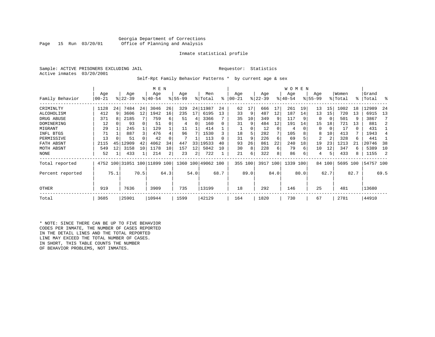#### Georgia Department of Corrections Office of Planning and Analysis

#### Inmate statistical profile

Sample: ACTIVE PRISONERS EXCLUDING JAIL **Requestor:** Statistics Active inmates 03/20/2001

Self-Rpt Family Behavior Patterns \* by current age & sex

|                  |       |      |                              |      | M E N     |      |           |      |                    |          |           |               |           |      | W O M E N |      |             |                |          |      |           |      |
|------------------|-------|------|------------------------------|------|-----------|------|-----------|------|--------------------|----------|-----------|---------------|-----------|------|-----------|------|-------------|----------------|----------|------|-----------|------|
|                  | Age   |      | Age                          |      | Age       |      | Age       |      | Men                |          | Age       |               | Age       |      | Age       |      | Age         |                | Women    |      | Grand     |      |
| Family Behavior  | 00-21 |      | $ 22-39 $                    |      | $8 40-54$ |      | $8 55-99$ |      | % Total            | ៖        | $00 - 21$ | $\frac{8}{3}$ | $22 - 39$ |      | $ 40-54 $ |      | $8155 - 99$ |                | % Total  | %ร   | Total     | °    |
| CRIMINLTY        | 1128  | 24   | 7484                         | 24   | 3046      | 26   | 329       | 24   | 11987              | 24       | 62        | 17            | 666       | 17   | 261       | 19   | 13          | 15             | 1002     | 18   | 12989     | 24   |
| ALCOHOLISM       | 412   | 9    | 3606                         | 12   | 1942      | 16   | 235       | 17   | 6195               | 13       | 33        | 9             | 487       | 12   | 187       | 14   | 13          | 15             | 720      | 13   | 6915      | 13   |
| DRUG ABUSE       | 371   |      | 2185                         |      | 759       | 6    | 51        | 4    | 3366               |          | 35        | 10            | 349       | 9    | 117       | -9   | $\Omega$    | 0              | 501      | 9    | 3867      |      |
| DOMINERING       | 12    |      | 93                           |      | 51        |      | 4         | 0    | 160                | $\Omega$ | 31        | 9             | 484       | 12   | 191       | 14   | 15          | 18             | 721      | 13   | 881       |      |
| MIGRANT          | 29    |      | 245                          |      | 129       |      | 11        |      | 414                |          |           |               | 12        | 0    | 4         |      | $\Omega$    | 0              | 17       | 0    | 431       |      |
| INFL BTGS        | 71    |      | 887                          | 3    | 476       |      | 96        |      | 1530               |          | 18        | 5             | 282       |      | 105       |      | 8           | 10             | 413      | 7    | 1943      |      |
| PERMISSIVE       | 13    |      | 51                           |      | 42        |      |           |      | 113                | $\Omega$ | 31        | 9             | 226       | 6    | 69        |      | 2           | $\overline{2}$ | 328      | 6    | 441       |      |
| FATH ABSNT       | 2115  | 45   | .2909                        | 42   | 4062      | 34   | 447       | 33   | 19533              | 40       | 93        | 26            | 861       | 22   | 240       | 18   | 19          | 23             | 1213     | 21   | 20746     | 38   |
| MOTH ABSNT       | 549   | 12   | 3158                         | 10   | 1178      | 10   | 157       | 12   | 5042               | 10       | 30        | 8             | 228       | 6    | 79        | 6    | 10          | 12             | 347      | 6    | 5389      | 10   |
| NONE             | 52    |      | 433                          |      | 214       | 2    | 23        | 2    | 722                |          | 21        | 6             | 322       | 8    | 86        | 6    | 4           | 5.             | 433      | 8    | 1155      | 2    |
| Total reported   |       |      | 4752 100 31051 100 11899 100 |      |           |      |           |      | 1360 100 49062 100 |          | 355 100   |               | 3917 100  |      | 1339 100  |      |             | 84 100         | 5695 100 |      | 54757 100 |      |
| Percent reported |       | 75.1 |                              | 70.5 |           | 64.3 |           | 54.0 |                    | 68.7     |           | 89.0          |           | 84.0 |           | 80.0 |             | 62.7           |          | 82.7 |           | 69.5 |
| <b>OTHER</b>     | 919   |      | 7636                         |      | 3909      |      | 735       |      | 13199              |          | 18        |               | 292       |      | 146       |      | 25          |                | 481      |      | 13680     |      |
| Total            | 3685  |      | 25901                        |      | 10944     |      | 1599      |      | 42129              |          | 164       |               | 1820      |      | 730       |      | 67          |                | 2781     |      | 44910     |      |

\* NOTE: SINCE THERE CAN BE UP TO FIVE BEHAVIOR CODES PER INMATE, THE NUMBER OF CASES REPORTED IN THE DETAIL LINES AND THE TOTAL REPORTED LINE MAY EXCEED THE TOTAL NUMBER OF CASES. IN SHORT, THIS TABLE COUNTS THE NUMBER OF BEHAVIOR PROBLEMS, NOT INMATES.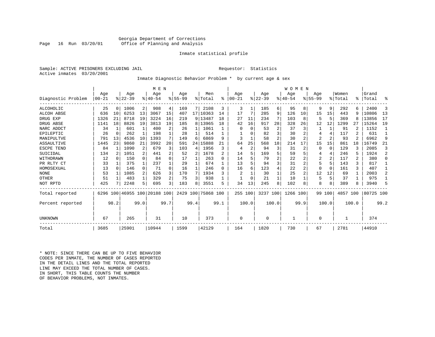#### Georgia Department of Corrections Office of Planning and Analysis

#### Inmate statistical profile

Sample: ACTIVE PRISONERS EXCLUDING JAIL **Requestor:** Statistics Active inmates 03/20/2001

#### Inmate Diagnostic Behavior Problem \* by current age & sex

|                    |           |                |           |                | M E N                   |      |           |      |                    |      |           |       |           |       | WOMEN     |      |              |                |          |       |           |                |
|--------------------|-----------|----------------|-----------|----------------|-------------------------|------|-----------|------|--------------------|------|-----------|-------|-----------|-------|-----------|------|--------------|----------------|----------|-------|-----------|----------------|
|                    | Age       |                | Age       |                | Age                     |      | Age       |      | Men                |      | Age       |       | Age       |       | Age       |      | Age          |                | Women    |       | Grand     |                |
| Diagnostic Problem | $00 - 21$ |                | $ 22-39 $ |                | $8 40-54$               |      | $8 55-99$ | %    | Total              | ႜ    | $00 - 21$ |       | $8 22-39$ |       | $8 40-54$ |      | $8155 - 99$  |                | % Total  | ៖     | Total     | န္             |
| ALCOHOLIC          | 25        | 0              | 1006      | 2              | 908                     | 4    | 169       | 7    | 2108               | 3    | 3         | 1     | 185       | 6     | 95        | 8    | 9            | 9              | 292      | 6     | 2400      | 3              |
| <b>ALCOH ABSE</b>  | 636       | 10             | 6253      | 13             | 3067                    | 15   | 407       |      | 17 10363           | 14   | 17        |       | 285       | 9     | 126       | 10   | 15           | 15             | 443      | 9     | 10806     | 13             |
| DRUG EXP           | 1326      | 21             | 8718      | 19             | 3224                    | 16   | 219       | 9    | 13487              | 18   | 27        | 11    | 234       |       | 103       | 8    |              | 5              | 369      | 8     | 13856     | 17             |
| DRUG ABSE          | 1141      | 18             | 8826      | 19             | 3813                    | 19   | 185       | 8    | 13965              | 18   | 42        | 16    | 917       | 28    | 328       | 26   | 12           | 12             | 1299     | 27    | 15264     | 19             |
| NARC ADDCT         | 34        | 1              | 601       |                | 400                     |      | 26        |      | 1061               |      |           | 0     | 53        | 2     | 37        | 3    |              |                | 91       |       | 1152      |                |
| EPILEPTIC          | 26        | 0              | 262       | $\mathbf{1}$   | 198                     |      | 28        |      | 514                |      |           |       | 82        | 3     | 30        | 2    |              | 4              | 117      |       | 631       |                |
| MANIPULTVE         | 791       | 13             | 4536      | 10             | 1393                    |      | 149       | 6    | 6869               | 9    | 3         |       | 58        | 2     | 30        | 2    | 2            | 2              | 93       |       | 6962      | 9              |
| ASSAULTIVE         | 1445      | 23             | 9860      | 21             | 3992                    | 20   | 591       | 24   | 15888              | 21   | 64        | 25    | 568       | 18    | 214       | 17   | 15           | 15             | 861      | 18    | 16749     | 21             |
| ESCPE TEND         | 84        | $\mathbf{1}$   | 1090      | $\overline{2}$ | 679                     |      | 103       | 4    | 1956               | ζ    | 4         | 2     | 94        | 3     | 31        | 2    |              | $\Omega$       | 129      | ζ     | 2085      | 3              |
| SUICIDAL           | 134       | $\overline{c}$ | 1051      | 2              | 441                     |      | 52        | 2    | 1678               |      | 14        | 5.    | 169       |       | 59        |      |              | 4              | 246      | 5     | 1924      | $\overline{a}$ |
| WITHDRAWN          | 12        | 0              | 150       | $\Omega$       | 84                      |      | 17        |      | 263                | 0    | 14        |       | 79        |       | 22        |      | 2            | $\overline{a}$ | 117      | 2     | 380       | $\Omega$       |
| PR RLTY CT         | 33        |                | 375       | 1              | 237                     |      | 29        |      | 674                |      | 13        |       | 94        | 3     | 31        |      |              | 5.             | 143      | 3     | 817       |                |
| HOMOSEXUAL         | 13        | 0              | 146       | $\Omega$       | 71                      | 0    | 16        |      | 246                | 0    | 16        | 6     | 123       |       | 22        | 2    |              | $\Omega$       | 161      | 3     | 407       |                |
| <b>NONE</b>        | 53        |                | 1085      | 2              | 626                     | 3    | 170       | 7    | 1934               | 3    |           |       | 30        |       | 25        | 2    | 12           | 12             | 69       |       | 2003      | 2              |
| <b>OTHER</b>       | 51        |                | 483       | $\mathbf{1}$   | 329                     |      | 75        | 3    | 938                |      |           |       | 21        |       | 10        |      | 5            | 5              | 37       |       | 975       |                |
| NOT RPTD           | 425       |                | 2248      | 5              | 695                     | 3    | 183       | 8    | 3551               | 5    | 34        | 13    | 245       | 8     | 102       | 8    | 8            | 8              | 389      |       | 3940      | 5              |
| Total reported     | 6296      |                |           |                | 100 46955 100 20188 100 |      |           |      | 2429 100 75868 100 |      | 255 100   |       | 3237 100  |       | 1266      | 100  | 99           | 100            | 4857 100 |       | 80725 100 |                |
| Percent reported   |           | 98.2           |           | 99.0           |                         | 99.7 |           | 99.4 |                    | 99.1 |           | 100.0 |           | 100.0 |           | 99.9 |              | 100.0          |          | 100.0 |           | 99.2           |
| UNKNOWN            | 67        |                | 265       |                | 31                      |      | 10        |      | 373                |      | 0         |       | $\Omega$  |       |           |      | <sup>0</sup> |                |          |       | 374       |                |
| Total              | 3685      |                | 25901     |                | 10944                   |      | 1599      |      | 42129              |      | 164       |       | 1820      |       | 730       |      | 67           |                | 2781     |       | 44910     |                |

\* NOTE: SINCE THERE CAN BE UP TO FIVE BEHAVIOR CODES PER INMATE, THE NUMBER OF CASES REPORTED IN THE DETAIL LINES AND THE TOTAL REPORTED LINE MAY EXCEED THE TOTAL NUMBER OF CASES.IN SHORT, THIS TABLE COUNTS THE NUMBER OF BEHAVIOR PROBLEMS, NOT INMATES.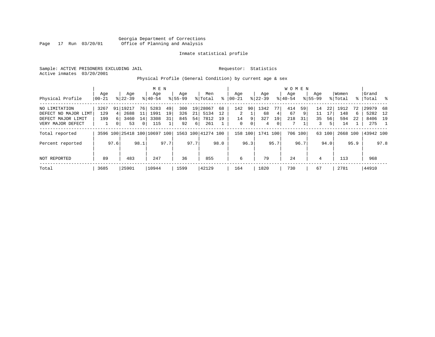Sample: ACTIVE PRISONERS EXCLUDING JAIL **Requestor:** Statistics Active inmates 03/20/2001

Physical Profile (General Condition) by current age & sex

|                      |          |      |           |              | M E N                        |      |             |      |                    |      |              |      |           |      | <b>WOMEN</b> |         |             |        |          |      |           |      |
|----------------------|----------|------|-----------|--------------|------------------------------|------|-------------|------|--------------------|------|--------------|------|-----------|------|--------------|---------|-------------|--------|----------|------|-----------|------|
|                      | Age      |      | Age       |              | Age                          |      | Age         |      | Men                |      | Aqe          |      | Age       |      | Aqe          |         | Age         |        | Women    |      | Grand     |      |
| Physical Profile     | $ 00-21$ |      | $8 22-39$ |              | $8 40-54$                    |      | $8155 - 99$ |      | % Total            | ႜ    | $00 - 21$    |      | $ 22-39 $ |      | $8 40-54$    |         | $8155 - 99$ |        | % Total  |      | %   Total | - 옹  |
| NO LIMITATION        | 3267     | 91 l | 19217     | 76           | 5283                         | 49   | 300         |      | 19 28067           | 68   | 142          | 90   | 1342      | 77   | 414          | 59      | 14          | 22     | 1912     | 72   | 29979     | 68   |
| DEFECT NO MAJOR LIMT | 129      | 4    | 2688      | 11           | 1991                         | 19   | 326         | 21   | 5134               | 12   | 2            |      | 68        | 4    | 67           | 9       | 11          | 17     | 148      | 6    | 5282 12   |      |
| DEFECT MAJOR LIMIT   | 199      | 6 I  | 3460      | 14           | 3308                         | 31   | 845         | 54   | 7812               | 19   | 14           | 9    | 327       | 19   | 218          | 31      | 35          | 56     | 594      | 22   | 8406 19   |      |
| VERY MAJOR DEFECT    |          |      | 53        | $\mathbf{0}$ | 115                          |      | 92          | 6    | 261                |      | $\mathbf{0}$ | 0    | 4         | 0    | 7            |         | 3           | 5      | 14       |      | 275       |      |
| Total reported       |          |      |           |              | 3596 100 25418 100 10697 100 |      |             |      | 1563 100 41274 100 |      | 158 100      |      | 1741 100  |      |              | 706 100 |             | 63 100 | 2668 100 |      | 43942 100 |      |
| Percent reported     |          | 97.6 |           | 98.1         |                              | 97.7 |             | 97.7 |                    | 98.0 |              | 96.3 |           | 95.7 |              | 96.7    |             | 94.0   |          | 95.9 |           | 97.8 |
| NOT REPORTED         | 89       |      | 483       |              | 247                          |      | 36          |      | 855                |      | 6            |      | 79        |      | 24           |         | 4           |        | 113      |      | 968       |      |
| Total                | 3685     |      | 25901     |              | 10944                        |      | 1599        |      | 42129              |      | 164          |      | 1820      |      | 730          |         | 67          |        | 2781     |      | 44910     |      |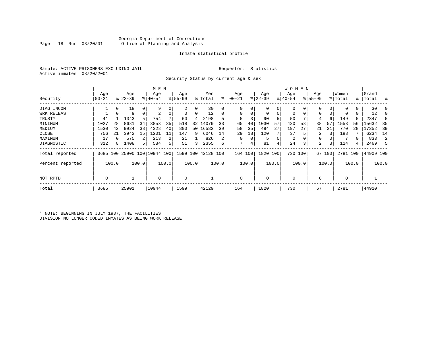#### Georgia Department of Corrections Office of Planning and Analysis

#### Inmate statistical profile

Sample: ACTIVE PRISONERS EXCLUDING JAIL **Requestor:** Statistics Active inmates 03/20/2001

Security Status by current age & sex

|                  |          |       |           |          | M E N                        |       |          |                         |                    |       |           |       |           |       | W O M E N   |         |             |        |             |       |           |              |
|------------------|----------|-------|-----------|----------|------------------------------|-------|----------|-------------------------|--------------------|-------|-----------|-------|-----------|-------|-------------|---------|-------------|--------|-------------|-------|-----------|--------------|
|                  | Age      |       | Age       |          | Age                          |       | Age      |                         | Men                |       | Age       |       | Age       |       | Age         |         | Age         |        | Women       |       | Grand     |              |
| Security         | $ 00-21$ |       | $ 22-39 $ |          | $8 40-54$                    |       | $ 55-99$ |                         | % Total            | ႜ     | $00 - 21$ |       | $ 22-39 $ |       | $ 40-54 $   |         | $8155 - 99$ |        | % Total     |       | %   Total | း            |
| DIAG INCOM       |          | 0     | 18        | 0        |                              |       | 2        | 0                       | 30                 |       | 0         |       | 0         | 0     |             |         |             | 0      | 0           | 0     | 30        |              |
| WRK RELEAS       |          | 0     | 9         | $\Omega$ | 2                            |       | 0        | 0                       | 12                 | 0     | $\Omega$  |       | 0         | 0     | 0           | 0       | 0           |        | 0           | 0     | 12        |              |
| TRUSTY           | 41       |       | 1343      | 5        | 754                          |       | 60       | 4                       | 2198               | 5     | 5         |       | 90        | 5     | 50          |         | 4           | 6      | 149         |       | 2347      | $\mathbf{b}$ |
| MINIMUM          | 1027     | 28    | 8681      | 34       | 3853                         | 35    | 518      | 32                      | 14079              | 33    | 65        | 40    | 1030      | 57    | 420         | 58      | 38          | 57     | 1553        | 56    | 15632     | 35           |
| MEDIUM           | 1530     | 42    | 9924      | 38       | 4328                         | 40    | 800      |                         | 50 16582           | 39    | 58        | 35    | 494       | 27    | 197         | 27      | 21          | 31     | 770         | 28    | 17352     | 39           |
| CLOSE            | 756      | 21    | 3942      | 15       | 1201                         | 11    | 147      | 9                       | 6046               | 14    | 29        | 18    | 120       |       | 37          |         | 2           |        | 188         |       | 6234      | 14           |
| MAXIMUM          | 17       |       | 575       |          | 213                          | 2     | 21       |                         | 826                | 2     | $\Omega$  |       | 5         | 0     | 2           |         | 0           |        |             |       | 833       | 2            |
| DIAGNOSTIC       | 312      | 8     | 1408      | 5        | 584                          | 5     | 51       | $\overline{\mathbf{3}}$ | 2355               | 6     | 7         | 4     | 81        | 4     | 24          | 3       | 2           |        | 114         | 4     | 2469      | 5            |
| Total reported   |          |       |           |          | 3685 100 25900 100 10944 100 |       |          |                         | 1599 100 42128 100 |       | 164 100   |       | 1820      | 100   |             | 730 100 |             | 67 100 | 2781 100    |       | 44909 100 |              |
| Percent reported |          | 100.0 |           | 100.0    |                              | 100.0 |          | 100.0                   |                    | 100.0 |           | 100.0 |           | 100.0 |             | 100.0   |             | 100.0  |             | 100.0 |           | 100.0        |
| NOT RPTD         | 0        |       |           |          | $\Omega$                     |       | 0        |                         |                    |       | $\Omega$  |       | $\Omega$  |       | $\mathbf 0$ |         |             |        | $\mathbf 0$ |       |           |              |
| Total            | 3685     |       | 25901     |          | 10944                        |       | 1599     |                         | 42129              |       | 164       |       | 1820      |       | 730         |         | 67          |        | 2781        |       | 44910     |              |

\* NOTE: BEGINNING IN JULY 1987, THE FACILITIES DIVISION NO LONGER CODED INMATES AS BEING WORK RELEASE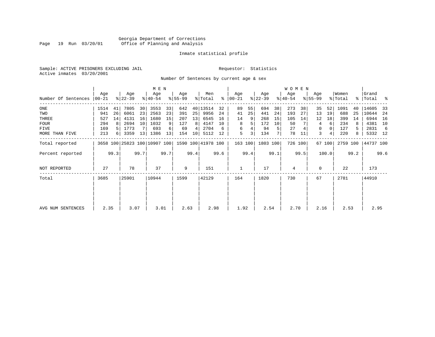#### Georgia Department of Corrections Page 19 Run 03/20/01 Office of Planning and Analysis

#### Inmate statistical profile

Sample: ACTIVE PRISONERS EXCLUDING JAIL **Requestor:** Statistics Active inmates 03/20/2001

Number Of Sentences by current age & sex

|                     |           |      |                  |      | M E N                        |      |           |      |                    |      |                      |      |           |      | W O M E N |         |                    |        |          |      |           |      |
|---------------------|-----------|------|------------------|------|------------------------------|------|-----------|------|--------------------|------|----------------------|------|-----------|------|-----------|---------|--------------------|--------|----------|------|-----------|------|
|                     | Age       |      | Age<br>$ 22-39 $ |      | Age                          |      | Age       |      | Men                |      | Age<br>$8   00 - 21$ |      | Age       |      | Age       |         | Age<br>$8155 - 99$ |        | Women    |      | Grand     | ႜ    |
| Number Of Sentences | $00 - 21$ |      |                  |      | $ 40-54 $                    |      | $8 55-99$ |      | % Total            |      |                      |      | $ 22-39 $ |      | $ 40-54 $ |         |                    |        | % Total  |      | %   Total |      |
| ONE                 | 1514      | 41   | 7805             | 30   | 3553                         | 33   | 642       |      | 40   13514         | 32   | 89                   | 55   | 694       | 38   | 273       | 38      | 35                 | 52     | 1091     | 40   | 14605     | 33   |
| TWO                 | 941       | 26   | 6061             | 23   | 2563                         | 23   | 391       | 25   | 9956               | 24   | 41                   | 25   | 441       | 24   | 193       | 27      | 13                 | 19     | 688      | 25   | 10644     | -24  |
| THREE               | 527       | 14   | 4131             | 16   | 1680                         | 15   | 207       | 13   | 6545               | 16   | 14                   | 9    | 268       | 15   | 105       | 14      | 12                 | 18     | 399      | 14   | 6944      | 16   |
| <b>FOUR</b>         | 294       | 8    | 2694             | 10   | 1032                         | 9    | 127       | 8    | 4147               | 10   | 8                    | 5    | 172       | 10   | 50        |         | 4                  | 6      | 234      | 8    | 4381      | 10   |
| FIVE                | 169       |      | 1773             |      | 693                          | 6    | 69        | 4    | 2704               | 6    | 6                    |      | 94        | 5    | 27        |         | 0                  |        | 127      | 5.   | 2831      | -6   |
| MORE THAN FIVE      | 213       | 6    | 3359             | 13   | 1386                         | 13   | 154       | 10   | 5112               | 12   | 5                    | 3    | 134       |      | 78        | 11      | 3                  | 4      | 220      | 8    | 5332 12   |      |
| Total reported      |           |      |                  |      | 3658 100 25823 100 10907 100 |      |           |      | 1590 100 41978 100 |      | 163 100              |      | 1803 100  |      |           | 726 100 |                    | 67 100 | 2759 100 |      | 44737 100 |      |
| Percent reported    |           | 99.3 |                  | 99.7 |                              | 99.7 |           | 99.4 |                    | 99.6 |                      | 99.4 |           | 99.1 |           | 99.5    |                    | 100.0  |          | 99.2 |           | 99.6 |
| NOT REPORTED        | 27        |      | 78               |      | 37                           |      | 9         |      | 151                |      |                      |      | 17        |      | 4         |         | $\Omega$           |        | 22       |      | 173       |      |
| Total               | 3685      |      | 25901            |      | 10944                        |      | 1599      |      | 42129              |      | 164                  |      | 1820      |      | 730       |         | 67                 |        | 2781     |      | 44910     |      |
|                     |           |      |                  |      |                              |      |           |      |                    |      |                      |      |           |      |           |         |                    |        |          |      |           |      |
|                     |           |      |                  |      |                              |      |           |      |                    |      |                      |      |           |      |           |         |                    |        |          |      |           |      |
| AVG NUM SENTENCES   | 2.35      |      | 3.07             |      | 3.01                         |      | 2.63      |      | 2.98               |      | 1.92                 |      | 2.54      |      | 2.70      |         | 2.16               |        | 2.53     |      | 2.95      |      |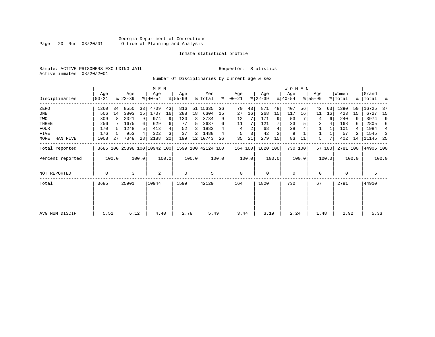#### Georgia Department of Corrections Page 20 Run 03/20/01 Office of Planning and Analysis

#### Inmate statistical profile

Sample: ACTIVE PRISONERS EXCLUDING JAIL **Requestor:** Statistics Active inmates 03/20/2001

Number Of Disciplinaries by current age & sex

|                  |                |       |                  |       | M E N            |       |                  |                 |                                                 |       |                  |       |                  |       | W O M E N        |         |                  |        |                  |       |                      |       |
|------------------|----------------|-------|------------------|-------|------------------|-------|------------------|-----------------|-------------------------------------------------|-------|------------------|-------|------------------|-------|------------------|---------|------------------|--------|------------------|-------|----------------------|-------|
| Disciplinaries   | Age<br>  00-21 |       | Age<br>$ 22-39 $ |       | Age<br>$8 40-54$ |       | Age<br>$ 55-99 $ |                 | Men<br>% Total                                  | ႜ     | Age<br>$ 00-21 $ |       | Age<br>$ 22-39 $ |       | Age<br>$ 40-54 $ |         | Age<br>$ 55-99 $ |        | Women<br>% Total |       | Grand<br>%   Total % |       |
| ZERO             | 1260           | 34    | 8550             | 33    | 4709             | 43    | 816              | 51              | 15335                                           | 36    | 70               | 43    | 871              | 48    | 407              | 56      | 42               | 63     | 1390             | 50    | 16725                | -37   |
| ONE              | 506            | 14    | 3803             | 15    | 1707             | 16    | 288              | 18 <sup>1</sup> | 6304                                            | 15    | 27               | 16    | 268              | 15    | 117              | 16      | 11               | 16     | 423              | 15    | 6727                 | -15   |
| TWO              | 309            | 8     | 2321             | 9     | 974              | 9     | 130              | 8               | 3734                                            | 9     | 12               |       | 171              | 9     | 53               |         | 4                | 6      | 240              | 9     | 3974                 | 9     |
| THREE            | 256            |       | 1675             | 6     | 629              |       | 77               | 5.              | 2637                                            | 6     | 11               |       | 121              |       | 33               |         | 3                |        | 168              | 6     | 2805                 | 6     |
| <b>FOUR</b>      | 170            | .5    | 1248             | .5    | 413              |       | 52               | 3               | 1883                                            |       | 4                |       | 68               |       | 28               |         |                  |        | 101              |       | 1984                 | 4     |
| FIVE             | 176            | 5.    | 953              | 4     | 322              |       | 37               | 2               | 1488                                            | 4     | 5                |       | 42               | 2     | 9                |         |                  |        | 57               |       | 1545                 | -3    |
| MORE THAN FIVE   | 1008           | 27    | 7348             | 28    | 2188             | 20    | 199              | 12              | 10743                                           | 26    | 35               | 21    | 279              | 15    | 83               | 11      | 5                |        | 402              | 14    | 11145                | -25   |
| Total reported   |                |       |                  |       |                  |       |                  |                 | 3685 100 25898 100 10942 100 1599 100 42124 100 |       | 164 100          |       | 1820 100         |       |                  | 730 100 |                  | 67 100 | 2781 100         |       | 44905 100            |       |
| Percent reported |                | 100.0 |                  | 100.0 |                  | 100.0 |                  | 100.0           |                                                 | 100.0 |                  | 100.0 |                  | 100.0 |                  | 100.0   |                  | 100.0  |                  | 100.0 |                      | 100.0 |
| NOT REPORTED     | 0              |       | 3                |       | 2                |       | 0                |                 | 5                                               |       | 0                |       | $\mathbf 0$      |       | 0                |         | 0                |        | 0                |       | 5                    |       |
| Total            | 3685           |       | 25901            |       | 10944            |       | 1599             |                 | 42129                                           |       | 164              |       | 1820             |       | 730              |         | 67               |        | 2781             |       | 44910                |       |
|                  |                |       |                  |       |                  |       |                  |                 |                                                 |       |                  |       |                  |       |                  |         |                  |        |                  |       |                      |       |
|                  |                |       |                  |       |                  |       |                  |                 |                                                 |       |                  |       |                  |       |                  |         |                  |        |                  |       |                      |       |
| AVG NUM DISCIP   | 5.51           |       | 6.12             |       | 4.40             |       | 2.78             |                 | 5.49                                            |       | 3.44             |       | 3.19             |       | 2.24             |         | 1.48             |        | 2.92             |       | 5.33                 |       |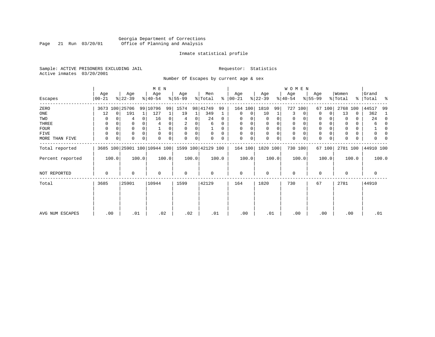#### Georgia Department of Corrections<br>Page 21 Run 03/20/01 Office of Planning and Analysis Page 21 Run 03/20/01 Office of Planning and Analysis

#### Inmate statistical profile

Sample: ACTIVE PRISONERS EXCLUDING JAIL **Requestor:** Statistics Active inmates 03/20/2001

Number Of Escapes by current age & sex

|                  |                  |          |                  |          | M E N                        |       |                 |       |                    |          |                   |             |                  |       | WOMEN            |          |                  |             |                  |       |                    |          |
|------------------|------------------|----------|------------------|----------|------------------------------|-------|-----------------|-------|--------------------|----------|-------------------|-------------|------------------|-------|------------------|----------|------------------|-------------|------------------|-------|--------------------|----------|
| Escapes          | Age<br>$00 - 21$ |          | Age<br>$ 22-39 $ |          | Age<br>$ 40-54 $             |       | Age<br>$ 55-99$ |       | Men<br>% Total     | ွေ       | Age<br>$ 00 - 21$ |             | Age<br>$ 22-39 $ |       | Age<br>$ 40-54 $ |          | Age<br>$8 55-99$ |             | Women<br>% Total |       | Grand<br>%   Total | ႜ        |
| ZERO             | 3673             |          | 100 25706        |          | 99 10796                     | 99    | 1574            |       | 98 41749           | 99       | 164 100           |             | 1810             | 99    | 727              | 100      | 67               | 100         | 2768             | 100   | 44517              | 99       |
| ONE              | 12               | $\Omega$ | 191              |          | 127                          |       | 19              | 1     | 349                |          | 0                 | 0           | 10               | 1     | 3                | $\Omega$ | $\Omega$         | $\Omega$    | 13               | 0     | 362                | -1       |
| TWO              | 0                |          | 4                | 0        | 16                           |       | 4               | 0     | 24                 | 0        | $\Omega$          |             | 0                | 0     | 0                |          | 0                |             | $\Omega$         | 0     | 24                 | $\Omega$ |
| THREE            | 0                |          | 0                |          |                              |       |                 |       | 6                  | 0        | $\Omega$          |             | 0                |       | 0                |          | 0                |             |                  | 0     | 6                  | $\Omega$ |
| FOUR             | 0                | $\Omega$ | 0                | $\Omega$ |                              | 0     | 0               | 0     |                    | $\Omega$ | $\Omega$          | 0           | $\Omega$         | 0     | 0                | $\Omega$ | 0                |             | $\Omega$         | 0     |                    | 0        |
| FIVE             | $\Omega$         |          | 0                |          | $\Omega$                     |       | $\mathbf 0$     | 0     | 0                  | $\Omega$ | $\Omega$          | 0           | 0                | 0     | 0                | $\Omega$ | 0                |             |                  | 0     | 0                  |          |
| MORE THAN FIVE   | $\mathbf 0$      | 0        | 0                | 0        | $\Omega$                     | 0     | $\Omega$        | 0     |                    | 0        | $\Omega$          | $\mathbf 0$ | 0                | 0     | $\mathbf 0$      | 0        | $\mathbf 0$      | $\mathbf 0$ |                  | 0     | U                  |          |
| Total reported   |                  |          |                  |          | 3685 100 25901 100 10944 100 |       |                 |       | 1599 100 42129 100 |          | 164 100           |             | 1820 100         |       |                  | 730 100  |                  | 67 100      | 2781 100         |       | 44910 100          |          |
| Percent reported |                  | 100.0    |                  | 100.0    |                              | 100.0 |                 | 100.0 |                    | 100.0    |                   | 100.0       |                  | 100.0 |                  | 100.0    |                  | 100.0       |                  | 100.0 |                    | 100.0    |
| NOT REPORTED     | 0                |          | 0                |          | $\Omega$                     |       | $\mathbf 0$     |       | 0                  |          | $\mathbf 0$       |             | 0                |       | $\mathbf 0$      |          | 0                |             | $\Omega$         |       | 0                  |          |
| Total            | 3685             |          | 25901            |          | 10944                        |       | 1599            |       | 42129              |          | 164               |             | 1820             |       | 730              |          | 67               |             | 2781             |       | 44910              |          |
|                  |                  |          |                  |          |                              |       |                 |       |                    |          |                   |             |                  |       |                  |          |                  |             |                  |       |                    |          |
| AVG NUM ESCAPES  |                  | .00      | .01              |          | .02                          |       |                 | .02   | .01                |          | .00               |             | .01              |       | .00              |          |                  | .00         | .00              |       | .01                |          |
|                  |                  |          |                  |          |                              |       |                 |       |                    |          |                   |             |                  |       |                  |          |                  |             |                  |       |                    |          |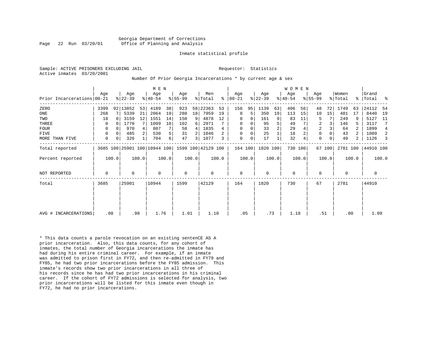Sample: ACTIVE PRISONERS EXCLUDING JAIL **Requestor:** Statistics Active inmates 03/20/2001

#### Number Of Prior Georgia Incarcerations \* by current age & sex

|                            |      |          |                  |       | M E N                        |       |                  |       |                    |       |                  |       |                  |                | W O M E N        |       |                  |          |                  |       |                    |                |
|----------------------------|------|----------|------------------|-------|------------------------------|-------|------------------|-------|--------------------|-------|------------------|-------|------------------|----------------|------------------|-------|------------------|----------|------------------|-------|--------------------|----------------|
| Prior Incarcerations 00-21 | Age  |          | Age<br>$ 22-39 $ |       | Age<br>$ 40-54 $             |       | Age<br>$8 55-99$ |       | Men<br>% Total     | ి     | Age<br>$ 00-21 $ |       | Age<br>$ 22-39 $ |                | Age<br>$ 40-54 $ |       | Age<br>$8 55-99$ |          | Women<br>% Total |       | Grand<br>%   Total | ႜ              |
| ZERO                       | 3399 |          | 92 13852         | 53    | 4189                         | 38    | 923              | 58    | 22363              | 53    | 156              | 95    | 1139             | 63             | 406              | 56    | 48               | 72       | 1749             | 63    | 24112              | -54            |
| ONE                        | 268  |          | 5339             | 21    | 2064                         | 19    | 288              | 18    | 7959               | 19    | 8                | 5     | 350              | 19             | 113              | 15    | 10               | 15       | 481              | 17    | 8440               | 19             |
| TWO                        | 18   |          | 3159             | 12    | 1551                         | 14    | 150              | 9     | 4878               | 12    | 0                | 0     | 161              | 9              | 83               | 11    | 5                |          | 249              | 9     | 5127               | 11             |
| THREE                      | 0    |          | 1770             |       | 1099                         | 10    | 102              | 6     | 2971               |       | 0                | 0     | 95               | 5              | 49               |       | 2                | 3        | 146              |       | 3117               | 7              |
| <b>FOUR</b>                | 0    |          | 970              |       | 807                          |       | 58               | 4     | 1835               |       | $\mathbf 0$      | 0     | 33               | $\overline{2}$ | 29               |       | $\overline{2}$   |          | 64               |       | 1899               | $\overline{4}$ |
| <b>FIVE</b>                | 0    | $\Omega$ | 485              |       | 530                          | 5     | 31               |       | 1046               | 2     | $\mathbf 0$      | 0     | 25               |                | 18               |       | $\mathbf 0$      |          | 43               | 2     | 1089               | 2              |
| MORE THAN FIVE             | 0    | 0        | 326              | 1     | 704                          | 6     | 47               | 3     | 1077               |       | $\mathbf 0$      | 0     | 17               |                | 32               |       | $\Omega$         | $\Omega$ | 49               | 2     | 1126               | 3              |
| Total reported             |      |          |                  |       | 3685 100 25901 100 10944 100 |       |                  |       | 1599 100 42129 100 |       | 164 100          |       | 1820 100         |                | 730 100          |       |                  | 67 100   | 2781 100         |       | 44910 100          |                |
| Percent reported           |      | 100.0    |                  | 100.0 |                              | 100.0 |                  | 100.0 |                    | 100.0 |                  | 100.0 |                  | 100.0          |                  | 100.0 |                  | 100.0    |                  | 100.0 |                    | 100.0          |
| NOT REPORTED               | 0    |          | 0                |       | 0                            |       | $\mathbf 0$      |       | 0                  |       | $\mathbf 0$      |       | $\Omega$         |                | 0                |       | $\Omega$         |          | $\Omega$         |       | 0                  |                |
| Total                      | 3685 |          | 25901            |       | 10944                        |       | 1599             |       | 42129              |       | 164              |       | 1820             |                | 730              |       | 67               |          | 2781             |       | 44910              |                |
|                            |      |          |                  |       |                              |       |                  |       |                    |       |                  |       |                  |                |                  |       |                  |          |                  |       |                    |                |
|                            |      |          |                  |       |                              |       |                  |       |                    |       |                  |       |                  |                |                  |       |                  |          |                  |       |                    |                |
| AVG # INCARCERATIONS       | .08  |          | .98              |       | 1.76                         |       | 1.01             |       | 1.10               |       | .05              |       | .73              |                | 1.18             |       | .51              |          | .80              |       | 1.09               |                |

\* This data counts a parole revocation on an existing sentenCE AS A prior incarceration. Also, this data counts, for any cohort of inmates, the total number of Georgia incarcerations the inmate has had during his entire criminal career. For example, if an inmate was admitted to prison first in FY72, and then re-admitted in FY79 and FY85, he had two prior incarcerations before the FY85 admission. This inmate's records show two prior incarcerations in all three of his records since he has had two prior incarcerations in his criminal career. If the cohort of FY72 admissions is selected for analysis, two prior incarcerations will be listed for this inmate even though in FY72, he had no prior incarcerations.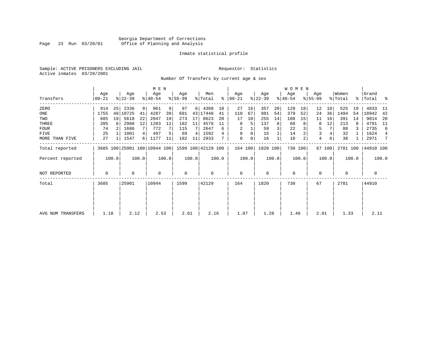#### Georgia Department of Corrections<br>Page 23 Run 03/20/01 Office of Planning and Analysis Page 23 Run 03/20/01 Office of Planning and Analysis

#### Inmate statistical profile

Sample: ACTIVE PRISONERS EXCLUDING JAIL **Requestor:** Statistics Active inmates 03/20/2001

Number Of Transfers by current age & sex

|                   |                  |       |                              |       | M E N            |       |                 |       |                    |       |                 |       |                  |       | W O M E N        |         |                  |        |                  |       |                      |       |
|-------------------|------------------|-------|------------------------------|-------|------------------|-------|-----------------|-------|--------------------|-------|-----------------|-------|------------------|-------|------------------|---------|------------------|--------|------------------|-------|----------------------|-------|
| Transfers         | Age<br>$00 - 21$ |       | Age<br>$ 22-39 $             |       | Age<br>$ 40-54 $ |       | Age<br>$ 55-99$ |       | Men<br>% Total     | ွေ    | Age<br>$ 00-21$ |       | Age<br>$ 22-39 $ |       | Aqe<br>$ 40-54 $ |         | Age<br>$8 55-99$ |        | Women<br>% Total |       | Grand<br>%   Total % |       |
| ZERO              | 914              | 25    | 2336                         | 9     | 961              | 9     | 97              | 6     | 4308               | 10    | 27              | 16    | 357              | 20    | 129              | 18      | 12               | 18     | 525              | 19    | 4833                 | -11   |
| ONE               | 1755             | 48    | 10725                        | 41    | 4287             | 39    | 681             |       | 43 17448           | 41    | 110             | 67    | 981              | 54    | 379              | 52      | 24               | 36     | 1494             | 54    | 18942                | 42    |
| TWO               | 685              | 19    | 5618                         | 22    | 2047             | 19    | 273             | 17    | 8623               | 20    | 17              | 10    | 255              | 14    | 108              | 15      | 11               | 16     | 391              | 14    | 9014                 | 20    |
| THREE             | 205              | -6    | 2988                         | 12    | 1203             | 11    | 182             | 11    | 4578               | 11    | 8               | 5     | 137              | 8     | 60               |         | 8                | 12     | 213              | 8     | 4791                 | - 11  |
| <b>FOUR</b>       | 74               |       | 1686                         | 7     | 772              |       | 115             |       | 2647               | 6     | 2               |       | 59               |       | 22               |         | 5                |        | 88               |       | 2735                 | 6     |
| FIVE              | 25               |       | 1001                         | 4     | 497              |       | 69              | 4     | 1592               |       | 0               | 0     | 15               |       | 14               |         | 3                |        | 32               |       | 1624                 | 4     |
| MORE THAN FIVE    | 27               |       | 1547                         | 6     | 1177             | 11    | 182             | 11    | 2933               |       | 0               | 0     | 16               |       | 18               |         | $\overline{4}$   | 6      | 38               |       | 2971                 | 7     |
| Total reported    |                  |       | 3685 100 25901 100 10944 100 |       |                  |       |                 |       | 1599 100 42129 100 |       | 164 100         |       | 1820 100         |       |                  | 730 100 |                  | 67 100 | 2781 100         |       | 44910 100            |       |
| Percent reported  |                  | 100.0 |                              | 100.0 |                  | 100.0 |                 | 100.0 |                    | 100.0 |                 | 100.0 |                  | 100.0 |                  | 100.0   |                  | 100.0  |                  | 100.0 |                      | 100.0 |
| NOT REPORTED      | 0                |       | 0                            |       | $\mathbf 0$      |       | $\mathbf 0$     |       | 0                  |       | $\mathbf 0$     |       | 0                |       | $\mathbf 0$      |         | 0                |        | $\mathbf 0$      |       | $\mathbf 0$          |       |
| Total             | 3685             |       | 25901                        |       | 10944            |       | 1599            |       | 42129              |       | 164             |       | 1820             |       | 730              |         | 67               |        | 2781             |       | 44910                |       |
|                   |                  |       |                              |       |                  |       |                 |       |                    |       |                 |       |                  |       |                  |         |                  |        |                  |       |                      |       |
|                   |                  |       |                              |       |                  |       |                 |       |                    |       |                 |       |                  |       |                  |         |                  |        |                  |       |                      |       |
| AVG NUM TRANSFERS | 1.18             |       | 2.12                         |       | 2.53             |       | 2.61            |       | 2.16               |       | 1.07            |       | 1.28             |       | 1.46             |         | 2.01             |        | 1.33             |       | 2.11                 |       |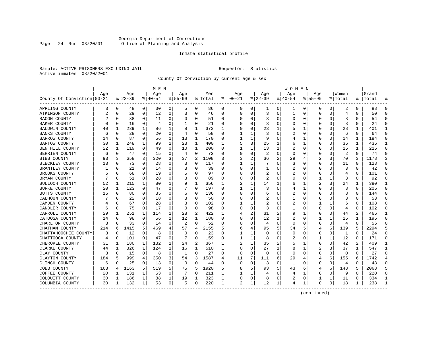#### Georgia Department of Corrections Page 24 Run 03/20/01 Office of Planning and Analysis

#### Inmate statistical profile

Sample: ACTIVE PRISONERS EXCLUDING JAIL **Requestor:** Statistics Active inmates 03/20/2001

County Of Conviction by current age & sex

|                            |     |             |          |             | M E N          |              |             |                |         |          |               |              |              |                | W O M E N |             |             |              |                |              |           |              |
|----------------------------|-----|-------------|----------|-------------|----------------|--------------|-------------|----------------|---------|----------|---------------|--------------|--------------|----------------|-----------|-------------|-------------|--------------|----------------|--------------|-----------|--------------|
|                            | Age |             | Age      |             | Age            |              | Age         |                | Men     |          | Age           |              | Aqe          |                | Age       |             | Aqe         |              | Women          |              | Grand     |              |
| County Of Conviction 00-21 |     |             | $ 22-39$ |             | $ 40-54$       |              | $8155 - 99$ |                | % Total |          | $8   00 - 21$ |              | $ 22-39$     |                | $ 40-54$  |             | $8155 - 99$ |              | % Total        |              | %   Total |              |
| APPLING COUNTY             | 3   | 0           | 48       | 0           | 30             | 0            | 5           | 0              | 86      | 0        | 0             | 0            | 1            | 0              | 1         | 0           | 0           | 0            | 2              | 0            | 88        | $\Omega$     |
| ATKINSON COUNTY            | 2   | $\mathbf 0$ | 29       | $\mathbf 0$ | 12             | 0            | 3           | 0              | 46      | $\Omega$ | $\Omega$      | 0            | 3            | $\Omega$       | 1         | 0           | $\Omega$    | $\Omega$     | 4              | $\Omega$     | 50        | $\Omega$     |
| <b>BACON COUNTY</b>        |     | $\Omega$    | 38       | 0           | 11             | 0            | O           | 0              | 51      | 0        | O             | 0            | 3            | 0              | $\Omega$  | 0           | O           | $\Omega$     | 3              | 0            | 54        | $\Omega$     |
| <b>BAKER COUNTY</b>        |     | 0           | 16       | 0           | $\overline{4}$ | 0            |             | $\Omega$       | 21      | 0        |               | 0            | 3            | 0              | 0         | 0           | O           | O            | 3              | O            | 24        | $\Omega$     |
| BALDWIN COUNTY             | 40  | 1           | 239      | 1           | 86             | 1            | 8           | 1              | 373     | 1        |               | $\Omega$     | 23           | 1              | 5         | 1           | O           | U            | 28             | 1            | 401       | -1           |
| <b>BANKS COUNTY</b>        | 6   | $\Omega$    | 28       | 0           | 20             | 0            | 4           | 0              | 58      | U        |               | 1            | 3            | O              | 2         | 0           | 0           | $\Omega$     | 6              | 0            | 64        | $\Omega$     |
| <b>BARROW COUNTY</b>       | 14  | 0           | 87       | 0           | 56             | 1            | 13          | 1              | 170     | 0        |               | 1            | 9            | 0              | 4         | 1           | 0           | 0            | 14             | 1            | 184       | $\Omega$     |
| <b>BARTOW COUNTY</b>       | 30  | 1           | 248      | 1           | 99             | $\mathbf{1}$ | 23          | $\mathbf{1}$   | 400     | 1        | 5             | 3            | 25           | 1              | 6         | 1           | $\Omega$    | $\Omega$     | 36             | $\mathbf{1}$ | 436       | $\mathbf{1}$ |
| BEN HILL COUNTY            | 22  | 1           | 119      | $\Omega$    | 49             | $\Omega$     | 10          | $\mathbf{1}$   | 200     | 0        |               | $\mathbf{1}$ | 13           | $\mathbf{1}$   | 2         | $\mathbf 0$ | 0           | $\Omega$     | 16             | $\mathbf{1}$ | 216       | $\Omega$     |
| BERRIEN COUNTY             | 6   | 0           | 47       | 0           | 15             | 0            | 4           | 0              | 72      | 0        |               | 0            | 2            | $\Omega$       | $\Omega$  | 0           | 0           | 0            | $\overline{2}$ | $\Omega$     | 74        | $\Omega$     |
| <b>BIBB COUNTY</b>         | 93  | 3           | 658      | 3           | 320            | 3            | 37          | $\overline{c}$ | 1108    | 3        | 3             | 2            | 36           | $\overline{2}$ | 29        | 4           | 2           | 3            | 70             | 3            | 1178      |              |
| BLECKLEY COUNTY            | 13  | $\Omega$    | 73       | $\Omega$    | 28             | 0            | 3           | 0              | 117     | U        | 1             | 1            |              | $\Omega$       | 3         | $\Omega$    | $\Omega$    | $\Omega$     | 11             | $\Omega$     | 128       | ∩            |
| BRANTLEY COUNTY            |     | 0           | 21       | 0           | 14             | 0            | 3           | 0              | 39      | U        | O             | 0            | $\mathbf{1}$ | 0              | 2         | 0           | 0           | 0            | 3              | $\Omega$     | 42        |              |
| BROOKS COUNTY              |     | $\Omega$    | 68       | 0           | 19             | 0            |             | 0              | 97      | U        | C             | 0            | 2            | 0              | 2         | 0           | 0           | O            | 4              | $\Omega$     | 101       | $\Omega$     |
| BRYAN COUNTY               |     | 0           | 51       | 0           | 28             | 0            | 3           | 0              | 89      | 0        | C             | 0            | 2            | 0              | 0         | 0           | 1           | 1            | 3              | 0            | 92        | ∩            |
| BULLOCH COUNTY             | 52  | 1           | 215      | 1           | 80             | 1            | 9           | 1              | 356     | 1        |               | 1            | 14           | 1              | 6         | 1           | 2           | 3            | 24             |              | 380       | $\mathbf{1}$ |
| <b>BURKE COUNTY</b>        | 20  | 1           | 123      | $\Omega$    | 47             | 0            |             | $\Omega$       | 197     | O        | 1             | 1            | 3            | 0              | 4         | 1           | $\Omega$    | O            | 8              | $\Omega$     | 205       | $\Omega$     |
| BUTTS COUNTY               | 15  | $\Omega$    | 80       | $\Omega$    | 35             | 0            | 6           | 0              | 136     | 0        | O             | $\Omega$     | 6            | $\Omega$       | 2         | $\Omega$    | $\Omega$    | 0            | 8              | $\Omega$     | 144       | $\Omega$     |
| CALHOUN COUNTY             |     | 0           | 22       | $\Omega$    | 18             | 0            |             | 0              | 50      | U        |               | 0            | 2            | 0              |           | $\mathbf 0$ | O           | $\Omega$     | 3              | $\Omega$     | 53        | $\Omega$     |
| CAMDEN COUNTY              |     | $\Omega$    | 67       | 0           | 28             | 0            | 3           | 0              | 102     | U        |               | 1            | 2            | O              | 2         | 0           | 1           | $\mathbf{1}$ | 6              | 0            | 108       | $\Omega$     |
| CANDLER COUNTY             | 6   | 0           | 75       | 0           | 17             | 0            | $\Omega$    | 0              | 98      | 0        | O             | 0            | 3            | 0              |           | 0           | 0           | $\Omega$     | 4              | 0            | 102       | $\Omega$     |
| CARROLL COUNTY             | 29  | 1           | 251      | 1           | 114            | 1            | 28          | 2              | 422     | 1        |               | 2            | 31           | 2              | 9         | 1           | 0           | 0            | 44             | 2            | 466       |              |
| CATOOSA COUNTY             | 14  | $\Omega$    | 98       | 0           | 56             | 1            | 12          | 1              | 180     | 0        | C             | 0            | 12           | 1              | 2         | $\mathbf 0$ | 1           | $\mathbf{1}$ | 15             | 1            | 195       | $\cap$       |
| CHARLTON COUNTY            | 3   | 0           | 33       | 0           | 14             | 0            | 2           | 0              | 52      | 0        | O             | 0            | 4            | 0              | $\Omega$  | 0           | $\Omega$    | 0            | 4              | 0            | 56        |              |
| CHATHAM COUNTY             | 214 | 6           | 1415     | 5           | 469            | 4            | 57          | 4              | 2155    | 5        | 6             | 4            | 95           | 5              | 34        | 5           | 4           | 6            | 139            | 5            | 2294      |              |
| CHATTAHOOCHEE COUNTY       | 3   | $\Omega$    | 12       | $\Omega$    | 8              | $\Omega$     | $\Omega$    | $\Omega$       | 23      | 0        |               | 1            | $\Omega$     | $\Omega$       | $\Omega$  | $\Omega$    | 0           | $\Omega$     | 1              | $\Omega$     | 24        | $\Omega$     |
| CHATTOOGA COUNTY           | 4   | $\Omega$    | 101      | 0           | 47             | 0            |             | $\Omega$       | 159     | 0        |               | 1            | 8            | $\Omega$       | 2         | 0           | 1           | 1            | 12             | 0            | 171       | $\Omega$     |
| CHEROKEE COUNTY            | 31  | 1           | 180      | 1           | 132            | 1            | 24          | 2              | 367     | 1        |               | 1            | 35           | 2              |           | 1           | 0           | O            | 42             | 2            | 409       | -1           |
| CLARKE COUNTY              | 44  | 1           | 326      | 1           | 124            | 1            | 16          | 1              | 510     | 1        | $\cap$        | 0            | 27           | 1              | 8         | 1           | 2           | 3            | 37             | 1            | 547       | -1           |
| CLAY COUNTY                | 3   | 0           | 15       | 0           | 8              | 0            | 1           | 0              | 27      | 0        | 0             | 0            | 0            | $\mathbf 0$    | $\Omega$  | 0           | $\Omega$    | 0            | 0              | $\Omega$     | 27        | ∩            |
| CLAYTON COUNTY             | 184 | 5           | 999      | 4           | 350            | 3            | 54          | 3              | 1587    | 4        | 11            | 7            | 111          | 6              | 29        | 4           | 4           | 6            | 155            | 6            | 1742      |              |
| CLINCH COUNTY              | 6   | $\mathbf 0$ | 25       | 0           | 13             | 0            | 0           | 0              | 44      | 0        | $\bigcap$     | 0            | 3            | 0              | 1         | 0           | 0           | 0            | 4              | $\Omega$     | 48        | $\cap$       |
| COBB COUNTY                | 163 | 4           | 1163     | 5           | 519            | 5            | 75          | 5              | 1920    | 5        | 8             | 5            | 93           | 5              | 43        | 6           | 4           | 6            | 148            | 5            | 2068      | 5            |
| COFFEE COUNTY              | 20  | 1           | 131      | 1           | 53             | 0            |             | $\Omega$       | 211     | 1        |               | 1            | 4            | 0              | 4         | 1           | $\Omega$    | 0            | 9              | $\Omega$     | 220       | $\Omega$     |
| COLQUITT COUNTY            | 30  | 1           | 186      | 1           | 88             | 1            | 19          | 1              | 323     | 1        | 0             | 0            | 8            | 0              | 2         | 0           | 1           | 1            | 11             | 0            | 334       | -1           |
| COLUMBIA COUNTY            | 30  | 1           | 132      | 1           | 53             | 0            | 5           | 0              | 220     | 1        | 2             | 1            | 12           | 1              | 4         | 1           | $\Omega$    | 0            | 18             | 1            | 238       |              |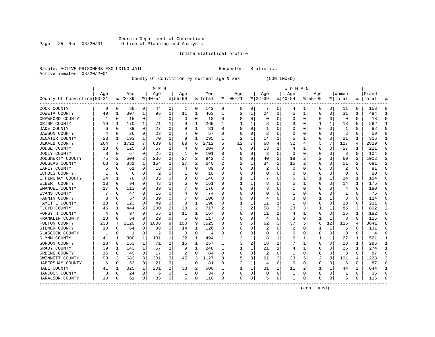#### Georgia Department of Corrections<br>Page 25 Run 03/20/01 Office of Planning and Analysis Page 25 Run 03/20/01 Office of Planning and Analysis

#### Inmate statistical profile

| Sample: ACTIVE PRISONERS EXCLUDING JAIL | Requestor: Statistics |  |
|-----------------------------------------|-----------------------|--|
| Active inmates 03/20/2001               |                       |  |

County Of Conviction by current age & sex (CONTINUED)

|                            |     |             |          |          | M E N     |                |           |              |         |   |          |          |           |                | W O M E N   |                |             |              |                         |          |           |               |
|----------------------------|-----|-------------|----------|----------|-----------|----------------|-----------|--------------|---------|---|----------|----------|-----------|----------------|-------------|----------------|-------------|--------------|-------------------------|----------|-----------|---------------|
|                            | Age |             | Age      |          | Age       |                | Age       |              | Men     |   | Age      |          | Age       |                | Age         |                | Age         |              | Women                   |          | Grand     |               |
| County Of Conviction 00-21 |     |             | $ 22-39$ |          | $8 40-54$ |                | $8 55-99$ |              | % Total | ႜ | $ 00-21$ |          | $8 22-39$ |                | $ 40-54$    |                | $8155 - 99$ |              | % Total                 |          | %   Total |               |
| COOK COUNTY                | 9   | 0           | 88       | 0        | 44        | 0              |           | 0            | 142     | 0 | 0        | 0        | 7         | 0              | 4           | 1              | 0           | 0            | 11                      | 0        | 153       | $\Omega$      |
| COWETA COUNTY              | 49  | 1           | 307      | 1        | 96        | 1              | 11        | 1            | 463     | 1 | 2        | 1        | 24        | 1              | 5           | 1              | 0           | 0            | 31                      | 1        | 494       | -1            |
| CRAWFORD COUNTY            |     | $\Omega$    | 15       | 0        | 2         | 0              | $\Omega$  | 0            | 18      | 0 | C        | $\Omega$ | $\Omega$  | $\Omega$       | U           | 0              | $\Omega$    | $\Omega$     | $\Omega$                | $\Omega$ | 18        | ∩             |
| CRISP COUNTY               | 19  | 1           | 170      | 1        | 71        | 1              |           | 1            | 269     | 1 |          | 1        | 8         | O              |             | 0              | 1           | 1            | 13                      | 0        | 282       |               |
| DADE COUNTY                | 6   | $\Omega$    | 39       | $\Omega$ | 27        | O              |           | 1            | 81      | U |          | $\Omega$ |           | O              |             | 0              | $\Omega$    | $\Omega$     | -1                      | O        | 82        |               |
| DAWSON COUNTY              |     | 0           | 26       | 0        | 23        | 0              |           | 0            | 57      | 0 |          | 0        | 2         | $\Omega$       |             | 0              | 0           | $\Omega$     | $\overline{c}$          | $\Omega$ | 59        |               |
| DECATUR COUNTY             | 23  | 1           | 193      | 1        | 70        | 1              | 9         | $\mathbf{1}$ | 295     | 1 |          | 1        | 14        | 1              | 5           | 1              | O           | $\Omega$     | 21                      | 1        | 316       | -1            |
| DEKALB COUNTY              | 264 | 7           | 1721     | 7        | 639       | 6              | 88        | 6            | 2712    | 6 | 12       | 7        | 68        | 4              | 32          | 4              | 5           | 7            | 117                     | 4        | 2829      | 6             |
| DODGE COUNTY               | 18  | 0           | 125      | 0        | 57        | 1              | 4         | 0            | 204     | 0 | $\Omega$ | 0        | 13        | 1              | 4           | 1              | 0           | 0            | 17                      | 1        | 221       | $\Omega$      |
| DOOLY COUNTY               | 8   | 0           | 67       | 0        | 25        | 0              |           | 0            | 101     | 0 |          | 0        | 3         | $\Omega$       | 0           | 0              | 0           | 0            | 3                       | O        | 104       | $\Omega$      |
| DOUGHERTY COUNTY           | 75  | 2           | 604      | 2        | 236       | 2              | 27        | 2            | 942     |   |          | $\Omega$ | 40        | $\overline{2}$ | 18          | 2              |             |              | 60                      |          | 1002      |               |
| DOUGLAS COUNTY             | 68  | 2           | 381      | 1        | 164       | $\overline{a}$ | 27        | 2            | 640     | 2 |          | 1        | 34        | $\overline{2}$ | 15          | $\overline{2}$ | 0           | O            | 51                      | 2        | 691       | $\mathcal{D}$ |
| EARLY COUNTY               | 6   | $\Omega$    | 61       | 0        | 18        | 0              |           | $\Omega$     | 89      | U | O        | $\Omega$ |           | $\Omega$       | $\Omega$    | $\Omega$       | 0           | O            | $\overline{\mathbf{c}}$ | 0        | 91        | ∩             |
| ECHOLS COUNTY.             |     | $\Omega$    | 6        | $\Omega$ | 2         | 0              |           | 0            | 10      | 0 |          | $\Omega$ | 0         | $\Omega$       | 0           | 0              | 0           | $\Omega$     | $\Omega$                | 0        | 10        |               |
| EFFINGHAM COUNTY           | 24  | 1           | 78       | 0        | 35        | 0              | 3         | 0            | 140     | 0 |          | 1        |           | 0              | 5           | 1              |             | 1            | 14                      | 1        | 154       | ∩             |
| ELBERT COUNTY              | 13  | $\Omega$    | 94       | $\Omega$ | 48        | 0              | 6         | 0            | 161     | U |          | 1        | 8         | O              | 5           | 1              | $\Omega$    | $\Omega$     | 14                      | 1        | 175       | $\Omega$      |
| EMANUEL COUNTY             | 17  | $\Omega$    | 113      | 0        | 39        | 0              |           | $\Omega$     | 176     | U | C        | $\Omega$ |           | O              | 1           | $\Omega$       | O           | $\Omega$     | 4                       | $\Omega$ | 180       | $\Omega$      |
| EVANS COUNTY               |     | $\Omega$    | 47       | 0        | 16        | 0              | 4         | $\Omega$     | 74      | U | O        | $\Omega$ | U         | 0              | ı           | 0              | O           | $\Omega$     | 1                       | $\Omega$ | 75        | $\Omega$      |
| FANNIN COUNTY              | 3   | $\Omega$    | 57       | O        | 39        | 0              |           | $\Omega$     | 106     | U |          | 0        | 4         | $\Omega$       | 3           | 0              |             | 1            | 8                       | O        | 114       |               |
| FAYETTE COUNTY             | 18  | 0           | 123      | $\Omega$ | 49        | O              | 8         | 1            | 198     | 0 |          | 1        | 11        | 1              |             | 0              | $\Omega$    | $\Omega$     | 13                      | $\Omega$ | 211       |               |
| FLOYD COUNTY               | 45  | 1           | 444      | 2        | 200       | 2              | 28        | 2            | 717     | 2 | 3        | 2        | 58        | 3              | 23          | 3              | 1           | $\mathbf{1}$ | 85                      | 3        | 802       | $\mathcal{D}$ |
| FORSYTH COUNTY             |     | $\Omega$    | 97       | 0        | 55        | 1              | 11        | 1            | 167     | 0 | O        | 0        | 11        | 1              | 4           | 1              | 0           | $\Omega$     | 15                      | 1        | 182       | $\cap$        |
| FRANKLIN COUNTY            | 18  | 0           | 64       | 0        | 29        | 0              | 6         | 0            | 117     | 0 |          | 0        | 4         | $\Omega$       | 3           | 0              | 1           | 1            | 8                       | $\Omega$ | 125       |               |
| FULTON COUNTY              | 238 | 7           | 2129     | 8        | 1008      | 9              | 150       | 9            | 3525    | 8 |          | б.       | 62        | 3              | 37          | 5              | 8           | 12           | 116                     | 4        | 3641      |               |
| GILMER COUNTY              | 10  | $\mathbf 0$ | 64       | 0        | 38        | O              | 14        | 1            | 126     | U |          | 0        | 2         | $\Omega$       | 2           | 0              | 1           | 1            | 5                       | 0        | 131       | ∩             |
| GLASCOCK COUNTY            |     | 0           | 1        | 0        | 2         | 0              | $\Omega$  | 0            | 4       | U | O        | 0        | 0         | 0              | 0           | 0              | 0           | 0            | 0                       | 0        | 4         | $\Omega$      |
| GLYNN COUNTY               | 41  | 1           | 300      | 1        | 131       | 1              | 22        | 1            | 494     | 1 |          | 1        | 18        | 1              | 6           | 1              |             | 1            | 27                      | 1        | 521       | -1            |
| GORDON COUNTY              | 18  | 0           | 153      |          | 71        | 1              | 15        | 1            | 257     |   | 3        | 2        | 18        | 1              |             | 1              | O           | 0            | 28                      | 1        | 285       | -1            |
| GRADY COUNTY               | 39  | 1           | 143      | 1        | 57        | 1              | 9         | 1            | 248     | 1 |          | 1        | 21        | $\mathbf{1}$   | 4           | 1              | $\Omega$    | O            | 26                      |          | 274       | $\mathbf{1}$  |
| GREENE COUNTY              | 16  | $\Omega$    | 49       | 0        | 17        | 0              |           | $\Omega$     | 84      | O |          | $\Omega$ | 2         | $\Omega$       | 1           | $\Omega$       | $\Omega$    | $\Omega$     | 3                       | $\Omega$ | 87        | $\Omega$      |
| GWINNETT COUNTY            | 98  | 3           | 683      | 3        | 301       | 3              | 45        | 3            | 1127    | 3 |          | 3        | 61        | 3              | 33          | 5              | 2           | 3            | 101                     | 4        | 1228      | 3             |
| HABERSHAM COUNTY           | 6   | $\mathbf 0$ | 53       | 0        | 21        | 0              | 1         | 0            | 81      | 0 | 2        | 1        | 4         | $\Omega$       | $\mathbf 0$ | $\mathbf 0$    | $\Omega$    | $\Omega$     | 6                       | $\Omega$ | 87        |               |
| HALL COUNTY                | 41  | 1           | 325      | 1        | 201       | 2              | 33        | 2            | 600     |   |          | 1        | 31        | 2              | 11          | 2              |             | 1            | 44                      | 2        | 644       |               |
| HANCOCK COUNTY             | 3   | $\mathbf 0$ | 24       | 0        | 6         | 0              |           | 0            | 34      | 0 | O        | 0        | 0         | 0              | 1           | 0              | $\Omega$    | 0            |                         | 0        | 35        | $\Omega$      |
| HARALSON COUNTY            | 10  | 0           | 61       | 0        | 33        | 0              | 6         | 0            | 110     | 0 | $\Omega$ | 0        | 5         | 0              | 1           | 0              | O           | 0            | 6                       | 0        | 116       |               |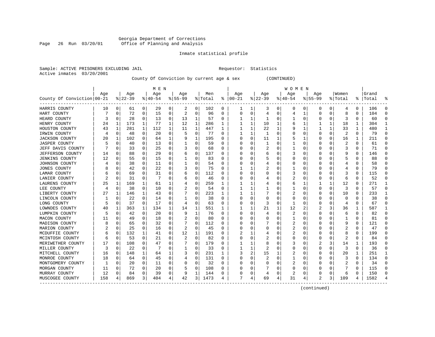#### Georgia Department of Corrections Page 26 Run 03/20/01 Office of Planning and Analysis

#### Inmate statistical profile

| Sample: ACTIVE PRISONERS EXCLUDING JAIL | Requestor: Statistics |  |
|-----------------------------------------|-----------------------|--|
| Active inmates 03/20/2001               |                       |  |

County Of Conviction by current age & sex (CONTINUED)

|                            |     |          |           |          | M E N     |          |           |          |         |          |               |          |              |          | W O M E N |          |             |          |                |               |       |           |
|----------------------------|-----|----------|-----------|----------|-----------|----------|-----------|----------|---------|----------|---------------|----------|--------------|----------|-----------|----------|-------------|----------|----------------|---------------|-------|-----------|
|                            | Age |          | Age       |          | Age       |          | Age       |          | Men     |          | Age           |          | Age          |          | Age       |          | Age         |          | Women          |               | Grand |           |
| County Of Conviction 00-21 |     |          | $8 22-39$ |          | $8 40-54$ |          | $8 55-99$ |          | % Total |          | $8   00 - 21$ |          | $ 22-39 $    |          | $ 40-54$  |          | $8155 - 99$ |          | % Total        | $\frac{1}{6}$ | Total | ႜ         |
| HARRIS COUNTY              | 10  | 0        | 61        | 0        | 29        | 0        | 2         | 0        | 102     | 0        | -1            | 1        | 3            | 0        | 0         | 0        | 0           | 0        | 4              | 0             | 106   | 0         |
| HART COUNTY                |     | 0        | 72        | 0        | 15        | 0        | 2         | 0        | 96      | 0        | O             | 0        | 4            | 0        | 4         | 1        | $\Omega$    | 0        | 8              | 0             | 104   | $\cap$    |
| HEARD COUNTY               | 3   | 0        | 28        | 0        | 13        | 0        | 13        | 1        | 57      | 0        |               | 1        | 1            | 0        |           | 0        | $\Omega$    | 0        | 3              | 0             | 60    |           |
| HENRY COUNTY               | 24  | 1        | 173       | 1        | 77        | 1        | 12        | 1        | 286     | 1        |               | 1        | 10           | 1        | 6         |          |             | 1        | 18             | 1             | 304   |           |
| HOUSTON COUNTY             | 43  | 1        | 281       | 1        | 112       | 1        | 11        | 1        | 447     | 1        | 1             | 1        | 22           | 1        |           | 1        |             |          | 33             | 1             | 480   | -1        |
| IRWIN COUNTY               | 4   | 0        | 48        | 0        | 20        | 0        |           | 0        | 77      | U        |               | 1        | $\mathbf{1}$ | $\Omega$ |           | $\Omega$ | $\Omega$    | 0        | $\overline{2}$ | 0             | 79    | $\bigcap$ |
| <b>JACKSON COUNTY</b>      | 20  | 1        | 102       | 0        | 64        | 1        |           | 1        | 195     | U        | O             | 0        | 11           | 1        | 5         | 1        | $\Omega$    | 0        | 16             | 1             | 211   | $\Omega$  |
| <b>JASPER COUNTY</b>       |     | 0        | 40        | 0        | 13        | 0        |           | 0        | 59      | $\Omega$ | C             | 0        | 1            | 0        |           | $\Omega$ | $\Omega$    | 0        | 2              | 0             | 61    | $\Omega$  |
| JEFF DAVIS COUNTY          |     | 0        | 33        | $\Omega$ | 25        | 0        | 3         | 0        | 68      | 0        | O             | $\Omega$ |              | O        |           | 0        | O           | 0        | 3              | 0             | 71    | $\Omega$  |
| JEFFERSON COUNTY           | 14  | 0        | 88        | 0        | 29        | 0        | b         | 0        | 137     | U        |               | O        | 6            | O        | 3         | 0        | O           |          | 9              | 0             | 146   | $\Omega$  |
| <b>JENKINS COUNTY</b>      | 12  | $\Omega$ | 55        | $\Omega$ | 15        | $\Omega$ |           | $\Omega$ | 83      | U        |               | O        |              | O        | Ω         | C        | O           |          | 5              | U             | 88    |           |
| JOHNSON COUNTY             |     | $\Omega$ | 38        | $\Omega$ | 11        | $\Omega$ |           | O        | 54      | U        |               | $\Omega$ |              | O        | Ω         | C        | O           | O        | 4              | 0             | 58    |           |
| <b>JONES COUNTY</b>        |     | $\Omega$ | 42        | $\Omega$ | 22        | 0        | 3         | 0        | 75      | 0        |               | 1        |              | 0        |           | $\Omega$ | O           | 0        | 4              | 0             | 79    | $\cap$    |
| LAMAR COUNTY               |     | 0        | 69        | $\Omega$ | 31        | 0        |           | 0        | 112     | 0        |               | $\Omega$ |              | 0        | 3         | $\Omega$ |             | 0        | 3              | 0             | 115   | C         |
| LANIER COUNTY              |     | 0        | 31        | 0        |           | 0        | h         | 0        | 46      | 0        |               | 0        | 4            | O        |           | $\Omega$ | $\Omega$    | 0        | 6              | 0             | 52    | $\cap$    |
| LAURENS COUNTY             | 25  | 1        | 169       | 1        | 61        | 1        |           | 0        | 259     | 1        |               | 1        | 4            | 0        | 6         | 1        |             |          | 12             | 0             | 271   | -1        |
| LEE COUNTY                 | 4   | 0        | 38        | $\Omega$ | 10        | 0        |           | 0        | 54      | $\Omega$ |               | 1        |              | 0        |           | $\Omega$ | $\Omega$    | 0        | 3              | 0             | 57    | $\Omega$  |
| LIBERTY COUNTY             | 27  | 1        | 146       | 1        | 43        | 0        |           | 0        | 223     |          |               | 1        |              | 0        | 2         | 0        | 0           | 0        | 10             | 0             | 233   | -1        |
| LINCOLN COUNTY             |     | 0        | 22        | 0        | 14        | 0        |           | $\Omega$ | 38      | 0        |               | 0        | 0            | O        | 0         | 0        | O           |          | 0              | 0             | 38    |           |
| LONG COUNTY                |     | 0        | 37        | $\Omega$ | 17        | 0        | 4         | 0        | 63      | 0        | O             | $\Omega$ | 3            | 0        | 1         | $\Omega$ | O           | 0        | 4              | 0             | 67    | $\cap$    |
| LOWNDES COUNTY             | 40  | ı        | 363       | 1        | 134       | 1        | 14        | 1        | 551     | 1        |               | 1        | 21           | 1        | 12        | 2        |             | 3        | 36             | 1             | 587   | ı         |
| LUMPKIN COUNTY             | 5   | 0        | 42        | 0        | 20        | 0        | 9         | 1        | 76      | 0        | O             | $\Omega$ | 4            | $\Omega$ | 2         | $\Omega$ | 0           | 0        | 6              | 0             | 82    | $\Omega$  |
| MACON COUNTY               |     | 0        | 49        | 0        | 18        | $\Omega$ |           | 0        | 80      | 0        |               | 0        |              | 0        |           | 0        | 0           | 0        |                | 0             | 81    | $\bigcap$ |
| MADISON COUNTY             |     | 0        | 65        | 0        | 32        | 0        |           | 0        | 112     | 0        |               | 0        |              | O        |           | $\Omega$ | $\Omega$    | O        | 9              | 0             | 121   | $\bigcap$ |
| MARION COUNTY              |     | 0        | 25        | 0        | 16        | 0        | 2         | 0        | 45      | U        |               | 0        | O            | O        | 2         | 0        | O           | O        | 2              | 0             | 47    | $\Omega$  |
| MCDUFFIE COUNTY            | 6   | 0        | 132       | 1        | 41        | 0        | 12        | 1        | 191     | 0        |               |          |              | 0        | 2         | 0        | $\Omega$    | 0        | 8              | 0             | 199   | $\Omega$  |
| MCINTOSH COUNTY            | 6   | 0        | 53        | 0        | 21        | 0        |           | 0        | 82      | U        |               | 0        |              | O        | 0         | 0        | $\Omega$    | O        | 2              | U             | 84    | C         |
| MERIWETHER COUNTY          | 17  | $\Omega$ | 108       | 0        | 47        | O        |           | $\Omega$ | 179     | U        |               | 1        | 8            | O        | 3         | C        |             | 3        | 14             | $\mathbf{1}$  | 193   |           |
| MILLER COUNTY              | Р   | $\Omega$ | 22        | $\Omega$ |           | $\Omega$ |           | 0        | 33      | U        | 1             | 1        | 2            | O        | Ω         | $\Omega$ | $\Omega$    | 0        | 3              | 0             | 36    | n         |
| MITCHELL COUNTY            | 16  | 0        | 148       | 1        | 64        | 1        | 3         | 0        | 231     | 1        | 3             | 2        | 15           | 1        | 2         | $\Omega$ | $\Omega$    | $\Omega$ | 20             | 1             | 251   |           |
| MONROE COUNTY              | 18  | 0        | 64        | 0        | 45        | 0        | 4         | 0        | 131     | 0        | O             | 0        | 2            | $\Omega$ | 1         | $\Omega$ | 0           | $\Omega$ | 3              | 0             | 134   | $\bigcap$ |
| MONTGOMERY COUNTY          |     | 0        | 20        | 0        | 11        | 0        | 0         | 0        | 32      | 0        |               | $\Omega$ | 0            | 0        | 2         | $\Omega$ | $\Omega$    | 0        |                | 0             | 34    | $\bigcap$ |
| MORGAN COUNTY              | 11  | 0        | 72        | $\Omega$ | 20        | 0        |           | 0        | 108     | U        |               | $\Omega$ |              | O        | O         | $\Omega$ | $\Omega$    | 0        |                | 0             | 115   | $\Omega$  |
| MURRAY COUNTY              | 12  | 0        | 84        | 0        | 39        | 0        | 9         | 1        | 144     | 0        | O             | 0        | 4            | 0        | 2         | $\Omega$ | O           | 0        | 6              | 0             | 150   | $\cap$    |
| MUSCOGEE COUNTY            | 158 | 4        | 869       | 3        | 404       | 4        | 42        | 3        | 1473    | 4        | 7             | 4        | 69           | 4        | 31        | 4        | 2           | 3        | 109            | 4             | 1582  |           |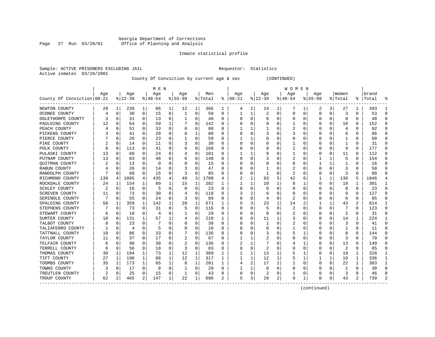#### Georgia Department of Corrections Page 27 Run 03/20/01 Office of Planning and Analysis

#### Inmate statistical profile

Sample: ACTIVE PRISONERS EXCLUDING JAIL **Requestor:** Statistics Active inmates 03/20/2001

County Of Conviction by current age & sex (CONTINUED)

|                            |     |             |          |          | M E N     |   |           |              |         |    |          |   |          |          | W O M E N |    |              |          |         |   |           |              |
|----------------------------|-----|-------------|----------|----------|-----------|---|-----------|--------------|---------|----|----------|---|----------|----------|-----------|----|--------------|----------|---------|---|-----------|--------------|
|                            | Age |             | Age      |          | Age       |   | Age       |              | Men     |    | Age      |   | Age      |          | Age       |    | Age          |          | Women   |   | Grand     |              |
| County Of Conviction 00-21 |     |             | $ 22-39$ |          | $8 40-54$ |   | $8 55-99$ |              | % Total | ៖  | $ 00-21$ |   | $ 22-39$ |          | $ 40-54$  |    | $8155 - 99$  |          | % Total |   | %   Total |              |
| NEWTON COUNTY              | 29  | 1           | 239      | 1        | 86        | 1 | 12        | 1            | 366     | 1  | 4        | 2 | 14       | 1        | 7         | 1  | 2            | 3        | 27      | 1 | 393       |              |
| OCONEE COUNTY              | 4   | 0           | 30       | 0        | 15        | 0 | 1         | 0            | 50      | O  | 1        | 1 | 2        | 0        | 0         | C  | <sup>0</sup> | 0        | 3       | 0 | 53        | ∩            |
| OGLETHORPE COUNTY          |     | 0           | 31       | 0        | 13        | 0 |           | $\Omega$     | 48      | 0  | C        | 0 | $\Omega$ | $\Omega$ | 0         | C  | 0            | $\Omega$ | 0       | 0 | 48        | ſ            |
| PAULDING COUNTY            | 12  | $\Omega$    | 64       | 0        | 59        | 1 |           | 0            | 142     | 0  |          | 0 |          | $\Omega$ |           | C  |              | $\Omega$ | 10      | 0 | 152       | n            |
| PEACH COUNTY               |     | 0           | 51       | 0        | 33        | 0 |           | 0            | 88      | 0  |          |   |          | O        | 2         | C  |              |          | 4       | 0 | 92        | <sup>0</sup> |
| PICKENS COUNTY             |     | C           | 41       | $\Omega$ | 28        | 0 |           | 1            | 80      | O  |          | O |          | $\Omega$ | 3         | C  |              |          | 6       | 0 | 86        | ∩            |
| PIERCE COUNTY              |     | 0           | 28       | 0        | 23        | 0 |           | 0            | 59      | 0  |          |   |          | O        | ი         | C  | O            | O        |         | U | 60        | ∩            |
| PIKE COUNTY                |     | 0           | 14       | 0        | 11        | 0 |           | 0            | 30      | 0  | n        | 0 | $\left($ | O        |           | C  |              | O        |         | 0 | 31        | $\Omega$     |
| POLK COUNTY                | 8   | 0           | 113      | 0        | 41        | 0 | 6         | 0            | 168     | O  | C        | 0 | 8        | O        |           | C  |              | O        | 9       | 0 | 177       | $\Omega$     |
| PULASKI COUNTY             | 13  | 0           | 60       | 0        | 24        | 0 |           | $\Omega$     | 101     | U  |          |   | 9        |          |           | C  |              | 0        | 11      | 0 | 112       | O            |
| PUTNAM COUNTY              | 13  | C           | 83       | 0        | 46        | 0 | 6         | $\Omega$     | 148     | O  |          | U |          |          |           | C  |              |          | 6       | 0 | 154       | n            |
| QUITMAN COUNTY             |     | 0           | 13       | 0        | $\Omega$  | 0 |           | $\Omega$     | 15      | O  |          | U | $\left($ | O        | 0         | C  |              |          |         | 0 | 16        | n            |
| RABUN COUNTY               |     | 0           | 26       | 0        | 14        | 0 | 3         | 0            | 47      | O  |          | U |          | O        | 2         | C  |              | O        | 3       | 0 | 50        | n            |
| RANDOLPH COUNTY            |     | 0           | 60       | 0        | 15        | 0 |           | 0            | 85      | 0  |          | 0 |          | $\Omega$ | 2         | C  |              | 0        | 3       | 0 | 88        |              |
| RICHMOND COUNTY            | 139 | 4           | 1085     | 4        | 435       | 4 | 49        | 3            | 1708    | 4  |          | 1 | 93       | 5        | 42        | 6  |              | 1        | 138     | 5 | 1846      |              |
| ROCKDALE COUNTY            | 24  | 1           | 154      | 1        | 89        | 1 | 15        | 1            | 282     | 1  |          | 1 | 10       |          | 8         |    | <sup>0</sup> | $\Omega$ | 19      | 1 | 301       |              |
| SCHLEY COUNTY              |     | 0           | 16       | $\Omega$ | 5         | 0 | O         | 0            | 23      | 0  | C        | 0 | $\Omega$ | $\Omega$ | 0         | C  | 0            | $\Omega$ | 0       | 0 | 23        | $\Omega$     |
| SCREVEN COUNTY             | 11  | 0           | 73       | 0        | 30        | 0 |           | $\Omega$     | 118     | 0  |          | 2 | b        | $\Omega$ | 0         | C  |              |          | 9       | 0 | 127       | <sup>0</sup> |
| SEMINOLE COUNTY            |     | 0           | 55       | 0        | 24        | 0 |           | $\Omega$     | 89      | 0  |          | 0 | 4        | $\Omega$ | 2         | C  |              | O        | 6       | 0 | 95        |              |
| SPALDING COUNTY            | 50  | 1           | 359      | 1        | 142       | 1 | 20        | 1            | 571     | 1  |          | 3 | 23       |          | 14        |    |              |          | 43      | 2 | 614       |              |
| STEPHENS COUNTY            |     | 0           | 73       | 0        | 31        | 0 |           | 0            | 116     | O  | C        | U |          | $\Omega$ | 2         | C  | O            | $\Omega$ |         | 0 | 123       | C            |
| STEWART COUNTY             | 6   | 0           | 18       | 0        | 4         | 0 |           | 0            | 29      | 0  | O        | O | $\Omega$ | O        | 2         | C  | $\left($     | $\Omega$ | 2       | 0 | 31        | <sup>r</sup> |
| SUMTER COUNTY              | 18  | 0           | 131      | 1        | 57        | 1 | 4         | 0            | 210     | 1  | O        | 0 | 11       |          | 3         | C  |              | $\Omega$ | 14      | 1 | 224       |              |
| TALBOT COUNTY              |     | $\mathbf 0$ | 23       | $\Omega$ |           | U |           | 0            | 38      | O  |          | U |          | $\Omega$ | 2         | C  |              | O        | 3       | 0 | 41        | $\Omega$     |
| TALIAFERRO COUNTY          |     | 0           | 4        | 0        | 5         | 0 |           | 0            | 10      | 0  |          | U | O        | O        |           | C  |              | O        |         | 0 | 11        | ∩            |
| TATTNALL COUNTY            | 10  | 0           | 86       | 0        | 33        | 0 |           | 0            | 136     | O  | O        | 0 |          | O        | 5         |    | 0            | O        | 8       | 0 | 144       | $\Omega$     |
| TAYLOR COUNTY              | 11  | 0           | 37       | 0        | 17        | 0 | 2         | 0            | 67      | O  |          |   | 2        | 0        | 0         | C  |              | 0        | 3       | 0 | 70        | O            |
| TELFAIR COUNTY             | 6   | 0           | 90       | 0        | 38        | 0 |           | $\Omega$     | 136     | U  |          |   |          | 0        |           |    |              | 0        | 13      | 0 | 149       | O            |
| TERRELL COUNTY             | 6   | $\Omega$    | 56       | 0        | 18        | 0 | 3         | $\Omega$     | 83      | O  | C        | 0 |          | $\Omega$ | C         | C  |              | O        | 2       | 0 | 85        | C            |
| THOMAS COUNTY              | 30  | 1           | 194      | 1        | 73        | 1 | 12        | 1            | 309     | 1  |          | 1 | 13       |          | 5         |    | <sup>0</sup> | $\Omega$ | 19      | 1 | 328       |              |
| TIFT COUNTY                | 27  | 1           | 190      | 1        | 88        | 1 | 12        | 1            | 317     | 1  |          | 1 | 12       | 1        | 5         |    |              | 1        | 19      | 1 | 336       |              |
| TOOMBS COUNTY              | 35  | 1           | 173      | 1        | 65        | 1 | 8         | $\mathbf{1}$ | 281     | 1  |          | 2 | 17       | 1        |           | C  |              | $\Omega$ | 22      | 1 | 303       | -1           |
| TOWNS COUNTY               |     | 0           | 17       | 0        | 8         | 0 |           | 0            | 29      | O  |          | 1 | O        | $\Omega$ | C         | C  |              | O        | -1      | 0 | 30        | <sup>0</sup> |
| TREUTLEN COUNTY            |     | 0           | 25       | 0        | 15        | 0 |           | 0            | 43      | O  |          | 0 |          | $\Omega$ |           | C  |              | O        | 3       | 0 | 46        | ſ            |
| TROUP COUNTY               | 62  | 2           | 465      | 2        | 147       | 1 | 22        | 1            | 696     | 2. | 5        | 3 | 29       | 2        | 9         | -1 | $\Omega$     | 0        | 43      | 2 | 739       |              |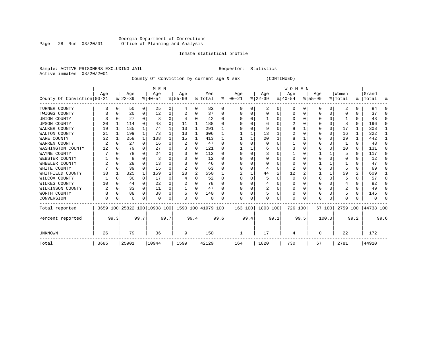#### Georgia Department of Corrections Page 28 Run 03/20/01 Office of Planning and Analysis

#### Inmate statistical profile

Sample: ACTIVE PRISONERS EXCLUDING JAIL **Requestor:** Statistics Active inmates 03/20/2001

County Of Conviction by current age & sex (CONTINUED)

|                            |      |          |          |              | M E N                        |          |                    |          |          |              |              |      |           |      | W O M E N |      |           |              |          |               |           |          |
|----------------------------|------|----------|----------|--------------|------------------------------|----------|--------------------|----------|----------|--------------|--------------|------|-----------|------|-----------|------|-----------|--------------|----------|---------------|-----------|----------|
|                            | Age  |          | Age      |              | Age                          |          | Age                |          | Men      |              | Age          |      | Age       |      | Age       |      | Age       |              | Women    |               | Grand     |          |
| County Of Conviction 00-21 |      |          | $ 22-39$ |              | $8140 - 54$                  |          | $8 55-99$          |          | % Total  | ႜ            | $ 00-21$     |      | $ 22-39 $ |      | $ 40-54$  |      | $8 55-99$ |              | % Total  | $\frac{8}{3}$ | Total     | ႜ        |
| TURNER COUNTY              |      | 0        | 50       | 0            | 25                           | 0        | 4                  | 0        | 82       | 0            | 0            | 0    | 2         | 0    | $\Omega$  | 0    | 0         | 0            | 2        | 0             | 84        | $\Omega$ |
| TWIGGS COUNTY              |      | 0        | 20       | 0            | 12                           | 0        |                    | 0        | 37       | 0            |              |      | 0         | U    |           | O    |           | $\Omega$     |          |               | 37        | $\Omega$ |
| UNION COUNTY               |      |          | 27       | $\Omega$     | 8                            | 0        |                    | 0        | 42       | $\Omega$     |              |      |           |      |           |      |           | 0            |          |               | 43        | $\Omega$ |
| <b>UPSON COUNTY</b>        | 20   |          | 114      | $\Omega$     | 43                           | 0        | 11                 | 1        | 188      | <sup>0</sup> |              |      | 6         |      |           |      |           | 0            |          | 0             | 196       | $\Omega$ |
| WALKER COUNTY              | 19   | 1        | 185      | 1            | 74                           | 1        | 13                 | 1        | 291      |              |              |      | 9         | U    |           |      |           | 0            | 17       |               | 308       |          |
| WALTON COUNTY              | 21   | 1        | 199      | $\mathbf{1}$ | 73                           | 1        | 13                 | 1        | 306      | 1            |              |      | 13        |      |           |      |           | 0            | 16       |               | 322       | 1        |
| WARE COUNTY                | 32   |          | 258      | 1            | 108                          |          | 15                 | 1        | 413      |              |              |      | 20        |      |           |      |           | 0            | 29       |               | 442       |          |
| WARREN COUNTY              | 2    |          | 27       | $\Omega$     | 16                           | $\Omega$ |                    | $\Omega$ | 47       | $\Omega$     |              |      | 0         | U    |           |      |           | 0            |          | 0             | 48        | $\Omega$ |
| WASHINGTON COUNTY          | 12   |          | 79       | $\Omega$     | 27                           | 0        |                    | 0        | 121      | <sup>0</sup> |              |      | 6         |      |           |      |           | 0            | 10       | 0             | 131       | $\Omega$ |
| WAYNE COUNTY               |      |          | 78       | 0            | 24                           | 0        |                    | 0        | 112      | <sup>0</sup> |              |      |           |      |           |      |           |              |          | 0             | 117       | $\Omega$ |
| WEBSTER COUNTY             |      |          | 8        | U            | 3                            | U        |                    | 0        | 12       | $\Omega$     |              |      | O         | U    |           |      |           | U            |          | U             | 12        | $\Omega$ |
| WHEELER COUNTY             | 2    | O        | 28       | 0            | 13                           | U        |                    | U        | 46       | $\Omega$     |              |      | n         |      |           |      |           |              |          |               | 47        | ∩        |
| WHITE COUNTY               |      | $\Omega$ | 39       | $\Omega$     | 15                           | 0        |                    | U        | 63       |              |              |      |           | U    | 2         |      |           | U            |          | U             | 69        | O        |
| WHITFIELD COUNTY           | 38   |          | 325      | $\mathbf 1$  | 159                          |          | 28                 | 2        | 550      |              |              |      | 44        | 2    | 12        |      |           | 1            | 59       | 2             | 609       |          |
| WILCOX COUNTY              |      | U        | 30       | $\Omega$     | 17                           | $\Omega$ |                    | O        | 52       | $\Omega$     |              |      | 5         | U    | $\Omega$  |      | U         | <sup>0</sup> |          | U             | 57        | ∩        |
| WILKES COUNTY              | 10   |          | 44       | 0            | 22                           | 0        |                    | 0        | 78       | <sup>0</sup> |              |      |           |      |           |      |           | U            |          |               | 82        | $\Omega$ |
| WILKINSON COUNTY           | 2    | 0        | 33       | 0            | 11                           | 0        |                    | 0        | 47       | $\Omega$     |              |      | 2         | U    | O         |      |           | 0            | 2        | $\mathbf{0}$  | 49        | $\Omega$ |
| WORTH COUNTY               |      | 0        | 88       | 0            | 38                           | 0        | 6                  | 0        | 140      | U            |              |      |           | U    |           |      |           | U            |          | 0             | 145       | ∩        |
| CONVERSION                 | U    |          | U        | 0            | $\Omega$                     | 0        | O                  | 0        | $\Omega$ |              | <sup>0</sup> | O    | O         | 0    | O         |      | U         | 0            |          |               |           |          |
| Total reported             |      |          |          |              | 3659 100 25822 100 10908 100 |          | 1590 100 41979 100 |          |          |              | 163 100      |      | 1803 100  |      | 726 100   |      | 67 100    |              | 2759 100 |               | 44738 100 |          |
| Percent reported           |      | 99.3     |          | 99.7         |                              | 99.7     |                    | 99.4     |          | 99.6         |              | 99.4 |           | 99.1 |           | 99.5 |           | 100.0        |          | 99.2          |           | 99.6     |
| <b>UNKNOWN</b>             | 26   |          | 79       |              | 36                           |          | 9                  |          | 150      |              |              |      | 17        |      | 4         |      | O         |              | 22       |               | 172       |          |
| Total                      | 3685 |          | 25901    |              | 10944                        |          | 1599               |          | 42129    |              | 164          |      | 1820      |      | 730       |      | 67        |              | 2781     |               | 44910     |          |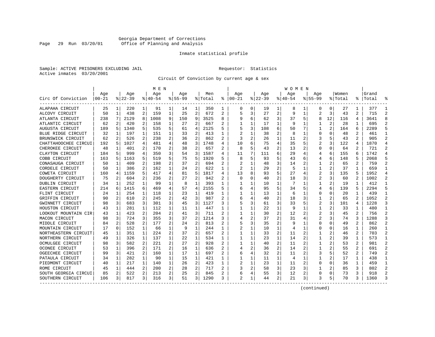#### Georgia Department of Corrections Page 29 Run 03/20/01 Office of Planning and Analysis

#### Inmate statistical profile

Sample: ACTIVE PRISONERS EXCLUDING JAIL **Requestor:** Statistics Active inmates 03/20/2001

Circuit Of Conviction by current age & sex

|                      |           |          |          |                | M E N     |                |             |                |         |   |                |   |          |                | <b>WOMEN</b> |   |                |                |         |                |           |                |
|----------------------|-----------|----------|----------|----------------|-----------|----------------|-------------|----------------|---------|---|----------------|---|----------|----------------|--------------|---|----------------|----------------|---------|----------------|-----------|----------------|
|                      | Age       |          | Age      |                | Age       |                | Aqe         |                | Men     |   | Age            |   | Aqe      |                | Aqe          |   | Aqe            |                | Women   |                | Grand     |                |
| Circ Of Conviction   | $00 - 21$ |          | $ 22-39$ |                | $8 40-54$ |                | $8155 - 99$ |                | % Total | ႜ | $ 00-21$       |   | $ 22-39$ |                | $8140 - 54$  |   | $8155 - 99$    |                | % Total |                | %   Total |                |
| ALAPAHA CIRCUIT      | 25        | 1        | 220      | 1              | 91        | 1              | 14          | 1              | 350     | 1 | 0              | 0 | 19       | 1              | 8            | 1 | 0              | 0              | 27      | 1              | 377       |                |
| ALCOVY CIRCUIT       | 50        | 1        | 438      | 2              | 159       | 1              | 25          | $\overline{a}$ | 672     | 2 | 5              | 3 | 27       | 2              | 9            | 1 | 2              | 3              | 43      | 2              | 715       | 2              |
| ATLANTA CIRCUIT      | 238       | 7        | 2129     | 8              | 1008      | 9              | 150         | 9              | 3525    | 8 |                | 6 | 62       | 3              | 37           | 5 | 8              | 12             | 116     | 4              | 3641      | 8              |
| ATLANTIC CIRCUIT     | 62        | 2        | 420      | 2              | 158       |                | 27          | $\overline{2}$ | 667     | 2 |                | 1 | 17       | $\mathbf{1}$   | g            | 1 |                | $\overline{c}$ | 28      |                | 695       |                |
| AUGUSTA CIRCUIT      | 189       | 5        | 1340     | 5              | 535       | 5              | 61          | 4              | 2125    | 5 |                | 3 | 108      | 6              | 50           |   |                |                | 164     | 6              | 2289      |                |
| BLUE RIDGE CIRCUIT   | 32        | 1        | 197      | 1              | 151       | 1              | 33          | 2              | 413     | 1 |                | 1 | 38       | 2              | 8            | 1 | $\Omega$       | O              | 48      | 2              | 461       | $\mathbf{1}$   |
| BRUNSWICK CIRCUIT    | 62        | 2        | 526      | 2              | 238       | 2              | 36          | 2              | 862     | 2 | 3              | 2 | 26       | 1              | 11           | 2 | 3              |                | 43      | 2              | 905       | $\mathcal{D}$  |
| CHATTAHOOCHEE CIRCUI | 192       | 5        | 1027     | 4              | 481       | 4              | 48          | 3              | 1748    | 4 | 10             | 6 | 75       | 4              | 35           | 5 |                | 3              | 122     | 4              | 1870      | $\overline{4}$ |
| CHEROKEE CIRCUIT     | 48        | 1        | 401      | 2              | 170       | $\overline{a}$ | 38          | 2              | 657     | 2 | 8              | 5 | 43       | $\overline{2}$ | 13           | 2 | 0              | O              | 64      | 2              | 721       | $\overline{2}$ |
| CLAYTON CIRCUIT      | 184       | 5        | 999      | 4              | 350       | 3              | 54          | 3              | 1587    | 4 | 11             |   | 111      | 6              | 29           | 4 | 4              | 6              | 155     | 6              | 1742      | $\Delta$       |
| COBB CIRCUIT         | 163       | 5        | 1163     | 5              | 519       | 5              | 75          | 5              | 1920    |   | 8              | 5 | 93       | 5              | 43           | 6 | 4              | 6              | 148     |                | 2068      |                |
| CONASAUGA CIRCUIT    | 50        | 1        | 409      | 2              | 198       | 2              | 37          | 2              | 694     | 2 |                | 1 | 48       | 3              | 14           | 2 |                |                | 65      | 2              | 759       | 2              |
| CORDELE CIRCUIT      | 50        | 1        | 386      | 2              | 162       | 1              | 24          | $\overline{2}$ | 622     | 1 | $\overline{2}$ | 1 | 29       | $\overline{2}$ | 5            | 1 | 1              | $\overline{c}$ | 37      |                | 659       |                |
| COWETA CIRCUIT       | 160       | 4        | 1159     | 5              | 417       | 4              | 81          | 5              | 1817    | 4 | 13             | 8 | 93       | 5              | 27           | 4 | 2              | 3              | 135     | 5              | 1952      | $\overline{4}$ |
| DOUGHERTY CIRCUIT    | 75        | 2        | 604      | 2              | 236       | $\overline{a}$ | 27          | 2              | 942     | 2 | <sup>0</sup>   | 0 | 40       | 2              | 18           | 3 | 2              | 3              | 60      | $\mathbf{2}$   | 1002      | 2              |
| DUBLIN CIRCUIT       | 34        | 1        | 252      | 1              | 99        | 1              | 8           | 1              | 393     | 1 |                | 1 | 10       | $\mathbf{1}$   | 7            | 1 | 1              | 2              | 19      | 1              | 412       | $\mathbf{1}$   |
| EASTERN CIRCUIT      | 214       | 6        | 1415     | 6              | 469       | 4              | 57          | 4              | 2155    | 5 | 6              | 4 | 95       | 5              | 34           | 5 | 4              | 6              | 139     | 5              | 2294      | 5              |
| FLINT CIRCUIT        | 24        | 1        | 254      | 1              | 118       | 1              | 23          | 1              | 419     | 1 |                |   | 13       | 1              | 6            | 1 | 0              | O              | 20      |                | 439       | -1             |
| GRIFFIN CIRCUIT      | 90        | 2        | 610      | $\overline{a}$ | 245       | 2              | 42          | 3              | 987     |   |                | 4 | 40       | 2              | 18           | 3 | 1              |                | 65      |                | 1052      | 2              |
| GWINNETT CIRCUIT     | 98        | 3        | 683      | 3              | 301       | 3              | 45          | 3              | 1127    | 3 |                | 3 | 61       | 3              | 33           |   | $\overline{2}$ | 3              | 101     | 4              | 1228      | 3              |
| HOUSTON CIRCUIT      | 43        | 1        | 281      | 1              | 112       | 1              | 11          | 1              | 447     |   |                |   | 22       | $\mathbf{1}$   | g            |   | 1              |                | 33      |                | 480       |                |
| LOOKOUT MOUNTAIN CIR | 43        | 1        | 423      | 2              | 204       | 2              | 41          | 3              | 711     | 2 |                | 1 | 30       | 2              | 12           | 2 | 2              | 3              | 45      | 2              | 756       | 2              |
| MACON CIRCUIT        | 98        | 3        | 724      | 3              | 355       | 3              | 37          | $\overline{a}$ | 1214    |   |                | 2 | 37       | $\overline{2}$ | 31           | 4 | 2              | 3              | 74      | 3              | 1288      | 3              |
| MIDDLE CIRCUIT       | 84        | 2        | 528      | 2              | 177       | 2              | 24          | 2              | 813     |   |                | 3 | 35       | 2              | g            | 1 | 0              | 0              | 49      | $\overline{a}$ | 862       | $\overline{2}$ |
| MOUNTAIN CIRCUIT     | 17        | $\Omega$ | 152      | $\mathbf{1}$   | 66        | 1              | 9           | 1              | 244     | 1 |                | 1 | 10       | $\mathbf{1}$   | 4            | 1 | U              | O              | 16      | 1              | 260       | $\mathbf{1}$   |
| NORTHEASTERN CIRCUIT | 45        | 1        | 351      | 1              | 224       | 2              | 37          | 2              | 657     | 2 |                | 1 | 33       | 2              | 11           | 2 | 1              |                | 46      | 2              | 703       | 2              |
| NORTHERN CIRCUIT     | 49        | 1        | 326      | 1              | 137       | 1              | 22          | 1              | 534     | 1 |                |   | 23       | 1              | 14           | 2 |                | 2              | 39      | 1              | 573       | $\mathbf{1}$   |
| OCMULGEE CIRCUIT     | 98        | 3        | 582      | 2              | 221       | 2              | 27          | 2              | 928     | 2 |                |   | 40       | 2              | 11           | 2 |                |                | 53      | 2              | 981       | $\overline{2}$ |
| OCONEE CIRCUIT       | 53        | 1        | 396      | 2              | 171       | 2              | 16          | 1              | 636     |   |                | 2 | 36       | 2              | 14           |   | 1              |                | 55      | 2              | 691       |                |
| OGEECHEE CIRCUIT     | 99        | 3        | 421      | 2              | 160       | 1              | 17          | 1              | 697     | 2 |                | 4 | 32       | 2              | 11           | 2 | 3              |                | 52      | 2              | 749       | $\mathcal{D}$  |
| PATAULA CIRCUIT      | 34        | 1        | 282      | 1              | 90        | 1              | 15          | 1              | 421     | 1 |                | 1 | 11       | $\mathbf{1}$   | 4            | 1 | 1              | 2              | 17      | 1              | 438       | -1             |
| PIEDMONT CIRCUIT     | 40        | 1        | 217      | $\mathbf{1}$   | 140       | 1              | 26          | 2              | 423     | 1 |                | 1 | 23       | $\mathbf{1}$   | 11           | 2 | 0              | 0              | 36      | $\mathbf{1}$   | 459       | -1             |
| ROME CIRCUIT         | 45        | 1        | 444      | 2              | 200       | 2              | 28          | 2              | 717     |   |                | 2 | 58       | 3              | 23           | 3 |                |                | 85      | 3              | 802       | 2              |
| SOUTH GEORGIA CIRCUI | 85        | 2        | 522      | 2              | 213       | 2              | 25          | 2              | 845     |   | 6              | 4 | 55       | 3              | 12           | 2 | $\Omega$       | $\Omega$       | 73      | 3              | 918       | $\mathcal{D}$  |
| SOUTHERN CIRCUIT     | 106       | 3        | 817      | 3              | 316       | 3              | 51          | 3              | 1290    |   | $\mathfrak{D}$ | 1 | 44       | 2              | 21           | 3 |                | 5              | 70      | 3              | 1360      | 3              |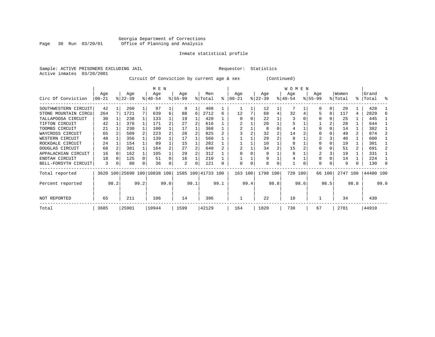#### Georgia Department of Corrections Page 30 Run 03/20/01 Office of Planning and Analysis

#### Inmate statistical profile

Sample: ACTIVE PRISONERS EXCLUDING JAIL **Requestor:** Statistics Active inmates 03/20/2001

Circuit Of Conviction by current age & sex (Continued)

|                      |          |      |           |      | M E N                        |      |           |      |                    |           |          |      |           |      | W O M E N |      |             |          |          |                |           |      |
|----------------------|----------|------|-----------|------|------------------------------|------|-----------|------|--------------------|-----------|----------|------|-----------|------|-----------|------|-------------|----------|----------|----------------|-----------|------|
|                      | Age      |      | Age       |      | Age                          |      | Age       |      | Men                |           | Aqe      |      | Age       |      | Age       |      | Age         |          | Women    |                | Grand     |      |
| Circ Of Conviction   | $ 00-21$ |      | $ 22-39 $ |      | $8 40-54$                    |      | $ 55-99 $ |      | % Total            | $\approx$ | $ 00-21$ |      | $ 22-39 $ |      | $ 40-54 $ |      | $8155 - 99$ |          | % Total  | ွေ             | Total     | ႜ    |
| SOUTHWESTERN CIRCUIT | 42       |      | 260       |      | 97                           |      | 9         |      | 408                |           |          |      | 12        |      |           |      |             | $\Omega$ | 20       |                | 428       |      |
| STONE MOUNTAIN CIRCU | 264      |      | 1721      | 7    | 639                          | 6    | 88        | 6    | 2712               | 6         | 12       |      | 68        | 4    | 32        |      |             | 8        | 117      | 4              | 2829      |      |
| TALLAPOOSA CIRCUIT   | 30       |      | 238       |      | 133                          |      | 19        |      | 420                |           |          |      | 22        |      |           |      |             |          | 25       |                | 445       |      |
| TIFTON CIRCUIT       | 42       |      | 376       |      | 171                          |      | 27        |      | 616                |           |          |      | 20        |      |           |      |             |          | 28       |                | 644       |      |
| TOOMBS CIRCUIT       | 21       |      | 230       |      | 100                          |      | 17        |      | 368                |           |          |      | 8         |      |           |      |             |          | 14       |                | 382       |      |
| WAYCROSS CIRCUIT     | 65       |      | 509       |      | 223                          |      | 28        |      | 825                |           |          |      | 32        |      | 14        |      |             |          | 49       | $\overline{a}$ | 874       |      |
| WESTERN CIRCUIT      | 48       |      | 356       |      | 139                          |      | 17        |      | 560                |           |          |      | 29        |      | 8         |      |             |          | 40       |                | 600       |      |
| ROCKDALE CIRCUIT     | 24       |      | 154       |      | 89                           |      | 15        |      | 282                |           |          |      | 10        |      | 8         |      |             |          | 19       |                | 301       |      |
| DOUGLAS CIRCUIT      | 68       |      | 381       |      | 164                          |      | 27        |      | 640                |           |          |      | 34        |      | 15        |      |             |          | 51       |                | 691       |      |
| APPALACHIAN CIRCUIT  | 16       |      | 162       |      | 105                          |      | 29        |      | 312                |           |          |      | 9         |      | 8         |      |             |          | 19       |                | 331       |      |
| ENOTAH CIRCUIT       | 18       |      | 125       |      | 51                           |      | 16        |      | 210                |           |          |      | 9         |      |           |      |             |          | 14       |                | 224       |      |
| BELL-FORSYTH CIRCUIT | 3        | 0    | 80        | 0    | 36                           | 0    | 2         | 0    | 121                | 0         | $\Omega$ | 0    | 8         | 0    |           |      | $\Omega$    |          | 9        | 0              | 130       |      |
| Total reported       |          |      |           |      | 3620 100 25690 100 10838 100 |      |           |      | 1585 100 41733 100 |           | 163 100  |      | 1798 100  |      | 720 100   |      |             | 66 100   | 2747 100 |                | 44480 100 |      |
| Percent reported     |          | 98.2 |           | 99.2 |                              | 99.0 |           | 99.1 |                    | 99.1      |          | 99.4 |           | 98.8 |           | 98.6 |             | 98.5     |          | 98.8           |           | 99.0 |
| NOT REPORTED         | 65       |      | 211       |      | 106                          |      | 14        |      | 396                |           |          |      | 22        |      | 10        |      |             |          | 34       |                | 430       |      |
| Total                | 3685     |      | 25901     |      | 10944                        |      | 1599      |      | 42129              |           | 164      |      | 1820      |      | 730       |      | 67          |          | 2781     |                | 44910     |      |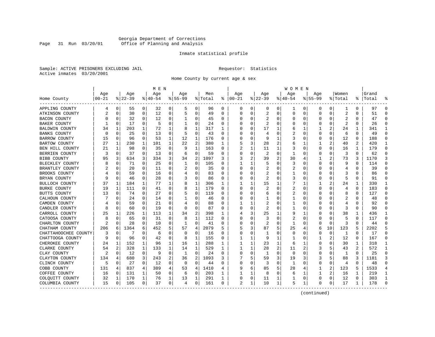#### Georgia Department of Corrections Page 31 Run 03/20/01 Office of Planning and Analysis

#### Inmate statistical profile

Sample: ACTIVE PRISONERS EXCLUDING JAIL **Requestor:** Statistics Active inmates 03/20/2001

Home County by current age & sex

|                      |            |                |          |             | M E N       |   |             |              |         |          |            |          |              |    | W O M E N   |             |             |          |                |          |           |              |
|----------------------|------------|----------------|----------|-------------|-------------|---|-------------|--------------|---------|----------|------------|----------|--------------|----|-------------|-------------|-------------|----------|----------------|----------|-----------|--------------|
|                      | Age        |                | Age      |             | Age         |   | Age         |              | Men     |          | Age        |          | Age          |    | Age         |             | Aqe         |          | Women          |          | Grand     |              |
| Home County          | $ 00 - 21$ |                | $ 22-39$ |             | $8140 - 54$ |   | $8155 - 99$ |              | % Total | နွ       | $ 00 - 21$ |          | $ 22-39$     |    | $8140 - 54$ |             | $8155 - 99$ |          | % Total        |          | %   Total |              |
| APPLING COUNTY       | 4          | 0              | 55       | 0           | 32          | 0 | 5           | 0            | 96      | 0        | 0          | 0        | 0            | 0  | ı           | 0           | 0           | 0        | 1              | 0        | 97        | $\Omega$     |
| ATKINSON COUNTY      |            | 0              | 30       | 0           | 12          | 0 | 5           | 0            | 49      | $\Omega$ | $\Omega$   | $\Omega$ | 2            | 0  | $\Omega$    | 0           | $\Omega$    | 0        | $\overline{2}$ | $\Omega$ | 51        | $\Omega$     |
| BACON COUNTY         |            | 0              | 32       | 0           | 12          | 0 | 1           | 0            | 45      | 0        |            | O        | 2            | 0  | Ω           | 0           | 0           | 0        | 2              | 0        | 47        | ∩            |
| BAKER COUNTY         |            | 0              | 17       | 0           | 5           | 0 | -1          | 0            | 24      | 0        |            |          | 2            | U  |             | 0           | 0           | 0        | 2              | 0        | 26        | $\Omega$     |
| BALDWIN COUNTY       | 34         | 1              | 203      | 1           | 72          | 1 | 8           | $\mathbf{1}$ | 317     | 1        |            |          | 17           | 1  | 6           | 1           |             | 2        | 24             | 1        | 341       | -1           |
| BANKS COUNTY         |            | $\Omega$       | 25       | $\Omega$    | 13          | 0 | 5           | $\mathbf 0$  | 43      | $\Omega$ |            | O        | 4            | 0  | 2           | $\Omega$    | 0           | $\Omega$ | 6              | 0        | 49        | $\Omega$     |
| BARROW COUNTY        | 15         | 0              | 96       | 0           | 53          | 1 | 12          | 1            | 176     | 0        |            | O        | 9            | 1  | 3           | 0           | 0           | 0        | 12             | $\Omega$ | 188       | $\Omega$     |
| BARTOW COUNTY        | 27         | 1              | 230      | 1           | 101         | 1 | 22          | 2            | 380     | 1        |            | 3        | 28           |    |             | 1           |             | 2        | 40             | 2        | 420       | -1           |
| BEN HILL COUNTY      | 21         | 1              | 98       | 0           | 35          | 0 | 9           | 1            | 163     | 0        | 2          | 1        | 11           | 1  | 3           | 0           | $\Omega$    | 0        | 16             | 1        | 179       | $\Omega$     |
| BERRIEN COUNTY       |            | 0              | 37       | $\Omega$    | 13          | 0 | 6           | $\mathbf 0$  | 59      | $\Omega$ |            | 0        | 2            | 0  |             | $\Omega$    | 0           | 0        | 3              | $\Omega$ | 62        | $\Omega$     |
| BIBB COUNTY          | 95         | 3              | 634      | 3           | 334         | 3 | 34          | 2            | 1097    | 3        |            | 2        | 39           | 2  | 30          | 4           | 1           |          | 73             | 3        | 1170      | 3            |
| BLECKLEY COUNTY      |            | $\Omega$       | 71       | 0           | 25          | 0 | -1          | 0            | 105     | $\Omega$ |            | ı.       | 5            | U  | 3           | $\Omega$    | O           | U        | 9              | $\Omega$ | 114       | ∩            |
| BRANTLEY COUNTY      |            | $\Omega$       | 20       | 0           | 11          | 0 | 2           | $\mathbf 0$  | 35      | $\Omega$ |            | $\Omega$ | 2            | U  | 2           | 0           | U           | 0        | 4              | O        | 39        |              |
| BROOKS COUNTY        |            | $\Omega$       | 59       | 0           | 16          | 0 | 4           | 0            | 83      | $\Omega$ |            | O        | 2            | U  |             | 0           | U           | U        | 3              | 0        | 86        | ∩            |
| BRYAN COUNTY         |            | 0              | 46       | 0           | 28          | 0 |             | 0            | 86      | 0        |            | O        | 2            | 0  | 3           | 0           | 0           | 0        | 5              | 0        | 91        | ∩            |
| BULLOCH COUNTY       | 37         | 1              | 184      | $\mathbf 1$ | 77          | 1 | 8           | 1            | 306     | 1        |            |          | 15           |    |             | -1          |             | 2        | 24             | 1        | 330       | 1            |
| <b>BURKE COUNTY</b>  | 19         | 1              | 111      | $\Omega$    | 41          | 0 | 8           | 1            | 179     | $\Omega$ |            |          |              | U  | 2           | $\Omega$    | $\Omega$    | U        | 4              | $\Omega$ | 183       | $\Omega$     |
| BUTTS COUNTY         | 13         | 0              | 74       | 0           | 27          | 0 |             | 0            | 119     | 0        | n          | U        | 6            | U  | 2           | $\Omega$    | U           | O        | 8              | 0        | 127       | ∩            |
| CALHOUN COUNTY       |            | $\Omega$       | 24       | 0           | 14          | 0 | 1           | 0            | 46      | $\Omega$ |            | O        | -1           | U  |             | 0           | U           | 0        | 2              | O        | 48        |              |
| CAMDEN COUNTY        |            | $\Omega$       | 59       | 0           | 21          | 0 | 4           | 0            | 88      | $\Omega$ |            |          | 2            | U  | 1           | 0           | U           | U        | 4              | 0        | 92        | $\cap$       |
| CANDLER COUNTY       |            | 0              | 60       | 0           | 19          | 0 | $\Omega$    | 0            | 87      | 0        |            | O        | 2            | U  |             | 0           | 0           | 0        | 3              | 0        | 90        | $\Omega$     |
| CARROLL COUNTY       | 25         | 1              | 226      | 1           | 113         | 1 | 34          | 2            | 398     | 1        |            | 3        | 25           |    | 9           | 1           | U           | U        | 38             | ı        | 436       | -1           |
| CATOOSA COUNTY       |            | $\Omega$       | 65       | 0           | 31          | 0 | 8           | 1            | 112     | O        |            |          | 3            | U  |             | $\Omega$    | U           | U        | 5              | $\Omega$ | 117       | $\Omega$     |
| CHARLTON COUNTY      | 2          | $\Omega$       | 28       | 0           | 10          | 0 | -1          | 0            | 41      | 0        | O          | U        | 2            | U  | -1          | $\Omega$    | O           | 0        | 3              | 0        | 44        |              |
| CHATHAM COUNTY       | 206        | 6              | 1364     | 6           | 452         | 5 | 57          | 4            | 2079    | 5        |            | 3        | 87           | 5. | 25          | 4           | 6           | 10       | 123            | 5        | 2202      |              |
| CHATTAHOOCHEE COUNTY | 3          | 0              | 7        | 0           | 6           | 0 | $\Omega$    | 0            | 16      | $\Omega$ |            | $\Omega$ | $\mathbf{1}$ | O  | $\Omega$    | $\mathbf 0$ | $\Omega$    | 0        | 1              | $\Omega$ | 17        | $\Omega$     |
| CHATTOOGA COUNTY     | q          | 0              | 96       | 0           | 42          | 0 | 8           | 1            | 155     | 0        |            | 1        | 9            | 1  | -1          | 0           | 1           | 2        | 12             | 0        | 167       | $\Omega$     |
| CHEROKEE COUNTY      | 24         | 1              | 152      | 1           | 96          | 1 | 16          | 1            | 288     | 1        |            |          | 23           | 1  | 6           | 1           | 0           | U        | 30             | 1        | 318       | 1            |
| CLARKE COUNTY        | 54         | 2              | 328      | 1           | 133         | 1 | 14          | 1            | 529     | 1        |            |          | 28           | 2  | 11          |             | 3           | 5        | 43             |          | 572       | 1            |
| CLAY COUNTY          |            | $\Omega$       | 12       | 0           | q           | 0 | -1          | 0            | 24      | $\Omega$ | $\Omega$   | O        | -1           | 0  | $\Omega$    | $\Omega$    | 0           | 0        | 1              | 0        | 25        | ∩            |
| CLAYTON COUNTY       | 134        | $\overline{4}$ | 680      | 3           | 243         | 2 | 36          | 2            | 1093    | 3        |            | 5        | 59           | 3  | 19          | 3           | 3           | 5        | 88             | 3        | 1181      |              |
| CLINCH COUNTY        | 5          | 0              | 27       | 0           | 12          | 0 | 0           | 0            | 44      | $\Omega$ |            | O        | 3            | O  | 1           | $\mathbf 0$ | $\Omega$    | 0        | $\overline{4}$ | $\Omega$ | 48        | $\cap$       |
| COBB COUNTY          | 131        | 4              | 837      | 4           | 389         | 4 | 53          | 4            | 1410    | 4        |            | 6        | 85           | 5  | 28          | 4           | 1           | 2        | 123            | 5        | 1533      |              |
| COFFEE COUNTY        | 16         | 0              | 131      | 1           | 50          | 0 | 6           | 0            | 203     | 1        |            |          | 8            | 0  | 6           | 1           | 1           | 2        | 16             | 1        | 219       | $\mathbf{1}$ |
| COLQUITT COUNTY      | 32         | 1              | 170      | 1           | 76          | 1 | 13          | 1            | 291     | 1        |            | 0        | 11           | 1  |             | 0           | 0           | 0        | 12             | 0        | 303       | -1           |
| COLUMBIA COUNTY      | 15         | 0              | 105      | 0           | 37          | 0 | 4           | 0            | 161     | 0        | 2          | 1        | 10           | 1  | 5           | 1           | 0           | 0        | 17             | 1        | 178       | ∩            |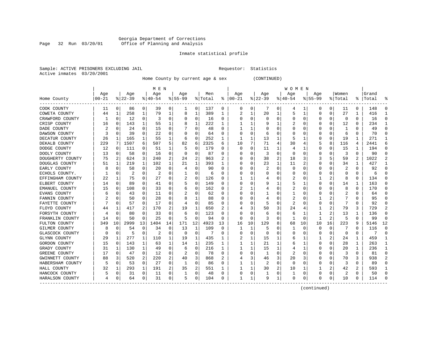#### Georgia Department of Corrections Page 32 Run 03/20/01 Office of Planning and Analysis

### Inmate statistical profile

|  |                           | Sample: ACTIVE PRISONERS EXCLUDING JAII |  |
|--|---------------------------|-----------------------------------------|--|
|  | Active inmates 03/20/2001 |                                         |  |

L Bample: Active Prequestor: Statistics

Home County by current age & sex (CONTINUED)

| M E N            |       |             |          |              |           |          |           |             |         |    |          |    |          |          | W O M E N |    |             |          |          |              |       |    |
|------------------|-------|-------------|----------|--------------|-----------|----------|-----------|-------------|---------|----|----------|----|----------|----------|-----------|----|-------------|----------|----------|--------------|-------|----|
|                  | Age   |             | Age      |              | Age       |          | Aqe       |             | Men     |    | Age      |    | Age      |          | Age       |    | Age         |          | Women    |              | Grand |    |
| Home County      | 00-21 |             | $ 22-39$ |              | $8 40-54$ |          | $8 55-99$ |             | % Total | ႜ  | $ 00-21$ |    | $ 22-39$ |          | $8 40-54$ |    | $8155 - 99$ |          | % Total  | ႜ            | Total |    |
| COOK COUNTY      | 11    | 0           | 86       | 0            | 39        | 0        |           | 0           | 137     | 0  | 0        | 0  |          | 0        | 4         |    | 0           | 0        | 11       | 0            | 148   |    |
| COWETA COUNTY    | 44    | 1           | 258      | 1            | 79        | 1        | 8         | 1           | 389     | 1  | 2        | 1  | 20       |          | 5         | 1  | U           | 0        | 27       | $\mathbf{1}$ | 416   |    |
| CRAWFORD COUNTY  |       | 0           | 12       | $\Omega$     | 3         | 0        | O         | $\Omega$    | 16      | 0  | C        | 0  | O        | $\Omega$ | 0         | O  |             | 0        | $\Omega$ | $\Omega$     | 16    |    |
| CRISP COUNTY     | 16    | $\Omega$    | 143      | $\mathbf{1}$ | 55        | 1        |           | 1           | 222     | 1  |          |    |          |          |           | O  |             | $\Omega$ | 12       | $\Omega$     | 234   |    |
| DADE COUNTY      | 2     | 0           | 24       | 0            | 15        | 0        |           | 0           | 48      | O  |          | 1  |          |          |           |    |             | $\Omega$ | -1       | $\Omega$     | 49    |    |
| DAWSON COUNTY    |       | $\mathbf 0$ | 39       | $\Omega$     | 22        | U        |           | $\Omega$    | 64      | O  |          | 0  | 6        |          |           |    |             | 0        | 6        | $\Omega$     | 70    |    |
| DECATUR COUNTY   | 26    | 1           | 165      | 1            | 55        | 1        | 6         | $\Omega$    | 252     | 1  |          | 1  | 13       |          | 5         |    |             | $\Omega$ | 19       | $\mathbf{1}$ | 271   |    |
| DEKALB COUNTY    | 229   | 7           | 1507     | 6            | 507       | 5        | 82        | 6           | 2325    | 6  | 10       | 7  | 71       | 4        | 30        |    |             | 8        | 116      | 4            | 2441  |    |
| DODGE COUNTY     | 12    | 0           | 111      | 0            | 51        | 1        | 5         | 0           | 179     | O  | 0        | 0  | 11       |          | 4         |    | O           | 0        | 15       | 1            | 194   | U  |
| DOOLY COUNTY     | 13    | 0           | 58       | $\Omega$     | 16        | 0        | O         | 0           | 87      | 0  | C        | 0  | 3        | $\Omega$ | 0         |    | 0           | 0        | 3        | $\Omega$     | 90    | n  |
| DOUGHERTY COUNTY | 75    | 2           | 624      | 3            | 240       | 2        | 24        | 2           | 963     |    |          | 0  | 38       | 2        | 18        |    |             | 5.       | 59       | 2            | 1022  |    |
| DOUGLAS COUNTY   | 51    | 1           | 219      | 1            | 102       | 1        | 21        | 1           | 393     |    | C        | U  | 23       | 1        | 11        |    |             | U        | 34       | 1            | 427   |    |
| EARLY COUNTY     |       | 0           | 58       | $\Omega$     | 20        | 0        |           | $\Omega$    | 90      | U  | O        | 0  |          | $\Omega$ | 0         |    |             | 0        | 2        | $\Omega$     | 92    |    |
| ECHOLS COUNTY.   |       | 0           | 2        | $\Omega$     | 2         | 0        |           | 0           | 6       | O  |          | 0  |          | O        | $\Omega$  |    |             | U        | O        | $\Omega$     | 6     |    |
| EFFINGHAM COUNTY | 22    | 1           | 75       | 0            | 27        | 0        | 2         | 0           | 126     | 0  |          |    |          | $\Omega$ | 2         |    |             | 2        | 8        | 0            | 134   |    |
| ELBERT COUNTY    | 14    | $\mathbf 0$ | 89       | 0            | 41        | 0        |           | $\mathbf 0$ | 149     | N  |          | 0  |          |          | 5         |    |             | 0        | 14       | $\mathbf{1}$ | 163   |    |
| EMANUEL COUNTY   | 15    | 0           | 108      | 0            | 33        | 0        | 6         | $\Omega$    | 162     | O  |          | 1  |          | $\Omega$ |           |    |             | 0        | 8        | $\Omega$     | 170   |    |
| EVANS COUNTY     | 6     | $\Omega$    | 43       | O            | 11        | 0        |           | $\Omega$    | 62      | O  |          | 0  |          |          |           |    |             | 0        | 2        | $\Omega$     | 64    |    |
| FANNIN COUNTY    |       | $\Omega$    | 50       | 0            | 28        | 0        |           | 1           | 88      | O  | O        | U  |          | O        | 2         |    |             | 2        |          | O            | 95    |    |
| FAYETTE COUNTY   |       | 0           | 57       | O            | 17        | 0        |           | $\Omega$    | 85      | O  |          | 0  |          |          | 2         |    |             | 0        |          | $\Omega$     | 92    |    |
| FLOYD COUNTY     | 44    | 1           | 417      |              | 170       | 2        | 19        | 1           | 650     |    |          | 3  | 50       | 3        | 24        |    |             | 2        | 79       | 3            | 729   |    |
| FORSYTH COUNTY   |       | $\Omega$    | 80       | O            | 33        | 0        | 6         | $\Omega$    | 123     | N  | C        | 0  | b        | O        | 6         |    |             | 2        | 13       | 1            | 136   |    |
| FRANKLIN COUNTY  | 14    | $\Omega$    | 50       | $\Omega$     | 25        | $\Omega$ | 5         | $\Omega$    | 94      | O  | $\Omega$ | 0  | 3        | $\Omega$ | 1         | O  | -1          | 2        | 5        | $\Omega$     | 99    | U  |
| FULTON COUNTY    | 349   | 10          | 2999     | 13           | 1404      | 14       | 171       | 12          | 4923    | 13 | 16       | 10 | 129      | 8        | 68        | 10 | 10          | 16       | 223      | 9            | 5146  | 12 |
| GILMER COUNTY    | 8     | 0           | 54       | 0            | 34        | $\Omega$ | 13        | 1           | 109     | 0  | 1        | 1  | 5        | 0        |           | O  | O           | 0        |          | $\Omega$     | 116   |    |
| GLASCOCK COUNTY  |       | $\mathbf 0$ | 5        | $\Omega$     | 2         | $\Omega$ | 0         | $\Omega$    | 7       | O  |          | 0  | O        |          |           |    |             | $\Omega$ | $\Omega$ | $\Omega$     | 7     | U  |
| GLYNN COUNTY     | 29    | 1           | 277      | 1            | 110       | 1        | 19        | 1           | 435     | 1  |          | 1  | 15       |          | 6         |    |             | 2        | 24       | $\mathbf{1}$ | 459   |    |
| GORDON COUNTY    | 15    | 0           | 143      | 1            | 63        | 1        | 14        | 1           | 235     | 1  |          | 1  | 21       |          | 6         |    | O           | 0        | 28       | 1            | 263   |    |
| GRADY COUNTY     | 31    | 1           | 130      | $\mathbf{1}$ | 49        | 0        | 6         | 0           | 216     | -1 |          |    | 15       |          | 4         |    | O           | 0        | 20       | $\mathbf{1}$ | 236   |    |
| GREENE COUNTY    | 17    | 0           | 47       | 0            | 12        | 0        | 2         | 0           | 78      | 0  | C        | 0  |          |          | 2         |    |             | 0        | 3        | 0            | 81    | U  |
| GWINNETT COUNTY  | 88    | 3           | 520      | 2            | 220       | 2        | 40        | 3           | 868     |    |          | 3  | 46       | 3        | 20        |    |             | 0        | 70       | 3            | 938   |    |
| HABERSHAM COUNTY |       | 0           | 53       | 0            | 27        | 0        |           | 0           | 86      | O  |          |    |          | $\Omega$ | 0         |    |             | 0        | 3        | $\Omega$     | 89    |    |
| HALL COUNTY      | 32    | 1           | 293      | 1            | 191       | 2        | 35        | 2           | 551     |    |          |    | 30       |          | 10        |    |             | 2        | 42       | 2            | 593   |    |
| HANCOCK COUNTY   |       | 0           | 31       | 0            | 11        | 0        |           | 0           | 48      | 0  | C        | 0  |          | $\Omega$ |           | O  |             | 0        | 2        | $\Omega$     | 50    |    |
| HARALSON COUNTY  |       | 0           | 64       | 0            | 31        | 0        | 5         | 0           | 104     | O  |          | 1  | q        |          | $\Omega$  | O  | U           | 0        | 10       | $\Omega$     | 114   |    |

------------------------------------------------------------------------------------------------------------------------------------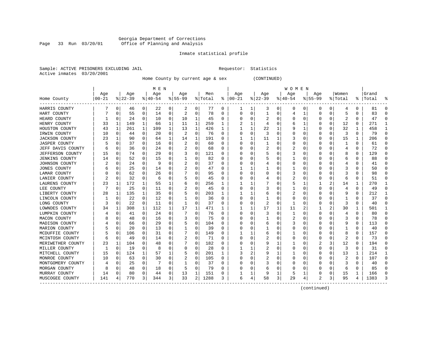#### Georgia Department of Corrections Page 33 Run 03/20/01 Office of Planning and Analysis

### Inmate statistical profile

|  | Sample: ACTIVE PRISONERS EXCLUDING JAII |  |
|--|-----------------------------------------|--|
|  | Active inmates 03/20/2001               |  |

L Bample: Active Prequestor: Statistics

Home County by current age & sex (CONTINUED)

|                       |             |             |          |          | M E N    |              |                |              |         |   |          |   |             |          | W O M E N |   |                |                |         |              |       |   |
|-----------------------|-------------|-------------|----------|----------|----------|--------------|----------------|--------------|---------|---|----------|---|-------------|----------|-----------|---|----------------|----------------|---------|--------------|-------|---|
|                       | Age         |             | Age      |          | Age      |              | Age            |              | Men     |   | Age      |   | Age         |          | Age       |   | Age            |                | Women   |              | Grand |   |
| Home County           | $ 00 - 21 $ |             | $ 22-39$ |          | $ 40-54$ |              | $8155 - 99$    |              | % Total | ႜ | $ 00-21$ |   | $8$   22-39 |          | $8 40-54$ |   | $8155 - 99$    |                | % Total | ႜ            | Total |   |
| HARRIS COUNTY         |             | 0           | 46       | 0        | 22       | 0            | 2              | 0            | 77      | 0 | 1        | 1 | 3           | 0        | 0         | 0 | 0              | 0              | 4       | 0            | 81    |   |
| HART COUNTY           |             | 0           | 55       | 0        | 14       | 0            | 2              | 0            | 78      | 0 | C        | 0 |             | 0        | 4         | 1 | 0              | $\mathbf 0$    | 5       | 0            | 83    |   |
| HEARD COUNTY          |             | 0           | 24       | $\Omega$ | 10       | 0            | 10             | 1            | 45      | 0 | O        | 0 |             | O        | U         | U |                | $\Omega$       |         | $\Omega$     | 47    |   |
| HENRY COUNTY          | 33          | 1           | 149      | 1        | 66       | 1            | 11             | 1            | 259     | 1 |          | 1 |             |          |           |   |                | 0              | 12      | 0            | 271   |   |
| HOUSTON COUNTY        | 43          | 1           | 261      | 1        | 109      | $\mathbf{1}$ | 13             | $\mathbf{1}$ | 426     | 1 |          | 1 | 22          |          |           | 1 |                | 0              | 32      | $\mathbf{1}$ | 458   |   |
| IRWIN COUNTY          | 10          | 0           | 44       | 0        | 20       | 0            | $\overline{2}$ | 0            | 76      | 0 | ſ        | 0 | 3           | $\Omega$ | U         |   | <sup>0</sup>   | 0              | 3       | $\Omega$     | 79    | ∩ |
| <b>JACKSON COUNTY</b> | 23          | -1          | 90       | 0        | 64       | 1            | 14             | 1            | 191     | U |          |   | 11          |          | 3         |   | O              | 0              | 15      | 1            | 206   | U |
| JASPER COUNTY         |             | $\Omega$    | 37       | 0        | 16       | 0            | 2              | 0            | 60      | U | O        | 0 |             | O        | 0         |   | O              | $\Omega$       | 1       | 0            | 61    | U |
| JEFF DAVIS COUNTY     |             | 0           | 36       | 0        | 24       | 0            | 2              | 0            | 68      | U | C        | 0 |             |          | 2         |   |                | 0              | 4       | $\Omega$     | 72    |   |
| JEFFERSON COUNTY      | 15          | 0           | 74       | 0        | 29       | 0            | 3              | 0            | 121     | U |          | U |             |          | 3         |   |                | U              | 8       | 0            | 129   |   |
| <b>JENKINS COUNTY</b> | 14          | 0           | 52       | 0        | 15       | 0            |                | $\Omega$     | 82      | U |          | U |             |          |           |   |                | $\Omega$       | 6       | 0            | 88    |   |
| JOHNSON COUNTY        |             | n           | 24       | 0        | 9        | 0            |                | 0            | 37      | U |          | U |             | $\cup$   | U         |   |                | $\Omega$       |         | 0            | 41    |   |
| JONES COUNTY          |             | 0           | 25       | 0        | 14       | 0            | 2              | 0            | 47      | U |          |   |             |          |           |   |                | 0              | 3       | 0            | 50    |   |
| LAMAR COUNTY          |             | 0           | 62       | 0        | 26       | 0            |                | $\Omega$     | 95      | U |          | 0 |             |          | 3         |   |                | 0              |         | $\Omega$     | 98    |   |
| LANIER COUNTY         |             | $\Omega$    | 32       | 0        | 6        | 0            |                | $\Omega$     | 45      | U |          | 0 |             |          | 2         |   | <sup>0</sup>   | 0              | 6       | $\Omega$     | 51    |   |
| LAURENS COUNTY        | 23          | 1           | 172      | 1        | 55       | 1            |                | 0            | 256     | 1 |          |   |             |          | 5         |   |                | $\overline{a}$ | 14      | 1            | 270   |   |
| LEE COUNTY            |             | $\mathbf 0$ | 25       | 0        | 11       | 0            |                | 0            | 45      | 0 | C        | 0 |             |          |           | O | <sup>0</sup>   | 0              | 4       | 0            | 49    | ∩ |
| LIBERTY COUNTY        | 28          | 1           | 135      |          | 35       | 0            |                | 0            | 203     |   |          |   | 6           |          | 2         |   |                | 0              | 9       | 0            | 212   |   |
| LINCOLN COUNTY        |             | 0           | 22       | 0        | 12       | 0            |                | $\Omega$     | 36      | U |          | 0 |             |          | 0         |   |                | $\Omega$       |         | 0            | 37    |   |
| LONG COUNTY           | 3           | 0           | 22       | 0        | 11       | 0            |                | $\Omega$     | 37      | U |          | 0 |             | U        |           |   |                | 0              | 3       | $\Omega$     | 40    |   |
| LOWNDES COUNTY        | 34          | 1           | 308      | 1        | 112      | 1            | 17             | 1            | 471     | 1 |          |   | 17          |          | 11        |   |                | 2              | 30      | $\mathbf{1}$ | 501   |   |
| LUMPKIN COUNTY        |             | 0           | 41       | $\Omega$ | 24       | 0            |                | $\Omega$     | 76      | 0 | O        | O | 3           | $\Omega$ |           |   | <sup>0</sup>   | $\Omega$       | 4       | 0            | 80    |   |
| MACON COUNTY          |             | 0           | 48       | 0        | 16       | 0            | 3              | 0            | 75      | U |          | 0 |             |          | 2         |   |                | 0              | 3       | $\Omega$     | 78    |   |
| MADISON COUNTY        |             | 0           | 66       | 0        | 29       | 0            |                | 0            | 104     | O |          | 0 | 6           |          | 3         |   |                | 0              | 9       | 0            | 113   |   |
| MARION COUNTY         |             | 0           | 20       | 0        | 13       | 0            |                | 0            | 39      | 0 |          | 0 |             |          |           |   | <sup>0</sup>   | 0              | 1       | $\Omega$     | 40    | ∩ |
| MCDUFFIE COUNTY       |             | 0           | 106      | 0        | 31       | 0            |                | 0            | 149     | U |          |   | 6           |          |           |   | 0              | 0              | 8       | 0            | 157   | U |
| MCINTOSH COUNTY       |             | 0           | 49       | 0        | 14       | 0            | 2              | 0            | 71      | U | C        | 0 |             |          | 0         |   | 0              | 0              | 2       | 0            | 73    | U |
| MERIWETHER COUNTY     | 23          | 1           | 104      | 0        | 48       | 0            |                | 0            | 182     | U | ſ        | 0 |             |          |           |   | 2              | 3              | 12      | $\Omega$     | 194   |   |
| MILLER COUNTY         |             | $\Omega$    | 19       | 0        | 8        | 0            |                | 0            | 28      | U |          |   |             | U        | U         |   | <sup>0</sup>   | 0              | 3       | $\Omega$     | 31    |   |
| MITCHELL COUNTY       | 15          | 0           | 124      | 1        | 57       | 1            |                | 0            | 201     | 1 | 3        | 2 |             |          |           |   |                | 0              | 13      | 1            | 214   |   |
| MONROE COUNTY         | 10          | 0           | 63       | 0        | 30       | 0            |                | 0            | 105     | U |          | 0 |             | O        | U         |   |                | 0              | 2       | 0            | 107   | ∩ |
| MONTGOMERY COUNTY     |             | $\Omega$    | 25       | 0        | 7        | 0            |                | 0            | 37      | U |          | 0 | 3           |          |           |   |                | $\Omega$       | 3       | 0            | 40    |   |
| MORGAN COUNTY         | 8           | 0           | 48       | 0        | 18       | 0            |                | 0            | 79      | U |          | 0 | b           | O        |           |   |                | 0              | 6       | 0            | 85    |   |
| MURRAY COUNTY         | 14          | 0           | 80       | 0        | 44       | 0            | 13             | 1            | 151     | U |          | 1 |             |          | 5         |   |                | 0              | 15      | 1            | 166   |   |
| MUSCOGEE COUNTY       | 141         | 4           | 770      | 3        | 344      | 3            | 33             | 2            | 1288    | 3 | 6        | 4 | 58          | 3        | 29        | 4 | $\mathfrak{D}$ | 3              | 95      | 4            | 1383  |   |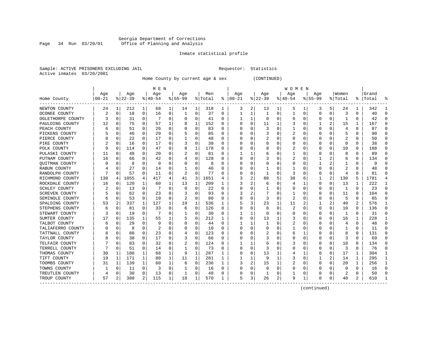#### Georgia Department of Corrections Page 34 Run 03/20/01 Office of Planning and Analysis

### Inmate statistical profile

|  | Sample: ACTIVE PRISONERS EXCLUDING JAII |  |
|--|-----------------------------------------|--|
|  | Active inmates 03/20/2001               |  |

L Bample: Active Prequestor: Statistics

Home County by current age & sex (CONTINUED)

|                       |           |          |           |                | M E N     |   |              |             |         |                  |          |          |          |   | W O M E N |   |             |          |         |   |           |                  |
|-----------------------|-----------|----------|-----------|----------------|-----------|---|--------------|-------------|---------|------------------|----------|----------|----------|---|-----------|---|-------------|----------|---------|---|-----------|------------------|
|                       | Age       |          | Age       |                | Age       |   | Age          |             | Men     |                  | Age      |          | Age      |   | Age       |   | Aqe         |          | Women   |   | Grand     |                  |
| Home County           | $00 - 21$ |          | $ 22-39 $ |                | $8 40-54$ |   | $8 55-99$    |             | % Total | ႜ                | $ 00-21$ |          | $ 22-39$ |   | $ 40-54$  |   | $8155 - 99$ |          | % Total |   | %   Total |                  |
| NEWTON COUNTY         | 24        | 1        | 212       | $\mathbf{1}$   | 68        | 1 | 14           | 1           | 318     | 1                | 3        | 2        | 13       | 1 | 5         |   | 3           | 5        | 24      | 1 | 342       |                  |
| OCONEE COUNTY         |           | 0        | 18        | 0              | 16        | 0 | 1            | 0           | 37      | 0                |          | 1        | -1       | 0 | 1         | 0 | 0           | $\Omega$ | 3       | 0 | 40        | ſ                |
| OGLETHORPE COUNTY     |           | $\Omega$ | 31        | $\Omega$       | 7         | 0 | $\left($     | 0           | 41      | O                |          | 1        | $\Omega$ | O | Ω         | O | O           | $\Omega$ |         | 0 | 42        |                  |
| PAULDING COUNTY       | 12        | 0        | 75        | $\Omega$       | 57        | 1 | 8            | 1           | 152     | O                |          | $\Omega$ | 11       | 1 | 3         | 0 |             | 2        | 15      | 1 | 167       | $\left( \right)$ |
| PEACH COUNTY          |           | $\Omega$ | 51        | 0              | 26        | 0 |              | $\mathsf 0$ | 83      | U                |          | 0        |          | O |           | 0 | O           | $\Omega$ | 4       | 0 | 87        |                  |
| PICKENS COUNTY        |           | $\Omega$ | 46        | 0              | 29        | 0 |              | 0           | 85      | O                |          | $\Omega$ |          | n |           | 0 | O           | O        | 5       | 0 | 90        | C                |
| PIERCE COUNTY         |           | 0        | 22        | 0              | 17        | 0 |              | 0           | 48      | 0                |          | 0        |          | 0 | 0         | 0 | O           | 0        |         | 0 | 50        | n                |
| PIKE COUNTY           |           | $\Omega$ | 16        | 0              | 17        | 0 |              | 0           | 38      | $\Omega$         |          | $\Omega$ | 0        | 0 | 0         | 0 | 0           | $\Omega$ | 0       | 0 | 38        | $\Omega$         |
| POLK COUNTY           |           | $\Omega$ | 114       | 0              | 47        | 0 | 8            | 1           | 178     | 0                |          | $\Omega$ | 8        | 0 | 2         | 0 | 0           | $\Omega$ | 10      | 0 | 188       | <sup>0</sup>     |
| PULASKI COUNTY        | 11        | $\Omega$ | 48        | 0              | 20        | 0 |              | 0           | 81      | $\Omega$         |          |          | 6        | O |           | O |             |          | 8       | 0 | 89        |                  |
| PUTNAM COUNTY         | 16        | $\Omega$ | 66        | 0              | 42        | 0 | 4            | 0           | 128     | O                |          | 0        |          | O |           | C |             |          | 6       | 0 | 134       |                  |
| QUITMAN COUNTY        |           | O        | 8         | 0              | $\Omega$  | 0 |              | 0           | 8       | 0                |          | 0        |          | 0 | 0         | O |             |          |         | 0 | 9         |                  |
| RABUN COUNTY          |           | $\Omega$ | 27        | 0              | 14        | 0 |              | 0           | 46      | $\left( \right)$ |          | $\Omega$ |          | O |           | O |             | 0        |         | 0 | 48        |                  |
| RANDOLPH COUNTY       |           | $\Omega$ | 57        | 0              | 11        | 0 | 2            | 0           | 77      | O                |          | 0        | -1       | 0 | 3         | 0 |             | 0        | 4       | 0 | 81        |                  |
| RICHMOND COUNTY       | 138       | 4        | 1055      | 4              | 417       | 4 | 41           | 3           | 1651    | 4                |          | 2        | 88       | 5 | 38        | 6 |             | 2        | 130     | 5 | 1781      |                  |
| ROCKDALE COUNTY       | 16        | $\Omega$ | 120       | 1              | 60        | 1 | 13           | 1           | 209     | 1                |          | 2        | 6        | 0 |           | 1 | $\Omega$    | $\Omega$ | 13      | 1 | 222       |                  |
| <b>SCHLEY COUNTY</b>  |           | $\Omega$ | 13        | 0              | 7         | 0 | $\Omega$     | 0           | 22      | $\Omega$         |          | $\Omega$ |          | O | 0         | 0 | 0           | $\Omega$ | -1      | 0 | 23        | ∩                |
| <b>SCREVEN COUNTY</b> |           | $\Omega$ | 62        | 0              | 23        | 0 |              | $\Omega$    | 93      | O                | 3        | 2        |          | O |           | O | O           | $\Omega$ | 11      | O | 104       | n                |
| SEMINOLE COUNTY       |           | $\Omega$ | 53        | 0              | 19        | 0 |              | 0           | 80      | O                |          | 0        |          | O | 2         | 0 |             |          | 5       | 0 | 85        |                  |
| SPALDING COUNTY       | 53        | 2        | 337       | 1              | 127       | 1 | 19           | 1           | 536     |                  |          | 3        | 23       | 1 | 11        |   |             | 2        | 40      | 2 | 576       |                  |
| STEPHENS COUNTY       |           | $\Omega$ | 81        | 0              | 33        | 0 | 6            | 0           | 126     | 0                |          | 0        | 8        | O | 2         | O | O           | 0        | 10      | 0 | 136       |                  |
| STEWART COUNTY        |           | 0        | 19        | 0              | 7         | 0 | 1            | 0           | 30      | 0                |          | 1        | 0        | 0 | 0         | O | O           | 0        | -1      | 0 | 31        | ſ                |
| SUMTER COUNTY         | 17        | $\Omega$ | 135       | 1              | 55        |   |              | 0           | 212     |                  |          | $\Omega$ | 13       |   | 3         | 0 |             | $\Omega$ | 16      | 1 | 228       |                  |
| TALBOT COUNTY         |           | $\Omega$ | 29        | 0              | -9        | 0 |              | 0           | 44      | 0                |          | 1        |          | 0 | 2         | 0 |             | 0        |         | 0 | 48        |                  |
| TALIAFERRO COUNTY     |           | $\Omega$ | 8         | 0              | 2         | 0 |              | $\Omega$    | 10      | 0                |          | $\Omega$ |          | O |           | 0 | C           | $\Omega$ |         | 0 | 11        | $\Omega$         |
| TATTNALL COUNTY       |           | $\Omega$ | 88        | 0              | 23        | 0 |              | 0           | 123     | 0                |          | 0        |          | 0 | 6         |   | O           | O        | 8       | 0 | 131       | <sup>0</sup>     |
| TAYLOR COUNTY         |           | 0        | 38        | 0              | 17        | 0 |              | 0           | 66      | 0                |          | 0        |          | O | 0         | 0 | O           | $\Omega$ | 3       | 0 | 69        | n                |
| TELFAIR COUNTY        |           | $\Omega$ | 83        | 0              | 32        | 0 | 2            | 0           | 124     | O                |          |          | 6        | 0 | 3         | 0 | O           | $\Omega$ | 10      | 0 | 134       | n                |
| TERRELL COUNTY        |           | $\Omega$ | 51        | 0              | 14        | 0 | 1            | 0           | 73      | 0                |          | 0        |          | O | Ω         | C |             | $\Omega$ | 3       | 0 | 76        |                  |
| THOMAS COUNTY         | 30        | 1        | 180       | 1              | 68        | 1 | 9            | 1           | 287     | 1                |          | 0        | 13       |   |           |   |             | 0        | 17      | 1 | 304       |                  |
| TIFT COUNTY           | 19        | 1        | 171       | 1              | 80        | 1 | 11           | 1           | 281     | 1                |          | 1        | 9        |   | 3         | 0 |             | 2        | 14      | 1 | 295       |                  |
| TOOMBS COUNTY         | 31        | 1        | 139       | 1              | 60        | 1 | 6            | $\mathbf 0$ | 236     |                  | 3        | 2        | 15       |   | 2         | 0 | $\Omega$    | $\Omega$ | 20      | 1 | 256       |                  |
| TOWNS COUNTY          |           | 0        | 11        | 0              | 3         | 0 |              | 0           | 16      | U                |          | 0        | 0        | O | Ω         | 0 |             | $\Omega$ | O       | 0 | 16        | <sup>0</sup>     |
| TREUTLEN COUNTY       |           | 0        | 30        | 0              | 13        | 0 | $\mathbf{1}$ | 0           | 48      | U                |          | 0        | -1       | 0 |           | 0 |             | 0        |         | 0 | 50        | C                |
| TROUP COUNTY          | 57        | 2        | 380       | $\overline{2}$ | 115       | 1 | 18           | 1           | 570     | 1                | 5        | 3        | 26       | 2 | 9         | 1 | $\Omega$    | 0        | 40      | 2 | 610       |                  |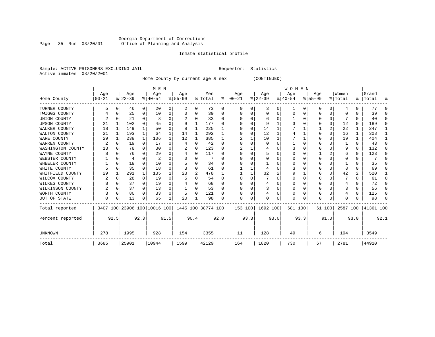#### Georgia Department of Corrections Page 35 Run 03/20/01 Office of Planning and Analysis

### Inmate statistical profile

|  | Sample: ACTIVE PRISONERS EXCLUDING JAIL | Requestor: Statistics |  |
|--|-----------------------------------------|-----------------------|--|
|  | Active inmates 03/20/2001               |                       |  |

Home County by current age & sex (CONTINUED)

|                     |                 |              |                 |                | M E N            |          |                                                 |          |                |          |                 |      |                  |      | <b>WOMEN</b>     |              |                 |      |                  |          |                      |              |
|---------------------|-----------------|--------------|-----------------|----------------|------------------|----------|-------------------------------------------------|----------|----------------|----------|-----------------|------|------------------|------|------------------|--------------|-----------------|------|------------------|----------|----------------------|--------------|
| Home County         | Age<br>$ 00-21$ |              | Age<br>$ 22-39$ |                | Age<br>$8 40-54$ |          | Age<br>$8 55-99$                                |          | Men<br>% Total | ွေ       | Age<br>$ 00-21$ |      | Age<br>$ 22-39 $ |      | Age<br>$ 40-54 $ |              | Age<br>$ 55-99$ |      | Women<br>% Total |          | Grand<br>%   Total   | ႜ            |
| TURNER COUNTY       |                 |              | 46              | 0 <sup>1</sup> | 20               | 0        | 2                                               | 0        | 73             | 0        | $\Omega$        | 0    | 3                | 0    | 1                | $\mathbf{0}$ | 0               | 0    | 4                | 0        | 77                   | $\cap$       |
| TWIGGS COUNTY       |                 | O            | 25              | 0              | 10               | 0        | O                                               | 0        | 39             | $\Omega$ |                 |      | U                | U    | $\Omega$         | $\Omega$     | 0               | 0    | 0                | U        | 39                   |              |
| UNION COUNTY        |                 |              | 21              | 0              | 8                | 0        |                                                 | 0        | 33             | 0        |                 |      | 6                |      |                  | $\Omega$     | 0               | 0    |                  | 0        | 40                   |              |
| <b>UPSON COUNTY</b> | 21              |              | 102             | 0              | 45               | 0        | 9                                               | 1        | 177            | 0        |                 |      | 9                |      |                  |              |                 | 0    | 12               | 0        | 189                  | ∩            |
| WALKER COUNTY       | 18              | 1            | 149             | $\mathbf{1}$   | 50               | 0        | 8                                               | 1        | 225            |          |                 |      | 14               |      |                  |              |                 | 2    | 22               | 1        | 247                  |              |
| WALTON COUNTY       | 21              | 1            | 193             | $\mathbf 1$    | 64               | 1        | 14                                              | 1        | 292            |          |                 |      | 12               |      |                  |              | U               | 0    | 16               | 1        | 308                  |              |
| WARE COUNTY         | 29              |              | 238             | $\mathbf{1}$   | 106              |          | 12                                              | 1        | 385            | 1        | 2               |      | 10               |      |                  |              | U               | 0    | 19               | 1        | 404                  |              |
| WARREN COUNTY       | 2               |              | 19              | $\Omega$       | 17               | $\Omega$ | 4                                               | O        | 42             | $\Omega$ |                 |      | $\Omega$         |      |                  |              |                 | U    |                  | $\Omega$ | 43                   |              |
| WASHINGTON COUNTY   | 13              |              | 78              | 0              | 30               | 0        |                                                 | $\Omega$ | 123            | 0        |                 |      |                  |      |                  |              | U               | O    | 9                | $\Omega$ | 132                  | ∩            |
| WAYNE COUNTY        |                 |              | 76              | 0              | 29               | 0        |                                                 | 0        | 117            | 0        |                 |      | 5                | U    |                  |              |                 | 2    | 6                | 0        | 123                  | ∩            |
| WEBSTER COUNTY      |                 | <sup>0</sup> | 4               | 0              |                  | U        |                                                 | 0        |                | 0        |                 |      |                  |      |                  | O            | 0               | O    | 0                | 0        |                      | ∩            |
| WHEELER COUNTY      |                 | $\Omega$     | 18              | 0              | 10               | U        |                                                 | U        | 34             | $\Omega$ |                 |      |                  |      |                  |              | U               | U    |                  | 0        | 35                   |              |
| WHITE COUNTY        |                 |              | 35              | 0              | 18               | 0        |                                                 | 0        | 61             | $\Omega$ |                 |      |                  | U    |                  |              |                 | 0    | 8                | 0        | 69                   |              |
| WHITFIELD COUNTY    | 29              |              | 291             | 1              | 135              |          | 23                                              | 2        | 478            |          |                 |      | 32               |      |                  |              | O               | 0    | 42               | 2        | 520                  |              |
| WILCOX COUNTY       |                 |              | 28              | 0              | 19               | U        |                                                 | U        | 54             | $\Omega$ | $\Omega$        |      |                  | U    | $\Omega$         |              | O               | U    |                  | 0        | 61                   | ∩            |
| WILKES COUNTY       |                 | 0            | 37              | $\overline{0}$ | 19               | 0        |                                                 | 0        | 68             | $\Omega$ |                 |      | 4                | U    |                  | O            | 0               | 0    | 4                | 0        | 72                   | ∩            |
| WILKINSON COUNTY    |                 | $\Omega$     | 37              | $\Omega$       | 13               | 0        |                                                 | 0        | 53             | $\Omega$ |                 |      |                  | U    |                  | $\Omega$     | 0               | O    |                  | 0        | 56                   | <sup>n</sup> |
| WORTH COUNTY        |                 | 0            | 80              | 0              | 33               | 0        | 5                                               | $\Omega$ | 121            | 0        |                 |      | 4                | 0    |                  | $\Omega$     | 0               | 0    |                  | 0        | 125                  | ∩            |
| OUT OF STATE        | $\Omega$        | 0            | 13              | 0              | 65               |          | 20                                              |          | 98             | 0        | $\Omega$        | 0    | U                | 0    | ∩                | $\Omega$     | O               | 0    | $\Omega$         | U        | 98                   |              |
| Total reported      |                 |              |                 |                |                  |          | 3407 100 23906 100 10016 100 1445 100 38774 100 |          |                |          |                 |      | 153 100 1692 100 |      | 681 100          |              | 61 100          |      |                  |          | 2587 100   41361 100 |              |
| Percent reported    |                 | 92.5         |                 | 92.3           |                  | 91.5     |                                                 | 90.4     |                | 92.0     |                 | 93.3 |                  | 93.0 |                  | 93.3         |                 | 91.0 |                  | 93.0     |                      | 92.1         |
| UNKNOWN             | 278             |              | 1995            |                | 928              |          | 154                                             |          | 3355           |          | 11              |      | 128              |      | 49               |              | 6               |      | 194              |          | 3549                 |              |
| Total               | 3685            |              | 25901           |                | 10944            |          | 1599                                            |          | 42129          |          | 164             |      | 1820             |      | 730              |              | 67              |      | 2781             |          | 44910                |              |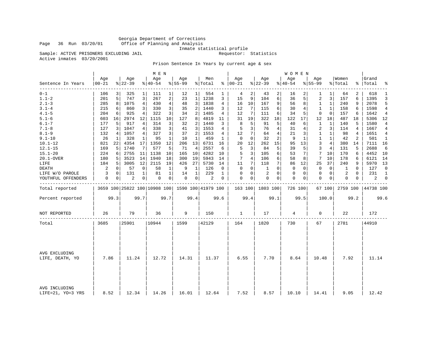Georgia Department of Corrections Page 36 Run 03/20/01 Office of Planning and Analysis

Inmate statistical profile

Sample: ACTIVE PRISONERS EXCLUDING JAIL **Requestor:** Statistics

Active inmates 03/20/2001

Prison Sentence In Years by current age & sex

|                                    |                  |             |                  |                | M E N                                           |              |                 |                |                |              |                      |             |                    |                 | <b>WOMEN</b>     |          |                    |             |                  |      |                    |              |
|------------------------------------|------------------|-------------|------------------|----------------|-------------------------------------------------|--------------|-----------------|----------------|----------------|--------------|----------------------|-------------|--------------------|-----------------|------------------|----------|--------------------|-------------|------------------|------|--------------------|--------------|
| Sentence In Years                  | Age<br>$00 - 21$ |             | Age<br>$ 22-39 $ |                | Age<br>$8140 - 54$                              |              | Age<br>$ 55-99$ |                | Men<br>% Total |              | Age<br>$8   00 - 21$ |             | Age<br>$8$   22-39 |                 | Age<br>$8 40-54$ |          | Aqe<br>$8155 - 99$ |             | Women<br>% Total |      | Grand<br>%   Total | ៖            |
| $0 - 1$                            | 106              | 3           | 325              | 1              | 111                                             | $\mathbf{1}$ | 12              | 1              | 554            | 1            | 4                    | 2           | 43                 | 2               | 16               |          | 1                  | 1           | 64               | 2    | 618                | 1            |
| $1.1 - 2$                          | 201              | 5           | 747              | 3              | 267                                             | 2            | 23              | $\mathbf{1}$   | 1238           | 3            | 15                   | 9           | 104                | 6               | 36               | 5        | 2                  | 3           | 157              | 6    | 1395               | 3            |
| $2.1 - 3$                          | 285              | 8           | 1075             | 4              | 430                                             | 4            | 48              | 3              | 1838           | 4            | 16                   | 10          | 167                | 9               | 56               | 8        | 1                  | 1           | 240              | 9    | 2078               | 5            |
| $3.1 - 4$                          | 215              | 6           | 860              | 3              | 330                                             | 3            | 35              | 2              | 1440           | 3            | 12                   | 7           | 115                | 6               | 30               | 4        | 1                  | 1           | 158              | 6    | 1598               | 4            |
| $4.1 - 5$                          | 204              | 6           | 925              | $\overline{4}$ | 322                                             | 3            | 34              | $\overline{2}$ | 1485           | 4            | 12                   | 7           | 111                | 6               | 34               | 5        | $\mathbf 0$        | $\mathbf 0$ | 157              | 6    | 1642               | 4            |
| $5.1 - 6$                          | 603              | 16          | 2974             | 12             | 1115                                            | 10           | 127             | 8              | 4819           | 11           | 31                   | 19          | 322                | 18              | 122              | 17       | 12                 | 18          | 487              | 18   | 5306               | 12           |
| $6.1 - 7$                          | 177              | 5           | 917              | 4              | 314                                             | 3            | 32              | 2              | 1440           | 3            | 8                    | 5           | 91                 | 5               | 40               | 6        | 1                  | 1           | 140              | 5    | 1580               | 4            |
| $7.1 - 8$                          | 127              | 3           | 1047             | 4              | 338                                             | 3            | 41              | 3 <sup>1</sup> | 1553           | 4            | 5                    | 3           | 76                 | 4               | 31               | 4        | 2                  | 3           | 114              | 4    | 1667               | 4            |
| $8.1 - 9$                          | 132              | 4           | 1057             | 4              | 327                                             | 3            | 37              | 2              | 1553           | 4            | 12                   | 7           | 64                 | $\overline{4}$  | 21               | 3        | 1                  | 1           | 98               | 4    | 1651               | 4            |
| $9.1 - 10$                         | 26               | 1           | 328              | 1              | 95                                              | 1            | 10              | 1              | 459            | 1            | $\mathbf 0$          | $\mathbf 0$ | 32                 | 2               | 9                | 1        | $\mathbf{1}$       | 1           | 42               | 2    | 501                | 1            |
| $10.1 - 12$                        | 821              | 22          | 4354             | 17             | 1350                                            | 12           | 206             | 13             | 6731           | 16           | 20                   | 12          | 262                | 15              | 95               | 13       | 3                  | 4           | 380              | 14   | 7111 16            |              |
| $12.1 - 15$                        | 169              | 5           | 1740             | 7              | 577                                             | 5            | 71              | $\overline{4}$ | 2557           | 6            | 5                    | 3           | 84                 | 5               | 39               | 5        | 3                  | 4           | 131              | 5    | 2688               | 6            |
| $15.1 - 20$                        | 224              | 6           | 2755             | 11             | 1138                                            | 10           | 165             | 10             | 4282           | 10           | 5                    | 3           | 105                | 6               | 53               | 7        | 7                  | 10          | 170              | 6    | 4452               | 10           |
| 20.1-OVER                          | 180              | 5           | 3523             | 14             | 1940                                            | 18           | 300             | 19             | 5943           | 14           | 7                    | 4           | 106                | 6               | 58               | 8        | 7                  | 10          | 178              | 6    | 6121               | 14           |
| LIFE                               | 184              | 5           | 3005             | 12             | 2115                                            | 19           | 426             | 27             | 5730           | 14           | 11                   | 7           | 118                | $7\overline{ }$ | 86               | 12       | 25                 | 37          | 240              | 9    | 5970               | 13           |
| <b>DEATH</b>                       | 2                | 0           | 57               | 0              | 58                                              | 1            | 9               | 1              | 126            | 0            | 0                    | $\mathbf 0$ | 1                  | $\mathbf 0$     | 0                | 0        | $\mathbf 0$        | $\mathbf 0$ | 1                | 0    | 127                | $\mathbf 0$  |
| LIFE W/O PAROLE                    | 3                | 0           | 131              | 1              | 81                                              | $\mathbf{1}$ | 14              | $\mathbf{1}$   | 229            | $\mathbf{1}$ | $\Omega$             | 0           | 2                  | $\Omega$        | 0                | 0        | $\mathbf 0$        | $\mathbf 0$ | 2                | 0    | 231                | $\mathbf{1}$ |
| YOUTHFUL OFFENDERS                 | 0                | $\mathbf 0$ | $\overline{2}$   | $\mathbf 0$    | $\Omega$                                        | 0            | $\mathbf 0$     | $\overline{0}$ | $\overline{c}$ | 0            | $\mathbf 0$          | $\mathbf 0$ | $\Omega$           | $\mathbf 0$     | $\mathbf 0$      | $\Omega$ | $\mathbf 0$        | $\mathbf 0$ | $\Omega$         | 0    | 2                  | $\Omega$     |
| Total reported                     |                  |             |                  |                | 3659 100 25822 100 10908 100 1590 100 41979 100 |              |                 |                |                |              | 163 100              |             | 1803 100           |                 | 726 100          |          |                    | 67 100      | 2759 100         |      | 44738 100          |              |
| Percent reported                   |                  | 99.3        |                  | 99.7           |                                                 | 99.7         |                 | 99.4           |                | 99.6         |                      | 99.4        |                    | 99.1            |                  | 99.5     |                    | 100.0       |                  | 99.2 |                    | 99.6         |
| NOT REPORTED                       | 26               |             | 79               |                | 36                                              |              | 9               |                | 150            |              | 1                    |             | 17                 |                 | 4                |          | 0                  |             | 22               |      | 172                |              |
| Total                              | 3685             |             | 25901            |                | 10944                                           |              | 1599            |                | 42129          |              | 164                  |             | 1820               |                 | 730              |          | 67                 |             | 2781             |      | 44910              |              |
|                                    |                  |             |                  |                |                                                 |              |                 |                |                |              |                      |             |                    |                 |                  |          |                    |             |                  |      |                    |              |
| AVG EXCLUDING<br>LIFE, DEATH, YO   | 7.86             |             | 11.24            |                | 12.72                                           |              | 14.31           |                | 11.37          |              | 6.55                 |             | 7.70               |                 | 8.64             |          | 10.48              |             | 7.92             |      | 11.14              |              |
| AVG INCLUDING<br>LIFE=21, YO=3 YRS | 8.52             |             | 12.34            |                | 14.26                                           |              | 16.01           |                | 12.64          |              | 7.52                 |             | 8.57               |                 | 10.10            |          | 14.41              |             | 9.05             |      | 12.42              |              |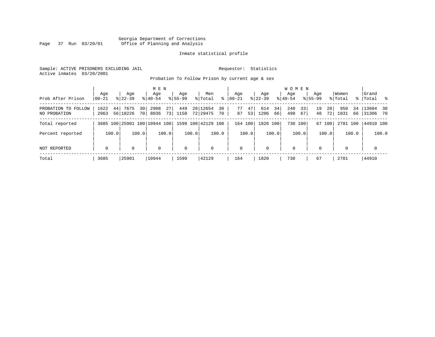#### Georgia Department of Corrections Page 37 Run 03/20/01 Office of Planning and Analysis

#### Inmate statistical profile

Sample: ACTIVE PRISONERS EXCLUDING JAIL **Requestor:** Statistics Active inmates 03/20/2001

Probation To Follow Prison by current age & sex

| Prob After Prison                   | Aqe<br>  00-21     | Age<br>$8 22-39$             | M E N<br>Age<br>$8 40-54$             | Age<br>$8155 - 99$ | Men<br>ႜ<br>% Total              | Aqe<br>$00 - 21$     | Aqe<br>$ 22-39 $        | W O M E N<br>Aqe<br>$ 40-54 $ | Age<br>$8155 - 99$   | Women<br>% Total  | Grand<br>%   Total %       |
|-------------------------------------|--------------------|------------------------------|---------------------------------------|--------------------|----------------------------------|----------------------|-------------------------|-------------------------------|----------------------|-------------------|----------------------------|
| PROBATION TO FOLLOW<br>NO PROBATION | 1622<br>44<br>2063 | 7675<br>30<br>56 18226<br>70 | 27 <sup>1</sup><br>2908<br>73<br>8036 | 449<br>1150        | 28 12654<br>30<br>72 29475<br>70 | 47<br>77<br>87<br>53 | 34<br>614<br>1206<br>66 | 240<br>33<br>490<br>67        | 19<br>28<br>48<br>72 | 950<br>1831<br>66 | 34   13604 30<br> 31306 70 |
| Total reported                      |                    | 3685 100 25901 100 10944 100 |                                       |                    | 1599 100 42129 100               | 164 100              | 1820 100                | 730 100                       | 67 100               | 2781 100          | 44910 100                  |
| Percent reported                    | 100.0              | 100.0                        | 100.0                                 | 100.0              | 100.0                            | 100.0                | 100.0                   | 100.0                         | 100.0                | 100.0             | 100.0                      |
| NOT REPORTED                        | 0                  | 0                            | $\mathbf 0$                           | $\mathbf 0$        | 0                                | $\mathbf 0$          | $\Omega$                | $\mathbf 0$                   | $\Omega$             | $\Omega$          | $\mathbf 0$                |
| Total                               | 3685               | 25901                        | 10944                                 | 1599               | 42129                            | 164                  | 1820                    | 730                           | 67                   | 2781              | 44910                      |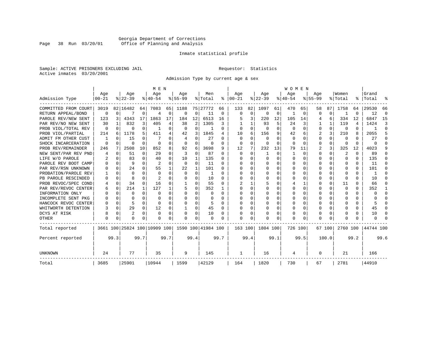#### Georgia Department of Corrections Page 38 Run 03/20/01 Office of Planning and Analysis

#### Inmate statistical profile

Sample: ACTIVE PRISONERS EXCLUDING JAIL **Requestor:** Statistics Active inmates 03/20/2001

Admission Type by current age & sex

|                                            |                  |          |                  |          | M E N                        |                |                  |             |                    |              |                 |                    |                 |         | <b>WOMEN</b>    |          |                    |          |                  |          |                |                |
|--------------------------------------------|------------------|----------|------------------|----------|------------------------------|----------------|------------------|-------------|--------------------|--------------|-----------------|--------------------|-----------------|---------|-----------------|----------|--------------------|----------|------------------|----------|----------------|----------------|
| Admission Type                             | Age<br>$00 - 21$ |          | Age<br>$8 22-39$ |          | Age<br>$8 40-54$             |                | Age<br>$8 55-99$ |             | Men<br>% Total     | ႜ            | Age<br>$ 00-21$ |                    | Age<br>$ 22-39$ |         | Age<br>$ 40-54$ |          | Age<br>$8155 - 99$ |          | Women<br>% Total | ွေ       | Grand<br>Total | ႜ              |
|                                            |                  |          |                  |          |                              |                |                  |             |                    |              |                 |                    |                 |         |                 |          |                    |          |                  |          |                |                |
| COMMITTED FROM COURT<br>RETURN APPEAL/BOND | 3019<br>0        | $\Omega$ | 82 16482         | 64<br>0  | 7083<br>$\overline{4}$       | 65<br>$\Omega$ | 1188<br>$\Omega$ | 0           | 75 27772<br>11     | 66<br>0      | 133<br>$\Omega$ | 82 <br>$\mathbf 0$ | 1097<br>0       | 61<br>0 | 470             | 65<br>0  | 58<br>$\Omega$     | 87<br>0  | 1758             | 64<br>O  | 29530<br>12    | 66<br>$\Omega$ |
| PAROLE REV/NEW SENT                        |                  |          | 4343             | 17       | 1863                         | 17             |                  | 12          | 6513               | 16           |                 | 3                  |                 | 12      |                 |          |                    | 6        |                  | 12       |                | 15             |
| PAR REV/NO NEW SENT                        | 123<br>30        | 3        | 832              | 3        | 405                          | 4              | 184<br>38        | 2           | 1305               | 3            |                 |                    | 220<br>93       | 5       | 105<br>24       | 14<br>3  | 4                  |          | 334<br>119       | 4        | 6847<br>1424   | 3              |
| PROB VIOL/TOTAL REV                        | 0                | $\Omega$ | 0                | 0        |                              | 0              | O                | 0           |                    | $\Omega$     | $\Omega$        | $\Omega$           | $\Omega$        | O       | $\Omega$        | $\Omega$ | $\Omega$           | $\Omega$ | 0                | 0        |                | $\Omega$       |
| PROB VIOL/PARTIAL                          | 214              | 6        | 1178             | 5        | 411                          | 4              | 42               | 3           | 1845               | 4            | 10              | 6                  | 156             | 9       | 42              | 6        | 2                  | 3        | 210              | 8        | 2055           | 5              |
| ADMIT FM OTHER CUST                        |                  | $\Omega$ | 15               | 0        | 7                            | O              | 4                | $\Omega$    | 27                 | 0            | $\Omega$        | 0                  | 0               | O       | $\Omega$        | 0        | 0                  | 0        | 0                | U        | 27             | $\Omega$       |
| SHOCK INCARCERATION                        | $\Omega$         | $\Omega$ | O                | $\Omega$ | $\Omega$                     | 0              | $\Omega$         | 0           | 0                  | $\Omega$     | $\Omega$        | $\Omega$           | 0               | O       | $\Omega$        | $\Omega$ | $\mathbf 0$        | $\Omega$ | $\Omega$         | $\Omega$ | $\Omega$       | $\cap$         |
| PROB REV/REMAINDER                         | 246              |          | 2508             | 10       | 852                          | 8              | 92               | 6           | 3698               | 9            | 12              | 7                  | 232             | 13      | 79              | 11       | $\overline{2}$     | 3        | 325              | 12       | 4023           | 9              |
| NEW SENT/PAR REV PND                       |                  | $\Omega$ | 51               | $\Omega$ | 29                           | $\Omega$       | 3                | $\mathbf 0$ | 87                 | $\Omega$     | $\Omega$        | $\Omega$           | -1              | O       |                 | 0        | $\Omega$           | 0        | 2                | U        | 89             | ∩              |
| LIFE W/O PAROLE                            |                  | $\Omega$ | 83               | 0        | 40                           | $\Omega$       | 10               | 1           | 135                | $\Omega$     |                 | $\cap$             | $\Omega$        | O       | $\Omega$        | $\Omega$ | 0                  | 0        | $\Omega$         | 0        | 135            | ∩              |
| PAROLE REV BOOT CAMP                       |                  | $\Omega$ | 9                | $\Omega$ | 2                            | $\Omega$       | 0                | 0           | 11                 | 0            | U               | $\Omega$           | $\Omega$        | O       | 0               | 0        | O                  | $\Omega$ | $\Omega$         | U        | 11             | ∩              |
| PAR REV/RSN UNKNOWN                        |                  | $\Omega$ | 24               | 0        | 55                           |                | 22               | 1           | 101                | $\Omega$     |                 | $\cap$             | $\Omega$        | O       | O               | $\Omega$ | O                  | 0        | $\Omega$         | 0        | 101            | ∩              |
| PROBATION/PAROLE REV                       |                  | $\Omega$ | U                | 0        | $\Omega$                     | $\Omega$       | $\Omega$         | $\Omega$    |                    | $\cap$       |                 | $\cap$             | $\Omega$        | O       | $\Omega$        | $\Omega$ | U                  |          | $\Omega$         | 0        |                | ∩              |
| PB PAROLE RESCINDED                        |                  | $\Omega$ | 8                | U        |                              | U              | $\Omega$         | 0           | 10                 | ∩            | U               | O                  | $\Omega$        | O       | $\Omega$        | $\Omega$ | O                  | $\Omega$ | $\Omega$         | 0        | 10             | n              |
| PROB REVOC/SPEC COND                       | 4                | $\Omega$ | 34               | 0        | 16                           | 0              | -1               | U           | 55                 | $\Omega$     |                 |                    |                 | U       | 4               | 1        | O                  | 0        | 11               | U        | 66             | $\Omega$       |
| PAR REV/REVOC CENTER                       | 6                | 0        | 214              | 1        | 127                          |                | 5                | 0           | 352                |              |                 | U                  | U               | U       | $\Omega$        | 0        | O                  | 0        | $\Omega$         | 0        | 352            | -1             |
| INFORMATION ONLY                           |                  | $\Omega$ | O                | 0        | $\Omega$                     | U              | U                | U           | $\Omega$           | $\Omega$     | O               | U                  | $\Omega$        | U       | 0               | 0        | O                  | 0        | $\Omega$         | U        | $\Omega$       | $\Omega$       |
| INCOMPLETE SENT PKG                        |                  | $\Omega$ | N                | 0        | $\Omega$                     | O              | U                | $\Omega$    | $\Omega$           | <sup>0</sup> | O               | <sup>0</sup>       | $\Omega$        | U       | $\Omega$        | 0        | O                  | 0        | $\Omega$         | 0        |                | $\cap$         |
| HANCOCK REVOC CENTER                       |                  | $\Omega$ | 5                | 0        | $\cap$                       | 0              | U                | $\Omega$    | 5                  | $\Omega$     |                 | 0                  | $\Omega$        | U       | $\Omega$        | $\Omega$ | O                  | 0        | $\Omega$         | 0        |                | $\cap$         |
| WHITWORTH DETENTION                        |                  | $\Omega$ | 29               | 0        | 12                           | 0              | -1               | 0           | 45                 | $\Omega$     |                 | 0                  | $\Omega$        | 0       | $\Omega$        | 0        | O                  | 0        | $\Omega$         | U        | 45             | $\Omega$       |
| DCYS AT RISK                               |                  | $\Omega$ | 2                | $\Omega$ | $\Omega$                     | $\Omega$       |                  | $\mathbf 0$ | 10                 | 0            |                 | $\Omega$           |                 | 0       | $\Omega$        | 0        | 0                  | 0        | 0                | 0        | 10             | $\cap$         |
| OTHER                                      | $\Omega$         | $\Omega$ | O                | 0        | n                            | 0              | U                | 0           | $\Omega$           | <sup>0</sup> | U               | U                  |                 | O       | $\Omega$        | $\Omega$ | $\Omega$           | $\Omega$ | $\Omega$         | U        | ∩              |                |
| Total reported                             |                  |          |                  |          | 3661 100 25824 100 10909 100 |                |                  |             | 1590 100 41984 100 |              | 163 100         |                    | 1804 100        |         | 726 100         |          |                    | 67 100   | 2760 100         |          | 44744 100      |                |
| Percent reported                           |                  | 99.3     |                  | 99.7     |                              | 99.7           |                  | 99.4        |                    | 99.7         |                 | 99.4               |                 | 99.1    |                 | 99.5     |                    | 100.0    |                  | 99.2     |                | 99.6           |
| UNKNOWN                                    | 24               |          | 77               |          | 35                           |                | 9                |             | 145                |              | 1               |                    | 16              |         | 4               |          | 0                  |          | 21               |          | 166            |                |
| Total                                      | 3685             |          | 25901            |          | 10944                        |                | 1599             |             | 42129              |              | 164             |                    | 1820            |         | 730             |          | 67                 |          | 2781             |          | 44910          |                |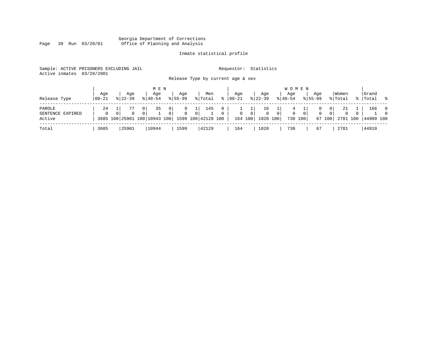#### Georgia Department of Corrections Page 39 Run 03/20/01 Office of Planning and Analysis

### Inmate statistical profile

| Sample: ACTIVE PRISONERS EXCLUDING JAIL |                 | Requestor: Statistics             |                 |
|-----------------------------------------|-----------------|-----------------------------------|-----------------|
| Active inmates 03/20/2001               |                 |                                   |                 |
|                                         |                 | Release Type by current age & sex |                 |
|                                         | <b>14 17 17</b> |                                   | $T$ $T$ $R$ $R$ |

|                                      |                   |                    | M E N                                                                                                 |                                              |                              |                           |                  |                                          |                                  | W O M E N                  |                           |                    |                                            |                                  |          |                     |                                        |
|--------------------------------------|-------------------|--------------------|-------------------------------------------------------------------------------------------------------|----------------------------------------------|------------------------------|---------------------------|------------------|------------------------------------------|----------------------------------|----------------------------|---------------------------|--------------------|--------------------------------------------|----------------------------------|----------|---------------------|----------------------------------------|
| Release Type                         | Age<br>$100 - 21$ | Aqe<br>$8122 - 39$ | Age<br>$8140 - 54$                                                                                    | Aqe<br>$8155 - 99$                           | Men<br>% Total               | °≈                        | Aqe<br>$ 00-21 $ | Aqe<br>$8 \mid 22 - 39$                  |                                  | Aqe<br>$8 40-54$           |                           | Aqe<br>$8155 - 99$ |                                            | Women<br>% Total                 |          | Grand<br>%  Total % |                                        |
| PAROLE<br>SENTENCE EXPIRED<br>Active | 24<br>$\Omega$    | $\cap$             | 0 <sup>1</sup><br>35<br>$\Omega$<br>0 <sup>1</sup><br>3685 100 25901 100 10943 100 1599 100 42128 100 | 0 <sup>1</sup><br>$\Omega$<br>0 <sup>1</sup> | 145<br>ᆞᅩᆝ<br>0 <sup>1</sup> | $\circ$<br>$\overline{0}$ | $\overline{0}$   | 16<br>0 <sup>1</sup><br>164 100 1820 100 | 0 <sup>1</sup><br>$\overline{0}$ | $4^{\circ}$<br>$\mathbf 0$ | 0 <sup>1</sup><br>730 100 | 0<br>$\mathbf{0}$  | 0 <sup>1</sup><br>0 <sup>1</sup><br>67 100 | 21<br>$\overline{0}$<br>2781 100 | $\Omega$ | 166<br>44909 100    | $\overline{\phantom{0}}$<br>$\bigcirc$ |
| Total                                | 3685              | 25901              | 10944                                                                                                 | 1599                                         | 42129                        |                           | 164              | 1820                                     |                                  | 730                        |                           | 67                 |                                            | 2781                             |          | 44910               |                                        |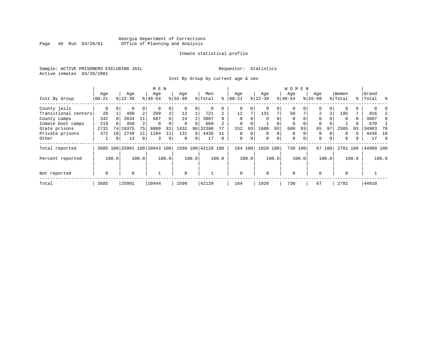#### Georgia Department of Corrections Page 40 Run 03/20/01 Office of Planning and Analysis

#### Inmate statistical profile

Sample: ACTIVE PRISONERS EXCLUDING JAIL **Requestor:** Statistics Active inmates 03/20/2001

Inst By Group by current age & sex

|                      |             |       |           |                | M E N                        |                |           |          |                    |                |             |          |           |             | <b>WOMEN</b> |          |             |          |          |       |           |          |
|----------------------|-------------|-------|-----------|----------------|------------------------------|----------------|-----------|----------|--------------------|----------------|-------------|----------|-----------|-------------|--------------|----------|-------------|----------|----------|-------|-----------|----------|
|                      | Age         |       | Age       |                | Age                          |                | Age       |          | Men                |                | Age         |          | Age       |             | Age          |          | Age         |          | Women    |       | Grand     |          |
| Inst By Group        | $00 - 21$   |       | $8 22-39$ |                | $8 40-54$                    |                | $8 55-99$ |          | % Total            | ႜ              | $ 00 - 21 $ |          | $ 22-39 $ |             | $ 40-54$     |          | $8155 - 99$ |          | % Total  |       | %   Total | ွေ       |
| County jails         | 0           |       | 0         | 0              |                              | 0              |           |          | 0                  |                | 0           | 0        |           | 0           | $\mathbf 0$  |          | $\Omega$    |          |          |       |           |          |
| Transitional centers | 20          |       | 480       | 2              | 209                          | $\overline{a}$ | 12        |          | 721                | $\overline{2}$ | 12          |          | 131       | 7           | 50           |          | 2           | 3        | 195      |       | 916       |          |
| County camps         | 342         | 9     | 2834      | 11             | 687                          | б.             | 24        |          | 3887               |                | $\Omega$    | O        |           | $\Omega$    | $\Omega$     |          | $\Omega$    |          | $\Omega$ | 0     | 3887      | 9        |
| Inmate boot camps    | 219         | 6     | 450       |                | $\Omega$                     |                | $\Omega$  | $\Omega$ | 669                |                | 0           |          |           |             | 0            |          | $\Omega$    |          |          |       | 670       |          |
| State prisons        | 2731        | 74    | 19375     | 75             | 8860                         | 81             | 1432      | 90       | 32398              |                | 152         | 93       | 1688      | 93          | 680          | 93       | 65          | 97       | 2585     | 93    | 34983     | 78       |
| Private prisons      | 372         | 10    | 2749      | 11             | 1184                         | 11             | 131       | 8        | 4436               |                | $\Omega$    | $\Omega$ | $\Omega$  | $\mathbf 0$ | $\Omega$     |          | 0           |          | $\Omega$ |       | 4436      | - 10     |
| Other                |             | 0     | 13        | $\overline{0}$ | 3                            | 0              | $\Omega$  | 0        | 17                 | $\Omega$       | $\mathbf 0$ | 0        | $\Omega$  | 0           | $\mathbf 0$  | $\Omega$ | 0           | $\Omega$ | $\Omega$ | 0     | 17        | $\Omega$ |
| Total reported       |             |       |           |                | 3685 100 25901 100 10943 100 |                |           |          | 1599 100 42128 100 |                | 164 100     |          | 1820      | 100         | 730 100      |          |             | 67 100   | 2781 100 |       | 44909 100 |          |
| Percent reported     |             | 100.0 |           | 100.0          |                              | 100.0          |           | 100.0    |                    | 100.0          |             | 100.0    |           | 100.0       |              | 100.0    |             | 100.0    |          | 100.0 |           | 100.0    |
| Not reported         | $\mathbf 0$ |       | $\Omega$  |                |                              |                | $\Omega$  |          |                    |                | $\Omega$    |          | $\Omega$  |             | $\Omega$     |          | $\Omega$    |          | $\Omega$ |       |           |          |
| Total                | 3685        |       | 25901     |                | 10944                        |                | 1599      |          | 42129              |                | 164         |          | 1820      |             | 730          |          | 67          |          | 2781     |       | 44910     |          |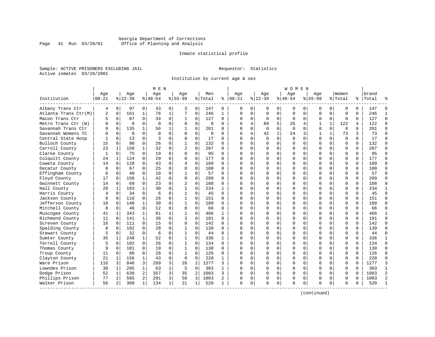#### Georgia Department of Corrections Page 41 Run 03/20/01 Office of Planning and Analysis

#### Inmate statistical profile

Sample: ACTIVE PRISONERS EXCLUDING JAIL **Requestor:** Statistics Active inmates 03/20/2001

Institution by current age & sex

| Age<br>Aqe<br>Women<br>Grand<br>Age<br>Age<br>Aqe<br>Men<br>Aqe<br>Aqe<br>Aqe<br>$8 22-39$<br>% Total<br>$8 22-39$<br>$8 55-99$<br>Institution<br>$ 00 - 21$<br>$8140 - 54$<br>$8155 - 99$<br>៖<br>$ 00-21$<br>$ 40-54$<br>% Total<br>%  <br>Total<br>Albany Trans Ctr<br>97<br>$\overline{0}$<br>43<br>0<br>0<br>0<br>$\mathbf 0$<br>$\Omega$<br>4<br>0<br>3<br>147<br>0<br>0<br>0<br>0<br>0<br>0<br>0<br>147<br>n<br>161<br>76<br>7<br>$\mathbf 0$<br>246<br>246<br>$\overline{c}$<br>$\mathbf{1}$<br>$\mathbf{1}$<br>$\Omega$<br>$\Omega$<br>0<br>$\Omega$<br>$\mathbf 0$<br>$\Omega$<br>$\mathbf 0$<br>$\Omega$<br>Atlanta Trans Ctr(M)<br>$\Omega$<br>$\mathbf 1$<br>$\Omega$<br>$\Omega$<br>127<br>0<br>87<br>0<br>34<br>0<br>0<br>127<br>0<br>0<br>0<br>Macon Trans Ctr<br>$\mathbf{1}$<br>0<br>$\Omega$<br>$\Omega$<br>$\mathbf 0$<br>$\mathbf 0$<br>$\Omega$<br>$\mathbf 0$<br>0<br>$\mathbf 0$<br>5<br>$\mathbf{1}$<br>122<br>$\Omega$<br>$\Omega$<br>$\Omega$<br>$\mathbf 0$<br>89<br>26<br>122<br>Metro Trans Ctr (W)<br>$\Omega$<br>$\Omega$<br>$\Omega$<br>$\Omega$<br>4<br>1<br>4<br>$\Omega$<br>201<br>Savannah Trans Ctr<br>$\Omega$<br>135<br>$\mathbf{1}$<br>56<br>$\mathbf 1$<br>$\mathbf{1}$<br>$\Omega$<br>201<br>$\Omega$<br>$\Omega$<br>$\Omega$<br>$\Omega$<br>$\Omega$<br>$\Omega$<br>$\Omega$<br>$\Omega$<br>U<br>$\overline{a}$<br>$\Omega$<br>$\Omega$<br>$\Omega$<br>$\mathbf 0$<br>42<br>3<br>3<br>Savannah Womens TC<br>$\Omega$<br>$\Omega$<br>$\Omega$<br>0<br>$\Omega$<br>24<br>$\mathbf{1}$<br>1<br>73<br>73<br>б<br>4<br>3<br>0<br>0<br>0<br>$\Omega$<br>$\mathbf 0$<br>$\Omega$<br>Central State Hosp<br>0<br>13<br>0<br>17<br>$\Omega$<br>$\Omega$<br>$\Omega$<br>$\Omega$<br>$\mathbf 0$<br>$\mathbf 0$<br>17<br>0<br>Bulloch County<br>90<br>$\Omega$<br>26<br>$\Omega$<br>$\mathbf{1}$<br>$\Omega$<br>132<br>$\Omega$<br>$\Omega$<br>$\Omega$<br>$\Omega$<br>132<br>15<br>$\Omega$<br>$\Omega$<br>$\Omega$<br>$\Omega$<br>$\Omega$<br>0<br>$\Omega$<br>207<br>23<br>150<br>32<br>0<br>$\overline{a}$<br>$\Omega$<br>207<br>Carroll County<br>1<br>$\mathbf 1$<br>$\Omega$<br>0<br>$\Omega$<br>$\Omega$<br>$\mathbf 0$<br>$\Omega$<br>$\Omega$<br>0<br>U<br>$\Omega$<br>$\Omega$<br>75<br>$\Omega$<br>19<br>0<br>$\mathbf 0$<br>95<br>Clarke County<br>0<br>$\Omega$<br>95<br>$\Omega$<br>O<br>$\Omega$<br>0<br>$\Omega$<br>$\Omega$<br>1<br>U<br>Ω<br>0<br>177<br>Colquitt County<br>124<br>0<br>29<br>0<br>$\Omega$<br>0<br>177<br>O<br>0<br>$\Omega$<br>$\Omega$<br>24<br>1<br>$\Omega$<br>$\Omega$<br>$\cap$<br>$\Omega$<br>$\Omega$<br>$\Omega$<br>$\Omega$<br>128<br>189<br>$\Omega$<br>43<br>$\Omega$<br>$\Omega$<br>189<br>0<br>$\Omega$<br>$\Omega$<br>$\Omega$<br>Coweta County<br>14<br>$\Omega$<br>4<br>$\Omega$<br>$\Omega$<br>$\Omega$<br>$\Omega$<br>$\Omega$<br>$\Omega$<br><sup>0</sup><br>$\mathbf 0$<br>$\Omega$<br>25<br>0<br>$\Omega$<br>0<br>$\Omega$<br>$\mathbf 0$<br>$\Omega$<br>100<br>Decatur County<br>$\Omega$<br>67<br>100<br>$\Omega$<br>$\Omega$<br>$\mathbf 0$<br>$\Omega$<br>Ω<br>10<br>$\mathbf{1}$<br>$\mathbf 0$<br>57<br>Effingham County<br>$\Omega$<br>40<br>0<br>0<br>57<br>$\Omega$<br>O<br>$\Omega$<br>$\Omega$<br>0<br>$\Omega$<br>$\Omega$<br>∩<br>0<br>U<br>6<br>42<br>209<br>209<br>Floyd County<br>150<br>$1\vert$<br>0<br>$\Omega$<br>0<br>0<br>$\Omega$<br>$\mathbf 0$<br>17<br>$\Omega$<br>$\Omega$<br>∩<br>0<br>U<br>∩<br>$\Omega$<br>O<br>$\Omega$<br>Gwinnett County<br>$\Omega$<br>23<br>$\Omega$<br>$\overline{a}$<br>$\Omega$<br>108<br>108<br>14<br>$\Omega$<br>69<br>$\Omega$<br>O<br>$\Omega$<br>$\Omega$<br>0<br>$\Omega$<br>$\Omega$<br>U<br>Ω<br>1<br>183<br>30<br>$\Omega$<br>$\mathbf{1}$<br>$\Omega$<br>234<br>$\Omega$<br>$\Omega$<br>$\Omega$<br>234<br>Hall County<br>20<br>$\mathbf{1}$<br>$\mathbf{1}$<br>$\Omega$<br>O<br>$\cap$<br>$\Omega$<br>$\Omega$<br>34<br>$\Omega$<br>6<br>0<br>$\mathbf 0$<br>45<br>$\Omega$<br>45<br>Harris County<br>$\Omega$<br>$\mathbf{1}$<br>$\Omega$<br>0<br>$\Omega$<br>$\Omega$<br>$\mathbf 0$<br>$\Omega$<br>U<br><sup>n</sup><br>∩<br>$\overline{0}$<br>0<br>0<br>0<br>$\Omega$<br>$\mathbf 0$<br>$\Omega$<br>151<br>Jackson County<br>0<br>116<br>26<br>1<br>151<br>$\Omega$<br>$\Omega$<br>$\mathbf 0$<br>$\Omega$<br>U<br>1<br>30<br>Jefferson County<br>140<br>0<br>1<br>0<br>189<br>$\Omega$<br>0<br>0<br>$\mathbf 0$<br>$\Omega$<br>189<br>18<br>0<br>$\Omega$<br>0<br>0<br>$\Omega$<br>Mitchell County<br>46<br>$\Omega$<br>12<br>0<br>$\Omega$<br>66<br>66<br>8<br>$\Omega$<br>$\Omega$<br>$\Omega$<br>$\Omega$<br>$\Omega$<br>0<br>$\Omega$<br>$\Omega$<br>$\Omega$<br>$\Omega$<br>$\Omega$<br>0<br><sup>0</sup><br>466<br>Muscogee County<br>41<br>$\mathbf{1}$<br>343<br>$\mathbf 1$<br>81<br>1<br>$\mathbf{1}$<br>$\Omega$<br>466<br>0<br>$\Omega$<br>0<br>$\Omega$<br>$\Omega$<br>1<br>0<br>U<br>Λ<br>U<br>1<br>36<br>0<br>3<br>$\Omega$<br>$\Omega$<br>$\Omega$<br>191<br>Richmond County<br>11<br>$\Omega$<br>141<br>191<br>$\Omega$<br>$\cap$<br>U<br>$\Omega$<br>$\Omega$<br>0<br>Λ<br>15<br>$\mathbf 0$<br>142<br>16<br>111<br>$\Omega$<br>0<br>0<br>142<br>0<br>$\Omega$<br>$\mathbf 0$<br>$\Omega$<br>Screven County<br>$\Omega$<br>$\Omega$<br>$\cap$<br>$\Omega$<br>$\Omega$<br>$\Omega$<br>$\Omega$<br>Ω<br>$\Omega$<br>28<br>$\Omega$<br>$\mathbf 0$<br>139<br>Spalding County<br>$\Omega$<br>102<br>139<br>$\Omega$<br>0<br>$\Omega$<br>$\Omega$<br>$\Omega$<br>$\Omega$<br>$\mathbf{1}$<br>$\Omega$<br>$\Omega$<br>32<br>$\Omega$<br>6<br>0<br>$\mathbf{1}$<br>$\Omega$<br>$\Omega$<br>$\mathbf 0$<br>44<br>Stewart County<br>$\Omega$<br>44<br>$\Omega$<br>O<br>O<br>$\Omega$<br>$\Omega$<br>0<br>$\Omega$<br>248<br>1<br>52<br>$\mathbf 0$<br>336<br>336<br>Sumter County<br>35<br>1<br>0<br>$\mathbf{1}$<br>0<br>$\Omega$<br>$\mathbf 0$<br>$\mathbf{1}$<br>∩<br>0<br>∩<br>∩<br>0<br>O<br>$\Omega$<br>Terrell County<br>102<br>$\Omega$<br>26<br>0<br>$\Omega$<br>134<br>134<br>$\Omega$<br>$\mathbf{1}$<br>$\Omega$<br>0<br>$\Omega$<br>$\Omega$<br>0<br>$\Omega$<br>$\Omega$<br>0<br>U<br>Λ<br>101<br>$\Omega$<br>19<br>0<br>$\mathbf{1}$<br>$\Omega$<br>130<br>$\Omega$<br>$\Omega$<br>130<br>Thomas County<br>$\Omega$<br>$\Omega$<br>$\Omega$<br>O<br>$\Omega$<br>$\Omega$<br>0<br>86<br>$\Omega$<br>28<br>$\Omega$<br>126<br>126<br>1<br>$\Omega$<br>$\Omega$<br>$\cap$<br>0<br>$\Omega$<br>$\Omega$<br>0<br>$\Omega$<br>$\Omega$<br>Troup County<br>11<br>$\Omega$<br>Λ<br>0<br>$\mathbf{1}$<br>43<br>$\mathbf 0$<br>220<br>220<br>Clayton County<br>21<br>156<br>$\Omega$<br>$\mathbf{1}$<br>0<br>$\Omega$<br>$\Omega$<br>$\Omega$<br>$\mathbf 0$<br>$\Omega$<br>1<br>0<br>U<br>$\overline{3}$<br>Ware Prison<br>$\overline{3}$<br>289<br>3<br>2<br>1277<br>$\mathbf 0$<br>1277<br>116<br>846<br>26<br>3<br>$\Omega$<br>0<br>0<br>$\Omega$<br>0<br>$\Omega$<br>O<br>1<br>Lowndes Prison<br>205<br>$\mathbf{1}$<br>5<br>$\mathbf 0$<br>303<br>$\Omega$<br>303<br>30<br>$\mathbf{1}$<br>63<br>$\mathbf{1}$<br>$\Omega$<br>O<br>$\Omega$<br>$\Omega$<br>$\Omega$<br>$\Omega$<br>U<br>Λ<br>3<br>639<br>2<br>35<br>$\overline{2}$<br>1083<br>1083<br>Dodge Prison<br>52<br>1<br>357<br>3<br>$\Omega$<br>$\mathbf 0$<br>$\Omega$<br>$\Omega$<br>$\mathbf 0$<br>0<br>U<br>$\Omega$<br>$\Omega$<br>Phillips Prison<br>$\overline{a}$<br>3<br>3<br>1003<br>1003<br>2<br>585<br>291<br>50<br>2<br>77<br>0<br>0<br>0<br>0<br>0<br>0<br>0<br>O<br>0<br>Walker Prison<br>309<br>$1\vert$<br>134<br>1<br>21<br>1<br>520<br>520<br>56<br>2<br>$\mathbf{1}$<br>$\Omega$<br>0<br>$\cap$<br>0<br>$\cap$<br>$\mathbf 0$<br>$\Omega$<br>0<br>$\Omega$<br>$\Omega$ |  |  | M E N |  |  |  |  | W O M E N |  |  |  |                |
|-----------------------------------------------------------------------------------------------------------------------------------------------------------------------------------------------------------------------------------------------------------------------------------------------------------------------------------------------------------------------------------------------------------------------------------------------------------------------------------------------------------------------------------------------------------------------------------------------------------------------------------------------------------------------------------------------------------------------------------------------------------------------------------------------------------------------------------------------------------------------------------------------------------------------------------------------------------------------------------------------------------------------------------------------------------------------------------------------------------------------------------------------------------------------------------------------------------------------------------------------------------------------------------------------------------------------------------------------------------------------------------------------------------------------------------------------------------------------------------------------------------------------------------------------------------------------------------------------------------------------------------------------------------------------------------------------------------------------------------------------------------------------------------------------------------------------------------------------------------------------------------------------------------------------------------------------------------------------------------------------------------------------------------------------------------------------------------------------------------------------------------------------------------------------------------------------------------------------------------------------------------------------------------------------------------------------------------------------------------------------------------------------------------------------------------------------------------------------------------------------------------------------------------------------------------------------------------------------------------------------------------------------------------------------------------------------------------------------------------------------------------------------------------------------------------------------------------------------------------------------------------------------------------------------------------------------------------------------------------------------------------------------------------------------------------------------------------------------------------------------------------------------------------------------------------------------------------------------------------------------------------------------------------------------------------------------------------------------------------------------------------------------------------------------------------------------------------------------------------------------------------------------------------------------------------------------------------------------------------------------------------------------------------------------------------------------------------------------------------------------------------------------------------------------------------------------------------------------------------------------------------------------------------------------------------------------------------------------------------------------------------------------------------------------------------------------------------------------------------------------------------------------------------------------------------------------------------------------------------------------------------------------------------------------------------------------------------------------------------------------------------------------------------------------------------------------------------------------------------------------------------------------------------------------------------------------------------------------------------------------------------------------------------------------------------------------------------------------------------------------------------------------------------------------------------------------------------------------------------------------------------------------------------------------------------------------------------------------------------------------------------------------------------------------------------------------------------------------------------------------------------------------------------------------------------------------------------------------------------------------------------------------------------------------------------------------------------------------------------------------------------------------------------------------------------------------------------------------------------------------------------------------------------------------------------------------------------------------------------------------------------------------------------------------------------------------------------------------------------------------------------------------------------------------------------------------------------------------------------------------------------------------------------------------------------------------------------------------------------------------------------------------------------------------------------------------------------------------------------------------------------------------------------------------------------------------------------------------------------------------------------------------------------------------------------------------------------------------------------------------------------------------------------------------------------------------------------------------------------------------------------------------------------------------------------------------------------------------------------------------------------------------------------------------------------------------------------------------------------------------------------------------------------------------------------------------------------------------------------------------------------------------------------------------------------------------------------------------------------------------------------------------------------------------------------------------------------------------------------------------------------------------------------------------------------------------------------------------------------------------------------------------------------------------------------------------------------------------------------------------------------------------------------------------------------------------------------------------------------------------------------------------------------------------------------------------------------------------------------------------------------------|--|--|-------|--|--|--|--|-----------|--|--|--|----------------|
|                                                                                                                                                                                                                                                                                                                                                                                                                                                                                                                                                                                                                                                                                                                                                                                                                                                                                                                                                                                                                                                                                                                                                                                                                                                                                                                                                                                                                                                                                                                                                                                                                                                                                                                                                                                                                                                                                                                                                                                                                                                                                                                                                                                                                                                                                                                                                                                                                                                                                                                                                                                                                                                                                                                                                                                                                                                                                                                                                                                                                                                                                                                                                                                                                                                                                                                                                                                                                                                                                                                                                                                                                                                                                                                                                                                                                                                                                                                                                                                                                                                                                                                                                                                                                                                                                                                                                                                                                                                                                                                                                                                                                                                                                                                                                                                                                                                                                                                                                                                                                                                                                                                                                                                                                                                                                                                                                                                                                                                                                                                                                                                                                                                                                                                                                                                                                                                                                                                                                                                                                                                                                                                                                                                                                                                                                                                                                                                                                                                                                                                                                                                                                                                                                                                                                                                                                                                                                                                                                                                                                                                                                                                                                                                                                                                                                                                                                                                                                                                                                                                                                                                                                                         |  |  |       |  |  |  |  |           |  |  |  |                |
|                                                                                                                                                                                                                                                                                                                                                                                                                                                                                                                                                                                                                                                                                                                                                                                                                                                                                                                                                                                                                                                                                                                                                                                                                                                                                                                                                                                                                                                                                                                                                                                                                                                                                                                                                                                                                                                                                                                                                                                                                                                                                                                                                                                                                                                                                                                                                                                                                                                                                                                                                                                                                                                                                                                                                                                                                                                                                                                                                                                                                                                                                                                                                                                                                                                                                                                                                                                                                                                                                                                                                                                                                                                                                                                                                                                                                                                                                                                                                                                                                                                                                                                                                                                                                                                                                                                                                                                                                                                                                                                                                                                                                                                                                                                                                                                                                                                                                                                                                                                                                                                                                                                                                                                                                                                                                                                                                                                                                                                                                                                                                                                                                                                                                                                                                                                                                                                                                                                                                                                                                                                                                                                                                                                                                                                                                                                                                                                                                                                                                                                                                                                                                                                                                                                                                                                                                                                                                                                                                                                                                                                                                                                                                                                                                                                                                                                                                                                                                                                                                                                                                                                                                                         |  |  |       |  |  |  |  |           |  |  |  |                |
|                                                                                                                                                                                                                                                                                                                                                                                                                                                                                                                                                                                                                                                                                                                                                                                                                                                                                                                                                                                                                                                                                                                                                                                                                                                                                                                                                                                                                                                                                                                                                                                                                                                                                                                                                                                                                                                                                                                                                                                                                                                                                                                                                                                                                                                                                                                                                                                                                                                                                                                                                                                                                                                                                                                                                                                                                                                                                                                                                                                                                                                                                                                                                                                                                                                                                                                                                                                                                                                                                                                                                                                                                                                                                                                                                                                                                                                                                                                                                                                                                                                                                                                                                                                                                                                                                                                                                                                                                                                                                                                                                                                                                                                                                                                                                                                                                                                                                                                                                                                                                                                                                                                                                                                                                                                                                                                                                                                                                                                                                                                                                                                                                                                                                                                                                                                                                                                                                                                                                                                                                                                                                                                                                                                                                                                                                                                                                                                                                                                                                                                                                                                                                                                                                                                                                                                                                                                                                                                                                                                                                                                                                                                                                                                                                                                                                                                                                                                                                                                                                                                                                                                                                                         |  |  |       |  |  |  |  |           |  |  |  |                |
|                                                                                                                                                                                                                                                                                                                                                                                                                                                                                                                                                                                                                                                                                                                                                                                                                                                                                                                                                                                                                                                                                                                                                                                                                                                                                                                                                                                                                                                                                                                                                                                                                                                                                                                                                                                                                                                                                                                                                                                                                                                                                                                                                                                                                                                                                                                                                                                                                                                                                                                                                                                                                                                                                                                                                                                                                                                                                                                                                                                                                                                                                                                                                                                                                                                                                                                                                                                                                                                                                                                                                                                                                                                                                                                                                                                                                                                                                                                                                                                                                                                                                                                                                                                                                                                                                                                                                                                                                                                                                                                                                                                                                                                                                                                                                                                                                                                                                                                                                                                                                                                                                                                                                                                                                                                                                                                                                                                                                                                                                                                                                                                                                                                                                                                                                                                                                                                                                                                                                                                                                                                                                                                                                                                                                                                                                                                                                                                                                                                                                                                                                                                                                                                                                                                                                                                                                                                                                                                                                                                                                                                                                                                                                                                                                                                                                                                                                                                                                                                                                                                                                                                                                                         |  |  |       |  |  |  |  |           |  |  |  | $\mathbf{1}$   |
|                                                                                                                                                                                                                                                                                                                                                                                                                                                                                                                                                                                                                                                                                                                                                                                                                                                                                                                                                                                                                                                                                                                                                                                                                                                                                                                                                                                                                                                                                                                                                                                                                                                                                                                                                                                                                                                                                                                                                                                                                                                                                                                                                                                                                                                                                                                                                                                                                                                                                                                                                                                                                                                                                                                                                                                                                                                                                                                                                                                                                                                                                                                                                                                                                                                                                                                                                                                                                                                                                                                                                                                                                                                                                                                                                                                                                                                                                                                                                                                                                                                                                                                                                                                                                                                                                                                                                                                                                                                                                                                                                                                                                                                                                                                                                                                                                                                                                                                                                                                                                                                                                                                                                                                                                                                                                                                                                                                                                                                                                                                                                                                                                                                                                                                                                                                                                                                                                                                                                                                                                                                                                                                                                                                                                                                                                                                                                                                                                                                                                                                                                                                                                                                                                                                                                                                                                                                                                                                                                                                                                                                                                                                                                                                                                                                                                                                                                                                                                                                                                                                                                                                                                                         |  |  |       |  |  |  |  |           |  |  |  | $\Omega$       |
|                                                                                                                                                                                                                                                                                                                                                                                                                                                                                                                                                                                                                                                                                                                                                                                                                                                                                                                                                                                                                                                                                                                                                                                                                                                                                                                                                                                                                                                                                                                                                                                                                                                                                                                                                                                                                                                                                                                                                                                                                                                                                                                                                                                                                                                                                                                                                                                                                                                                                                                                                                                                                                                                                                                                                                                                                                                                                                                                                                                                                                                                                                                                                                                                                                                                                                                                                                                                                                                                                                                                                                                                                                                                                                                                                                                                                                                                                                                                                                                                                                                                                                                                                                                                                                                                                                                                                                                                                                                                                                                                                                                                                                                                                                                                                                                                                                                                                                                                                                                                                                                                                                                                                                                                                                                                                                                                                                                                                                                                                                                                                                                                                                                                                                                                                                                                                                                                                                                                                                                                                                                                                                                                                                                                                                                                                                                                                                                                                                                                                                                                                                                                                                                                                                                                                                                                                                                                                                                                                                                                                                                                                                                                                                                                                                                                                                                                                                                                                                                                                                                                                                                                                                         |  |  |       |  |  |  |  |           |  |  |  | $\Omega$       |
|                                                                                                                                                                                                                                                                                                                                                                                                                                                                                                                                                                                                                                                                                                                                                                                                                                                                                                                                                                                                                                                                                                                                                                                                                                                                                                                                                                                                                                                                                                                                                                                                                                                                                                                                                                                                                                                                                                                                                                                                                                                                                                                                                                                                                                                                                                                                                                                                                                                                                                                                                                                                                                                                                                                                                                                                                                                                                                                                                                                                                                                                                                                                                                                                                                                                                                                                                                                                                                                                                                                                                                                                                                                                                                                                                                                                                                                                                                                                                                                                                                                                                                                                                                                                                                                                                                                                                                                                                                                                                                                                                                                                                                                                                                                                                                                                                                                                                                                                                                                                                                                                                                                                                                                                                                                                                                                                                                                                                                                                                                                                                                                                                                                                                                                                                                                                                                                                                                                                                                                                                                                                                                                                                                                                                                                                                                                                                                                                                                                                                                                                                                                                                                                                                                                                                                                                                                                                                                                                                                                                                                                                                                                                                                                                                                                                                                                                                                                                                                                                                                                                                                                                                                         |  |  |       |  |  |  |  |           |  |  |  | $\Omega$       |
|                                                                                                                                                                                                                                                                                                                                                                                                                                                                                                                                                                                                                                                                                                                                                                                                                                                                                                                                                                                                                                                                                                                                                                                                                                                                                                                                                                                                                                                                                                                                                                                                                                                                                                                                                                                                                                                                                                                                                                                                                                                                                                                                                                                                                                                                                                                                                                                                                                                                                                                                                                                                                                                                                                                                                                                                                                                                                                                                                                                                                                                                                                                                                                                                                                                                                                                                                                                                                                                                                                                                                                                                                                                                                                                                                                                                                                                                                                                                                                                                                                                                                                                                                                                                                                                                                                                                                                                                                                                                                                                                                                                                                                                                                                                                                                                                                                                                                                                                                                                                                                                                                                                                                                                                                                                                                                                                                                                                                                                                                                                                                                                                                                                                                                                                                                                                                                                                                                                                                                                                                                                                                                                                                                                                                                                                                                                                                                                                                                                                                                                                                                                                                                                                                                                                                                                                                                                                                                                                                                                                                                                                                                                                                                                                                                                                                                                                                                                                                                                                                                                                                                                                                                         |  |  |       |  |  |  |  |           |  |  |  | $\Omega$       |
|                                                                                                                                                                                                                                                                                                                                                                                                                                                                                                                                                                                                                                                                                                                                                                                                                                                                                                                                                                                                                                                                                                                                                                                                                                                                                                                                                                                                                                                                                                                                                                                                                                                                                                                                                                                                                                                                                                                                                                                                                                                                                                                                                                                                                                                                                                                                                                                                                                                                                                                                                                                                                                                                                                                                                                                                                                                                                                                                                                                                                                                                                                                                                                                                                                                                                                                                                                                                                                                                                                                                                                                                                                                                                                                                                                                                                                                                                                                                                                                                                                                                                                                                                                                                                                                                                                                                                                                                                                                                                                                                                                                                                                                                                                                                                                                                                                                                                                                                                                                                                                                                                                                                                                                                                                                                                                                                                                                                                                                                                                                                                                                                                                                                                                                                                                                                                                                                                                                                                                                                                                                                                                                                                                                                                                                                                                                                                                                                                                                                                                                                                                                                                                                                                                                                                                                                                                                                                                                                                                                                                                                                                                                                                                                                                                                                                                                                                                                                                                                                                                                                                                                                                                         |  |  |       |  |  |  |  |           |  |  |  | $\Omega$       |
|                                                                                                                                                                                                                                                                                                                                                                                                                                                                                                                                                                                                                                                                                                                                                                                                                                                                                                                                                                                                                                                                                                                                                                                                                                                                                                                                                                                                                                                                                                                                                                                                                                                                                                                                                                                                                                                                                                                                                                                                                                                                                                                                                                                                                                                                                                                                                                                                                                                                                                                                                                                                                                                                                                                                                                                                                                                                                                                                                                                                                                                                                                                                                                                                                                                                                                                                                                                                                                                                                                                                                                                                                                                                                                                                                                                                                                                                                                                                                                                                                                                                                                                                                                                                                                                                                                                                                                                                                                                                                                                                                                                                                                                                                                                                                                                                                                                                                                                                                                                                                                                                                                                                                                                                                                                                                                                                                                                                                                                                                                                                                                                                                                                                                                                                                                                                                                                                                                                                                                                                                                                                                                                                                                                                                                                                                                                                                                                                                                                                                                                                                                                                                                                                                                                                                                                                                                                                                                                                                                                                                                                                                                                                                                                                                                                                                                                                                                                                                                                                                                                                                                                                                                         |  |  |       |  |  |  |  |           |  |  |  | $\Omega$       |
|                                                                                                                                                                                                                                                                                                                                                                                                                                                                                                                                                                                                                                                                                                                                                                                                                                                                                                                                                                                                                                                                                                                                                                                                                                                                                                                                                                                                                                                                                                                                                                                                                                                                                                                                                                                                                                                                                                                                                                                                                                                                                                                                                                                                                                                                                                                                                                                                                                                                                                                                                                                                                                                                                                                                                                                                                                                                                                                                                                                                                                                                                                                                                                                                                                                                                                                                                                                                                                                                                                                                                                                                                                                                                                                                                                                                                                                                                                                                                                                                                                                                                                                                                                                                                                                                                                                                                                                                                                                                                                                                                                                                                                                                                                                                                                                                                                                                                                                                                                                                                                                                                                                                                                                                                                                                                                                                                                                                                                                                                                                                                                                                                                                                                                                                                                                                                                                                                                                                                                                                                                                                                                                                                                                                                                                                                                                                                                                                                                                                                                                                                                                                                                                                                                                                                                                                                                                                                                                                                                                                                                                                                                                                                                                                                                                                                                                                                                                                                                                                                                                                                                                                                                         |  |  |       |  |  |  |  |           |  |  |  | $\Omega$       |
|                                                                                                                                                                                                                                                                                                                                                                                                                                                                                                                                                                                                                                                                                                                                                                                                                                                                                                                                                                                                                                                                                                                                                                                                                                                                                                                                                                                                                                                                                                                                                                                                                                                                                                                                                                                                                                                                                                                                                                                                                                                                                                                                                                                                                                                                                                                                                                                                                                                                                                                                                                                                                                                                                                                                                                                                                                                                                                                                                                                                                                                                                                                                                                                                                                                                                                                                                                                                                                                                                                                                                                                                                                                                                                                                                                                                                                                                                                                                                                                                                                                                                                                                                                                                                                                                                                                                                                                                                                                                                                                                                                                                                                                                                                                                                                                                                                                                                                                                                                                                                                                                                                                                                                                                                                                                                                                                                                                                                                                                                                                                                                                                                                                                                                                                                                                                                                                                                                                                                                                                                                                                                                                                                                                                                                                                                                                                                                                                                                                                                                                                                                                                                                                                                                                                                                                                                                                                                                                                                                                                                                                                                                                                                                                                                                                                                                                                                                                                                                                                                                                                                                                                                                         |  |  |       |  |  |  |  |           |  |  |  | $\Omega$       |
|                                                                                                                                                                                                                                                                                                                                                                                                                                                                                                                                                                                                                                                                                                                                                                                                                                                                                                                                                                                                                                                                                                                                                                                                                                                                                                                                                                                                                                                                                                                                                                                                                                                                                                                                                                                                                                                                                                                                                                                                                                                                                                                                                                                                                                                                                                                                                                                                                                                                                                                                                                                                                                                                                                                                                                                                                                                                                                                                                                                                                                                                                                                                                                                                                                                                                                                                                                                                                                                                                                                                                                                                                                                                                                                                                                                                                                                                                                                                                                                                                                                                                                                                                                                                                                                                                                                                                                                                                                                                                                                                                                                                                                                                                                                                                                                                                                                                                                                                                                                                                                                                                                                                                                                                                                                                                                                                                                                                                                                                                                                                                                                                                                                                                                                                                                                                                                                                                                                                                                                                                                                                                                                                                                                                                                                                                                                                                                                                                                                                                                                                                                                                                                                                                                                                                                                                                                                                                                                                                                                                                                                                                                                                                                                                                                                                                                                                                                                                                                                                                                                                                                                                                                         |  |  |       |  |  |  |  |           |  |  |  | $\Omega$       |
|                                                                                                                                                                                                                                                                                                                                                                                                                                                                                                                                                                                                                                                                                                                                                                                                                                                                                                                                                                                                                                                                                                                                                                                                                                                                                                                                                                                                                                                                                                                                                                                                                                                                                                                                                                                                                                                                                                                                                                                                                                                                                                                                                                                                                                                                                                                                                                                                                                                                                                                                                                                                                                                                                                                                                                                                                                                                                                                                                                                                                                                                                                                                                                                                                                                                                                                                                                                                                                                                                                                                                                                                                                                                                                                                                                                                                                                                                                                                                                                                                                                                                                                                                                                                                                                                                                                                                                                                                                                                                                                                                                                                                                                                                                                                                                                                                                                                                                                                                                                                                                                                                                                                                                                                                                                                                                                                                                                                                                                                                                                                                                                                                                                                                                                                                                                                                                                                                                                                                                                                                                                                                                                                                                                                                                                                                                                                                                                                                                                                                                                                                                                                                                                                                                                                                                                                                                                                                                                                                                                                                                                                                                                                                                                                                                                                                                                                                                                                                                                                                                                                                                                                                                         |  |  |       |  |  |  |  |           |  |  |  | $\Omega$       |
|                                                                                                                                                                                                                                                                                                                                                                                                                                                                                                                                                                                                                                                                                                                                                                                                                                                                                                                                                                                                                                                                                                                                                                                                                                                                                                                                                                                                                                                                                                                                                                                                                                                                                                                                                                                                                                                                                                                                                                                                                                                                                                                                                                                                                                                                                                                                                                                                                                                                                                                                                                                                                                                                                                                                                                                                                                                                                                                                                                                                                                                                                                                                                                                                                                                                                                                                                                                                                                                                                                                                                                                                                                                                                                                                                                                                                                                                                                                                                                                                                                                                                                                                                                                                                                                                                                                                                                                                                                                                                                                                                                                                                                                                                                                                                                                                                                                                                                                                                                                                                                                                                                                                                                                                                                                                                                                                                                                                                                                                                                                                                                                                                                                                                                                                                                                                                                                                                                                                                                                                                                                                                                                                                                                                                                                                                                                                                                                                                                                                                                                                                                                                                                                                                                                                                                                                                                                                                                                                                                                                                                                                                                                                                                                                                                                                                                                                                                                                                                                                                                                                                                                                                                         |  |  |       |  |  |  |  |           |  |  |  | $\Omega$       |
|                                                                                                                                                                                                                                                                                                                                                                                                                                                                                                                                                                                                                                                                                                                                                                                                                                                                                                                                                                                                                                                                                                                                                                                                                                                                                                                                                                                                                                                                                                                                                                                                                                                                                                                                                                                                                                                                                                                                                                                                                                                                                                                                                                                                                                                                                                                                                                                                                                                                                                                                                                                                                                                                                                                                                                                                                                                                                                                                                                                                                                                                                                                                                                                                                                                                                                                                                                                                                                                                                                                                                                                                                                                                                                                                                                                                                                                                                                                                                                                                                                                                                                                                                                                                                                                                                                                                                                                                                                                                                                                                                                                                                                                                                                                                                                                                                                                                                                                                                                                                                                                                                                                                                                                                                                                                                                                                                                                                                                                                                                                                                                                                                                                                                                                                                                                                                                                                                                                                                                                                                                                                                                                                                                                                                                                                                                                                                                                                                                                                                                                                                                                                                                                                                                                                                                                                                                                                                                                                                                                                                                                                                                                                                                                                                                                                                                                                                                                                                                                                                                                                                                                                                                         |  |  |       |  |  |  |  |           |  |  |  | $\Omega$       |
|                                                                                                                                                                                                                                                                                                                                                                                                                                                                                                                                                                                                                                                                                                                                                                                                                                                                                                                                                                                                                                                                                                                                                                                                                                                                                                                                                                                                                                                                                                                                                                                                                                                                                                                                                                                                                                                                                                                                                                                                                                                                                                                                                                                                                                                                                                                                                                                                                                                                                                                                                                                                                                                                                                                                                                                                                                                                                                                                                                                                                                                                                                                                                                                                                                                                                                                                                                                                                                                                                                                                                                                                                                                                                                                                                                                                                                                                                                                                                                                                                                                                                                                                                                                                                                                                                                                                                                                                                                                                                                                                                                                                                                                                                                                                                                                                                                                                                                                                                                                                                                                                                                                                                                                                                                                                                                                                                                                                                                                                                                                                                                                                                                                                                                                                                                                                                                                                                                                                                                                                                                                                                                                                                                                                                                                                                                                                                                                                                                                                                                                                                                                                                                                                                                                                                                                                                                                                                                                                                                                                                                                                                                                                                                                                                                                                                                                                                                                                                                                                                                                                                                                                                                         |  |  |       |  |  |  |  |           |  |  |  | $\Omega$       |
|                                                                                                                                                                                                                                                                                                                                                                                                                                                                                                                                                                                                                                                                                                                                                                                                                                                                                                                                                                                                                                                                                                                                                                                                                                                                                                                                                                                                                                                                                                                                                                                                                                                                                                                                                                                                                                                                                                                                                                                                                                                                                                                                                                                                                                                                                                                                                                                                                                                                                                                                                                                                                                                                                                                                                                                                                                                                                                                                                                                                                                                                                                                                                                                                                                                                                                                                                                                                                                                                                                                                                                                                                                                                                                                                                                                                                                                                                                                                                                                                                                                                                                                                                                                                                                                                                                                                                                                                                                                                                                                                                                                                                                                                                                                                                                                                                                                                                                                                                                                                                                                                                                                                                                                                                                                                                                                                                                                                                                                                                                                                                                                                                                                                                                                                                                                                                                                                                                                                                                                                                                                                                                                                                                                                                                                                                                                                                                                                                                                                                                                                                                                                                                                                                                                                                                                                                                                                                                                                                                                                                                                                                                                                                                                                                                                                                                                                                                                                                                                                                                                                                                                                                                         |  |  |       |  |  |  |  |           |  |  |  | $\Omega$       |
|                                                                                                                                                                                                                                                                                                                                                                                                                                                                                                                                                                                                                                                                                                                                                                                                                                                                                                                                                                                                                                                                                                                                                                                                                                                                                                                                                                                                                                                                                                                                                                                                                                                                                                                                                                                                                                                                                                                                                                                                                                                                                                                                                                                                                                                                                                                                                                                                                                                                                                                                                                                                                                                                                                                                                                                                                                                                                                                                                                                                                                                                                                                                                                                                                                                                                                                                                                                                                                                                                                                                                                                                                                                                                                                                                                                                                                                                                                                                                                                                                                                                                                                                                                                                                                                                                                                                                                                                                                                                                                                                                                                                                                                                                                                                                                                                                                                                                                                                                                                                                                                                                                                                                                                                                                                                                                                                                                                                                                                                                                                                                                                                                                                                                                                                                                                                                                                                                                                                                                                                                                                                                                                                                                                                                                                                                                                                                                                                                                                                                                                                                                                                                                                                                                                                                                                                                                                                                                                                                                                                                                                                                                                                                                                                                                                                                                                                                                                                                                                                                                                                                                                                                                         |  |  |       |  |  |  |  |           |  |  |  | $\mathbf{1}$   |
|                                                                                                                                                                                                                                                                                                                                                                                                                                                                                                                                                                                                                                                                                                                                                                                                                                                                                                                                                                                                                                                                                                                                                                                                                                                                                                                                                                                                                                                                                                                                                                                                                                                                                                                                                                                                                                                                                                                                                                                                                                                                                                                                                                                                                                                                                                                                                                                                                                                                                                                                                                                                                                                                                                                                                                                                                                                                                                                                                                                                                                                                                                                                                                                                                                                                                                                                                                                                                                                                                                                                                                                                                                                                                                                                                                                                                                                                                                                                                                                                                                                                                                                                                                                                                                                                                                                                                                                                                                                                                                                                                                                                                                                                                                                                                                                                                                                                                                                                                                                                                                                                                                                                                                                                                                                                                                                                                                                                                                                                                                                                                                                                                                                                                                                                                                                                                                                                                                                                                                                                                                                                                                                                                                                                                                                                                                                                                                                                                                                                                                                                                                                                                                                                                                                                                                                                                                                                                                                                                                                                                                                                                                                                                                                                                                                                                                                                                                                                                                                                                                                                                                                                                                         |  |  |       |  |  |  |  |           |  |  |  | $\Omega$       |
|                                                                                                                                                                                                                                                                                                                                                                                                                                                                                                                                                                                                                                                                                                                                                                                                                                                                                                                                                                                                                                                                                                                                                                                                                                                                                                                                                                                                                                                                                                                                                                                                                                                                                                                                                                                                                                                                                                                                                                                                                                                                                                                                                                                                                                                                                                                                                                                                                                                                                                                                                                                                                                                                                                                                                                                                                                                                                                                                                                                                                                                                                                                                                                                                                                                                                                                                                                                                                                                                                                                                                                                                                                                                                                                                                                                                                                                                                                                                                                                                                                                                                                                                                                                                                                                                                                                                                                                                                                                                                                                                                                                                                                                                                                                                                                                                                                                                                                                                                                                                                                                                                                                                                                                                                                                                                                                                                                                                                                                                                                                                                                                                                                                                                                                                                                                                                                                                                                                                                                                                                                                                                                                                                                                                                                                                                                                                                                                                                                                                                                                                                                                                                                                                                                                                                                                                                                                                                                                                                                                                                                                                                                                                                                                                                                                                                                                                                                                                                                                                                                                                                                                                                                         |  |  |       |  |  |  |  |           |  |  |  | $\Omega$       |
|                                                                                                                                                                                                                                                                                                                                                                                                                                                                                                                                                                                                                                                                                                                                                                                                                                                                                                                                                                                                                                                                                                                                                                                                                                                                                                                                                                                                                                                                                                                                                                                                                                                                                                                                                                                                                                                                                                                                                                                                                                                                                                                                                                                                                                                                                                                                                                                                                                                                                                                                                                                                                                                                                                                                                                                                                                                                                                                                                                                                                                                                                                                                                                                                                                                                                                                                                                                                                                                                                                                                                                                                                                                                                                                                                                                                                                                                                                                                                                                                                                                                                                                                                                                                                                                                                                                                                                                                                                                                                                                                                                                                                                                                                                                                                                                                                                                                                                                                                                                                                                                                                                                                                                                                                                                                                                                                                                                                                                                                                                                                                                                                                                                                                                                                                                                                                                                                                                                                                                                                                                                                                                                                                                                                                                                                                                                                                                                                                                                                                                                                                                                                                                                                                                                                                                                                                                                                                                                                                                                                                                                                                                                                                                                                                                                                                                                                                                                                                                                                                                                                                                                                                                         |  |  |       |  |  |  |  |           |  |  |  | $\Omega$       |
|                                                                                                                                                                                                                                                                                                                                                                                                                                                                                                                                                                                                                                                                                                                                                                                                                                                                                                                                                                                                                                                                                                                                                                                                                                                                                                                                                                                                                                                                                                                                                                                                                                                                                                                                                                                                                                                                                                                                                                                                                                                                                                                                                                                                                                                                                                                                                                                                                                                                                                                                                                                                                                                                                                                                                                                                                                                                                                                                                                                                                                                                                                                                                                                                                                                                                                                                                                                                                                                                                                                                                                                                                                                                                                                                                                                                                                                                                                                                                                                                                                                                                                                                                                                                                                                                                                                                                                                                                                                                                                                                                                                                                                                                                                                                                                                                                                                                                                                                                                                                                                                                                                                                                                                                                                                                                                                                                                                                                                                                                                                                                                                                                                                                                                                                                                                                                                                                                                                                                                                                                                                                                                                                                                                                                                                                                                                                                                                                                                                                                                                                                                                                                                                                                                                                                                                                                                                                                                                                                                                                                                                                                                                                                                                                                                                                                                                                                                                                                                                                                                                                                                                                                                         |  |  |       |  |  |  |  |           |  |  |  | $\Omega$       |
|                                                                                                                                                                                                                                                                                                                                                                                                                                                                                                                                                                                                                                                                                                                                                                                                                                                                                                                                                                                                                                                                                                                                                                                                                                                                                                                                                                                                                                                                                                                                                                                                                                                                                                                                                                                                                                                                                                                                                                                                                                                                                                                                                                                                                                                                                                                                                                                                                                                                                                                                                                                                                                                                                                                                                                                                                                                                                                                                                                                                                                                                                                                                                                                                                                                                                                                                                                                                                                                                                                                                                                                                                                                                                                                                                                                                                                                                                                                                                                                                                                                                                                                                                                                                                                                                                                                                                                                                                                                                                                                                                                                                                                                                                                                                                                                                                                                                                                                                                                                                                                                                                                                                                                                                                                                                                                                                                                                                                                                                                                                                                                                                                                                                                                                                                                                                                                                                                                                                                                                                                                                                                                                                                                                                                                                                                                                                                                                                                                                                                                                                                                                                                                                                                                                                                                                                                                                                                                                                                                                                                                                                                                                                                                                                                                                                                                                                                                                                                                                                                                                                                                                                                                         |  |  |       |  |  |  |  |           |  |  |  | -1             |
|                                                                                                                                                                                                                                                                                                                                                                                                                                                                                                                                                                                                                                                                                                                                                                                                                                                                                                                                                                                                                                                                                                                                                                                                                                                                                                                                                                                                                                                                                                                                                                                                                                                                                                                                                                                                                                                                                                                                                                                                                                                                                                                                                                                                                                                                                                                                                                                                                                                                                                                                                                                                                                                                                                                                                                                                                                                                                                                                                                                                                                                                                                                                                                                                                                                                                                                                                                                                                                                                                                                                                                                                                                                                                                                                                                                                                                                                                                                                                                                                                                                                                                                                                                                                                                                                                                                                                                                                                                                                                                                                                                                                                                                                                                                                                                                                                                                                                                                                                                                                                                                                                                                                                                                                                                                                                                                                                                                                                                                                                                                                                                                                                                                                                                                                                                                                                                                                                                                                                                                                                                                                                                                                                                                                                                                                                                                                                                                                                                                                                                                                                                                                                                                                                                                                                                                                                                                                                                                                                                                                                                                                                                                                                                                                                                                                                                                                                                                                                                                                                                                                                                                                                                         |  |  |       |  |  |  |  |           |  |  |  | $\Omega$       |
|                                                                                                                                                                                                                                                                                                                                                                                                                                                                                                                                                                                                                                                                                                                                                                                                                                                                                                                                                                                                                                                                                                                                                                                                                                                                                                                                                                                                                                                                                                                                                                                                                                                                                                                                                                                                                                                                                                                                                                                                                                                                                                                                                                                                                                                                                                                                                                                                                                                                                                                                                                                                                                                                                                                                                                                                                                                                                                                                                                                                                                                                                                                                                                                                                                                                                                                                                                                                                                                                                                                                                                                                                                                                                                                                                                                                                                                                                                                                                                                                                                                                                                                                                                                                                                                                                                                                                                                                                                                                                                                                                                                                                                                                                                                                                                                                                                                                                                                                                                                                                                                                                                                                                                                                                                                                                                                                                                                                                                                                                                                                                                                                                                                                                                                                                                                                                                                                                                                                                                                                                                                                                                                                                                                                                                                                                                                                                                                                                                                                                                                                                                                                                                                                                                                                                                                                                                                                                                                                                                                                                                                                                                                                                                                                                                                                                                                                                                                                                                                                                                                                                                                                                                         |  |  |       |  |  |  |  |           |  |  |  | $\Omega$       |
|                                                                                                                                                                                                                                                                                                                                                                                                                                                                                                                                                                                                                                                                                                                                                                                                                                                                                                                                                                                                                                                                                                                                                                                                                                                                                                                                                                                                                                                                                                                                                                                                                                                                                                                                                                                                                                                                                                                                                                                                                                                                                                                                                                                                                                                                                                                                                                                                                                                                                                                                                                                                                                                                                                                                                                                                                                                                                                                                                                                                                                                                                                                                                                                                                                                                                                                                                                                                                                                                                                                                                                                                                                                                                                                                                                                                                                                                                                                                                                                                                                                                                                                                                                                                                                                                                                                                                                                                                                                                                                                                                                                                                                                                                                                                                                                                                                                                                                                                                                                                                                                                                                                                                                                                                                                                                                                                                                                                                                                                                                                                                                                                                                                                                                                                                                                                                                                                                                                                                                                                                                                                                                                                                                                                                                                                                                                                                                                                                                                                                                                                                                                                                                                                                                                                                                                                                                                                                                                                                                                                                                                                                                                                                                                                                                                                                                                                                                                                                                                                                                                                                                                                                                         |  |  |       |  |  |  |  |           |  |  |  | $\Omega$       |
|                                                                                                                                                                                                                                                                                                                                                                                                                                                                                                                                                                                                                                                                                                                                                                                                                                                                                                                                                                                                                                                                                                                                                                                                                                                                                                                                                                                                                                                                                                                                                                                                                                                                                                                                                                                                                                                                                                                                                                                                                                                                                                                                                                                                                                                                                                                                                                                                                                                                                                                                                                                                                                                                                                                                                                                                                                                                                                                                                                                                                                                                                                                                                                                                                                                                                                                                                                                                                                                                                                                                                                                                                                                                                                                                                                                                                                                                                                                                                                                                                                                                                                                                                                                                                                                                                                                                                                                                                                                                                                                                                                                                                                                                                                                                                                                                                                                                                                                                                                                                                                                                                                                                                                                                                                                                                                                                                                                                                                                                                                                                                                                                                                                                                                                                                                                                                                                                                                                                                                                                                                                                                                                                                                                                                                                                                                                                                                                                                                                                                                                                                                                                                                                                                                                                                                                                                                                                                                                                                                                                                                                                                                                                                                                                                                                                                                                                                                                                                                                                                                                                                                                                                                         |  |  |       |  |  |  |  |           |  |  |  | $\Omega$       |
|                                                                                                                                                                                                                                                                                                                                                                                                                                                                                                                                                                                                                                                                                                                                                                                                                                                                                                                                                                                                                                                                                                                                                                                                                                                                                                                                                                                                                                                                                                                                                                                                                                                                                                                                                                                                                                                                                                                                                                                                                                                                                                                                                                                                                                                                                                                                                                                                                                                                                                                                                                                                                                                                                                                                                                                                                                                                                                                                                                                                                                                                                                                                                                                                                                                                                                                                                                                                                                                                                                                                                                                                                                                                                                                                                                                                                                                                                                                                                                                                                                                                                                                                                                                                                                                                                                                                                                                                                                                                                                                                                                                                                                                                                                                                                                                                                                                                                                                                                                                                                                                                                                                                                                                                                                                                                                                                                                                                                                                                                                                                                                                                                                                                                                                                                                                                                                                                                                                                                                                                                                                                                                                                                                                                                                                                                                                                                                                                                                                                                                                                                                                                                                                                                                                                                                                                                                                                                                                                                                                                                                                                                                                                                                                                                                                                                                                                                                                                                                                                                                                                                                                                                                         |  |  |       |  |  |  |  |           |  |  |  | $\mathbf{1}$   |
|                                                                                                                                                                                                                                                                                                                                                                                                                                                                                                                                                                                                                                                                                                                                                                                                                                                                                                                                                                                                                                                                                                                                                                                                                                                                                                                                                                                                                                                                                                                                                                                                                                                                                                                                                                                                                                                                                                                                                                                                                                                                                                                                                                                                                                                                                                                                                                                                                                                                                                                                                                                                                                                                                                                                                                                                                                                                                                                                                                                                                                                                                                                                                                                                                                                                                                                                                                                                                                                                                                                                                                                                                                                                                                                                                                                                                                                                                                                                                                                                                                                                                                                                                                                                                                                                                                                                                                                                                                                                                                                                                                                                                                                                                                                                                                                                                                                                                                                                                                                                                                                                                                                                                                                                                                                                                                                                                                                                                                                                                                                                                                                                                                                                                                                                                                                                                                                                                                                                                                                                                                                                                                                                                                                                                                                                                                                                                                                                                                                                                                                                                                                                                                                                                                                                                                                                                                                                                                                                                                                                                                                                                                                                                                                                                                                                                                                                                                                                                                                                                                                                                                                                                                         |  |  |       |  |  |  |  |           |  |  |  | $\Omega$       |
|                                                                                                                                                                                                                                                                                                                                                                                                                                                                                                                                                                                                                                                                                                                                                                                                                                                                                                                                                                                                                                                                                                                                                                                                                                                                                                                                                                                                                                                                                                                                                                                                                                                                                                                                                                                                                                                                                                                                                                                                                                                                                                                                                                                                                                                                                                                                                                                                                                                                                                                                                                                                                                                                                                                                                                                                                                                                                                                                                                                                                                                                                                                                                                                                                                                                                                                                                                                                                                                                                                                                                                                                                                                                                                                                                                                                                                                                                                                                                                                                                                                                                                                                                                                                                                                                                                                                                                                                                                                                                                                                                                                                                                                                                                                                                                                                                                                                                                                                                                                                                                                                                                                                                                                                                                                                                                                                                                                                                                                                                                                                                                                                                                                                                                                                                                                                                                                                                                                                                                                                                                                                                                                                                                                                                                                                                                                                                                                                                                                                                                                                                                                                                                                                                                                                                                                                                                                                                                                                                                                                                                                                                                                                                                                                                                                                                                                                                                                                                                                                                                                                                                                                                                         |  |  |       |  |  |  |  |           |  |  |  | $\Omega$       |
|                                                                                                                                                                                                                                                                                                                                                                                                                                                                                                                                                                                                                                                                                                                                                                                                                                                                                                                                                                                                                                                                                                                                                                                                                                                                                                                                                                                                                                                                                                                                                                                                                                                                                                                                                                                                                                                                                                                                                                                                                                                                                                                                                                                                                                                                                                                                                                                                                                                                                                                                                                                                                                                                                                                                                                                                                                                                                                                                                                                                                                                                                                                                                                                                                                                                                                                                                                                                                                                                                                                                                                                                                                                                                                                                                                                                                                                                                                                                                                                                                                                                                                                                                                                                                                                                                                                                                                                                                                                                                                                                                                                                                                                                                                                                                                                                                                                                                                                                                                                                                                                                                                                                                                                                                                                                                                                                                                                                                                                                                                                                                                                                                                                                                                                                                                                                                                                                                                                                                                                                                                                                                                                                                                                                                                                                                                                                                                                                                                                                                                                                                                                                                                                                                                                                                                                                                                                                                                                                                                                                                                                                                                                                                                                                                                                                                                                                                                                                                                                                                                                                                                                                                                         |  |  |       |  |  |  |  |           |  |  |  | $\Omega$       |
|                                                                                                                                                                                                                                                                                                                                                                                                                                                                                                                                                                                                                                                                                                                                                                                                                                                                                                                                                                                                                                                                                                                                                                                                                                                                                                                                                                                                                                                                                                                                                                                                                                                                                                                                                                                                                                                                                                                                                                                                                                                                                                                                                                                                                                                                                                                                                                                                                                                                                                                                                                                                                                                                                                                                                                                                                                                                                                                                                                                                                                                                                                                                                                                                                                                                                                                                                                                                                                                                                                                                                                                                                                                                                                                                                                                                                                                                                                                                                                                                                                                                                                                                                                                                                                                                                                                                                                                                                                                                                                                                                                                                                                                                                                                                                                                                                                                                                                                                                                                                                                                                                                                                                                                                                                                                                                                                                                                                                                                                                                                                                                                                                                                                                                                                                                                                                                                                                                                                                                                                                                                                                                                                                                                                                                                                                                                                                                                                                                                                                                                                                                                                                                                                                                                                                                                                                                                                                                                                                                                                                                                                                                                                                                                                                                                                                                                                                                                                                                                                                                                                                                                                                                         |  |  |       |  |  |  |  |           |  |  |  | $\Omega$       |
|                                                                                                                                                                                                                                                                                                                                                                                                                                                                                                                                                                                                                                                                                                                                                                                                                                                                                                                                                                                                                                                                                                                                                                                                                                                                                                                                                                                                                                                                                                                                                                                                                                                                                                                                                                                                                                                                                                                                                                                                                                                                                                                                                                                                                                                                                                                                                                                                                                                                                                                                                                                                                                                                                                                                                                                                                                                                                                                                                                                                                                                                                                                                                                                                                                                                                                                                                                                                                                                                                                                                                                                                                                                                                                                                                                                                                                                                                                                                                                                                                                                                                                                                                                                                                                                                                                                                                                                                                                                                                                                                                                                                                                                                                                                                                                                                                                                                                                                                                                                                                                                                                                                                                                                                                                                                                                                                                                                                                                                                                                                                                                                                                                                                                                                                                                                                                                                                                                                                                                                                                                                                                                                                                                                                                                                                                                                                                                                                                                                                                                                                                                                                                                                                                                                                                                                                                                                                                                                                                                                                                                                                                                                                                                                                                                                                                                                                                                                                                                                                                                                                                                                                                                         |  |  |       |  |  |  |  |           |  |  |  | 3              |
|                                                                                                                                                                                                                                                                                                                                                                                                                                                                                                                                                                                                                                                                                                                                                                                                                                                                                                                                                                                                                                                                                                                                                                                                                                                                                                                                                                                                                                                                                                                                                                                                                                                                                                                                                                                                                                                                                                                                                                                                                                                                                                                                                                                                                                                                                                                                                                                                                                                                                                                                                                                                                                                                                                                                                                                                                                                                                                                                                                                                                                                                                                                                                                                                                                                                                                                                                                                                                                                                                                                                                                                                                                                                                                                                                                                                                                                                                                                                                                                                                                                                                                                                                                                                                                                                                                                                                                                                                                                                                                                                                                                                                                                                                                                                                                                                                                                                                                                                                                                                                                                                                                                                                                                                                                                                                                                                                                                                                                                                                                                                                                                                                                                                                                                                                                                                                                                                                                                                                                                                                                                                                                                                                                                                                                                                                                                                                                                                                                                                                                                                                                                                                                                                                                                                                                                                                                                                                                                                                                                                                                                                                                                                                                                                                                                                                                                                                                                                                                                                                                                                                                                                                                         |  |  |       |  |  |  |  |           |  |  |  | $\mathbf{1}$   |
|                                                                                                                                                                                                                                                                                                                                                                                                                                                                                                                                                                                                                                                                                                                                                                                                                                                                                                                                                                                                                                                                                                                                                                                                                                                                                                                                                                                                                                                                                                                                                                                                                                                                                                                                                                                                                                                                                                                                                                                                                                                                                                                                                                                                                                                                                                                                                                                                                                                                                                                                                                                                                                                                                                                                                                                                                                                                                                                                                                                                                                                                                                                                                                                                                                                                                                                                                                                                                                                                                                                                                                                                                                                                                                                                                                                                                                                                                                                                                                                                                                                                                                                                                                                                                                                                                                                                                                                                                                                                                                                                                                                                                                                                                                                                                                                                                                                                                                                                                                                                                                                                                                                                                                                                                                                                                                                                                                                                                                                                                                                                                                                                                                                                                                                                                                                                                                                                                                                                                                                                                                                                                                                                                                                                                                                                                                                                                                                                                                                                                                                                                                                                                                                                                                                                                                                                                                                                                                                                                                                                                                                                                                                                                                                                                                                                                                                                                                                                                                                                                                                                                                                                                                         |  |  |       |  |  |  |  |           |  |  |  | $\overline{2}$ |
|                                                                                                                                                                                                                                                                                                                                                                                                                                                                                                                                                                                                                                                                                                                                                                                                                                                                                                                                                                                                                                                                                                                                                                                                                                                                                                                                                                                                                                                                                                                                                                                                                                                                                                                                                                                                                                                                                                                                                                                                                                                                                                                                                                                                                                                                                                                                                                                                                                                                                                                                                                                                                                                                                                                                                                                                                                                                                                                                                                                                                                                                                                                                                                                                                                                                                                                                                                                                                                                                                                                                                                                                                                                                                                                                                                                                                                                                                                                                                                                                                                                                                                                                                                                                                                                                                                                                                                                                                                                                                                                                                                                                                                                                                                                                                                                                                                                                                                                                                                                                                                                                                                                                                                                                                                                                                                                                                                                                                                                                                                                                                                                                                                                                                                                                                                                                                                                                                                                                                                                                                                                                                                                                                                                                                                                                                                                                                                                                                                                                                                                                                                                                                                                                                                                                                                                                                                                                                                                                                                                                                                                                                                                                                                                                                                                                                                                                                                                                                                                                                                                                                                                                                                         |  |  |       |  |  |  |  |           |  |  |  | $\overline{2}$ |
|                                                                                                                                                                                                                                                                                                                                                                                                                                                                                                                                                                                                                                                                                                                                                                                                                                                                                                                                                                                                                                                                                                                                                                                                                                                                                                                                                                                                                                                                                                                                                                                                                                                                                                                                                                                                                                                                                                                                                                                                                                                                                                                                                                                                                                                                                                                                                                                                                                                                                                                                                                                                                                                                                                                                                                                                                                                                                                                                                                                                                                                                                                                                                                                                                                                                                                                                                                                                                                                                                                                                                                                                                                                                                                                                                                                                                                                                                                                                                                                                                                                                                                                                                                                                                                                                                                                                                                                                                                                                                                                                                                                                                                                                                                                                                                                                                                                                                                                                                                                                                                                                                                                                                                                                                                                                                                                                                                                                                                                                                                                                                                                                                                                                                                                                                                                                                                                                                                                                                                                                                                                                                                                                                                                                                                                                                                                                                                                                                                                                                                                                                                                                                                                                                                                                                                                                                                                                                                                                                                                                                                                                                                                                                                                                                                                                                                                                                                                                                                                                                                                                                                                                                                         |  |  |       |  |  |  |  |           |  |  |  |                |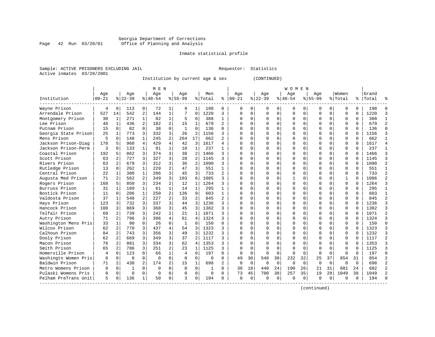#### Georgia Department of Corrections Page 42 Run 03/20/01 Office of Planning and Analysis

### Inmate statistical profile

|  | Sample: ACTIVE PRISONERS EXCLUDING JAII |  |
|--|-----------------------------------------|--|
|  | Active inmates 03/20/2001               |  |

L Bample: Active Prequestor: Statistics

Institution by current age & sex (CONTINUED)

|                      |           |                |             |                | M E N     |                |              |                |          |                |              |             |             |             | W O M E N |          |             |              |              |          |       |            |
|----------------------|-----------|----------------|-------------|----------------|-----------|----------------|--------------|----------------|----------|----------------|--------------|-------------|-------------|-------------|-----------|----------|-------------|--------------|--------------|----------|-------|------------|
|                      | Age       |                | Age         |                | Age       |                | Age          |                | Men      |                | Age          |             | Age         |             | Age       |          | Age         |              | Women        |          | Grand |            |
| Institution          | $00 - 21$ |                | $ 22-39$    |                | $8 40-54$ |                | $8155 - 99$  |                | % Total  | ႜ              | $ 00-21$     |             | $8$   22-39 |             | $ 40-54$  |          | $8155 - 99$ |              | % Total      | ႜ        | Total |            |
| Wayne Prison         | 4         | $\Omega$       | 113         | 0              | 72        | 1              | 9            | 1              | 198      | 0              | 0            | 0           | O           | 0           | 0         | 0        | n           | 0            | U            | 0        | 198   |            |
| Arrendale Prison     | 527       | 14             | 542         | 2              | 144       | $\mathbf{1}$   |              | $\Omega$       | 1220     | 3              | $\Omega$     | 0           | $\Omega$    | $\mathbf 0$ | $\Omega$  | $\Omega$ | $\Omega$    | $\Omega$     | 0            | 0        | 1220  | 3          |
| Montgomery Prison    | 30        | 1              | 271         | 1              | 82        | $\mathbf{1}$   | 5            | $\Omega$       | 388      | $\mathbf{1}$   | <sup>0</sup> | 0           | $\Omega$    | $\Omega$    | $\Omega$  | $\Omega$ | $\Omega$    | $\Omega$     | $\Omega$     | $\Omega$ | 388   |            |
| Lee Prison           | 46        | $\mathbf{1}$   | 436         | 2              | 182       | $\overline{a}$ | 15           | 1              | 679      | $\overline{a}$ | Ω            | 0           |             | $\Omega$    | $\Omega$  | $\Omega$ |             | $\Omega$     | $\Omega$     | $\Omega$ | 679   | 2          |
| Putnam Prison        | 15        | $\Omega$       | 82          | $\Omega$       | 38        | $\Omega$       | $\mathbf{1}$ | $\Omega$       | 136      | $\Omega$       | U            | 0           |             | $\Omega$    | N         | O        |             | $\Omega$     | $\Omega$     | $\Omega$ | 136   | $\sqrt{ }$ |
| Georgia State Prison | 25        | 1              | 773         | 3              | 332       | 3              | 26           | $\overline{2}$ | 1156     | 3              | $\cap$       | 0           |             | $\Omega$    | O         | U        | $\Omega$    | 0            | $\Omega$     | $\Omega$ | 1156  |            |
| Mens Prison          | 5         | $\Omega$       | 148         | $\mathbf{1}$   | 245       | $\overline{2}$ | 264          | 17             | 662      |                | $\cap$       | 0           |             | $\Omega$    | O         | U        | ∩           | 0            | U            | 0        | 662   |            |
| Jackson Prison-Diag  | 178       | 5              | 968         | 4              | 429       | 4              | 42           | 3              | 1617     | 4              | $\Omega$     | 0           |             | $\Omega$    | 0         | O        | $\Omega$    | 0            | 0            | 0        | 1617  |            |
| Jackson Prison-Perm  | 3         | $\Omega$       | 133         |                | 91        | 1              | 10           | 1              | 237      |                | Λ            | 0           |             | $\Omega$    | O         | O        |             | $\Omega$     | $\Omega$     | O        | 237   |            |
| Coastal Prison       | 192       | 5              | 862         | 3              | 374       | 3              | 38           | 2              | 1466     | 3              | ∩            | 0           |             | $\Omega$    | O         | U        | $\Omega$    | $\Omega$     | $\Omega$     | O        | 1466  |            |
| Scott Prison         | 63        | $\overline{2}$ | 727         | 3              | 327       | 3              | 28           | 2              | 1145     | ς              | Λ            | 0           |             | $\Omega$    | O         | U        | $\Omega$    | <sup>n</sup> | $\Omega$     | $\Omega$ | 1145  |            |
| Rivers Prison        | 63        | 2              | 679         | 3              | 312       | 3              | 36           | $\overline{2}$ | 1090     | 3              | Λ            | 0           |             | $\Omega$    | 0         | U        | ∩           | $\Omega$     | $\Omega$     | $\Omega$ | 1090  |            |
| Rutledge Prison      | 13        | $\Omega$       | 262         | $\mathbf{1}$   | 229       | $\overline{a}$ | 47           | 3              | 551      | $\mathbf{1}$   | Ω            | 0           |             | $\mathbf 0$ | 0         | O        |             | $\Omega$     | $\Omega$     | $\Omega$ | 551   |            |
| Central Prison       | 22        | $\mathbf{1}$   | 380         | $\mathbf{1}$   | 286       | 3              | 45           | 3              | 733      | $\overline{a}$ | Λ            | 0           |             | $\Omega$    | N         | O        | $\Omega$    | $\Omega$     | $\Omega$     | $\Omega$ | 733   |            |
| Augusta Med Prison   | 71        | 2              | 562         | $\overline{2}$ | 349       | 3              | 103          | 6              | 1085     | ς              | Λ            | 0           |             | $\Omega$    |           | O        | ∩           | 0            | $\mathbf{1}$ | $\Omega$ | 1086  |            |
| Rogers Prison        | 168       | 5              | 850         | 3              | 234       | 2              | 12           | 1              | 1264     | ς              | $\cap$       | 0           |             | $\Omega$    | $\Omega$  | O        | $\Omega$    | $\Omega$     | $\Omega$     | $\Omega$ | 1264  |            |
| Burruss Prison       | 31        | 1              | 189         |                | 61        | $\mathbf{1}$   | 14           | $\mathbf{1}$   | 295      |                | $\Omega$     | 0           |             | $\Omega$    | O         | O        | $\Omega$    | $\Omega$     | $\Omega$     | $\Omega$ | 295   |            |
| Bostick Prison       | 11        | $\Omega$       | 206         | 1              | 250       | 2              | 136          | 9              | 603      | 1              | ∩            | 0           |             | $\Omega$    | O         | U        |             | $\Omega$     | $\Omega$     | O        | 603   |            |
| Valdosta Prison      | 37        | 1              | 548         |                | 227       | $\overline{a}$ | 33           | $\overline{2}$ | 845      | $\overline{2}$ | ∩            | 0           |             | $\Omega$    | O         | U        | $\Omega$    | <sup>n</sup> | $\Omega$     | $\Omega$ | 845   |            |
| Hays Prison          | 123       | 3              | 732         | 3              | 337       | 3              | 44           | 3              | 1236     | 3              | ∩            | 0           |             | $\Omega$    | O         | U        | ∩           | 0            | $\Omega$     | $\Omega$ | 1236  |            |
| Hancock Prison       | 100       | 3              | 869         | 3              | 368       | 3              | 45           | 3              | 1382     | 3              | <sup>0</sup> | 0           |             | $\Omega$    | 0         | U        | ∩           | 0            | $\Omega$     | $\Omega$ | 1382  |            |
| Telfair Prison       | 69        | 2              | 739         | 3              | 242       | $\overline{a}$ | 21           | 1              | 1071     | 3              | Ω            | 0           |             | $\Omega$    | O         | $\Omega$ | O           | 0            | $\Omega$     | $\Omega$ | 1071  |            |
| Autry Prison         | 71        | 2              | 796         | 3              | 396       | 4              | 61           | $\overline{4}$ | 1324     | ς              | Λ            | 0           |             | $\Omega$    | N         | $\Omega$ |             | $\Omega$     | $\Omega$     | $\Omega$ | 1324  |            |
| Washington Mens Pris | 33        | $\mathbf{1}$   | 90          | $\Omega$       | 26        | $\Omega$       | $\mathbf{1}$ | $\Omega$       | 150      | $\cap$         | $\cap$       | 0           |             | $\Omega$    | N         | O        | $\Omega$    | $\Omega$     | $\Omega$     | $\Omega$ | 150   | $\cap$     |
| Wilcox Prison        | 62        | 2              | 770         | 3              | 437       | 4              | 54           | 3              | 1323     | 3              | $\cap$       | 0           |             | $\Omega$    | O         | O        | $\Omega$    | $\Omega$     | 0            | $\Omega$ | 1323  |            |
| Calhoun Prison       | 84        | 2              | 743         | 3              | 356       | 3              | 49           | 3              | 1232     | 3              | ∩            | 0           |             | $\Omega$    | 0         | O        | $\Omega$    | 0            | 0            | 0        | 1232  |            |
| Dooly Prison         | 62        | 2              | 669         | 3              | 349       | 3              | 37           | 2              | 1117     | 3              | Λ            | 0           |             | $\Omega$    | 0         | O        |             | 0            | 0            | U        | 1117  |            |
| Macon Prison         | 76        | 2              | 881         | 3              | 334       | 3              | 62           | $\overline{4}$ | 1353     | ς              | Λ            | 0           |             | $\Omega$    | U         |          |             | 0            | $\Omega$     | O        | 1353  |            |
| Smith Prison         | 65        | $\overline{a}$ | 786         | 3              | 251       | 2              | 23           | 1              | 1125     | 3              | $\cap$       | $\Omega$    |             | $\Omega$    | $\cap$    | U        | $\Omega$    | $\cap$       | $\cap$       | $\cap$   | 1125  |            |
| Homerville Prison    | 4         | $\Omega$       | 123         | $\cap$         | 66        | $\mathbf{1}$   | 4            | $\Omega$       | 197      | 0              | $\Omega$     | 0           | ∩           | $\Omega$    | $\Omega$  | $\Omega$ | $\Omega$    | $\Omega$     | $\cap$       | $\Omega$ | 197   | U          |
| Washingtn Women Pris | 0         | $\Omega$       | $\mathbf 0$ | $\Omega$       | $\Omega$  | $\Omega$       | $\Omega$     | $\Omega$       | 0        | 0              | 49           | 30          | 548         | 30          | 232       | 32       | 25          | 37           | 854          | 31       | 854   |            |
| Baldwin Prison       | 71        | $\overline{2}$ | 438         | $\overline{a}$ | 174       | $\overline{a}$ | 15           | $\mathbf{1}$   | 698      | $\overline{2}$ | $\Omega$     | $\Omega$    | $\Omega$    | $\Omega$    | $\Omega$  | $\Omega$ | $\Omega$    | $\Omega$     | $\Omega$     | $\Omega$ | 698   |            |
| Metro Womens Prison  | $\Omega$  | $\Omega$       |             | $\Omega$       | $\Omega$  | $\Omega$       | $\Omega$     | $\Omega$       | 1        | 0              | 30           | 18          | 440         | 24          | 190       | 26       | 21          | 31           | 681          | 24       | 682   |            |
| Pulaski Womens Pris  | O         | $\mathbf 0$    | $\Omega$    | $\Omega$       | $\Omega$  | 0              |              | $\Omega$       | $\Omega$ | $\Omega$       | 73           | 45          | 700         | 38          | 257       | 35       | 19          | 28           | 1049         | 38       | 1049  |            |
| Pelham PreTrans Unit | 5         | $\Omega$       | 136         |                | 50        | 0              | २            | $\Omega$       | 194      | U              | $\Omega$     | $\mathbf 0$ | $\Omega$    | 0           | $\Omega$  | $\Omega$ | $\Omega$    | 0            | $\Omega$     | 0        | 194   |            |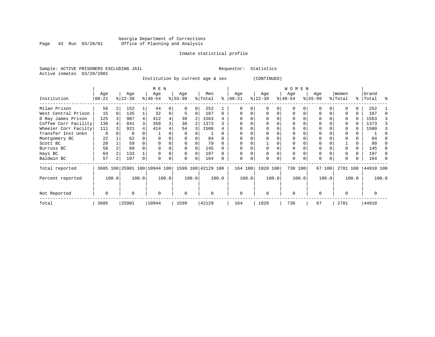#### Georgia Department of Corrections<br>Page 43 Run 03/20/01 Office of Planning and Analysis Page 43 Run 03/20/01 Office of Planning and Analysis

#### Inmate statistical profile

Sample: ACTIVE PRISONERS EXCLUDING JAIL **Requestor:** Statistics Active inmates 03/20/2001

Institution by current age & sex (CONTINUED)

|                      |                   |       |                  |       | M E N                        |       |                    |          |                |       |                  |       |                  | W O M E N        |       |                  |        |                  |       |                    |       |
|----------------------|-------------------|-------|------------------|-------|------------------------------|-------|--------------------|----------|----------------|-------|------------------|-------|------------------|------------------|-------|------------------|--------|------------------|-------|--------------------|-------|
| Institution          | Age<br>$ 00 - 21$ |       | Age<br>$ 22-39 $ |       | Age<br>$ 40-54 $             |       | Age<br>$ 55-99$    |          | Men<br>% Total | ⊱     | Age<br>$00 - 21$ |       | Age<br>$ 22-39 $ | Age<br>$ 40-54 $ |       | Age<br>$ 55-99 $ |        | Women<br>% Total |       | Grand<br>%   Total | ႜ     |
| Milan Prison         | 56                | 2     | 152              |       | 44                           |       |                    | 0        | 252            |       |                  |       |                  | O                |       |                  |        |                  |       | 252                |       |
| West Central Prison  | 15                |       | 135              |       | 32                           |       |                    | 0        | 187            | 0     |                  |       |                  | $\Omega$         |       |                  |        |                  | 0     | 187                |       |
| D Ray James Prison   | 125               |       | 987              | 4     | 412                          |       | 39                 |          | 1563           |       |                  |       |                  |                  |       |                  |        |                  | 0     | 1563               |       |
| Coffee Corr Facility | 136               |       | 841              |       | 358                          |       | 38                 |          | 1373           |       |                  |       |                  |                  |       |                  |        |                  |       | 1373               |       |
| Wheeler Corr Facilty | 111               |       | 921              |       | 414                          |       | 54                 | 3        | 1500           |       |                  |       |                  |                  |       |                  |        |                  | 0     | 1500               |       |
| Transfer Inst Unkn   | $\mathbf 0$       |       | 0                |       |                              |       | O                  |          |                |       | $\Omega$         |       |                  |                  |       |                  |        |                  |       |                    |       |
| Montgomery BC        | 22                |       | 62               |       |                              |       |                    |          | 84             |       |                  |       |                  |                  |       |                  |        |                  |       | 84                 |       |
| Scott BC             | 20                |       | 59               |       |                              |       |                    |          | 79             |       |                  |       |                  |                  |       |                  |        |                  |       | 80                 |       |
| Burruss BC           | 56                |       | 89               |       |                              |       |                    |          | 145            |       |                  |       |                  |                  |       |                  |        |                  |       | 145                |       |
| Hays BC              | 64                |       | 133              |       |                              |       |                    | $\Omega$ | 197            |       |                  |       |                  |                  |       | $\Omega$         |        |                  |       | 197                |       |
| Baldwin BC           | 57                |       | 107              |       |                              |       | $\Omega$           | 0        | 164            |       | 0                |       | $\Omega$         | 0                |       | $\Omega$         |        |                  |       | 164                |       |
| Total reported       |                   |       |                  |       | 3685 100 25901 100 10944 100 |       | 1599 100 42129 100 |          |                |       | 164 100          |       | 1820 100         | 730 100          |       |                  | 67 100 | 2781 100         |       | 44910 100          |       |
| Percent reported     |                   | 100.0 |                  | 100.0 |                              | 100.0 |                    | 100.0    |                | 100.0 |                  | 100.0 | 100.0            |                  | 100.0 |                  | 100.0  |                  | 100.0 |                    | 100.0 |
| Not Reported         | $\Omega$          |       | 0                |       | $\mathbf 0$                  |       | 0                  |          | O              |       | 0                |       | $\Omega$         | 0                |       | $\Omega$         |        |                  |       |                    |       |
| Total                | 3685              |       | 25901            |       | 10944                        |       | 1599               |          | 42129          |       | 164              |       | 1820             | 730              |       | 67               |        | 2781             |       | 44910              |       |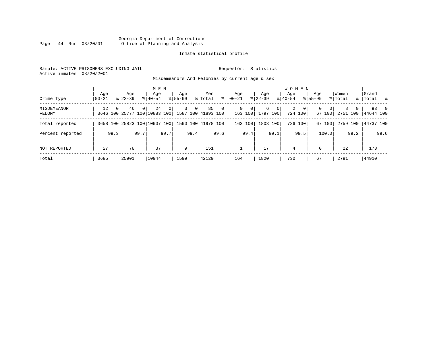#### Georgia Department of Corrections Page 44 Run 03/20/01 Office of Planning and Analysis

#### Inmate statistical profile

Sample: ACTIVE PRISONERS EXCLUDING JAIL **Requestor:** Statistics Active inmates 03/20/2001

Misdemeanors And Felonies by current age & sex

| Crime Type                   | Age<br>$00 - 21$ |          | Age<br>$8122 - 39$                 |          | M E N<br>Age<br>$8140 - 54$ |      | Aqe<br>$8155 - 99$ |                | Men<br>% Total           | ွေ             | Aqe<br>$ 00-21 $ |                                     | Aqe<br>$8$   22-39 |                | <b>WOMEN</b><br>Aqe<br>$8 40-54$ |                           | Aqe<br>$8155 - 99$ |                    | Women<br>% Total |          | Grand<br>%   Total % |      |
|------------------------------|------------------|----------|------------------------------------|----------|-----------------------------|------|--------------------|----------------|--------------------------|----------------|------------------|-------------------------------------|--------------------|----------------|----------------------------------|---------------------------|--------------------|--------------------|------------------|----------|----------------------|------|
| <b>MISDEMEANOR</b><br>FELONY | 12               | $\Omega$ | 46<br>3646 100 25777 100 10883 100 | $\Omega$ | 24                          | 0    | 3                  | 0 <sup>1</sup> | 85<br>1587 100 41893 100 | $\overline{0}$ |                  | $\Omega$<br>$\mathbf{0}$<br>163 100 | 6<br>1797 100      | $\overline{0}$ | 2                                | $\overline{0}$<br>724 100 | 0                  | $\Omega$<br>67 100 | 8<br>2751 100    | $\Omega$ | 44644 100            | 93 0 |
| Total reported               |                  |          | 3658 100 25823 100 10907 100       |          |                             |      |                    |                | 1590 100 41978 100       |                | 163              | 100                                 |                    | 1803 100       |                                  | 726 100                   |                    | 67 100             | 2759 100         |          | 44737 100            |      |
| Percent reported             |                  | 99.3     |                                    | 99.7     |                             | 99.7 |                    | 99.4           |                          | 99.6           |                  | 99.4                                |                    | 99.1           |                                  | 99.5                      |                    | 100.0              |                  | 99.2     |                      | 99.6 |
| NOT REPORTED                 | 27               |          | 78                                 |          | 37                          |      | 9                  |                | 151                      |                |                  |                                     | 17                 |                | 4                                |                           | $\Omega$           |                    | 22               |          | 173                  |      |
| Total                        | 3685             |          | 25901                              |          | 10944                       |      | 1599               |                | 42129                    |                | 164              |                                     | 1820               |                | 730                              |                           | 67                 |                    | 2781             |          | 44910                |      |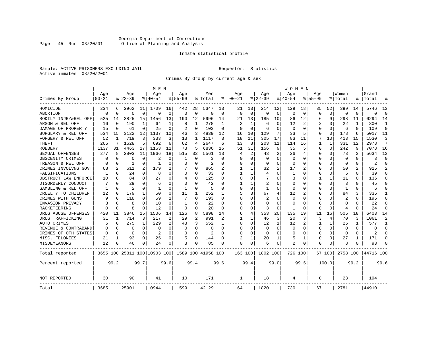#### Georgia Department of Corrections<br>Page 45 Run 03/20/01 Office of Planning and Analysis Page 45 Run 03/20/01 Office of Planning and Analysis

#### Inmate statistical profile

Sample: ACTIVE PRISONERS EXCLUDING JAIL **Requestor:** Statistics Active inmates 03/20/2001

Crimes By Group by current age & sex

|                      |           |                |                |          | M E N                        |              |              |          |                    |                |                |                |                |             | W O M E N    |          |              |              |                |              |            |                |
|----------------------|-----------|----------------|----------------|----------|------------------------------|--------------|--------------|----------|--------------------|----------------|----------------|----------------|----------------|-------------|--------------|----------|--------------|--------------|----------------|--------------|------------|----------------|
|                      | Age       |                | Age            |          | Age                          |              | Aqe          |          | Men                |                | Age            |                | Age            |             | Aqe          |          | Aqe          |              | Women          |              | Grand      |                |
| Crimes By Group      | $00 - 21$ |                | $8 22-39$      |          | % 40-54                      |              | $8155 - 99$  |          | % Total            | နွ             | $ 00-21$       |                | $8122 - 39$    |             | $ 40-54$     |          | $8155 - 99$  |              | % Total        | °            | Total      |                |
| HOMICIDE             | 234       | 6              | 2962           | 11       | 1709                         | 16           | 442          | 28       | 5347               | 13             | 21             | 13             | 214            | 12          | 129          | 18       | 35           | 52           | 399            | 14           | 5746       | 13             |
| ABORTION             | $\Omega$  | $\Omega$       | $\Omega$       | 0        | $\Omega$                     | $\Omega$     | 0            | 0        | $\Omega$           | $\Omega$       | $\Omega$       | $\Omega$       | $\mathbf 0$    | $\mathbf 0$ | $\Omega$     | $\Omega$ | $\Omega$     | $\mathbf 0$  | $\Omega$       | $\Omega$     | $\Omega$   | $\Omega$       |
| BODILY INJRY&REL OFF | 525       | 14             | 3825           | 15       | 1456                         | 13           | 190          | 12       | 5996               | 14             | 21             | 13             | 185            | 10          | 86           | 12       | 6            | 9            | 298            | 11           | 6294       | 14             |
| ARSON & REL OFF      | 16        | $\mathbf 0$    | 190            | 1        | 64                           | 1            | 8            | 1        | 278                | -1             | $\mathfrak{D}$ |                | 6              | O           | 12           | 2        | 2            | 3            | 22             | 1            | 300        | $\mathbf{1}$   |
| DAMAGE OF PROPERTY   | 15        | $\Omega$       | 61             | 0        | 25                           | $\Omega$     | 2            | $\Omega$ | 103                | $\Omega$       | ∩              | ∩              | 6              | 0           | <sup>0</sup> | $\Omega$ | O            | 0            | 6              | <sup>0</sup> | 109        | $\Omega$       |
| BURGLARY & REL OFF   | 534       | 15             | 3122           | 12       | 1137                         | 10           | 46           | 3        | 4839               | 12             | 16             | 10             | 129            | 7           | 33           | 5        | 0            | $\Omega$     | 178            | 6            | 5017       | 11             |
| FORGERY & REL OFF    | 52        | 1              | 719            | 3        | 333                          | 3            | 13           | 1        | 1117               | 3              | 18             | 11             | 305            | 17          | 83           | 11       | 7            | 10           | 413            | 15           | 1530       | 3              |
| THEFT                | 265       | 7              | 1628           | 6        | 692                          | 6            | 62           | 4        | 2647               | 6              | 13             | 8              | 203            | 11          | 114          | 16       | $\mathbf{1}$ | $\mathbf{1}$ | 331            | 12           | 2978       | 7              |
| <b>ROBBERY</b>       | 1137      | 31             | 4463           | 17       | 1163                         | 11           | 73           | 5        | 6836               | 16             | 51             | 31             | 156            | 9           | 35           | 5        | 0            | $\Omega$     | 242            | 9            | 7078       | 16             |
| SEXUAL OFFENSES      | 277       | 8              | 2803           | 11       | 1966                         | 18           | 515          | 32       | 5561               | 13             | 4              | $\overline{2}$ | 43             | 2           | 26           | 4        | 0            | 0            | 73             | 3            | 5634       | 13             |
| OBSCENITY CRIMES     | $\Omega$  | $\Omega$       | U              | O        | 2                            | O            | 1            | $\Omega$ | 3                  | O              | $\Omega$       | $\Omega$       | $\Omega$       | $\Omega$    | <sup>0</sup> | $\Omega$ | U            | $\Omega$     | $\Omega$       | $\Omega$     | 3          | $\Omega$       |
| TREASON & REL OFF    | O         | 0              | -1             | 0        | -1                           | O            | O            | $\Omega$ | $\overline{2}$     | O              | O              | $\Omega$       | $\Omega$       | $\Omega$    | <sup>0</sup> | $\Omega$ | U            | 0            | $\Omega$       | 0            | 2          | $\Omega$       |
| CRIMES INVOLVNG GOVT | 68        | $\overline{2}$ | 611            | 2        | 179                          | 2            |              | 0        | 865                |                |                |                | 32             | 2           | 17           | 2        | U            | $\Omega$     | 50             |              | 915        | $\overline{2}$ |
| FALSIFICATIONS       | 1         | 0              | 24             | 0        | 8                            | 0            | 0            | 0        | 33                 | $\Omega$       | 1              |                | 4              | O           | 1            | $\Omega$ | 0            | 0            | 6              | 0            | 39         | $\Omega$       |
| OBSTRUCT LAW ENFORCE | 10        | $\Omega$       | 84             | 0        | 27                           | O            | 4            | 0        | 125                | U              | $\Omega$       | $\Omega$       |                | N           | 3            | $\Omega$ |              | 1            | 11             | U            | 136        | $\Omega$       |
| DISORDERLY CONDUCT   |           | $\Omega$       | 29             | 0        | 6                            | O            | U            | 0        | 42                 |                |                |                | 2              | N           |              | $\Omega$ | 0            | O            | 3              |              | 45         | $\Omega$       |
| GAMBLING & REL OFF   | 1         | $\Omega$       | $\mathfrak{D}$ | 0        | 1                            | $\Omega$     | $\mathbf{1}$ | $\Omega$ | 5                  | $\Omega$       | $\Omega$       | $\Omega$       | $\mathbf{1}$   | $\Omega$    | <sup>0</sup> | $\Omega$ | U            | $\Omega$     | $\mathbf{1}$   | $\Omega$     | 6          | $\Omega$       |
| CRUELTY TO CHILDREN  | 12        | 0              | 179            | 1        | 50                           | $\Omega$     | 11           | 1        | 252                | 1              | 5              | 3              | 67             | 4           | 12           | 2        | 0            | $\Omega$     | 84             | 3            | 336        | 1              |
| CRIMES WITH GUNS     | 9         | $\Omega$       | 118            | $\Omega$ | 59                           | $\mathbf{1}$ | 7            | $\Omega$ | 193                | $\Omega$       | $\Omega$       | $\Omega$       | $\overline{2}$ | $\Omega$    | $\Omega$     | $\Omega$ | Ω            | $\Omega$     | $\overline{2}$ | $\Omega$     | 195        | $\Omega$       |
| INVASION PRIVACY     |           | 0              | 8              | 0        | 10                           | $\Omega$     | $\mathbf{1}$ | U        | 22                 | $\Omega$       | $\Omega$       | $\Omega$       | $\Omega$       | O           | <sup>0</sup> | $\Omega$ | O            | 0            | $\Omega$       | <sup>0</sup> | 22         | $\Omega$       |
| RACKETEERING         |           | $\Omega$       | 8              | 0        | 12                           | O            | 0            | 0        | 20                 | O              | O              | $\Omega$       | 3              | 0           |              | $\Omega$ | O            | 0            | $\overline{4}$ | O            | 24         | $\Omega$       |
| DRUG ABUSE OFFENSES  | 420       | 11             | 3846           | 15       | 1506                         | 14           | 126          | 8        | 5898               | 14             | 6              | 4              | 353            | 20          | 135          | 19       | 11           | 16           | 505            | 18           | 6403       | 14             |
| DRUG TRAFFICKING     | 31        | 1              | 714            | 3        | 217                          | 2            | 29           | 2        | 991                | $\mathfrak{D}$ | 1              |                | 46             | 3           | 20           | 3        | 3            | 4            | 70             | 3            | 1061       | $\overline{2}$ |
| <b>AUTO CRIMES</b>   | 5         | $\Omega$       | 275            | 1        | 229                          | 2            | 43           | 3        | 552                | 1              | $\Omega$       | $\Omega$       | 12             | 1           | 12           | 2        | 1            | 1            | 25             | -1           | 577        | 1              |
| REVENUE & CONTRABAND |           | 0              | $\Omega$       | 0        | $\Omega$                     | $\Omega$     | O            | 0        | $\Omega$           | $\Omega$       | $\Omega$       | $\Omega$       | $\mathbf 0$    | $\Omega$    | 0            | $\Omega$ | $\Omega$     | 0            | $\Omega$       | $\Omega$     | $\Omega$   | $\Omega$       |
| CRIMES OF OTH STATES | $\Omega$  | $\Omega$       | 0              | 0        | $\overline{a}$               | $\Omega$     | O            | $\Omega$ | $\overline{2}$     | $\Omega$       | $\Omega$       | $\Omega$       | $\Omega$       | 0           | <sup>0</sup> | $\Omega$ | 0            | $\Omega$     | $\Omega$       | $\Omega$     | 2          | $\Omega$       |
| MISC. FELONIES       | 21        | 1              | 93             | 0        | 25                           | 0            | 5            | $\Omega$ | 144                | O              |                |                | 20             |             | 5            | 1        | 0            | 0            | 27             |              | 171        | $\Omega$       |
| MISDEMEANORS         | 12        | 0              | 46             | 0        | 24                           | 0            | 3            | 0        | 85                 | O              | $\Omega$       | 0              | 6              | 0           | 2            | 0        | 0            | 0            |                |              | 93         | ∩              |
| Total reported       |           |                |                |          | 3655 100 25811 100 10903 100 |              |              |          | 1589 100 41958 100 |                | 163 100        |                | 1802 100       |             | 726 100      |          |              | 67 100       | 2758 100       |              | 144716 100 |                |
| Percent reported     |           | 99.2           |                | 99.7     |                              | 99.6         |              | 99.4     |                    | 99.6           |                | 99.4           |                | 99.0        |              | 99.5     |              | 100.0        |                | 99.2         |            | 99.6           |
| NOT REPORTED         | 30        |                | 90             |          | 41                           |              | 10           |          | 171                |                | 1              |                | 18             |             | 4            |          | 0            |              | 23             |              | 194        |                |
| Total                | 3685      |                | 25901          |          | 10944                        |              | 1599         |          | 42129              |                | 164            |                | 1820           |             | 730          |          | 67           |              | 2781           |              | 44910      |                |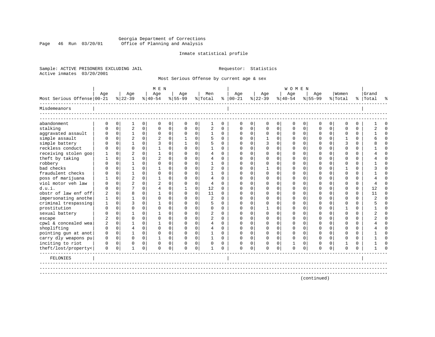#### Georgia Department of Corrections Page 46 Run 03/20/01 Office of Planning and Analysis

#### Inmate statistical profile

Sample: ACTIVE PRISONERS EXCLUDING JAIL **Requestor:** Statistics Active inmates 03/20/2001

Most Serious Offense by current age & sex

|                            |                |             |                |             | M E N          |             |             |             |                |             |          |             |             |          | <b>WOMEN</b> |          |             |             |             |             |           |          |
|----------------------------|----------------|-------------|----------------|-------------|----------------|-------------|-------------|-------------|----------------|-------------|----------|-------------|-------------|----------|--------------|----------|-------------|-------------|-------------|-------------|-----------|----------|
|                            | Age            |             | Age            |             | Age            |             | Age         |             | Men            |             | Age      |             | Age         |          | Age          |          | Age         |             | Women       |             | Grand     |          |
| Most Serious Offense 00-21 |                |             | $8 22-39$      |             | $ 40-54 $      |             | $8155 - 99$ |             | % Total        | ៖           | $ 00-21$ |             | $8 22-39$   |          | $ 40-54$     |          | $8155 - 99$ |             | % Total     |             | %   Total | °        |
| Misdemeanors               |                |             |                |             |                |             |             |             |                |             |          |             |             |          |              |          |             |             |             |             |           |          |
| abandonment                | 0              | $\mathbf 0$ | 1              | $\mathbf 0$ | $\mathbf 0$    | $\mathbf 0$ | $\mathbf 0$ | $\mathbf 0$ | 1              | $\mathbf 0$ | 0        | $\mathbf 0$ | $\mathbf 0$ | 0        | $\mathbf 0$  | 0        | 0           | $\mathbf 0$ | $\mathbf 0$ | $\mathbf 0$ |           | $\Omega$ |
| stalking                   | $\cap$         | $\Omega$    | $\overline{2}$ | $\Omega$    | $\Omega$       | $\mathbf 0$ | $\Omega$    | $\mathbf 0$ | $\overline{2}$ | $\Omega$    | $\Omega$ | $\Omega$    | $\Omega$    | $\Omega$ | $\Omega$     | $\Omega$ | $\Omega$    | $\Omega$    | $\Omega$    | $\Omega$    |           | $\Omega$ |
| aggravated assault         | $\Omega$       | $\mathbf 0$ | 1              | $\mathbf 0$ | $\mathbf 0$    | $\mathbf 0$ | $\Omega$    | $\mathbf 0$ | 1              | $\Omega$    | $\Omega$ | $\Omega$    | $\mathbf 0$ | 0        | $\Omega$     | 0        | $\Omega$    | $\Omega$    | $\Omega$    | $\Omega$    |           | $\Omega$ |
| simple assault             | U              | $\mathbf 0$ | $\overline{2}$ | $\Omega$    | $\overline{c}$ | 0           | -1          | $\mathbf 0$ |                | $\Omega$    | $\Omega$ | 0           |             | $\Omega$ | $\Omega$     | $\Omega$ | O           | $\Omega$    |             | $\Omega$    |           | $\Omega$ |
| simple battery             |                | $\Omega$    |                | $\Omega$    | ζ              | $\mathbf 0$ |             | $\Omega$    | 5              | $\Omega$    | $\Omega$ |             | 3           | $\Omega$ | $\Omega$     | $\Omega$ |             | $\Omega$    | २           | $\Omega$    |           | $\Omega$ |
| reckless conduct           | U              | $\Omega$    | $\Omega$       | $\Omega$    |                | $\mathbf 0$ | $\Omega$    | $\Omega$    |                | $\Omega$    | ∩        |             | ∩           | 0        | ∩            | $\Omega$ | ∩           | $\Omega$    | ∩           | $\Omega$    |           | $\Omega$ |
| receiving stolen goo       |                | $\Omega$    | $\overline{c}$ | $\Omega$    |                | $\Omega$    | $\Omega$    | $\Omega$    | $\overline{4}$ | $\Omega$    | $\Omega$ |             | $\Omega$    | $\Omega$ | $\Omega$     | $\Omega$ | U           | $\Omega$    | $\Omega$    | $\Omega$    |           | $\Omega$ |
| theft by taking            |                | $\mathbf 0$ |                | $\Omega$    | $\mathcal{D}$  | $\Omega$    | $\Omega$    | $\Omega$    | $\overline{4}$ | $\Omega$    |          |             | n           | $\Omega$ |              | $\Omega$ |             | $\Omega$    | $\Omega$    | $\Omega$    |           | $\Omega$ |
| robbery                    |                | $\Omega$    |                | $\Omega$    | $\Omega$       | $\Omega$    | $\Omega$    | $\Omega$    |                | $\Omega$    |          |             | n           | $\Omega$ |              | $\Omega$ |             | $\Omega$    | $\cap$      | $\Omega$    |           | $\Omega$ |
| bad checks                 |                | $\Omega$    |                | $\Omega$    |                | $\Omega$    | $\Omega$    | $\Omega$    | $\overline{c}$ | $\Omega$    | $\Omega$ |             |             | $\Omega$ |              | $\Omega$ |             | $\Omega$    |             | $\Omega$    |           | $\Omega$ |
| fraudulent checks          |                | $\mathbf 0$ |                | $\Omega$    | $\Omega$       | 0           | U           | $\Omega$    |                | $\Omega$    | ∩        |             | ∩           | 0        |              | $\Omega$ |             | $\Omega$    | $\cap$      | $\Omega$    |           | $\Omega$ |
| poss of marijuana          |                | $\Omega$    | $\overline{c}$ | $\Omega$    |                | $\Omega$    | $\Omega$    | $\Omega$    | $\overline{4}$ | $\Omega$    | ∩        |             | ∩           | $\Omega$ |              | $\Omega$ |             | $\Omega$    | $\cap$      | $\Omega$    |           | $\Omega$ |
| viol motor yeh law         | U              | $\Omega$    | $\overline{a}$ | $\Omega$    | $\overline{a}$ | $\mathbf 0$ | $\Omega$    | $\Omega$    | 4              | $\Omega$    |          |             | n           | U        |              | $\Omega$ |             | $\cap$      | ∩           | $\Omega$    |           | $\Omega$ |
| d.u.i.                     | $\cap$         | $\Omega$    |                | $\Omega$    | $\overline{4}$ | $\Omega$    | 1           | $\Omega$    | 12             | $\Omega$    |          |             | n           | $\Omega$ |              | $\Omega$ |             | $\Omega$    | $\cap$      | $\Omega$    | 12        | $\Omega$ |
| obstr of law enf off       | $\overline{2}$ | $\Omega$    | $\mathsf{R}$   | $\Omega$    |                | $\Omega$    | $\Omega$    | 0           | 11             | $\Omega$    |          |             | n           | 0        |              | $\Omega$ |             | $\Omega$    | ∩           | $\Omega$    | 11        | $\Omega$ |
| impersonating anothe       | 1              | $\mathbf 0$ |                | $\Omega$    | $\Omega$       | $\Omega$    | $\Omega$    | $\Omega$    | $\overline{2}$ | $\Omega$    | ∩        |             | ∩           | 0        |              | ∩        | ∩           | $\cap$      | ∩           | $\Omega$    |           | $\cap$   |
| criminal trespassing       | $\mathbf{1}$   | $\Omega$    | ζ              | $\Omega$    | $\mathbf{1}$   | $\Omega$    | U           | $\Omega$    | 5              | $\Omega$    | ∩        |             | $\Omega$    | $\Omega$ |              | $\Omega$ | ∩           | $\cap$      | $\Omega$    | $\Omega$    |           | $\cap$   |
| prostitution               | $\Omega$       | $\Omega$    | $\Omega$       | $\Omega$    | $\Omega$       | $\Omega$    | $\Omega$    | $\Omega$    | $\Omega$       | $\Omega$    | ∩        |             |             | 0        |              | $\Omega$ | ∩           | $\cap$      |             | $\Omega$    |           | $\cap$   |
| sexual battery             | 0              | $\Omega$    |                | $\Omega$    |                | $\Omega$    | $\Omega$    | $\Omega$    | $\overline{c}$ | $\Omega$    | ∩        |             | ∩           | $\Omega$ |              | $\Omega$ | በ           | $\cap$      | $\cap$      | $\Omega$    |           | $\cap$   |
| escape                     | 2              | $\Omega$    | U              | $\Omega$    | $\Omega$       | $\Omega$    | U           | $\Omega$    | $\overline{a}$ | $\Omega$    | ∩        |             | ∩           | $\Omega$ |              | $\Omega$ | በ           | $\cap$      | ∩           | $\Omega$    |           | $\cap$   |
| cpwl & concealed wea       | 2              | $\Omega$    |                | $\Omega$    | $\mathbf{1}$   | $\Omega$    | $\Omega$    | $\Omega$    | 4              | $\Omega$    | $\Omega$ |             | $\Omega$    | $\Omega$ |              | $\Omega$ | U           | $\Omega$    | $\Omega$    | $\Omega$    |           | $\cap$   |
| shoplifting                | $\Omega$       | $\Omega$    | $\overline{4}$ | $\Omega$    | $\Omega$       | $\mathbf 0$ | $\Omega$    | $\Omega$    | 4              | $\Omega$    | $\Omega$ | $\Omega$    | $\Omega$    | $\Omega$ |              | $\Omega$ | U           | $\Omega$    | $\Omega$    | $\Omega$    |           | $\Omega$ |
| pointing gun at anot       | 0              | $\mathbf 0$ |                | $\Omega$    | $\Omega$       | $\mathbf 0$ | $\Omega$    | $\Omega$    | 1              | $\Omega$    | $\Omega$ | $\Omega$    | 0           | $\Omega$ |              | $\Omega$ | O           | $\Omega$    | $\Omega$    | $\Omega$    |           | $\Omega$ |
| carry dly weapons pu       | $\Omega$       | $\mathbf 0$ | $\Omega$       | $\Omega$    | $\mathbf{1}$   | $\Omega$    | $\Omega$    | $\Omega$    | $\mathbf{1}$   | $\Omega$    | $\Omega$ | $\Omega$    | $\Omega$    | $\Omega$ | $\Omega$     | $\Omega$ | 0           | $\Omega$    | $\Omega$    | $\Omega$    |           | $\cap$   |
| inciting to riot           | 0              | 0           | O              | $\Omega$    | $\Omega$       | 0           | O           | $\mathbf 0$ | 0              | 0           |          | $\Omega$    | 0           | 0        |              | 0        | 0           | 0           |             | $\Omega$    |           | U        |
| theft/lost/property<       | $\Omega$       | 0           | 1              | 0           | $\Omega$       | 0           | $\Omega$    | $\mathbf 0$ |                | $\Omega$    | $\Omega$ | $\Omega$    | $\Omega$    | 0        | $\Omega$     | 0        | $\Omega$    | 0           | $\Omega$    | $\Omega$    |           |          |
| FELONIES                   |                |             |                |             |                |             |             |             |                |             |          |             |             |          |              |          |             |             |             |             |           |          |
|                            |                |             |                |             |                |             |             |             |                |             |          |             |             |          |              |          |             |             |             |             |           |          |
|                            |                |             |                |             |                |             |             |             |                |             |          |             |             |          |              |          |             |             |             |             |           |          |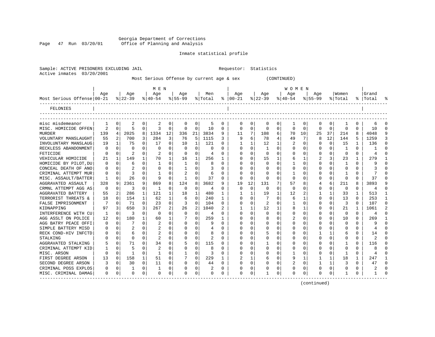Georgia Department of Corrections Page 47 Run 03/20/01 Office of Planning and Analysis

#### Inmate statistical profile

| 03/20/2001<br>Active inmates |                |                |                |             |                |                |                |             | Most Serious Offense by current age & sex |              |               |             |              | (CONTINUED)  |                  |                |              |              |              |              |          |   |
|------------------------------|----------------|----------------|----------------|-------------|----------------|----------------|----------------|-------------|-------------------------------------------|--------------|---------------|-------------|--------------|--------------|------------------|----------------|--------------|--------------|--------------|--------------|----------|---|
|                              | Aqe            |                | Aqe            |             | M E N<br>Age   |                | Aqe            |             | Men                                       |              | Aqe           |             | Aqe          |              | W O M E N<br>Age |                | Aqe          |              | Women        |              | Grand    |   |
| Most Serious Offense 00-21   |                |                | $ 22-39$       |             | $8 40-54$      |                | $8 55-99$      |             | % Total                                   |              | $8   00 - 21$ |             | $ 22-39 $    |              | $ 40-54 $        |                | $8 55-99$    |              | % Total      |              | %  Total |   |
| FELONIES                     |                |                |                |             |                |                |                |             |                                           |              |               |             |              |              |                  |                |              |              |              |              |          |   |
| misc misdemeanor             | 1              | 0              | 2              | 0           | 2              | 0              | 0              | 0           | 5                                         | 0            | 0             | 0           | 0            | 0            | 1                | 0              | 0            | 0            | 1            | 0            | 6        |   |
| MISC. HOMICIDE OFFEN         | $\overline{2}$ | $\Omega$       | 5              | $\mathbf 0$ | 3              | 0              | $\mathbf 0$    | $\Omega$    | 10                                        | $\Omega$     | 0             | $\Omega$    | $\Omega$     | $\Omega$     | $\Omega$         | $\Omega$       | $\Omega$     | $\Omega$     | $\Omega$     | $\Omega$     | 10       |   |
| <b>MURDER</b>                | 139            | $\overline{4}$ | 2025           | 8           | 1334           | 12             | 336            | 21          | 3834                                      | 9            | 11            | 7           | 108          | 6            | 70               | 10             | 25           | 37           | 214          | 8            | 4048     |   |
| VOLUNTARY MANSLAUGHT         | 55             | $\overline{2}$ | 700            | 3           | 284            | 3              | 76             | 5           | 1115                                      | 3            | 9             | 6           | 78           | 4            | 49               | 7              | 8            | 12           | 144          | 5            | 1259     |   |
| INVOLUNTARY MANSLAUG         | 19             | $\mathbf{1}$   | 75             | 0           | 17             | $\Omega$       | 10             | 1           | 121                                       | 0            | 1             | 1           | 12           | 1            | 2                | 0              | <sup>0</sup> | $\mathbf 0$  | 15           | $\mathbf{1}$ | 136      |   |
| RECKLESS ABANDONMENT         | 0              | $\Omega$       | $\mathbf 0$    | 0           | 0              | $\Omega$       | $\mathbf 0$    | $\mathbf 0$ | $\Omega$                                  | $\Omega$     | 0             | $\Omega$    | 1            | $\Omega$     | 0                | 0              | <sup>0</sup> | $\mathbf 0$  | 1            | $\Omega$     | -1       | ∩ |
| FETICIDE                     | $\Omega$       | $\Omega$       | 2              | $\mathbf 0$ |                | $\Omega$       | $\Omega$       | $\Omega$    | 4                                         | $\Omega$     | $\Omega$      | $\Omega$    | $\Omega$     | $\Omega$     | <sup>0</sup>     | $\Omega$       | <sup>0</sup> | $\Omega$     | $\Omega$     | $\Omega$     | 4        |   |
| VEHICULAR HOMICIDE           | 21             | $\mathbf{1}$   | 149            | 1           | 70             | 1              | 16             | $\mathbf 1$ | 256                                       | 1            | 0             | 0           | 15           | 1            | 6                | 1              | 2            | 3            | 23           | $\mathbf{1}$ | 279      |   |
| HOMICIDE BY PILOT, DU        | 0              | $\mathbf 0$    | 6              | $\mathbf 0$ | 1              | 0              | $\mathbf{1}$   | 0           | 8                                         | 0            | $\Omega$      | 0           | $\Omega$     | $\Omega$     | $\mathbf{1}$     | 0              | $\Omega$     | $\mathbf 0$  | $\mathbf{1}$ | $\Omega$     | 9        |   |
| CONCEAL DEATH OF ANO         | 0              | $\Omega$       | $\overline{2}$ | 0           | $\Omega$       | $\Omega$       | $\mathbf{1}$   | $\Omega$    | 3                                         | $\Omega$     | O             | $\Omega$    | <sup>0</sup> | $\Omega$     | $\Omega$         | $\Omega$       | <sup>0</sup> | $\Omega$     | 0            | 0            | 3        |   |
| CRIMINAL ATTEMPT MUR         | 0              | $\Omega$       | 3              | 0           | 1              | 0              | 2              | $\Omega$    | 6                                         | $\Omega$     | $\Omega$      | $\Omega$    | 0            | 0            | -1               | 0              | 0            | $\Omega$     |              | 0            |          |   |
| MISC. ASSAULT/BATTER         | 1              | $\Omega$       | 26             | 0           | 9              | $\Omega$       | $\mathbf{1}$   | $\Omega$    | 37                                        | $\Omega$     | $\Omega$      | $\Omega$    | $\Omega$     | $\Omega$     | $\Omega$         | $\Omega$       | <sup>0</sup> | $\Omega$     | $\Omega$     | $\Omega$     | 37       |   |
| AGGRAVATED ASSAULT           | 328            | 9              | 2361           | 9           | 869            | 8              | 124            | 8           | 3682                                      | 9            | 19            | 12          | 131          | 7            | 57               | 8              | 4            | 6            | 211          | 8            | 3893     |   |
| CRMNL ATTEMPT AGG AS         | $\Omega$       | $\Omega$       | 3              | $\mathbf 0$ | 1              | $\mathbf 0$    | $\mathbf 0$    | $\mathbf 0$ | 4                                         | $\Omega$     | 0             | $\mathbf 0$ | $\Omega$     | $\Omega$     | $\Omega$         | $\Omega$       | $\Omega$     | $\mathbf 0$  | 0            | $\Omega$     | 4        |   |
| AGGRAVATED BATTERY           | 55             | $\overline{a}$ | 286            | 1           | 121            | $\mathbf{1}$   | 18             | 1           | 480                                       | $\mathbf{1}$ | $\mathbf{1}$  | 1           | 19           | 1            | 12               | $\overline{a}$ | 1            | 1            | 33           | $\mathbf{1}$ | 513      |   |
| TERRORIST THREATS &          | 18             | $\Omega$       | 154            | 1           | 62             | $\mathbf 1$    | 6              | $\mathbf 0$ | 240                                       | 1            | $\Omega$      | 0           |              | $\Omega$     | 6                | 1              | 0            | $\Omega$     | 13           | $\Omega$     | 253      |   |
| FALSE IMPRISONMENT           | 7              | $\Omega$       | 71             | $\mathbf 0$ | 23             | 0              | 3              | $\Omega$    | 104                                       | $\Omega$     | $\Omega$      | $\Omega$    |              | $\Omega$     | $\mathbf{1}$     | $\Omega$       | <sup>0</sup> | $\Omega$     | 3            | $\Omega$     | 107      |   |
| KIDNAPPING                   | 97             | 3              | 650            | 3           | 267            | $\overline{a}$ | 26             | 2           | 1040                                      | 2            | 1             | 1           | 12           | $\mathbf{1}$ | 8                | $\mathbf{1}$   | 0            | $\Omega$     | 21           | 1            | 1061     |   |
| INTERFERENCE WITH CU         | 1              | $\mathbf 0$    | 3              | $\mathbf 0$ | 0              | $\mathbf 0$    | $\overline{0}$ | $\mathbf 0$ | 4                                         | $\mathbf 0$  | $\Omega$      | $\mathbf 0$ | $\mathbf 0$  | $\mathbf 0$  | 0                | 0              | 0            | $\mathbf 0$  | $\Omega$     | 0            | 4        |   |
| AGG ASSLT ON POLICE          | 12             | $\Omega$       | 180            | 1           | 60             | 1              | 7              | $\mathbf 0$ | 259                                       | 1            | $\Omega$      | $\Omega$    |              | $\Omega$     | 2                | $\Omega$       | $\Omega$     | $\Omega$     | 10           | $\Omega$     | 269      |   |
| AGG BATRY PEACE OFFI         | 0              | $\mathbf 0$    | 7              | 0           | 2              | $\Omega$       | $\Omega$       | $\Omega$    | 9                                         | $\Omega$     | O             | $\Omega$    | <sup>0</sup> | $\Omega$     | 0                | 0              | O            | $\Omega$     | 0            | 0            | 9        |   |
| SIMPLE BATTERY MISD          | 0              | $\mathbf 0$    | 2              | $\mathbf 0$ | $\overline{2}$ | 0              | $\mathbf 0$    | 0           | 4                                         | 0            | $\Omega$      | 0           | $\Omega$     | 0            | 0                | 0              |              | $\Omega$     | 0            | $\Omega$     | 4        |   |
| RECK COND-HIV INFCTD         | 0              | 0              | 6              | 0           | 2              | $\Omega$       | $\mathbf 0$    | 0           | 8                                         | 0            | $\Omega$      | 0           |              | $\Omega$     | 0                | 0              |              | 1            | 6            | $\Omega$     | 14       |   |
| STALKING                     | 0              | $\mathbf 0$    | 0              | 0           | $\sqrt{2}$     | $\Omega$       | $\mathbf 0$    | 0           | $\overline{2}$                            | $\Omega$     | 0             | 0           | $\Omega$     | $\Omega$     | 0                | $\Omega$       | 0            | 0            | 0            | 0            | 2        |   |
| AGGRAVATED STALKING          | 5              | $\Omega$       | 71             | $\Omega$    | 34             | 0              | 5              | $\Omega$    | 115                                       | $\Omega$     | $\Omega$      | $\Omega$    | 1            | $\Omega$     | <sup>0</sup>     | $\Omega$       |              | $\Omega$     | 1            | $\Omega$     | 116      |   |
| CRIMINAL ATTEMPT KID         | 1              | $\mathbf 0$    | 5              | 0           | $\overline{2}$ | $\Omega$       | $\mathbf 0$    | $\mathbf 0$ | 8                                         | 0            | $\Omega$      | 0           | $\Omega$     | $\Omega$     | 0                | 0              | <sup>0</sup> | 0            | 0            | $\Omega$     | 8        |   |
| MISC. ARSON                  | $\Omega$       | $\mathbf 0$    |                | 0           | $\mathbf{1}$   | $\Omega$       | $\mathbf{1}$   | $\mathbf 0$ | 3                                         | 0            | $\Omega$      | $\Omega$    | $\Omega$     | $\Omega$     | -1               | 0              | <sup>0</sup> | $\Omega$     |              | 0            | 4        |   |
| FIRST DEGREE ARSON           | 13             | $\Omega$       | 158            | 1           | 51             | $\Omega$       | 7              | $\Omega$    | 229                                       | $\mathbf{1}$ | 2             | 1           | 6            | $\Omega$     | 9                | 1              | 1            | 1            | 18           | $\mathbf{1}$ | 247      |   |
| SECOND DEGREE ARSON          | 3              | $\mathbf 0$    | 30             | 0           | 11             | 0              | 0              | $\mathbf 0$ | 44                                        | $\mathbf 0$  | $\Omega$      | 0           | $\Omega$     | $\mathbf 0$  | 2                | 0              |              | $\mathbf{1}$ | 3            | 0            | 47       |   |
| CRIMINAL POSS EXPLOS         | 0              | $\mathbf 0$    | 1              | $\mathbf 0$ | $\mathbf{1}$   | $\mathbf 0$    | $\mathbf 0$    | $\mathbf 0$ |                                           | $\mathbf 0$  | $\Omega$      | $\mathbf 0$ | $\Omega$     | $\mathbf 0$  | $\Omega$         | 0              | $\Omega$     | $\mathbf 0$  | $\Omega$     | 0            |          |   |
| MISC. CRIMINAL DAMAG         | 0              | 0              | 0              | 0           | 0              | 0              | $\Omega$       | 0           | $\Omega$                                  | 0            | O             | 0           |              | 0            | O                | 0              | ∩            | 0            | 1            | 0            | -1       |   |

(continued)

Sample: ACTIVE PRISONERS EXCLUDING JAIL Requestor: Statistics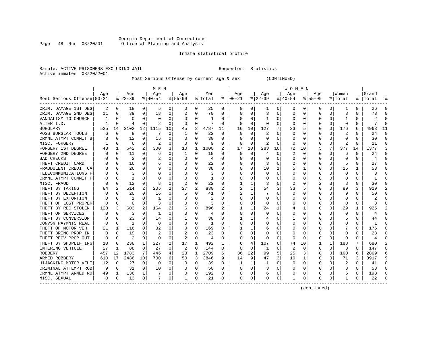#### Georgia Department of Corrections Page 48 Run 03/20/01 Office of Planning and Analysis

#### Inmate statistical profile

Sample: ACTIVE PRISONERS EXCLUDING JAIL **Requestor:** Statistics Active inmates 03/20/2001

Most Serious Offense by current age & sex (CONTINUED)

|                            |     |             |              |              | M E N     |          |          |          |         |                  |                |              |          |          | W O M E N |             |             |          |                         |          |           |               |
|----------------------------|-----|-------------|--------------|--------------|-----------|----------|----------|----------|---------|------------------|----------------|--------------|----------|----------|-----------|-------------|-------------|----------|-------------------------|----------|-----------|---------------|
|                            | Age |             | Age          |              | Age       |          | Age      |          | Men     |                  | Age            |              | Age      |          | Aqe       |             | Age         |          | Women                   |          | Grand     |               |
| Most Serious Offense 00-21 |     |             | $8 22-39$    |              | $8 40-54$ |          | $ 55-99$ |          | % Total |                  | $8   00 - 21$  |              | $ 22-39$ |          | $ 40-54 $ |             | $8155 - 99$ |          | % Total                 |          | %   Total |               |
| CRIM. DAMAGE 1ST DEG       | 2   | 0           | 18           | 0            | 5         | 0        | 0        | 0        | 25      | 0                | 0              | 0            | 1        | 0        | 0         | 0           | 0           | 0        | 1                       | 0        | 26        |               |
| CRIM. DAMAGE 2ND DEG       | 11  | 0           | 39           | 0            | 18        | 0        |          | 0        | 70      | 0                | <sup>0</sup>   | 0            | 3        | 0        | $\Omega$  | 0           | 0           | O        | 3                       | 0        | 73        |               |
| VANDALISM TO CHURCH        |     | $\Omega$    | O            | U            | $\Omega$  | $\Omega$ | 0        | $\Omega$ | 1       | $\Omega$         | ∩              | 0            | 1        | 0        | $\Omega$  | $\Omega$    | 0           | O        |                         | $\Omega$ |           |               |
| ALTER I.D.                 |     | $\Omega$    | 4            | $\Omega$     | 2         | $\Omega$ | $\Omega$ | $\Omega$ | 7       | $\Omega$         | $\Omega$       | $\Omega$     | $\Omega$ | $\Omega$ | O         | 0           | 0           | $\Omega$ | $\Omega$                | $\Omega$ |           |               |
| <b>BURGLARY</b>            | 525 | 14          | 3102         | 12           | 1115      | 10       | 45       | 3        | 4787    | 11               | 16             | 10           | 127      | 7        | 33        | 5           | 0           | $\Omega$ | 176                     | 6        | 4963      | 11            |
| POSS BURGLAR TOOLS         | 6   | 0           | 8            | 0            |           | $\Omega$ | 1        | 0        | 22      | $\Omega$         | $\Omega$       | $\Omega$     |          | 0        |           | 0           | 0           | 0        | 2                       | 0        | 24        | ∩             |
| CRMNL ATMPT COMMIT B       |     | 0           | 12           | $\Omega$     | 15        | $\Omega$ | $\Omega$ | $\Omega$ | 30      | $\Omega$         | <sup>0</sup>   | 0            | 0        | 0        | $\Omega$  | 0           | 0           | 0        | $\Omega$                | $\Omega$ | 30        | $\Omega$      |
| MISC. FORGERY              |     | 0           | 6            | $\Omega$     | 2         | $\Omega$ | $\Omega$ | 0        | 9       | $\Omega$         | $\Omega$       | $\Omega$     | 2        | $\Omega$ | $\Omega$  | $\Omega$    | U           | $\Omega$ | 2                       | $\Omega$ | 11        | $\Omega$      |
| FORGERY 1ST DEGREE         | 48  | 1           | 642          | 2            | 300       | 3        | 10       | 1        | 1000    | 2                | 17             | 10           | 283      | 16       | 72        | 10          | 5           | 7        | 377                     | 14       | 1377      | 3             |
| FORGERY 2ND DEGREE         |     | 0           | 11           | O            | 6         | 0        | 1        | 0        | 18      | O                | $\Omega$       | 0            | 4        | 0        | 2         | 0           | 0           | O        | 6                       | O        | 24        |               |
| <b>BAD CHECKS</b>          |     | $\Omega$    |              | U            |           | O        |          | $\Omega$ | 4       | n                |                | <sup>0</sup> | $\Omega$ | O        |           | $\Omega$    | U           | O        | C                       | O        |           |               |
| THEFT CREDIT CARD          |     | $\Omega$    | 16           | 0            | 6         | 0        |          | $\Omega$ | 22      | $\Omega$         |                | $\Omega$     | 3        | U        | 2         | $\Omega$    | U           | 0        | 5                       | 0        | 27        |               |
| FRAUDULENT CREDIT CA       | ٦   | $\Omega$    | 26           | $\Omega$     | 9         | $\Omega$ | 0        | $\Omega$ | 38      | 0                |                | 0            | 10       | 1        | 5         | 1           | U           | $\Omega$ | 15                      | 1        | 53        |               |
| TELECOMMUNICATIONS F       |     | 0           | 3            | 0            | $\Omega$  | 0        |          | 0        | 3       | O                |                | $\Omega$     | $\Omega$ | 0        |           | 0           | U           | $\Omega$ | $\mathbf 0$             | $\Omega$ |           |               |
| CRMNL ATMPT COMMIT F       |     | $\mathbf 0$ | $\mathbf{1}$ | O            | C         | O        | O        | 0        | 1       | O                |                | $\Omega$     | 0        | O        |           | $\mathbf 0$ | U           | $\Omega$ | $\cap$                  | $\Omega$ |           |               |
| MISC. FRAUD                |     | 0           | 12           | $\Omega$     | 8         | $\Omega$ |          | 0        | 22      | $\Omega$         |                | 1            | 3        | 0        | 2         | 0           |             | 3        | 8                       | $\Omega$ | 30        |               |
| THEFT BY TAKING            | 84  | 2           | 514          | 2            | 205       | 2        | 27       | 2        | 830     | 2                | $\mathfrak{D}$ | 1            | 54       | 3        | 33        | 5           | U           | 0        | 89                      | 3        | 919       | $\mathcal{D}$ |
| THEFT BY DECEPTION         |     | 0           | 20           | 0            | 16        | 0        | 5        | 0        | 41      | $\left( \right)$ | 2              | 1            | 7        | U        | 0         | 0           | 0           | 0        | 9                       | O        | 50        |               |
| THEFT BY EXTORTION         |     | 0           |              |              |           | 0        |          | 0        |         |                  |                | 0            | 0        | 0        |           | 0           | 0           | O        | O                       |          |           |               |
| THEFT OF LOST PROPER       |     | $\Omega$    | $\Omega$     | U            | Р         | O        | O        | $\Omega$ | 3       | O                |                | $\Omega$     | $\Omega$ | U        |           | 0           | U           | U        | $\Omega$                | $\Omega$ |           |               |
| THEFT BY REC STOLEN        | 123 | 3           | 603          | 2            | 164       | 2        | 6        | 0        | 896     | 2                |                | 1            | 24       | 1        |           | 1           | O           | 0        | 29                      | 1        | 925       |               |
| THEFT OF SERVICES          |     | 0           | 3            | 0            | -1        | 0        | 0        | 0        | 4       | O                | 0              | $\Omega$     | 0        | 0        |           | 0           | 0           | 0        | 0                       | 0        |           |               |
| THEFT BY CONVERSION        |     | 0           | 23           | 0            | 14        | 0        |          | 0        | 38      | 0                |                |              | 4        | 0        |           | 0           | 0           | 0        | 6                       | 0        | 44        |               |
| CONVSN PAYMNTS REAL        |     | $\mathbf 0$ | 1            | U            | 0         | 0        | 0        | 0        |         | O                |                | 0            |          | 0        |           | $\mathbf 0$ | 0           | O        | O                       | 0        | -1        |               |
| THEFT OF MOTOR VEH.        | 21  | 1           | 116          | U            | 32        | 0        | O        | 0        | 169     | O                |                | 1            | 6        | 0        |           | 0           | O           | O        |                         | $\Omega$ | 176       |               |
| THEFT BRING PROP IN        | 0   | 0           | 19           | $\Omega$     | 2         | 0        |          | 0        | 23      | O                | <sup>0</sup>   | 0            | 0        | 0        | O         | 0           | 0           | 0        | 0                       | 0        | 23        |               |
| THEFT RECV PROP OUT        | 0   | 0           | 2            | 0            | 0         | 0        | 2        | 0        | 4       | 0                | O              | 0            | 0        | 0        | 0         | 0           | 0           | 0        | 0                       | O        |           |               |
| THEFT BY SHOPLIFTING       | 10  | 0           | 238          | $\mathbf{1}$ | 227       | 2        | 17       | 1        | 492     |                  |                | 4            | 107      | 6        | 74        | 10          |             | 1        | 188                     |          | 680       |               |
| ENTERING VEHICLE           | 27  | 1           | 88           | $\Omega$     | 27        | $\Omega$ | 2        | $\Omega$ | 144     | 0                | $\Omega$       | 0            | -1       | 0        | 2         | $\Omega$    | 0           | $\Omega$ | 3                       | 0        | 147       | $\cap$        |
| <b>ROBBERY</b>             | 457 | 12          | 1783         | 7            | 446       | 4        | 23       | 1        | 2709    | 6                | 36             | 22           | 99       | 5        | 25        | 3           | 0           | $\Omega$ | 160                     | 6        | 2869      |               |
| ARMED ROBBERY              | 610 | 17          | 2486         | 10           | 700       | 6        | 50       | 3        | 3846    | 9                | 14             | 9            | 47       | 3        | 10        | 1           | 0           | $\Omega$ | 71                      | 3        | 3917      | q             |
| HIJACKING MOTOR VEHI       | 12  | 0           | 27           | 0            | $\Omega$  | 0        | $\Omega$ | 0        | 39      | $\Omega$         | -1             | 1            | 1        | 0        | O         | 0           | 0           | 0        | $\overline{\mathbf{c}}$ | 0        | 41        |               |
| CRIMINAL ATTEMPT ROB       | 9   | 0           | 31           | 0            | 10        | 0        |          | 0        | 50      | O                |                | $\Omega$     |          | 0        |           | 0           | 0           | $\Omega$ | 3                       | $\Omega$ | 53        |               |
| CRMNL ATMPT ARMED RO       | 49  | 1           | 136          | $\mathbf 1$  |           | 0        | O        | 0        | 192     | 0                |                | 0            | 6        | 0        | U         | 0           | U           | O        | 6                       | 0        | 198       | $\cap$        |
| MISC. SEXUAL               | 0   | 0           | 13           | 0            | 7         | 0        | 1        | 0        | 21      | 0                | $\Omega$       | 0            | O        | 0        |           | 0           | O           | 0        | 1                       | 0        | 22        |               |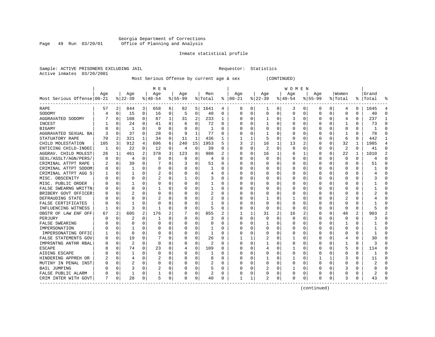#### Georgia Department of Corrections Page 49 Run 03/20/01 Office of Planning and Analysis

#### Inmate statistical profile

Sample: ACTIVE PRISONERS EXCLUDING JAIL **Requestor:** Statistics Active inmates 03/20/2001

Most Serious Offense by current age & sex (CONTINUED)

|                                     |     |          |              |          | M E N       |          |           |                |         |   |              |             |          |          | W O M E N |             |             |              |              |   |       |           |
|-------------------------------------|-----|----------|--------------|----------|-------------|----------|-----------|----------------|---------|---|--------------|-------------|----------|----------|-----------|-------------|-------------|--------------|--------------|---|-------|-----------|
|                                     | Age |          | Age          |          | Age         |          | Age       |                | Men     |   | Age          |             | Age      |          | Age       |             | Aqe         |              | Women        |   | Grand |           |
| Most Serious Offense 00-21<br>$---$ |     |          | $ 22-39$     |          | $8 40-54$   |          | $8 55-99$ |                | % Total | ႜ | $ 00-21$     |             | $ 22-39$ |          | $ 40-54$  |             | $8155 - 99$ |              | % Total      | ိ | Total |           |
| RAPE                                | 57  | 2        | 844          | 3        | 658         | 6        | 82        | 5              | 1641    | 4 | 0            | 0           | 1        | 0        | 3         | 0           | 0           | 0            | 4            | 0 | 1645  | 4         |
| SODOMY                              |     | 0        | 15           | 0        | 16          | 0        | 5         | 0              | 40      | 0 | $\Omega$     | 0           | 0        | $\Omega$ | $\Omega$  | 0           | U           | 0            | $\Omega$     | 0 | 40    | n         |
| AGGRAVATED SODOMY                   |     | $\Omega$ | 108          | 0        | 87          | 1        | 31        | $\overline{2}$ | 233     | 1 |              | 0           | -1       | 0        | 3         | 0           | O           | 0            | 4            | 0 | 237   | -1        |
| INCEST                              |     | $\Omega$ | 24           | $\Omega$ | 41          | 0        | 6         | $\mathbf 0$    | 72      | 0 |              | $\Omega$    | 1        | $\Omega$ | Ω         | $\mathbf 0$ | U           | 0            |              | 0 | 73    | $\bigcap$ |
| BIGAMY                              |     | $\Omega$ | $\mathbf{1}$ | 0        | $\mathbf 0$ | 0        |           | 0              | 1       | 0 |              | 0           |          | 0        |           | 0           |             | O            | 0            | 0 |       | $\bigcap$ |
| AGGRAVATED SEXUAL BA                |     | $\Omega$ | 37           | 0        | 28          | 0        | 9         | $\mathbf 1$    | 77      | O |              | 0           | 1        | 0        | O         | 0           | O           | 0            |              | 0 | 78    | $\Omega$  |
| STATUATORY RAPE                     | 70  | 2        | 321          | 1        | 34          | 0        | 11        | 1              | 436     | 1 |              | 1           | 5        | 0        | 0         | 0           | 0           | 0            | 6            | 0 | 442   | -1        |
| CHILD MOLESTATION                   | 105 | 3        | 912          | 4        | 696         | 6        | 240       | 15             | 1953    | 5 | 3            | 2           | 16       | 1        | 13        | 2           | 0           | 0            | 32           | 1 | 1985  | 4         |
| ENTICING CHILD-INDEC                | 1   | 0        | 22           | 0        | 12          | 0        | 4         | 0              | 39      | 0 |              | 0           | 2        | 0        | 0         | 0           | 0           | 0            | 2            | U | 41    | $\Omega$  |
| AGGRAV. CHILD MOLEST                | 26  | 1        | 461          | 2        | 378         | 3        | 123       | 8              | 988     |   | <sup>0</sup> | 0           | 16       | 1        | 6         | 1           | U           | O            | 22           | 1 | 1010  |           |
| SEXL/ASSLT/AGN/PERS/                | n   | $\Omega$ | 4            | U        | 0           | 0        | 0         | 0              | 4       | O | ∩            | $\Omega$    | $\Omega$ | 0        | O         | $\Omega$    | U           | 0            | $\Omega$     | 0 | 4     | $\cap$    |
| CRIMINAL ATTPT RAPE                 |     | $\Omega$ | 39           | $\Omega$ |             | 0        |           | 0              | 51      | O |              | $\Omega$    | 0        | $\Omega$ | O         | $\Omega$    | U           | <sup>0</sup> | $\Omega$     | 0 | 51    | $\cap$    |
| CRIMINAL ATTPT SODOM                |     | 0        | 1            | $\Omega$ | $\mathbf 0$ | 0        |           | 0              | 1       | O |              | $\mathbf 0$ | 0        | $\Omega$ | Ω         | 0           | O           | 0            | 0            | U |       | $\bigcap$ |
| CRIMINAL ATTPT AGG S                |     | 0        |              | O        | 2           | 0        |           | 0              | 4       | O |              | 0           | 0        | $\Omega$ |           | $\mathbf 0$ | O           | 0            | 0            | 0 |       | $\cap$    |
| MISC. OBSCENITY                     |     | $\Omega$ | U            | U        | 2           | 0        |           | 0              | 3       | O | ∩            | 0           | 0        | 0        | O         | 0           | U           | 0            | <sup>0</sup> | 0 |       | $\Omega$  |
| MISC. PUBLIC ORDER                  |     | $\Omega$ |              | U        | 0           | 0        | O         | 0              | 1       | 0 | n            | 0           | 0        | 0        | 0         | 0           | O           | 0            | O            | 0 |       | $\cap$    |
| FALSE SWEARNG WRITTN                |     | $\Omega$ | U            | U        |             | 0        | n         | 0              | 1       | 0 |              | 0           | 0        | 0        | 0         | 0           | O           | 0            | 0            | 0 |       | $\cap$    |
| BRIBERY GOVT OFFICER                |     | 0        |              | U        | $\Omega$    | 0        |           | 0              | 2       | 0 |              | 0           | C        | 0        | 0         | 0           |             |              | 0            | 0 |       |           |
| DEFRAUDING STATE                    |     | $\Omega$ | U            |          |             | $\Omega$ |           | $\Omega$       | 2       | O |              | $\Omega$    | 1        | 0        |           | $\Omega$    | n           |              |              | U |       |           |
| <b>FALSE CERTIFICATES</b>           |     | $\cap$   |              | U        | $\Omega$    | 0        |           | 0              | 1       | O |              | 0           | O        | 0        | 0         | n           |             |              | <sup>0</sup> | U |       |           |
| INFLUENCING WITNESS                 |     | $\Omega$ | 3            | 0        | -1          | 0        | O         | $\mathbf 0$    | 5       | 0 |              | $\mathbf 0$ | $\Omega$ | 0        | 0         | 0           | O           | 0            | $\Omega$     | 0 |       |           |
| OBSTR OF LAW ENF OFF                | 67  | 2        | 605          | 2        | 176         | 2        |           | $\mathbf 0$    | 855     | 2 |              | 1           | 31       | 2        | 16        | 2           | 0           | 0            | 48           | 2 | 903   |           |
| PERJURY                             |     | $\Omega$ | 2            | 0        | 1           | 0        | 0         | 0              | 3       | 0 | 0            | 0           | 0        | 0        | 0         | 0           | 0           | O            | 0            | 0 |       | $\Omega$  |
| FALSE SWEARING                      |     | $\Omega$ | 0            | U        | 0           | 0        | O         | 0              | 0       | O | ∩            | 0           | 1        | 0        | O         | 0           | 0           | 0            | 1            | 0 |       | $\cap$    |
| IMPERSONATION                       |     | $\Omega$ |              | U        | 0           | 0        | U         | 0              |         | 0 | ∩            | 0           | 0        | 0        | 0         | 0           | O           | 0            | 0            | 0 |       | $\Omega$  |
| IMPERSONATING OFFIC                 |     | 0        | U            | U        | 0           | 0        |           | 0              | 1       | O |              | 0           | 0        | 0        | 0         | 0           | O           | 0            | 0            | 0 |       | $\cap$    |
| FALSE STATEMENTS GOV                |     | 0        | 19           | U        |             | 0        |           | 0              | 26      | O |              | 1           |          | 0        |           | 0           | n           |              | 4            | 0 | 30    |           |
| IMPRSNTNG ANTHR RBAL                |     | $\Omega$ | 2            | U        | $\Omega$    | $\Omega$ | O         | $\Omega$       | 2       | O | ∩            | $\Omega$    | 1        | 0        | O         | $\Omega$    | U           |              |              | 0 |       |           |
| ESCAPE                              |     | $\Omega$ | 74           | 0        | 23          | 0        |           | 0              | 109     | O |              | 0           |          | 0        |           | 0           | O           | O            | 5            | 0 | 114   | n         |
| AIDING ESCAPE                       |     | $\Omega$ |              | 0        | $\mathbf 0$ | 0        | O         | 0              | 1       | O |              | $\Omega$    | $\Omega$ | $\Omega$ | 0         | 0           | U           | 0            | 0            | 0 |       | n         |
| HINDERING APPREH OR                 |     | 0        | 4            | 0        | 2           | 0        |           | 0              | 8       | 0 |              | 0           | 1        | 0        |           | 0           |             |              | 3            | 0 | 11    | $\cap$    |
| MUTINY IN PENAL INST                |     | 0        | 2            | 0        | 0           | 0        | U         | 0              |         | 0 |              | 0           | 0        | 0        | 0         | 0           | U           | $\Omega$     | 0            | 0 | 2     | $\cap$    |
| <b>BAIL JUMPING</b>                 |     | $\Omega$ | 3            | 0        | 2           | 0        | O         | $\Omega$       | 5       | 0 |              | $\Omega$    |          | 0        | 1         | $\Omega$    | U           | 0            |              | 0 | 8     | $\Omega$  |
| FALSE PUBLIC ALARM                  |     | $\Omega$ | 1            | 0        | 1           | 0        | O         | 0              | 2       | 0 | <sup>0</sup> | 0           | 0        | 0        | 0         | 0           | U           | 0            | 0            | 0 |       | $\cap$    |
| CRIM INTER WITH GOVT                | 7   | 0        | 28           | 0        | .5          | 0        | O         | 0              | 40      | 0 | 1            | 1           | 2        | 0        | 0         | 0           | U           | 0            | 3            | 0 | 43    |           |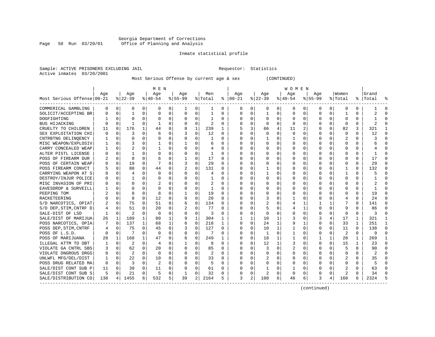#### Georgia Department of Corrections<br>Page 50 Run 03/20/01 Office of Planning and Analysis Page 50 Run 03/20/01 Office of Planning and Analysis

#### Inmate statistical profile

| Sample: ACTIVE PRISONERS EXCLUDING JAIL | Requestor: Statistics |  |
|-----------------------------------------|-----------------------|--|
| Active inmates 03/20/2001               |                       |  |

Most Serious Offense by current age & sex (CONTINUED)

|                            |     |             |           |              | M E N     |              |           |              |                |              |               |                |              |                | <b>WOMEN</b> |             |             |              |                         |              |           |              |
|----------------------------|-----|-------------|-----------|--------------|-----------|--------------|-----------|--------------|----------------|--------------|---------------|----------------|--------------|----------------|--------------|-------------|-------------|--------------|-------------------------|--------------|-----------|--------------|
|                            | Age |             | Age       |              | Age       |              | Aqe       |              | Men            |              | Aqe           |                | Age          |                | Aqe          |             | Aqe         |              | Women                   |              | Grand     |              |
| Most Serious Offense 00-21 |     |             | $8 22-39$ |              | $8 40-54$ |              | $8 55-99$ |              | % Total        |              | $8   00 - 21$ |                | $ 22-39 $    |                | $ 40-54 $    |             | $8155 - 99$ |              | % Total                 |              | %   Total | န္           |
| COMMERICAL GAMBLING        | 0   | $\mathbf 0$ | 0         | 0            | 0         | 0            |           | 0            | 1              | 0            | 0             | 0              | 0            | 0              | 0            | 0           | 0           | 0            | 0                       | 0            |           | n            |
| SOLICIT/ACCEPTING BR       | 0   | $\mathbf 0$ | 1         | 0            | $\Omega$  | 0            | $\Omega$  | 0            | 1              | U            | $\mathbf 0$   | 0              | $\mathbf{1}$ | 0              | 0            | 0           | $\Omega$    | $\Omega$     | $\mathbf{1}$            | $\Omega$     |           | $\cap$       |
| DOGFIGHTING                |     | $\Omega$    | $\Omega$  | 0            | $\Omega$  | 0            | $\Omega$  | $\Omega$     | $\mathbf{1}$   | 0            | $\Omega$      | 0              | $\Omega$     | 0              | $\Omega$     | 0           | $\Omega$    | $\Omega$     | $\Omega$                | $\Omega$     |           | $\cap$       |
| BUS HIJACKING              | 0   | $\Omega$    | 1         | 0            | -1        | 0            | $\Omega$  | $\Omega$     | $\overline{2}$ | 0            | C             | 0              | $\Omega$     | $\mathbf 0$    | $\Omega$     | 0           | O           | $\Omega$     | $\Omega$                | $\Omega$     | 2         |              |
| CRUELTY TO CHILDREN        | 11  | $\mathbf 0$ | 176       | 1            | 44        | 0            | 8         | $\mathbf{1}$ | 239            | 1            | 5             | 3              | 66           | $\overline{4}$ | 11           | 2           | 0           | $\Omega$     | 82                      | 3            | 321       |              |
| SEX EXPLOITATION CHI       | 0   | $\mathbf 0$ | 3         | $\Omega$     | 6         | 0            |           | 0            | 12             | 0            | $\Omega$      | 0              | $\Omega$     | $\mathbf 0$    | $\Omega$     | 0           | 0           | $\Omega$     | $\mathbf 0$             | 0            | 12        | $\Omega$     |
| CNTRBTNG DELINQENCY        |     | $\mathbf 0$ | $\Omega$  | $\Omega$     | $\Omega$  | 0            | $\Omega$  | 0            | $\mathbf{1}$   | $\Omega$     | $\Omega$      | 0              | $\mathbf{1}$ | 0              |              | $\mathbf 0$ | $\Omega$    | $\Omega$     | 2                       | $\Omega$     |           | $\Omega$     |
| MISC WEAPON/EXPLOSIV       | 1   | $\Omega$    | 3         | 0            | -1        | 0            | -1        | 0            | 6              | 0            | $\Omega$      | 0              | $\Omega$     | 0              | $\Omega$     | 0           | O           | 0            | <sup>0</sup>            | $\Omega$     |           | $\Omega$     |
| CARRY CONCEALED WEAP       | 1   | $\Omega$    | 2         | $\Omega$     | -1        | 0            | ∩         | $\Omega$     | 4              | 0            | $\Omega$      | $\Omega$       | $\Omega$     | 0              | O            | 0           | 0           | $\Omega$     | <sup>0</sup>            | $\Omega$     |           | ∩            |
| ALTER PISTL LICENSE        | O   | $\Omega$    |           | 0            | $\Omega$  | 0            | $\Omega$  | $\Omega$     | 1              | U            | C             | 0              |              | $\Omega$       | $\Omega$     | 0           | O           | 0            | <sup>0</sup>            | O            |           |              |
| POSS OF FIREARM DUR        |     | $\Omega$    | 8         | O            | 6         | O            |           | $\Omega$     | 17             | 0            | $\cap$        | $\Omega$       | $\Omega$     | $\Omega$       | $\Omega$     | $\Omega$    | O           | U            | $\Omega$                | $\Omega$     | 17        | $\cap$       |
| POSS OF CERTAIN WEAP       | O   | $\Omega$    | 19        | $\Omega$     |           | 0            | 3         | $\Omega$     | 29             | 0            | $\Omega$      | $\Omega$       | $\Omega$     | $\Omega$       | $\Omega$     | $\Omega$    | O           | $\Omega$     | $\Omega$                | $\Omega$     | 29        | $\cap$       |
| POSS FIREARM CONVCT        | 5   | $\Omega$    | 80        | $\Omega$     | 44        | 0            | 2         | $\Omega$     | 131            | 0            | $\Omega$      | $\Omega$       | -1           | $\Omega$       | $\Omega$     | $\Omega$    | 0           | $\Omega$     | 1                       | 0            | 132       | ∩            |
| CARRYING WEAPON AT S       | 0   | 0           | 4         | $\Omega$     | $\Omega$  | 0            | $\Omega$  | 0            | 4              | 0            | O             | 0              | -1           | 0              | 0            | 0           | 0           | 0            | 1                       | 0            |           |              |
| DESTROY/INJUR POLICE       | 0   | 0           |           | 0            | $\Omega$  | 0            | $\Omega$  | 0            | 1              | 0            | C             | 0              | 0            | 0              | $\Omega$     | 0           | O           | 0            | 0                       | $\Omega$     |           | $\cap$       |
| MISC INVASION OF PRI       | 0   | $\Omega$    | O         | 0            | 2         | 0            | $\Omega$  | 0            | 2              | 0            | $\Omega$      | $\Omega$       | $\Omega$     | $\Omega$       | $\Omega$     | $\Omega$    | O           | 0            | <sup>0</sup>            | $\Omega$     |           | $\cap$       |
| EAVESDROP & SURVEILL       |     | 0           | O         | 0            | O         | 0            | $\Omega$  | 0            | -1             | 0            | $\Omega$      | $\Omega$       | $\Omega$     | $\Omega$       | $\Omega$     | $\Omega$    | 0           | 0            | <sup>0</sup>            | $\Omega$     |           | $\cap$       |
| PEEPING TOM                |     | 0           | 8         | O            | 8         | 0            |           | 0            | 19             | 0            | O             | 0              | 0            | $\Omega$       | 0            | 0           | 0           | 0            | <sup>0</sup>            | N            | 19        |              |
| RACKETEERING               | O   | $\Omega$    | 8         | O            | 12        | 0            | $\Omega$  | $\Omega$     | 20             | 0            | O             | 0              |              | 0              |              | 0           | 0           | U            | 4                       | U            | 24        |              |
| S/D NARCOTICS, OPIAT       |     | $\Omega$    | 75        | 0            | 51        | 0            | 6         | 0            | 134            | 0            | $\Omega$      | 0              | 2            | 0              | 4            | 1           |             | 1            | 7                       | $\Omega$     | 141       | ∩            |
| S/D DEP, STIM, CNTRF D     | 4   | $\Omega$    | 51        | 0            | 20        | 0            |           | $\Omega$     | 77             | 0            | $\Omega$      | $\Omega$       | 5            | 0              | 4            | 1           | O           | $\Omega$     | q                       | 0            | 86        |              |
| SALE-DIST OF LSD           | -1  | $\Omega$    | 2         | $\Omega$     | $\Omega$  | 0            | $\Omega$  | 0            | 3              | 0            | $\Omega$      | $\mathbf 0$    | $\Omega$     | 0              | O            | 0           | 0           | $\Omega$     | 0                       | 0            | 3         |              |
| SALE/DIST OF MARIJUA       | 26  | 1           | 189       | 1            | 80        | 1            | 9         | $\mathbf{1}$ | 304            | 1            |               | $\mathbf{1}$   | 10           | 1              |              | 0           | 3           | 4            | 17                      | 1            | 321       |              |
| POSS NARCOTICS, OPIA       |     | $\mathbf 0$ | 137       | $\mathbf{1}$ | 68        | $\mathbf{1}$ | 6         | $\mathbf 0$  | 218            | 1            | $\Omega$      | 0              | 24           | $\mathbf{1}$   |              | 1           | $\Omega$    | $\Omega$     | 33                      | $\mathbf{1}$ | 251       | $\mathbf{1}$ |
| POSS DEP, STIM, CNTRF      | 4   | 0           | 75        | $\Omega$     | 45        | 0            | 3         | 0            | 127            | 0            | $\Omega$      | 0              | 10           | $\mathbf{1}$   |              | 0           | 0           | $\Omega$     | 11                      | $\Omega$     | 138       | $\Omega$     |
| POSS OF L.S.D.             | O   | $\mathbf 0$ |           | 0            | $\Omega$  | 0            | $\Omega$  | 0            | 7              | 0            | $\Omega$      | 0              | -1           | 0              |              | 0           | 0           | $\Omega$     | 2                       | 0            | 9         | $\Omega$     |
| POSS OF MARIJUANA          | 28  | 1           | 168       |              | 47        | 0            | 6         | 0            | 249            | 1            | C             | 0              | 18           | 1              |              | 0           |             | $\mathbf{1}$ | 20                      | 1            | 269       | -1           |
| ILLEGAL ATTM TO OBT        |     | $\Omega$    |           | 0            | 4         | U            |           | $\Omega$     | 8              | <sup>0</sup> | C             | $\Omega$       | 12           | 1              | 3            | $\Omega$    | $\Omega$    | $\Omega$     | 15                      | 1            | 23        | $\cap$       |
| VIOLATE GA CNTRL SBS       | 3   | $\Omega$    | 62        | $\Omega$     | 20        | $\Omega$     | $\Omega$  | $\Omega$     | 85             | 0            | $\Omega$      | $\Omega$       | 3            | $\Omega$       | 2            | $\Omega$    | $\Omega$    | $\Omega$     | 5                       | 0            | 90        | $\cap$       |
| VIOLATE DNGROUS DRGS       | 0   | $\Omega$    | 2         | $\Omega$     | $\Omega$  | $\Omega$     | $\Omega$  | $\Omega$     | 2              | $\Omega$     | $\Omega$      | $\Omega$       | $\Omega$     | $\Omega$       | $\Omega$     | $\Omega$    | $\Omega$    | $\Omega$     | $\Omega$                | $\Omega$     | 2         |              |
| UNLWFL MFG/DEL/DIST        | 1   | $\mathbf 0$ | 22        | $\Omega$     | 10        | 0            | $\Omega$  | $\mathbf 0$  | 33             | 0            | O             | $\mathbf 0$    | 2            | 0              | $\Omega$     | 0           | $\Omega$    | $\Omega$     | $\overline{\mathbf{c}}$ | $\Omega$     | 35        |              |
| POSS DRUG RELATED MA       | 0   | $\Omega$    | 3         | $\Omega$     | 2         | 0            | $\Omega$  | $\Omega$     | .5             | 0            | O             | 0              | $\Omega$     | 0              | $\Omega$     | 0           | O           | 0            | 0                       | 0            |           | $\cap$       |
| SALE/DIST CONT SUB P       | 11  | $\mathbf 0$ | 39        | $\Omega$     | 11        | 0            | $\Omega$  | $\Omega$     | 61             | 0            | $\Omega$      | 0              | 1            | 0              | 1            | $\mathbf 0$ | $\Omega$    | $\Omega$     | $\overline{\mathbf{c}}$ | $\Omega$     | 63        | $\Omega$     |
| SALE/DIST CONT SUB S       | 5   | $\Omega$    | 21        | 0            | 5         | 0            | -1        | 0            | 32             | 0            | $\Omega$      | 0              | 2            | 0              | $\Omega$     | 0           | 0           | $\Omega$     | $\overline{\mathbf{c}}$ | 0            | 34        | ∩            |
| SALE/DISTRIBUTION CO       | 138 | 4           | 1455      | 6            | 532       | 5            | 39        | 2            | 2164           | 5.           | 3             | $\overline{a}$ | 108          | 6              | 46           | 6           | 3           | 4            | 160                     | б.           | 2324      |              |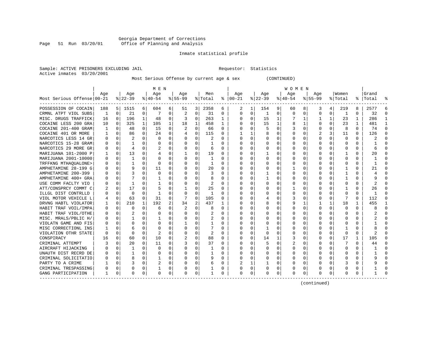#### Georgia Department of Corrections Page 51 Run 03/20/01 Office of Planning and Analysis

### Inmate statistical profile

| Sample: ACTIVE PRISONERS EXCLUDING JAIL | Requestor: Statistics |  |
|-----------------------------------------|-----------------------|--|
| Active inmates 03/20/2001               |                       |  |

Most Serious Offense by current age & sex (CONTINUED)

|                            | M E N        |             |              |              |                |          |          |             |         | W O M E N |               |                |          |             |          |             |           |              |              |              |           |          |
|----------------------------|--------------|-------------|--------------|--------------|----------------|----------|----------|-------------|---------|-----------|---------------|----------------|----------|-------------|----------|-------------|-----------|--------------|--------------|--------------|-----------|----------|
|                            | Aqe          |             | Age          |              | Aqe            |          | Aqe      |             | Men     |           | Age           |                | Aqe      |             | Aqe      |             | Aqe       |              | Women        |              | Grand     |          |
| Most Serious Offense 00-21 |              |             | $ 22-39 $    |              | $ 40-54 $      |          | $ 55-99$ |             | % Total |           | $8   00 - 21$ |                | $ 22-39$ |             | $ 40-54$ |             | $8 55-99$ |              | % Total      |              | %   Total |          |
| POSSESSION OF COCAIN       | 188          | 51          | 1515         | 6            | 604            | 6        | 51       | 3           | 2358    | 6         | 2             | 1              | 154      | 9           | 60       | 8           | 3         | 4            | 219          | 8            | 2577      | 6        |
| CRMNL ATPT VIOL SUBS       | 1            | 0           | 21           | 0            | 7              | 0        | 2        | 0           | 31      | 0         | $\Omega$      | 0              | -1       | 0           | $\Omega$ | $\mathbf 0$ | 0         | 0            | 1            | 0            | 32        | $\Omega$ |
| MISC. DRUGS TRAFFICK       | 16           | 0           | 196          | $\mathbf{1}$ | 48             | $\Omega$ |          | 0           | 263     | 1         | <sup>0</sup>  | $\Omega$       | 15       | $\mathbf 1$ |          | 1           | 1         | $\mathbf{1}$ | 23           | $\mathbf{1}$ | 286       | -1       |
| COCAINE LESS 200 GRA       | 10           | 0           | 325          | 1            | 105            | 1        | 18       | 1           | 458     | 1         | <sup>0</sup>  | $\Omega$       | 15       | 1           | 8        | 1           | 0         | $\Omega$     | 23           | 1            | 481       | -1       |
| COCAINE 201-400 GRAM       |              | 0           | 48           | 0            | 15             | 0        | 2        | 0           | 66      | $\Omega$  |               | 0              | 5        | 0           |          | 0           | 0         | O            | 8            | 0            | 74        | $\Omega$ |
| COCAINE 401 OR MORE        |              | $\mathbf 0$ | 86           | U            | 24             | 0        | 4        | 0           | 115     | $\Omega$  |               |                | 8        | 0           |          | 0           |           | 3            | 11           | 0            | 126       | $\cap$   |
| NARCOTICS LESS 14 GR       | <sup>0</sup> | 0           |              | U            | $\Omega$       | $\Omega$ | O        | $\Omega$    |         | $\Omega$  | ∩             | $\Omega$       | $\Omega$ | 0           | U        | 0           | U         | U            | $\mathbf 0$  | $\Omega$     |           |          |
| NARCOTICS 15-28 GRAM       | ∩            | $\Omega$    | 1            | U            | $\Omega$       | $\Omega$ | O        | $\Omega$    |         | $\Omega$  | ∩             | $\Omega$       | $\Omega$ | O           |          | $\Omega$    | U         | U            | $\Omega$     | $\Omega$     |           |          |
| NARCOTICS 29 MORE GR       | $\Omega$     | $\Omega$    | 4            | U            | 2              | $\Omega$ | O        | $\Omega$    | 6       | $\Omega$  |               | 0              | $\Omega$ | U           | O        | $\Omega$    | U         | 0            | $\Omega$     | 0            | 6         |          |
| MARIJUANA 101-2000 P       |              | 0           | 13           | $\Omega$     | 4              | $\Omega$ |          | $\Omega$    | 19      | $\Omega$  |               | $\Omega$       | -1       | 0           |          | $\Omega$    | 0         | 0            |              | 0            | 20        |          |
| MARIJUANA 2001-10000       | O            | 0           | $\mathbf{1}$ | 0            | $\Omega$       | $\Omega$ | O        | 0           | 1       | 0         |               | $\Omega$       | $\Omega$ | 0           |          | 0           | 0         | $\Omega$     | $\mathbf 0$  | 0            |           |          |
| TRFFKNG MTHAOUALONE>       |              | 0           | 1            | 0            | $\Omega$       | O        |          | 0           | 1       | O         |               | $\Omega$       | 0        | 0           |          | 0           | 0         | 0            | 0            | O            |           |          |
| AMPHETAMINE 28-199 G       |              | $\mathbf 0$ | 9            | 0            | 11             | 0        |          | $\Omega$    | 20      | 0         |               | $\Omega$       | 0        | 0           |          | 0           | 0         | 0            |              | 0            | 21        | $\cap$   |
| AMPHETAMINE 200-399        |              | $\mathbf 0$ | 3            | U            | $\mathbf 0$    | $\Omega$ | O        | $\Omega$    | 3       | $\Omega$  | $\Omega$      | $\Omega$       |          | 0           | U        | 0           | U         | 0            | 1            | $\Omega$     |           | $\Omega$ |
| AMPHETAMINE 400+ GRA       | O            | 0           | 7            | 0            | -1             | 0        | O        | 0           | 8       | $\Omega$  | <sup>0</sup>  | 0              | 1        | 0           | $\Omega$ | 0           | U         | 0            | -1           | $\Omega$     |           | $\cap$   |
| USE COMM FACLTY VIO        | $\Omega$     | 0           | 1            | U            | -1             | $\Omega$ | O        | $\Omega$    | 2       | $\Omega$  | ∩             | 0              | $\Omega$ | 0           | $\Omega$ | 0           | U         | 0            | <sup>0</sup> | $\Omega$     | 2         | ∩        |
| ATT/CONSPRCY COMMT C       |              | 0           | 17           | $\Omega$     | 5              | $\Omega$ |          | $\Omega$    | 25      | 0         | <sup>0</sup>  | 0              | 0        | 0           |          | 0           | 0         | 0            |              | 0            | 26        | ∩        |
| ILLGL DIST CONTRLLD        |              | $\mathbf 0$ | 0            | 0            | -1             | 0        | $\Omega$ | 0           | 1       | $\Omega$  | <sup>0</sup>  | $\Omega$       | $\Omega$ | 0           | $\Omega$ | 0           | 0         | 0            | 0            | O            |           | ∩        |
| VIOL MOTOR VEHICLE L       |              | 0           | 63           | U            | 31             | 0        |          | 0           | 105     | O         |               | 0              |          | 0           |          | 0           | 0         | O            |              | O            | 112       | $\Omega$ |
| DRVNG HABTL VIOLATOR       |              | $\mathbf 0$ | 210          | $\mathbf{1}$ | 192            | 2        | 34       | 2           | 437     |           | 0             | 0              | 8        | 0           | g        | 1           |           | $\mathbf{1}$ | 18           |              | 455       |          |
| HABIT TRAF VOIL/IMPA       | <sup>0</sup> | 0           | $\Omega$     | U            | 6              | 0        |          | $\Omega$    | 8       | $\Omega$  | $\cap$        | $\Omega$       | $\Omega$ | O           | ∩        | 0           | U         | U            | $\Omega$     | $\Omega$     |           | ∩        |
| HABIT TRAF VIOL/OTHE       |              | $\Omega$    |              | U            | $\Omega$       | $\Omega$ | U        | $\Omega$    | 2       | $\Omega$  | ∩             | 0              | $\Omega$ | O           | ∩        | $\Omega$    | U         | U            | $\Omega$     | $\Omega$     |           |          |
| MISC. MRALS/PBLIC H/       |              | $\Omega$    | 1            | 0            | -1             | $\Omega$ | O        | O           | 2       | $\Omega$  | ∩             | 0              | $\Omega$ | U           | U        | $\Omega$    | U         | 0            | $\Omega$     | 0            |           |          |
| VIOLATN GAME AND FIS       |              | $\Omega$    | 0            | 0            | $\Omega$       | $\Omega$ |          | $\Omega$    |         | 0         |               | $\Omega$       | $\Omega$ | 0           |          | $\Omega$    | U         | 0            | $\Omega$     | 0            |           |          |
| MISC CORRECTIONL INS       |              | $\Omega$    | 6            | 0            | $\Omega$       | $\Omega$ | O        | $\Omega$    |         | $\Omega$  |               | 0              | -1       | O           |          | 0           | U         | $\Omega$     | -1           | 0            |           |          |
| VIOLATION OTHR STATE       | $\Omega$     | 0           | 0            | 0            | $\overline{2}$ | O        |          | 0           | 2       | O         |               | $\Omega$       | $\Omega$ | 0           |          | 0           | 0         | $\Omega$     | $\Omega$     | 0            |           |          |
| CONSPIRACY                 | 16           | 0           | 60           | 0            | 10             | 0        |          | $\mathbf 0$ | 88      | $\Omega$  |               | $\Omega$       | 14       | 1           |          | 0           | 0         | $\Omega$     | 17           | 1            | 105       |          |
| CRIMINAL ATTEMPT           |              | $\mathbf 0$ | 20           | $\Omega$     | 11             | $\Omega$ |          | $\Omega$    | 37      | $\Omega$  | <sup>0</sup>  | $\Omega$       | 5        | 0           |          | 0           | $\Omega$  | $\Omega$     |              | $\Omega$     | 44        |          |
| AIRCRAFT HIJACKING         |              | 0           | $\mathbf{1}$ | 0            | $\Omega$       | $\Omega$ | U        | $\Omega$    | 1       | U         | $\cap$        | $\Omega$       | 0        | 0           | U        | 0           | U         | $\Omega$     | $\Omega$     | $\Omega$     |           | $\Omega$ |
| UNAUTH DIST RECRD DE       |              | 0           | 1            | $\Omega$     | $\Omega$       | $\Omega$ | O        | $\Omega$    | 1       | $\Omega$  | <sup>0</sup>  | 0              | $\Omega$ | $\Omega$    | $\Omega$ | 0           | U         | $\Omega$     | <sup>0</sup> | $\Omega$     |           | ∩        |
| CRIMINAL SOLICITATIO       |              | 0           | 8            | $\Omega$     |                | 0        | O        | $\Omega$    | 9       | 0         | <sup>0</sup>  | $\Omega$       | 0        | 0           | 0        | 0           | 0         | $\Omega$     | O            | 0            |           | ∩        |
| PARTY TO A CRIME           |              | $\mathbf 0$ | 3            | 0            | 2              | 0        | O        | 0           | 6       | 0         | 2             | 1              |          | 0           | $\Omega$ | 0           | 0         | $\Omega$     | 3            | O            |           |          |
| CRIMINAL TRESPASSING       | O            | 0           | $\Omega$     | 0            | 1              | 0        | 0        | 0           | 1       | 0         | 0             | 0 <sup>1</sup> | 0        | 0           | 0        | 0           | 0         | 0            | 0            | 0            |           |          |
| GANG PARTICIPATION         | 1            | 0           | 0            | 0            | 0              | 0        | O        | 0           | 1       | 0         | $\Omega$      | 0              | 0        | 0           | U        | 0           | O         | 0            | $\Omega$     | 0            |           |          |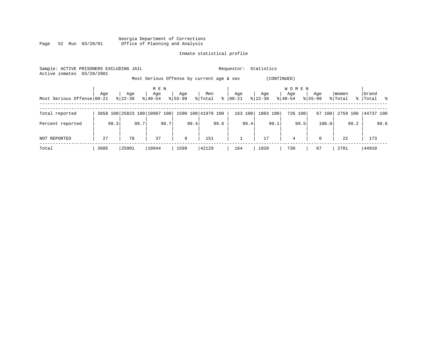|      |  |                 | Georgia Department of Corrections |  |  |
|------|--|-----------------|-----------------------------------|--|--|
| Page |  | 52 Run 03/20/01 | Office of Planning and Analysis   |  |  |

| Sample: ACTIVE PRISONERS EXCLUDING JAIL<br>03/20/2001<br>Active inmates |      |           |                              | Statistics<br>Requestor: |                                           |         |             |                     |             |          |             |  |  |
|-------------------------------------------------------------------------|------|-----------|------------------------------|--------------------------|-------------------------------------------|---------|-------------|---------------------|-------------|----------|-------------|--|--|
|                                                                         |      |           |                              |                          | Most Serious Offense by current age & sex |         | (CONTINUED) |                     |             |          |             |  |  |
|                                                                         | Age  | Age       | M E N<br>Age                 | Age                      | Men                                       | Age     | Age         | <b>WOMEN</b><br>Age | Age         | Women    | Grand       |  |  |
| Most Serious Offense 00-21                                              |      | $8 22-39$ | $8 40-54$                    | $8155 - 99$              | $\frac{8}{6}$<br>% Total                  | 00-21   | $ 22-39 $   | $8 40-54$           | $8155 - 99$ | % Total  | %   Total % |  |  |
| Total reported                                                          |      |           | 3658 100 25823 100 10907 100 |                          | 1590 100 41978 100                        | 163 100 | 1803 100    | 726 100             | 67 100      | 2759 100 | 44737 100   |  |  |
| Percent reported                                                        | 99.3 | 99.7      | 99.7                         | 99.4                     | 99.6                                      | 99.4    | 99.1        | 99.5                | 100.0       | 99.2     | 99.6        |  |  |
| NOT REPORTED                                                            | 27   | 78        | 37                           | 9                        | 151                                       |         | 17          | $\overline{4}$      | $\Omega$    | 22       | 173         |  |  |
| Total                                                                   | 3685 | 25901     | 10944                        | 1599                     | 42129                                     | 164     | 1820        | 730                 | 67          | 2781     | 44910       |  |  |